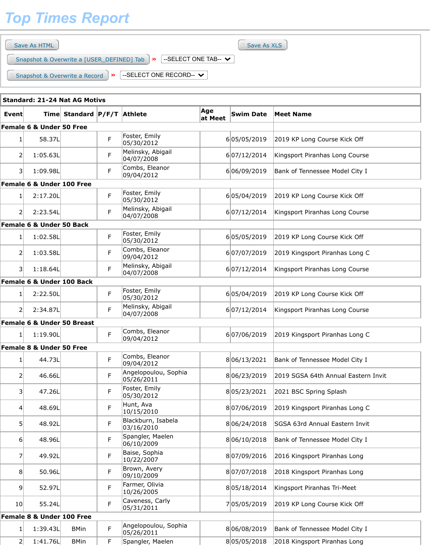## *Top Times Report*

|        | Save As XLS<br>Save As HTML                                                               |                             |   |                              |           |             |                              |  |  |  |  |
|--------|-------------------------------------------------------------------------------------------|-----------------------------|---|------------------------------|-----------|-------------|------------------------------|--|--|--|--|
|        | --SELECT ONE TAB-- $\vee$<br>Snapshot & Overwrite a [USER_DEFINED] Tab  <br>$\rightarrow$ |                             |   |                              |           |             |                              |  |  |  |  |
|        | Snapshot & Overwrite a Record<br><b>Standard: 21-24 Nat AG Motivs</b>                     |                             | ≫ | --SELECT ONE RECORD-- $\vee$ |           |             |                              |  |  |  |  |
| Eventl |                                                                                           | Time Standard P/F/T Athlete |   | <b>Swim Date</b>             | Meet Name |             |                              |  |  |  |  |
|        | Female 6 & Under 50 Free                                                                  |                             |   |                              |           |             |                              |  |  |  |  |
|        | 58.37L                                                                                    |                             | F | Foster, Emily<br> 05/30/2012 |           | 605/05/2019 | 2019 KP Long Course Kick Off |  |  |  |  |

| 1 <sup>1</sup>           | 58.37L                                |             | F  | FOSLEI, EIIIIIY<br>05/30/2012                          | 605/05/2019                | 2019 KP Long Course Kick Off        |
|--------------------------|---------------------------------------|-------------|----|--------------------------------------------------------|----------------------------|-------------------------------------|
| $\overline{2}$           | 1:05.63L                              |             | F  | Melinsky, Abigail<br>04/07/2008                        | 607/12/2014                | Kingsport Piranhas Long Course      |
| $\vert$ 3                | 1:09.98L                              |             | F. | Combs, Eleanor<br>09/04/2012                           | 606/09/2019                | Bank of Tennessee Model City I      |
|                          | Female 6 & Under 100 Free             |             |    |                                                        |                            |                                     |
| $1\vert$                 | 2:17.20L                              |             | F  | Foster, Emily<br>05/30/2012                            | 605/04/2019                | 2019 KP Long Course Kick Off        |
| $\mathsf{2}$             | 2:23.54L                              |             | F  | Melinsky, Abigail<br>04/07/2008                        | 607/12/2014                | Kingsport Piranhas Long Course      |
|                          | <b>Female 6 &amp; Under 50 Back</b>   |             |    |                                                        |                            |                                     |
| $1\vert$                 | 1:02.58L                              |             | F  | Foster, Emily<br>05/30/2012                            | 605/05/2019                | 2019 KP Long Course Kick Off        |
| $\overline{2}$           | 1:03.58L                              |             | F  | Combs, Eleanor<br>09/04/2012                           | 607/07/2019                | 2019 Kingsport Piranhas Long C      |
| 31                       | 1:18.64L                              |             | F  | Melinsky, Abigail<br>04/07/2008                        | 607/12/2014                | Kingsport Piranhas Long Course      |
|                          | Female 6 & Under 100 Back             |             |    |                                                        |                            |                                     |
| $1\vert$                 | 2:22.50L                              |             | F  | Foster, Emily<br>05/30/2012                            | 605/04/2019                | 2019 KP Long Course Kick Off        |
| $\overline{2}$           | 2:34.87L                              |             | F. | Melinsky, Abigail<br>04/07/2008                        | 607/12/2014                | Kingsport Piranhas Long Course      |
|                          | <b>Female 6 &amp; Under 50 Breast</b> |             |    |                                                        |                            |                                     |
| 1                        | 1:19.90L                              |             | F  | Combs, Eleanor<br>09/04/2012                           | 607/06/2019                | 2019 Kingsport Piranhas Long C      |
|                          | <b>Female 8 &amp; Under 50 Free</b>   |             |    |                                                        |                            |                                     |
| 1                        | 44.73L                                |             | F  | Combs, Eleanor<br>09/04/2012                           | 806/13/2021                | Bank of Tennessee Model City I      |
| $\mathsf{2}$             | 46.66L                                |             | F  | Angelopoulou, Sophia<br>05/26/2011                     | 806/23/2019                | 2019 SGSA 64th Annual Eastern Invit |
|                          |                                       |             |    |                                                        |                            |                                     |
| 3 <sup>1</sup>           | 47.26L                                |             | F  | Foster, Emily<br>05/30/2012                            | 805/23/2021                | 2021 BSC Spring Splash              |
| $\vert 4 \vert$          | 48.69L                                |             | F  | Hunt, Ava<br>10/15/2010                                | 807/06/2019                | 2019 Kingsport Piranhas Long C      |
| 5                        | 48.92L                                |             | F  | Blackburn, Isabela<br>03/16/2010                       | 806/24/2018                | SGSA 63rd Annual Eastern Invit      |
| 6                        | 48.96L                                |             | F  | Spangler, Maelen<br>06/10/2009                         | 806/10/2018                | Bank of Tennessee Model City I      |
| 7                        | 49.92L                                |             | F  | Baise, Sophia<br>10/22/2007                            | 807/09/2016                | 2016 Kingsport Piranhas Long        |
| 8 <sup>1</sup>           | 50.96L                                |             | F  | Brown, Avery<br>09/10/2009                             | 807/07/2018                | 2018 Kingsport Piranhas Long        |
| 9 <sup>1</sup>           | 52.97L                                |             | F  | Farmer, Olivia<br>10/26/2005                           | 805/18/2014                | Kingsport Piranhas Tri-Meet         |
| 10 <sub>l</sub>          | 55.24L                                |             | F  | Caveness, Carly<br>05/31/2011                          | 705/05/2019                | 2019 KP Long Course Kick Off        |
|                          | Female 8 & Under 100 Free             |             |    |                                                        |                            |                                     |
| $\mathbf{1}$<br>$2\vert$ | 1:39.43L<br>1:41.76L                  | <b>BMin</b> | F  | Angelopoulou, Sophia<br>05/26/2011<br>Spangler, Maelen | 806/08/2019<br>805/05/2018 | Bank of Tennessee Model City I      |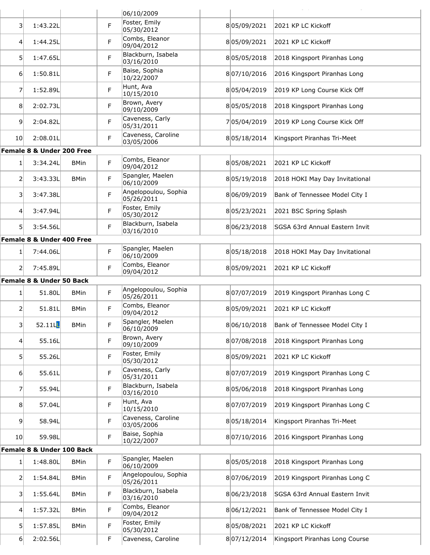| Foster, Emily<br>F<br>805/09/2021<br>$\overline{3}$<br>1:43.22L<br>2021 KP LC Kickoff<br>05/30/2012<br>Combs, Eleanor<br>F<br>1:44.25L<br>805/09/2021<br>2021 KP LC Kickoff<br>$\vert 4 \vert$<br>09/04/2012<br>Blackburn, Isabela<br>F<br>5 <sup>1</sup><br>1:47.65L<br>805/05/2018<br>2018 Kingsport Piranhas Long<br>03/16/2010<br>Baise, Sophia<br>F<br>1:50.81L<br>807/10/2016<br>2016 Kingsport Piranhas Long<br>$6 \mid$<br>10/22/2007<br>Hunt, Ava<br>F<br>7<br>1:52.89L<br>805/04/2019<br>2019 KP Long Course Kick Off<br>10/15/2010<br>Brown, Avery<br>F<br>8<br>2:02.73L<br>805/05/2018<br>2018 Kingsport Piranhas Long<br>09/10/2009<br>Caveness, Carly<br>F<br>9<br>2:04.82L<br>705/04/2019<br>2019 KP Long Course Kick Off<br>05/31/2011<br>Caveness, Caroline<br>F<br>2:08.01L<br>10 <sup>1</sup><br>805/18/2014<br>Kingsport Piranhas Tri-Meet<br>03/05/2006<br>Female 8 & Under 200 Free<br>Combs, Eleanor<br>F.<br>3:34.24L<br>805/08/2021<br>2021 KP LC Kickoff<br>$1\vert$<br><b>BMin</b><br>09/04/2012<br>Spangler, Maelen<br>F<br>$\overline{2}$<br>3:43.33L<br>805/19/2018<br>2018 HOKI May Day Invitational<br><b>BMin</b><br>06/10/2009<br>Angelopoulou, Sophia<br>F<br>$\overline{3}$<br>3:47.38L<br>806/09/2019<br>Bank of Tennessee Model City I<br>05/26/2011<br>Foster, Emily<br>F<br>3:47.94L<br>805/23/2021<br>2021 BSC Spring Splash<br>4<br>05/30/2012<br>Blackburn, Isabela<br>F<br>51<br>3:54.56L<br>806/23/2018<br>SGSA 63rd Annual Eastern Invit<br>03/16/2010<br>Female 8 & Under 400 Free<br>Spangler, Maelen<br>F.<br>7:44.06L<br>805/18/2018<br>2018 HOKI May Day Invitational<br>1<br>06/10/2009<br>Combs, Eleanor<br>F<br>7:45.89L<br>$\overline{2}$<br>805/09/2021<br>2021 KP LC Kickoff<br>09/04/2012<br>Female 8 & Under 50 Back<br>Angelopoulou, Sophia<br>F<br>51.80L<br>807/07/2019<br>2019 Kingsport Piranhas Long C<br>$\mathbf{1}$<br><b>BMin</b><br>05/26/2011<br>Combs, Eleanor<br>F<br>805/09/2021<br>2<br>51.81L<br>2021 KP LC Kickoff<br><b>BMin</b><br>09/04/2012<br>Spangler, Maelen<br>$\left  \mathbf{3} \right $<br>52.11L<br><b>BMin</b><br>F<br>806/10/2018<br>Bank of Tennessee Model City I<br>06/10/2009<br>Brown, Avery<br>F<br>55.16L<br>807/08/2018<br>2018 Kingsport Piranhas Long<br>$\left 4\right $<br>09/10/2009<br>Foster, Emily<br>F<br>5 <sup>1</sup><br>55.26L<br>805/09/2021<br>2021 KP LC Kickoff<br>05/30/2012<br>Caveness, Carly<br>F<br>55.61L<br>807/07/2019<br>2019 Kingsport Piranhas Long C<br>$6 \mid$<br>05/31/2011<br>Blackburn, Isabela<br>F<br>805/06/2018<br>7<br>55.94L<br>2018 Kingsport Piranhas Long<br>03/16/2010<br>Hunt, Ava<br>F<br>8<br>57.04L<br>807/07/2019<br>2019 Kingsport Piranhas Long C<br>10/15/2010<br>Caveness, Caroline<br>F<br>9<br>58.94L<br>805/18/2014<br>Kingsport Piranhas Tri-Meet<br>03/05/2006<br>Baise, Sophia<br>F<br>59.98L<br>807/10/2016<br>2016 Kingsport Piranhas Long<br>10 <sup>1</sup><br>10/22/2007<br>Female 8 & Under 100 Back<br>Spangler, Maelen<br>F<br>$\mathbf{1}$<br>1:48.80L<br>805/05/2018<br>2018 Kingsport Piranhas Long<br><b>BMin</b><br>06/10/2009<br>Angelopoulou, Sophia<br>F<br>$\overline{2}$<br>1:54.84L<br>807/06/2019<br>2019 Kingsport Piranhas Long C<br><b>BMin</b><br>05/26/2011<br>Blackburn, Isabela<br>F<br>$\vert$ 3<br>1:55.64L<br>806/23/2018<br>SGSA 63rd Annual Eastern Invit<br><b>BMin</b><br>03/16/2010<br>Combs, Eleanor<br>F<br>Bank of Tennessee Model City I<br>4<br>1:57.32L<br><b>BMin</b><br>806/12/2021<br>09/04/2012<br>Foster, Emily<br>F<br>5<br>1:57.85L<br>805/08/2021<br>2021 KP LC Kickoff<br><b>BMin</b><br>05/30/2012<br>2:02.56L<br>$6 \mid$<br>F<br>Caveness, Caroline<br>807/12/2014<br>Kingsport Piranhas Long Course |  |  | 06/10/2009 |  |  |
|-------------------------------------------------------------------------------------------------------------------------------------------------------------------------------------------------------------------------------------------------------------------------------------------------------------------------------------------------------------------------------------------------------------------------------------------------------------------------------------------------------------------------------------------------------------------------------------------------------------------------------------------------------------------------------------------------------------------------------------------------------------------------------------------------------------------------------------------------------------------------------------------------------------------------------------------------------------------------------------------------------------------------------------------------------------------------------------------------------------------------------------------------------------------------------------------------------------------------------------------------------------------------------------------------------------------------------------------------------------------------------------------------------------------------------------------------------------------------------------------------------------------------------------------------------------------------------------------------------------------------------------------------------------------------------------------------------------------------------------------------------------------------------------------------------------------------------------------------------------------------------------------------------------------------------------------------------------------------------------------------------------------------------------------------------------------------------------------------------------------------------------------------------------------------------------------------------------------------------------------------------------------------------------------------------------------------------------------------------------------------------------------------------------------------------------------------------------------------------------------------------------------------------------------------------------------------------------------------------------------------------------------------------------------------------------------------------------------------------------------------------------------------------------------------------------------------------------------------------------------------------------------------------------------------------------------------------------------------------------------------------------------------------------------------------------------------------------------------------------------------------------------------------------------------------------------------------------------------------------------------------------------------------------------------------------------------------------------------------------------------------------------------------------------------------------------------------------------------------------------------------------------------------------------------------------------------------------------------------------------------------------------------------------------------------------------------------------------------|--|--|------------|--|--|
|                                                                                                                                                                                                                                                                                                                                                                                                                                                                                                                                                                                                                                                                                                                                                                                                                                                                                                                                                                                                                                                                                                                                                                                                                                                                                                                                                                                                                                                                                                                                                                                                                                                                                                                                                                                                                                                                                                                                                                                                                                                                                                                                                                                                                                                                                                                                                                                                                                                                                                                                                                                                                                                                                                                                                                                                                                                                                                                                                                                                                                                                                                                                                                                                                                                                                                                                                                                                                                                                                                                                                                                                                                                                                                                         |  |  |            |  |  |
|                                                                                                                                                                                                                                                                                                                                                                                                                                                                                                                                                                                                                                                                                                                                                                                                                                                                                                                                                                                                                                                                                                                                                                                                                                                                                                                                                                                                                                                                                                                                                                                                                                                                                                                                                                                                                                                                                                                                                                                                                                                                                                                                                                                                                                                                                                                                                                                                                                                                                                                                                                                                                                                                                                                                                                                                                                                                                                                                                                                                                                                                                                                                                                                                                                                                                                                                                                                                                                                                                                                                                                                                                                                                                                                         |  |  |            |  |  |
|                                                                                                                                                                                                                                                                                                                                                                                                                                                                                                                                                                                                                                                                                                                                                                                                                                                                                                                                                                                                                                                                                                                                                                                                                                                                                                                                                                                                                                                                                                                                                                                                                                                                                                                                                                                                                                                                                                                                                                                                                                                                                                                                                                                                                                                                                                                                                                                                                                                                                                                                                                                                                                                                                                                                                                                                                                                                                                                                                                                                                                                                                                                                                                                                                                                                                                                                                                                                                                                                                                                                                                                                                                                                                                                         |  |  |            |  |  |
|                                                                                                                                                                                                                                                                                                                                                                                                                                                                                                                                                                                                                                                                                                                                                                                                                                                                                                                                                                                                                                                                                                                                                                                                                                                                                                                                                                                                                                                                                                                                                                                                                                                                                                                                                                                                                                                                                                                                                                                                                                                                                                                                                                                                                                                                                                                                                                                                                                                                                                                                                                                                                                                                                                                                                                                                                                                                                                                                                                                                                                                                                                                                                                                                                                                                                                                                                                                                                                                                                                                                                                                                                                                                                                                         |  |  |            |  |  |
|                                                                                                                                                                                                                                                                                                                                                                                                                                                                                                                                                                                                                                                                                                                                                                                                                                                                                                                                                                                                                                                                                                                                                                                                                                                                                                                                                                                                                                                                                                                                                                                                                                                                                                                                                                                                                                                                                                                                                                                                                                                                                                                                                                                                                                                                                                                                                                                                                                                                                                                                                                                                                                                                                                                                                                                                                                                                                                                                                                                                                                                                                                                                                                                                                                                                                                                                                                                                                                                                                                                                                                                                                                                                                                                         |  |  |            |  |  |
|                                                                                                                                                                                                                                                                                                                                                                                                                                                                                                                                                                                                                                                                                                                                                                                                                                                                                                                                                                                                                                                                                                                                                                                                                                                                                                                                                                                                                                                                                                                                                                                                                                                                                                                                                                                                                                                                                                                                                                                                                                                                                                                                                                                                                                                                                                                                                                                                                                                                                                                                                                                                                                                                                                                                                                                                                                                                                                                                                                                                                                                                                                                                                                                                                                                                                                                                                                                                                                                                                                                                                                                                                                                                                                                         |  |  |            |  |  |
|                                                                                                                                                                                                                                                                                                                                                                                                                                                                                                                                                                                                                                                                                                                                                                                                                                                                                                                                                                                                                                                                                                                                                                                                                                                                                                                                                                                                                                                                                                                                                                                                                                                                                                                                                                                                                                                                                                                                                                                                                                                                                                                                                                                                                                                                                                                                                                                                                                                                                                                                                                                                                                                                                                                                                                                                                                                                                                                                                                                                                                                                                                                                                                                                                                                                                                                                                                                                                                                                                                                                                                                                                                                                                                                         |  |  |            |  |  |
|                                                                                                                                                                                                                                                                                                                                                                                                                                                                                                                                                                                                                                                                                                                                                                                                                                                                                                                                                                                                                                                                                                                                                                                                                                                                                                                                                                                                                                                                                                                                                                                                                                                                                                                                                                                                                                                                                                                                                                                                                                                                                                                                                                                                                                                                                                                                                                                                                                                                                                                                                                                                                                                                                                                                                                                                                                                                                                                                                                                                                                                                                                                                                                                                                                                                                                                                                                                                                                                                                                                                                                                                                                                                                                                         |  |  |            |  |  |
|                                                                                                                                                                                                                                                                                                                                                                                                                                                                                                                                                                                                                                                                                                                                                                                                                                                                                                                                                                                                                                                                                                                                                                                                                                                                                                                                                                                                                                                                                                                                                                                                                                                                                                                                                                                                                                                                                                                                                                                                                                                                                                                                                                                                                                                                                                                                                                                                                                                                                                                                                                                                                                                                                                                                                                                                                                                                                                                                                                                                                                                                                                                                                                                                                                                                                                                                                                                                                                                                                                                                                                                                                                                                                                                         |  |  |            |  |  |
|                                                                                                                                                                                                                                                                                                                                                                                                                                                                                                                                                                                                                                                                                                                                                                                                                                                                                                                                                                                                                                                                                                                                                                                                                                                                                                                                                                                                                                                                                                                                                                                                                                                                                                                                                                                                                                                                                                                                                                                                                                                                                                                                                                                                                                                                                                                                                                                                                                                                                                                                                                                                                                                                                                                                                                                                                                                                                                                                                                                                                                                                                                                                                                                                                                                                                                                                                                                                                                                                                                                                                                                                                                                                                                                         |  |  |            |  |  |
|                                                                                                                                                                                                                                                                                                                                                                                                                                                                                                                                                                                                                                                                                                                                                                                                                                                                                                                                                                                                                                                                                                                                                                                                                                                                                                                                                                                                                                                                                                                                                                                                                                                                                                                                                                                                                                                                                                                                                                                                                                                                                                                                                                                                                                                                                                                                                                                                                                                                                                                                                                                                                                                                                                                                                                                                                                                                                                                                                                                                                                                                                                                                                                                                                                                                                                                                                                                                                                                                                                                                                                                                                                                                                                                         |  |  |            |  |  |
|                                                                                                                                                                                                                                                                                                                                                                                                                                                                                                                                                                                                                                                                                                                                                                                                                                                                                                                                                                                                                                                                                                                                                                                                                                                                                                                                                                                                                                                                                                                                                                                                                                                                                                                                                                                                                                                                                                                                                                                                                                                                                                                                                                                                                                                                                                                                                                                                                                                                                                                                                                                                                                                                                                                                                                                                                                                                                                                                                                                                                                                                                                                                                                                                                                                                                                                                                                                                                                                                                                                                                                                                                                                                                                                         |  |  |            |  |  |
|                                                                                                                                                                                                                                                                                                                                                                                                                                                                                                                                                                                                                                                                                                                                                                                                                                                                                                                                                                                                                                                                                                                                                                                                                                                                                                                                                                                                                                                                                                                                                                                                                                                                                                                                                                                                                                                                                                                                                                                                                                                                                                                                                                                                                                                                                                                                                                                                                                                                                                                                                                                                                                                                                                                                                                                                                                                                                                                                                                                                                                                                                                                                                                                                                                                                                                                                                                                                                                                                                                                                                                                                                                                                                                                         |  |  |            |  |  |
|                                                                                                                                                                                                                                                                                                                                                                                                                                                                                                                                                                                                                                                                                                                                                                                                                                                                                                                                                                                                                                                                                                                                                                                                                                                                                                                                                                                                                                                                                                                                                                                                                                                                                                                                                                                                                                                                                                                                                                                                                                                                                                                                                                                                                                                                                                                                                                                                                                                                                                                                                                                                                                                                                                                                                                                                                                                                                                                                                                                                                                                                                                                                                                                                                                                                                                                                                                                                                                                                                                                                                                                                                                                                                                                         |  |  |            |  |  |
|                                                                                                                                                                                                                                                                                                                                                                                                                                                                                                                                                                                                                                                                                                                                                                                                                                                                                                                                                                                                                                                                                                                                                                                                                                                                                                                                                                                                                                                                                                                                                                                                                                                                                                                                                                                                                                                                                                                                                                                                                                                                                                                                                                                                                                                                                                                                                                                                                                                                                                                                                                                                                                                                                                                                                                                                                                                                                                                                                                                                                                                                                                                                                                                                                                                                                                                                                                                                                                                                                                                                                                                                                                                                                                                         |  |  |            |  |  |
|                                                                                                                                                                                                                                                                                                                                                                                                                                                                                                                                                                                                                                                                                                                                                                                                                                                                                                                                                                                                                                                                                                                                                                                                                                                                                                                                                                                                                                                                                                                                                                                                                                                                                                                                                                                                                                                                                                                                                                                                                                                                                                                                                                                                                                                                                                                                                                                                                                                                                                                                                                                                                                                                                                                                                                                                                                                                                                                                                                                                                                                                                                                                                                                                                                                                                                                                                                                                                                                                                                                                                                                                                                                                                                                         |  |  |            |  |  |
|                                                                                                                                                                                                                                                                                                                                                                                                                                                                                                                                                                                                                                                                                                                                                                                                                                                                                                                                                                                                                                                                                                                                                                                                                                                                                                                                                                                                                                                                                                                                                                                                                                                                                                                                                                                                                                                                                                                                                                                                                                                                                                                                                                                                                                                                                                                                                                                                                                                                                                                                                                                                                                                                                                                                                                                                                                                                                                                                                                                                                                                                                                                                                                                                                                                                                                                                                                                                                                                                                                                                                                                                                                                                                                                         |  |  |            |  |  |
|                                                                                                                                                                                                                                                                                                                                                                                                                                                                                                                                                                                                                                                                                                                                                                                                                                                                                                                                                                                                                                                                                                                                                                                                                                                                                                                                                                                                                                                                                                                                                                                                                                                                                                                                                                                                                                                                                                                                                                                                                                                                                                                                                                                                                                                                                                                                                                                                                                                                                                                                                                                                                                                                                                                                                                                                                                                                                                                                                                                                                                                                                                                                                                                                                                                                                                                                                                                                                                                                                                                                                                                                                                                                                                                         |  |  |            |  |  |
|                                                                                                                                                                                                                                                                                                                                                                                                                                                                                                                                                                                                                                                                                                                                                                                                                                                                                                                                                                                                                                                                                                                                                                                                                                                                                                                                                                                                                                                                                                                                                                                                                                                                                                                                                                                                                                                                                                                                                                                                                                                                                                                                                                                                                                                                                                                                                                                                                                                                                                                                                                                                                                                                                                                                                                                                                                                                                                                                                                                                                                                                                                                                                                                                                                                                                                                                                                                                                                                                                                                                                                                                                                                                                                                         |  |  |            |  |  |
|                                                                                                                                                                                                                                                                                                                                                                                                                                                                                                                                                                                                                                                                                                                                                                                                                                                                                                                                                                                                                                                                                                                                                                                                                                                                                                                                                                                                                                                                                                                                                                                                                                                                                                                                                                                                                                                                                                                                                                                                                                                                                                                                                                                                                                                                                                                                                                                                                                                                                                                                                                                                                                                                                                                                                                                                                                                                                                                                                                                                                                                                                                                                                                                                                                                                                                                                                                                                                                                                                                                                                                                                                                                                                                                         |  |  |            |  |  |
|                                                                                                                                                                                                                                                                                                                                                                                                                                                                                                                                                                                                                                                                                                                                                                                                                                                                                                                                                                                                                                                                                                                                                                                                                                                                                                                                                                                                                                                                                                                                                                                                                                                                                                                                                                                                                                                                                                                                                                                                                                                                                                                                                                                                                                                                                                                                                                                                                                                                                                                                                                                                                                                                                                                                                                                                                                                                                                                                                                                                                                                                                                                                                                                                                                                                                                                                                                                                                                                                                                                                                                                                                                                                                                                         |  |  |            |  |  |
|                                                                                                                                                                                                                                                                                                                                                                                                                                                                                                                                                                                                                                                                                                                                                                                                                                                                                                                                                                                                                                                                                                                                                                                                                                                                                                                                                                                                                                                                                                                                                                                                                                                                                                                                                                                                                                                                                                                                                                                                                                                                                                                                                                                                                                                                                                                                                                                                                                                                                                                                                                                                                                                                                                                                                                                                                                                                                                                                                                                                                                                                                                                                                                                                                                                                                                                                                                                                                                                                                                                                                                                                                                                                                                                         |  |  |            |  |  |
|                                                                                                                                                                                                                                                                                                                                                                                                                                                                                                                                                                                                                                                                                                                                                                                                                                                                                                                                                                                                                                                                                                                                                                                                                                                                                                                                                                                                                                                                                                                                                                                                                                                                                                                                                                                                                                                                                                                                                                                                                                                                                                                                                                                                                                                                                                                                                                                                                                                                                                                                                                                                                                                                                                                                                                                                                                                                                                                                                                                                                                                                                                                                                                                                                                                                                                                                                                                                                                                                                                                                                                                                                                                                                                                         |  |  |            |  |  |
|                                                                                                                                                                                                                                                                                                                                                                                                                                                                                                                                                                                                                                                                                                                                                                                                                                                                                                                                                                                                                                                                                                                                                                                                                                                                                                                                                                                                                                                                                                                                                                                                                                                                                                                                                                                                                                                                                                                                                                                                                                                                                                                                                                                                                                                                                                                                                                                                                                                                                                                                                                                                                                                                                                                                                                                                                                                                                                                                                                                                                                                                                                                                                                                                                                                                                                                                                                                                                                                                                                                                                                                                                                                                                                                         |  |  |            |  |  |
|                                                                                                                                                                                                                                                                                                                                                                                                                                                                                                                                                                                                                                                                                                                                                                                                                                                                                                                                                                                                                                                                                                                                                                                                                                                                                                                                                                                                                                                                                                                                                                                                                                                                                                                                                                                                                                                                                                                                                                                                                                                                                                                                                                                                                                                                                                                                                                                                                                                                                                                                                                                                                                                                                                                                                                                                                                                                                                                                                                                                                                                                                                                                                                                                                                                                                                                                                                                                                                                                                                                                                                                                                                                                                                                         |  |  |            |  |  |
|                                                                                                                                                                                                                                                                                                                                                                                                                                                                                                                                                                                                                                                                                                                                                                                                                                                                                                                                                                                                                                                                                                                                                                                                                                                                                                                                                                                                                                                                                                                                                                                                                                                                                                                                                                                                                                                                                                                                                                                                                                                                                                                                                                                                                                                                                                                                                                                                                                                                                                                                                                                                                                                                                                                                                                                                                                                                                                                                                                                                                                                                                                                                                                                                                                                                                                                                                                                                                                                                                                                                                                                                                                                                                                                         |  |  |            |  |  |
|                                                                                                                                                                                                                                                                                                                                                                                                                                                                                                                                                                                                                                                                                                                                                                                                                                                                                                                                                                                                                                                                                                                                                                                                                                                                                                                                                                                                                                                                                                                                                                                                                                                                                                                                                                                                                                                                                                                                                                                                                                                                                                                                                                                                                                                                                                                                                                                                                                                                                                                                                                                                                                                                                                                                                                                                                                                                                                                                                                                                                                                                                                                                                                                                                                                                                                                                                                                                                                                                                                                                                                                                                                                                                                                         |  |  |            |  |  |
|                                                                                                                                                                                                                                                                                                                                                                                                                                                                                                                                                                                                                                                                                                                                                                                                                                                                                                                                                                                                                                                                                                                                                                                                                                                                                                                                                                                                                                                                                                                                                                                                                                                                                                                                                                                                                                                                                                                                                                                                                                                                                                                                                                                                                                                                                                                                                                                                                                                                                                                                                                                                                                                                                                                                                                                                                                                                                                                                                                                                                                                                                                                                                                                                                                                                                                                                                                                                                                                                                                                                                                                                                                                                                                                         |  |  |            |  |  |
|                                                                                                                                                                                                                                                                                                                                                                                                                                                                                                                                                                                                                                                                                                                                                                                                                                                                                                                                                                                                                                                                                                                                                                                                                                                                                                                                                                                                                                                                                                                                                                                                                                                                                                                                                                                                                                                                                                                                                                                                                                                                                                                                                                                                                                                                                                                                                                                                                                                                                                                                                                                                                                                                                                                                                                                                                                                                                                                                                                                                                                                                                                                                                                                                                                                                                                                                                                                                                                                                                                                                                                                                                                                                                                                         |  |  |            |  |  |
|                                                                                                                                                                                                                                                                                                                                                                                                                                                                                                                                                                                                                                                                                                                                                                                                                                                                                                                                                                                                                                                                                                                                                                                                                                                                                                                                                                                                                                                                                                                                                                                                                                                                                                                                                                                                                                                                                                                                                                                                                                                                                                                                                                                                                                                                                                                                                                                                                                                                                                                                                                                                                                                                                                                                                                                                                                                                                                                                                                                                                                                                                                                                                                                                                                                                                                                                                                                                                                                                                                                                                                                                                                                                                                                         |  |  |            |  |  |
|                                                                                                                                                                                                                                                                                                                                                                                                                                                                                                                                                                                                                                                                                                                                                                                                                                                                                                                                                                                                                                                                                                                                                                                                                                                                                                                                                                                                                                                                                                                                                                                                                                                                                                                                                                                                                                                                                                                                                                                                                                                                                                                                                                                                                                                                                                                                                                                                                                                                                                                                                                                                                                                                                                                                                                                                                                                                                                                                                                                                                                                                                                                                                                                                                                                                                                                                                                                                                                                                                                                                                                                                                                                                                                                         |  |  |            |  |  |
|                                                                                                                                                                                                                                                                                                                                                                                                                                                                                                                                                                                                                                                                                                                                                                                                                                                                                                                                                                                                                                                                                                                                                                                                                                                                                                                                                                                                                                                                                                                                                                                                                                                                                                                                                                                                                                                                                                                                                                                                                                                                                                                                                                                                                                                                                                                                                                                                                                                                                                                                                                                                                                                                                                                                                                                                                                                                                                                                                                                                                                                                                                                                                                                                                                                                                                                                                                                                                                                                                                                                                                                                                                                                                                                         |  |  |            |  |  |
|                                                                                                                                                                                                                                                                                                                                                                                                                                                                                                                                                                                                                                                                                                                                                                                                                                                                                                                                                                                                                                                                                                                                                                                                                                                                                                                                                                                                                                                                                                                                                                                                                                                                                                                                                                                                                                                                                                                                                                                                                                                                                                                                                                                                                                                                                                                                                                                                                                                                                                                                                                                                                                                                                                                                                                                                                                                                                                                                                                                                                                                                                                                                                                                                                                                                                                                                                                                                                                                                                                                                                                                                                                                                                                                         |  |  |            |  |  |
|                                                                                                                                                                                                                                                                                                                                                                                                                                                                                                                                                                                                                                                                                                                                                                                                                                                                                                                                                                                                                                                                                                                                                                                                                                                                                                                                                                                                                                                                                                                                                                                                                                                                                                                                                                                                                                                                                                                                                                                                                                                                                                                                                                                                                                                                                                                                                                                                                                                                                                                                                                                                                                                                                                                                                                                                                                                                                                                                                                                                                                                                                                                                                                                                                                                                                                                                                                                                                                                                                                                                                                                                                                                                                                                         |  |  |            |  |  |
|                                                                                                                                                                                                                                                                                                                                                                                                                                                                                                                                                                                                                                                                                                                                                                                                                                                                                                                                                                                                                                                                                                                                                                                                                                                                                                                                                                                                                                                                                                                                                                                                                                                                                                                                                                                                                                                                                                                                                                                                                                                                                                                                                                                                                                                                                                                                                                                                                                                                                                                                                                                                                                                                                                                                                                                                                                                                                                                                                                                                                                                                                                                                                                                                                                                                                                                                                                                                                                                                                                                                                                                                                                                                                                                         |  |  |            |  |  |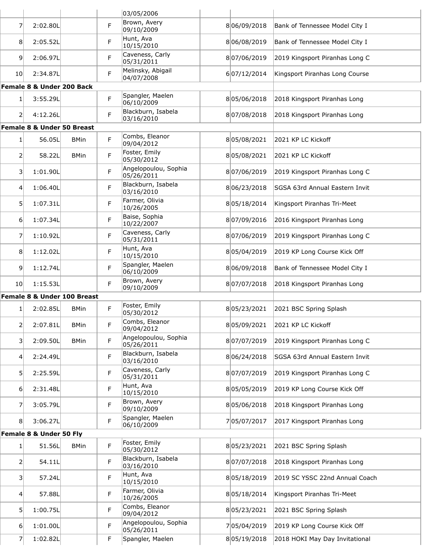|                 |                             |             |   | 03/05/2006                         |             |                                |
|-----------------|-----------------------------|-------------|---|------------------------------------|-------------|--------------------------------|
| $\overline{7}$  | 2:02.80L                    |             | F | Brown, Avery<br>09/10/2009         | 806/09/2018 | Bank of Tennessee Model City I |
| 8 <sup>1</sup>  | 2:05.52L                    |             | F | Hunt, Ava<br>10/15/2010            | 806/08/2019 | Bank of Tennessee Model City I |
| 9 <sup>1</sup>  | 2:06.97L                    |             | F | Caveness, Carly<br>05/31/2011      | 807/06/2019 | 2019 Kingsport Piranhas Long C |
| 10 <sup>1</sup> | 2:34.87L                    |             | F | Melinsky, Abigail<br>04/07/2008    | 607/12/2014 | Kingsport Piranhas Long Course |
|                 | Female 8 & Under 200 Back   |             |   |                                    |             |                                |
| 1 <sup>1</sup>  | 3:55.29L                    |             | F | Spangler, Maelen<br>06/10/2009     | 805/06/2018 | 2018 Kingsport Piranhas Long   |
| 21              | 4:12.26L                    |             | F | Blackburn, Isabela<br>03/16/2010   | 807/08/2018 | 2018 Kingsport Piranhas Long   |
|                 | Female 8 & Under 50 Breast  |             |   |                                    |             |                                |
| 1 <sup>1</sup>  | 56.05L                      | <b>BMin</b> | F | Combs, Eleanor<br>09/04/2012       | 805/08/2021 | 2021 KP LC Kickoff             |
| $\overline{2}$  | 58.22L                      | <b>BMin</b> | F | Foster, Emily<br>05/30/2012        | 805/08/2021 | 2021 KP LC Kickoff             |
| 3               | 1:01.90L                    |             | F | Angelopoulou, Sophia<br>05/26/2011 | 807/06/2019 | 2019 Kingsport Piranhas Long C |
| 4 <sup>1</sup>  | 1:06.40L                    |             | F | Blackburn, Isabela<br>03/16/2010   | 806/23/2018 | SGSA 63rd Annual Eastern Invit |
| 5               | 1:07.31L                    |             | F | Farmer, Olivia<br>10/26/2005       | 805/18/2014 | Kingsport Piranhas Tri-Meet    |
| $6 \mid$        | 1:07.34L                    |             | F | Baise, Sophia<br>10/22/2007        | 807/09/2016 | 2016 Kingsport Piranhas Long   |
| $\overline{7}$  | 1:10.92L                    |             | F | Caveness, Carly<br>05/31/2011      | 807/06/2019 | 2019 Kingsport Piranhas Long C |
| 8 <sup>1</sup>  | 1:12.02L                    |             | F | Hunt, Ava<br>10/15/2010            | 805/04/2019 | 2019 KP Long Course Kick Off   |
| 9 <sup>1</sup>  | 1:12.74L                    |             | F | Spangler, Maelen<br>06/10/2009     | 806/09/2018 | Bank of Tennessee Model City I |
| 10 <sup>1</sup> | 1:15.53L                    |             | F | Brown, Avery<br>09/10/2009         | 807/07/2018 | 2018 Kingsport Piranhas Long   |
|                 | Female 8 & Under 100 Breast |             |   |                                    |             |                                |
| 1               | 2:02.85L                    | <b>BMin</b> | F | Foster, Emily<br>05/30/2012        | 805/23/2021 | 2021 BSC Spring Splash         |
| 21              | 2:07.81L                    | <b>BMin</b> | F | Combs, Eleanor<br>09/04/2012       | 805/09/2021 | 2021 KP LC Kickoff             |
| 31              | 2:09.50L                    | <b>BMin</b> | F | Angelopoulou, Sophia<br>05/26/2011 | 807/07/2019 | 2019 Kingsport Piranhas Long C |
| 4 <sup>1</sup>  | 2:24.49L                    |             | F | Blackburn, Isabela<br>03/16/2010   | 806/24/2018 | SGSA 63rd Annual Eastern Invit |
| 5               | 2:25.59L                    |             | F | Caveness, Carly<br>05/31/2011      | 807/07/2019 | 2019 Kingsport Piranhas Long C |
| $6 \mid$        | 2:31.48L                    |             | F | Hunt, Ava<br>10/15/2010            | 805/05/2019 | 2019 KP Long Course Kick Off   |
| 7               | 3:05.79L                    |             | F | Brown, Avery<br>09/10/2009         | 805/06/2018 | 2018 Kingsport Piranhas Long   |
| 8 <sup>1</sup>  | 3:06.27L                    |             | F | Spangler, Maelen<br>06/10/2009     | 705/07/2017 | 2017 Kingsport Piranhas Long   |
|                 | Female 8 & Under 50 Fly     |             |   |                                    |             |                                |
| 1 <sup>1</sup>  | 51.56L                      | <b>BMin</b> | F | Foster, Emily<br>05/30/2012        | 805/23/2021 | 2021 BSC Spring Splash         |
| $\mathsf{2}$    | 54.11L                      |             | F | Blackburn, Isabela<br>03/16/2010   | 807/07/2018 | 2018 Kingsport Piranhas Long   |
| 31              | 57.24L                      |             | F | Hunt, Ava<br>10/15/2010            | 805/18/2019 | 2019 SC YSSC 22nd Annual Coach |
| 4               | 57.88L                      |             | F | Farmer, Olivia<br>10/26/2005       | 805/18/2014 | Kingsport Piranhas Tri-Meet    |
| 5               | 1:00.75L                    |             | F | Combs, Eleanor<br>09/04/2012       | 805/23/2021 | 2021 BSC Spring Splash         |
| $6 \mid$        | 1:01.00L                    |             | F | Angelopoulou, Sophia<br>05/26/2011 | 705/04/2019 | 2019 KP Long Course Kick Off   |
| 7               | 1:02.82L                    |             | F | Spangler, Maelen                   | 805/19/2018 | 2018 HOKI May Day Invitational |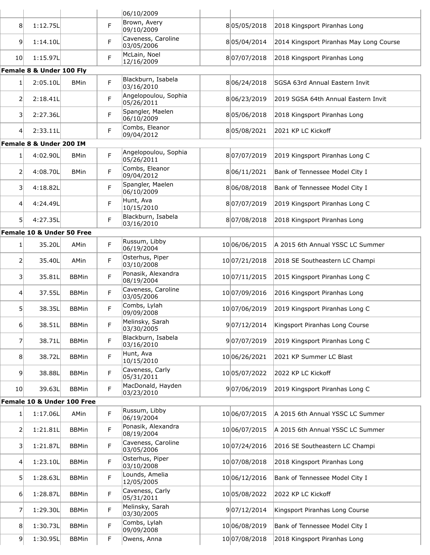|                 |                            |              |   | 06/10/2009                                             |               |                                         |
|-----------------|----------------------------|--------------|---|--------------------------------------------------------|---------------|-----------------------------------------|
| 8               | 1:12.75L                   |              | F | Brown, Avery<br>09/10/2009                             | 805/05/2018   | 2018 Kingsport Piranhas Long            |
| $\overline{9}$  | 1:14.10L                   |              | F | Caveness, Caroline<br>03/05/2006                       | 805/04/2014   | 2014 Kingsport Piranhas May Long Course |
| 10 <sup>1</sup> | 1:15.97L                   |              | F | McLain, Noel<br>12/16/2009                             | 807/07/2018   | 2018 Kingsport Piranhas Long            |
|                 | Female 8 & Under 100 Fly   |              |   |                                                        |               |                                         |
| 1 <sup>1</sup>  | 2:05.10L                   | <b>BMin</b>  | F | Blackburn, Isabela<br>03/16/2010                       | 806/24/2018   | SGSA 63rd Annual Eastern Invit          |
| 2               | 2:18.41L                   |              | F | Angelopoulou, Sophia<br>05/26/2011                     | 806/23/2019   | 2019 SGSA 64th Annual Eastern Invit     |
| 3               | 2:27.36L                   |              | F | Spangler, Maelen<br>06/10/2009                         | 805/06/2018   | 2018 Kingsport Piranhas Long            |
| 4               | 2:33.11L                   |              | F | Combs, Eleanor<br>09/04/2012                           | 805/08/2021   | 2021 KP LC Kickoff                      |
|                 | Female 8 & Under 200 IM    |              |   |                                                        |               |                                         |
| 1 <sup>1</sup>  | 4:02.90L                   | <b>BMin</b>  | F | Angelopoulou, Sophia<br>05/26/2011                     | 807/07/2019   | 2019 Kingsport Piranhas Long C          |
| 21              | 4:08.70L                   | <b>BMin</b>  | F | Combs, Eleanor<br>09/04/2012                           | 806/11/2021   | Bank of Tennessee Model City I          |
| 31              | 4:18.82L                   |              | F | Spangler, Maelen<br>06/10/2009                         | 806/08/2018   | Bank of Tennessee Model City I          |
| 41              | 4:24.49L                   |              | F | Hunt, Ava<br>10/15/2010                                | 807/07/2019   | 2019 Kingsport Piranhas Long C          |
| 51              | 4:27.35L                   |              | F | Blackburn, Isabela<br>03/16/2010                       | 807/08/2018   | 2018 Kingsport Piranhas Long            |
|                 | Female 10 & Under 50 Free  |              |   |                                                        |               |                                         |
| 1 <sup>1</sup>  | 35.20L                     | AMin         | F | Russum, Libby<br>06/19/2004                            | 10 06/06/2015 | A 2015 6th Annual YSSC LC Summer        |
| 2               | 35.40L                     | AMin         | F | Osterhus, Piper<br>03/10/2008                          | 10 07/21/2018 | 2018 SE Southeastern LC Champi          |
| 31              | 35.81L                     | <b>BBMin</b> | F | Ponasik, Alexandra<br>08/19/2004                       | 10 07/11/2015 | 2015 Kingsport Piranhas Long C          |
| 41              | 37.55L                     | <b>BBMin</b> | F | Caveness, Caroline<br>03/05/2006                       | 10 07/09/2016 | 2016 Kingsport Piranhas Long            |
| 51              | 38.35L                     | <b>BBMin</b> | F | Combs, Lylah<br>09/09/2008                             | 10 07/06/2019 | 2019 Kingsport Piranhas Long C          |
| 61              | 38.51L                     | <b>BBMin</b> | F | Melinsky, Sarah<br>03/30/2005                          | 907/12/2014   | Kingsport Piranhas Long Course          |
| 71              | 38.71L                     | <b>BBMin</b> | F | Blackburn, Isabela<br>03/16/2010                       | 907/07/2019   | 2019 Kingsport Piranhas Long C          |
| 8 <sup>1</sup>  | 38.72L                     | <b>BBMin</b> | F | Hunt, Ava<br>10/15/2010                                | 10 06/26/2021 | 2021 KP Summer LC Blast                 |
| 9               | 38.88L                     | <b>BBMin</b> | F | Caveness, Carly<br>05/31/2011                          | 1005/07/2022  | 2022 KP LC Kickoff                      |
| 10 <sub>l</sub> | 39.63L                     | <b>BBMin</b> | F | MacDonald, Hayden<br>03/23/2010                        | 907/06/2019   | 2019 Kingsport Piranhas Long C          |
|                 | Female 10 & Under 100 Free |              |   |                                                        |               |                                         |
| $1\vert$        | 1:17.06L                   | AMin         | F | Russum, Libby<br>06/19/2004                            | 10 06/07/2015 | A 2015 6th Annual YSSC LC Summer        |
| 2               | 1:21.81L                   | <b>BBMin</b> | F | Ponasik, Alexandra<br>08/19/2004<br>Caveness, Caroline | 10 06/07/2015 | A 2015 6th Annual YSSC LC Summer        |
| 31              | 1:21.87L                   | <b>BBMin</b> | F | 03/05/2006                                             | 10 07/24/2016 | 2016 SE Southeastern LC Champi          |
| 4 <sup>1</sup>  | 1:23.10L                   | <b>BBMin</b> | F | Osterhus, Piper<br>03/10/2008                          | 10 07/08/2018 | 2018 Kingsport Piranhas Long            |
| 5               | 1:28.63L                   | <b>BBMin</b> | F | Lounds, Amelia<br>12/05/2005                           | 10 06/12/2016 | Bank of Tennessee Model City I          |
| 6 <sup>1</sup>  | 1:28.87L                   | <b>BBMin</b> | F | Caveness, Carly<br>05/31/2011                          | 1005/08/2022  | 2022 KP LC Kickoff                      |
| 7               | 1:29.30L                   | <b>BBMin</b> | F | Melinsky, Sarah<br>03/30/2005                          | 907/12/2014   | Kingsport Piranhas Long Course          |
| 8 <sup>1</sup>  | 1:30.73L                   | <b>BBMin</b> | F | Combs, Lylah<br>09/09/2008                             | 10 06/08/2019 | Bank of Tennessee Model City I          |
| 9 <sup>1</sup>  | 1:30.95L                   | <b>BBMin</b> | F | Owens, Anna                                            | 10 07/08/2018 | 2018 Kingsport Piranhas Long            |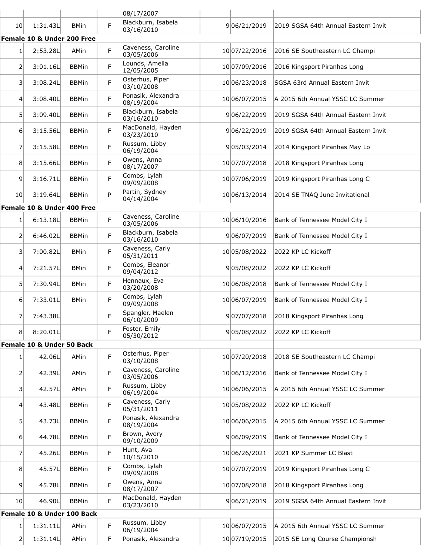|                |                            |              |    | 08/17/2007                       |               |                                     |
|----------------|----------------------------|--------------|----|----------------------------------|---------------|-------------------------------------|
| 10             | 1:31.43L                   | <b>BMin</b>  | F. | Blackburn, Isabela<br>03/16/2010 | 906/21/2019   | 2019 SGSA 64th Annual Eastern Invit |
|                | Female 10 & Under 200 Free |              |    |                                  |               |                                     |
| 1              | 2:53.28L                   | AMin         | F  | Caveness, Caroline<br>03/05/2006 | 10 07/22/2016 | 2016 SE Southeastern LC Champi      |
| 2              | 3:01.16L                   | <b>BBMin</b> | F  | Lounds, Amelia<br>12/05/2005     | 10 07/09/2016 | 2016 Kingsport Piranhas Long        |
| 3 <sup>1</sup> | 3:08.24L                   | <b>BBMin</b> | F  | Osterhus, Piper<br>03/10/2008    | 10 06/23/2018 | SGSA 63rd Annual Eastern Invit      |
| $\overline{4}$ | 3:08.40L                   | <b>BBMin</b> | F  | Ponasik, Alexandra<br>08/19/2004 | 10 06/07/2015 | A 2015 6th Annual YSSC LC Summer    |
| 5              | 3:09.40L                   | <b>BBMin</b> | F  | Blackburn, Isabela<br>03/16/2010 | 906/22/2019   | 2019 SGSA 64th Annual Eastern Invit |
| 6              | 3:15.56L                   | <b>BBMin</b> | F  | MacDonald, Hayden<br>03/23/2010  | 906/22/2019   | 2019 SGSA 64th Annual Eastern Invit |
| 7              | 3:15.58L                   | <b>BBMin</b> | F  | Russum, Libby<br>06/19/2004      | 905/03/2014   | 2014 Kingsport Piranhas May Lo      |
| 8              | 3:15.66L                   | <b>BBMin</b> | F  | Owens, Anna<br>08/17/2007        | 10 07/07/2018 | 2018 Kingsport Piranhas Long        |
| $\overline{9}$ | 3:16.71L                   | <b>BBMin</b> | F  | Combs, Lylah<br>09/09/2008       | 10 07/06/2019 | 2019 Kingsport Piranhas Long C      |
| 10             | 3:19.64L                   | <b>BBMin</b> | P  | Partin, Sydney<br>04/14/2004     | 10 06/13/2014 | 2014 SE TNAQ June Invitational      |
|                | Female 10 & Under 400 Free |              |    |                                  |               |                                     |
| 1              | 6:13.18L                   | <b>BBMin</b> | F  | Caveness, Caroline<br>03/05/2006 | 10 06/10/2016 | Bank of Tennessee Model City I      |
| 2              | 6:46.02L                   | <b>BBMin</b> | F  | Blackburn, Isabela<br>03/16/2010 | 906/07/2019   | Bank of Tennessee Model City I      |
| 31             | 7:00.82L                   | <b>BMin</b>  | F  | Caveness, Carly<br>05/31/2011    | 1005/08/2022  | 2022 KP LC Kickoff                  |
| 4              | 7:21.57L                   | <b>BMin</b>  | F  | Combs, Eleanor<br>09/04/2012     | 905/08/2022   | 2022 KP LC Kickoff                  |
| 5 <sup>1</sup> | 7:30.94L                   | <b>BMin</b>  | F  | Hennaux, Eva<br>03/20/2008       | 10 06/08/2018 | Bank of Tennessee Model City I      |
| 6              | 7:33.01L                   | <b>BMin</b>  | F  | Combs, Lylah<br>09/09/2008       | 10 06/07/2019 | Bank of Tennessee Model City I      |
| 7              | 7:43.38L                   |              | F  | Spangler, Maelen<br>06/10/2009   | 907/07/2018   | 2018 Kingsport Piranhas Long        |
| 8              | 8:20.01L                   |              | F  | Foster, Emily<br>05/30/2012      | 905/08/2022   | 2022 KP LC Kickoff                  |
|                | Female 10 & Under 50 Back  |              |    |                                  |               |                                     |
| $1\vert$       | 42.06L                     | AMin         | F  | Osterhus, Piper<br>03/10/2008    | 10 07/20/2018 | 2018 SE Southeastern LC Champi      |
| $\overline{2}$ | 42.39L                     | AMin         | F  | Caveness, Caroline<br>03/05/2006 | 10 06/12/2016 | Bank of Tennessee Model City I      |
| 31             | 42.57L                     | AMin         | F  | Russum, Libby<br>06/19/2004      | 10 06/06/2015 | A 2015 6th Annual YSSC LC Summer    |
| $\overline{4}$ | 43.48L                     | <b>BBMin</b> | F  | Caveness, Carly<br>05/31/2011    | 10 05/08/2022 | 2022 KP LC Kickoff                  |
| 5 <sup>1</sup> | 43.73L                     | <b>BBMin</b> | F  | Ponasik, Alexandra<br>08/19/2004 | 10 06/06/2015 | A 2015 6th Annual YSSC LC Summer    |
| 6 <sup>1</sup> | 44.78L                     | <b>BBMin</b> | F  | Brown, Avery<br>09/10/2009       | 906/09/2019   | Bank of Tennessee Model City I      |
| 7 <sup>1</sup> | 45.26L                     | <b>BBMin</b> | F  | Hunt, Ava<br>10/15/2010          | 10 06/26/2021 | 2021 KP Summer LC Blast             |
| 8 <sup>1</sup> | 45.57L                     | <b>BBMin</b> | F  | Combs, Lylah<br>09/09/2008       | 10 07/07/2019 | 2019 Kingsport Piranhas Long C      |
| $\overline{9}$ | 45.78L                     | <b>BBMin</b> | F  | Owens, Anna<br>08/17/2007        | 10 07/08/2018 | 2018 Kingsport Piranhas Long        |
| 10             | 46.90L                     | <b>BBMin</b> | F. | MacDonald, Hayden<br>03/23/2010  | 906/21/2019   | 2019 SGSA 64th Annual Eastern Invit |
|                | Female 10 & Under 100 Back |              |    |                                  |               |                                     |
| 1              | 1:31.11L                   | AMin         | F  | Russum, Libby<br>06/19/2004      | 10 06/07/2015 | A 2015 6th Annual YSSC LC Summer    |
| $\overline{2}$ | 1:31.14L                   | AMin         | F  | Ponasik, Alexandra               | 10 07/19/2015 | 2015 SE Long Course Championsh      |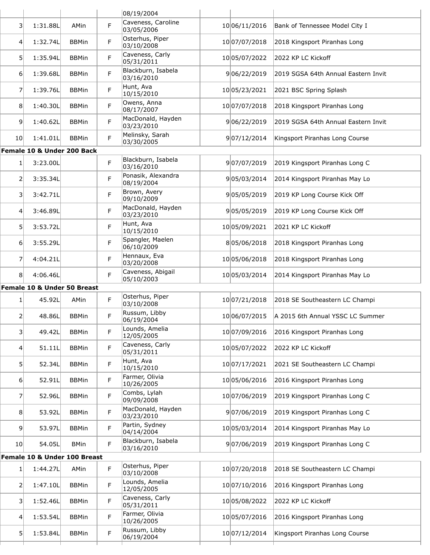|                 |                              |              |    | 08/19/2004                       |               |                                     |
|-----------------|------------------------------|--------------|----|----------------------------------|---------------|-------------------------------------|
| 3               | 1:31.88L                     | AMin         | F  | Caveness, Caroline<br>03/05/2006 | 10 06/11/2016 | Bank of Tennessee Model City I      |
| 4               | 1:32.74L                     | <b>BBMin</b> | F  | Osterhus, Piper<br>03/10/2008    | 10 07/07/2018 | 2018 Kingsport Piranhas Long        |
| 5 <sup>1</sup>  | 1:35.94L                     | <b>BBMin</b> | F. | Caveness, Carly<br>05/31/2011    | 10 05/07/2022 | 2022 KP LC Kickoff                  |
| 61              | 1:39.68L                     | <b>BBMin</b> | F. | Blackburn, Isabela<br>03/16/2010 | 906/22/2019   | 2019 SGSA 64th Annual Eastern Invit |
| 7               | 1:39.76L                     | <b>BBMin</b> | F. | Hunt, Ava<br>10/15/2010          | 10 05/23/2021 | 2021 BSC Spring Splash              |
| 8               | 1:40.30L                     | <b>BBMin</b> | F  | Owens, Anna<br>08/17/2007        | 10 07/07/2018 | 2018 Kingsport Piranhas Long        |
| 9               | 1:40.62L                     | <b>BBMin</b> | F  | MacDonald, Hayden<br>03/23/2010  | 906/22/2019   | 2019 SGSA 64th Annual Eastern Invit |
| 10I             | 1:41.01L                     | <b>BBMin</b> | F. | Melinsky, Sarah<br>03/30/2005    | 907/12/2014   | Kingsport Piranhas Long Course      |
|                 | Female 10 & Under 200 Back   |              |    |                                  |               |                                     |
| $1\vert$        | 3:23.00L                     |              | F  | Blackburn, Isabela<br>03/16/2010 | 907/07/2019   | 2019 Kingsport Piranhas Long C      |
| $\overline{2}$  | 3:35.34L                     |              | F. | Ponasik, Alexandra<br>08/19/2004 | 905/03/2014   | 2014 Kingsport Piranhas May Lo      |
| 3               | 3:42.71L                     |              | F. | Brown, Avery<br>09/10/2009       | 905/05/2019   | 2019 KP Long Course Kick Off        |
| 4               | 3:46.89L                     |              | F  | MacDonald, Hayden<br>03/23/2010  | 905/05/2019   | 2019 KP Long Course Kick Off        |
| 5               | 3:53.72L                     |              | F  | Hunt, Ava<br>10/15/2010          | 1005/09/2021  | 2021 KP LC Kickoff                  |
| $6 \mid$        | 3:55.29L                     |              | F. | Spangler, Maelen<br>06/10/2009   | 805/06/2018   | 2018 Kingsport Piranhas Long        |
| 7               | 4:04.21L                     |              | F  | Hennaux, Eva<br>03/20/2008       | 10 05/06/2018 | 2018 Kingsport Piranhas Long        |
| 8               | 4:06.46L                     |              | F. | Caveness, Abigail<br>05/10/2003  | 10 05/03/2014 | 2014 Kingsport Piranhas May Lo      |
|                 | Female 10 & Under 50 Breast  |              |    |                                  |               |                                     |
| $1\vert$        | 45.92L                       | AMin         | F. | Osterhus, Piper<br>03/10/2008    | 10 07/21/2018 | 2018 SE Southeastern LC Champi      |
| 2               | 48.86L                       | <b>BBMin</b> | F  | Russum, Libby<br>06/19/2004      | 1006/07/2015  | A 2015 6th Annual YSSC LC Summer    |
| 3               | 49.42L                       | <b>BBMin</b> | F  | Lounds, Amelia<br>12/05/2005     | 10 07/09/2016 | 2016 Kingsport Piranhas Long        |
| $\overline{4}$  | 51.11L                       | <b>BBMin</b> | F. | Caveness, Carly<br>05/31/2011    | 1005/07/2022  | 2022 KP LC Kickoff                  |
| 5               | 52.34L                       | <b>BBMin</b> | F  | Hunt, Ava<br>10/15/2010          | 10 07/17/2021 | 2021 SE Southeastern LC Champi      |
| $6 \mid$        | 52.91L                       | <b>BBMin</b> | F  | Farmer, Olivia<br>10/26/2005     | 10 05/06/2016 | 2016 Kingsport Piranhas Long        |
| 7               | 52.96L                       | <b>BBMin</b> | F  | Combs, Lylah<br>09/09/2008       | 10 07/06/2019 | 2019 Kingsport Piranhas Long C      |
| 8               | 53.92L                       | <b>BBMin</b> | F  | MacDonald, Hayden<br>03/23/2010  | 907/06/2019   | 2019 Kingsport Piranhas Long C      |
| 9               | 53.97L                       | <b>BBMin</b> | F  | Partin, Sydney<br>04/14/2004     | 10 05/03/2014 | 2014 Kingsport Piranhas May Lo      |
| 10 <sup>1</sup> | 54.05L                       | <b>BMin</b>  | F  | Blackburn, Isabela<br>03/16/2010 | 907/06/2019   | 2019 Kingsport Piranhas Long C      |
|                 | Female 10 & Under 100 Breast |              |    |                                  |               |                                     |
| $\mathbf{1}$    | 1:44.27L                     | AMin         | F  | Osterhus, Piper<br>03/10/2008    | 10 07/20/2018 | 2018 SE Southeastern LC Champi      |
| $\overline{2}$  | 1:47.10L                     | <b>BBMin</b> | F. | Lounds, Amelia<br>12/05/2005     | 10 07/10/2016 | 2016 Kingsport Piranhas Long        |
| 3               | 1:52.46L                     | <b>BBMin</b> | F  | Caveness, Carly<br>05/31/2011    | 1005/08/2022  | 2022 KP LC Kickoff                  |
| $\overline{4}$  | 1:53.54L                     | <b>BBMin</b> | F  | Farmer, Olivia<br>10/26/2005     | 10 05/07/2016 | 2016 Kingsport Piranhas Long        |
| 5               | 1:53.84L                     | <b>BBMin</b> | F. | Russum, Libby<br>06/19/2004      | 10 07/12/2014 | Kingsport Piranhas Long Course      |
|                 |                              |              |    |                                  |               |                                     |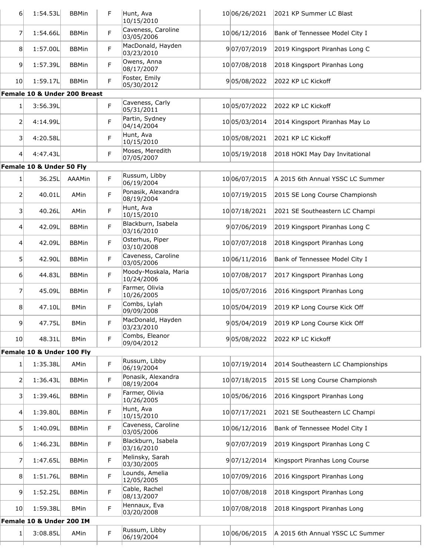| $6 \mid$        | 1:54.53L                                | <b>BBMin</b> | F | Hunt, Ava<br>10/15/2010            | 10 06/26/2021 | 2021 KP Summer LC Blast                  |
|-----------------|-----------------------------------------|--------------|---|------------------------------------|---------------|------------------------------------------|
| 7               | 1:54.66L                                | <b>BBMin</b> | F | Caveness, Caroline<br>03/05/2006   | 10 06/12/2016 | Bank of Tennessee Model City I           |
| 8 <sup>1</sup>  | 1:57.00L                                | <b>BBMin</b> | F | MacDonald, Hayden<br>03/23/2010    | 907/07/2019   | 2019 Kingsport Piranhas Long C           |
| 9               | 1:57.39L                                | <b>BBMin</b> | F | Owens, Anna<br>08/17/2007          | 10 07/08/2018 | 2018 Kingsport Piranhas Long             |
| 10              | 1:59.17L                                | <b>BBMin</b> | F | Foster, Emily<br>05/30/2012        | 905/08/2022   | 2022 KP LC Kickoff                       |
|                 | <b>Female 10 &amp; Under 200 Breast</b> |              |   |                                    |               |                                          |
| 1               | 3:56.39L                                |              | F | Caveness, Carly<br>05/31/2011      | 1005/07/2022  | 2022 KP LC Kickoff                       |
| 2               | 4:14.99L                                |              | F | Partin, Sydney<br>04/14/2004       | 10 05/03/2014 | 2014 Kingsport Piranhas May Lo           |
| 3               | 4:20.58L                                |              | F | Hunt, Ava<br>10/15/2010            | 10 05/08/2021 | 2021 KP LC Kickoff                       |
| 41              | 4:47.43L                                |              | F | Moses, Meredith<br>07/05/2007      | 10 05/19/2018 | 2018 HOKI May Day Invitational           |
|                 | Female 10 & Under 50 Fly                |              |   |                                    |               |                                          |
| 1               | 36.25L                                  | AAAMin       | F | Russum, Libby<br>06/19/2004        | 10 06/07/2015 | A 2015 6th Annual YSSC LC Summer         |
| 2               | 40.01L                                  | AMin         | F | Ponasik, Alexandra<br>08/19/2004   | 10 07/19/2015 | 2015 SE Long Course Championsh           |
| $\vert$ 3       | 40.26L                                  | AMin         | F | Hunt, Ava<br>10/15/2010            | 10 07/18/2021 | 2021 SE Southeastern LC Champi           |
| 4               | 42.09L                                  | <b>BBMin</b> | F | Blackburn, Isabela<br>03/16/2010   | 907/06/2019   | 2019 Kingsport Piranhas Long C           |
| $\vert 4 \vert$ | 42.09L                                  | <b>BBMin</b> | F | Osterhus, Piper<br>03/10/2008      | 10 07/07/2018 | 2018 Kingsport Piranhas Long             |
| 51              | 42.90L                                  | <b>BBMin</b> | F | Caveness, Caroline<br>03/05/2006   | 10 06/11/2016 | Bank of Tennessee Model City I           |
| 6               | 44.83L                                  | <b>BBMin</b> | F | Moody-Moskala, Maria<br>10/24/2006 | 10 07/08/2017 | 2017 Kingsport Piranhas Long             |
| 7               | 45.09L                                  | <b>BBMin</b> | F | Farmer, Olivia<br>10/26/2005       | 10 05/07/2016 | 2016 Kingsport Piranhas Long             |
| 8 <sup>1</sup>  | 47.10L                                  | <b>BMin</b>  | F | Combs, Lylah<br>09/09/2008         | 10 05/04/2019 | 2019 KP Long Course Kick Off             |
| 9 <sup>1</sup>  | 47.75L                                  | <b>BMin</b>  | F | MacDonald, Hayden<br>03/23/2010    |               | 905/04/2019 2019 KP Long Course Kick Off |
| 10 <sup>1</sup> | 48.31L                                  | <b>BMin</b>  | F | Combs, Eleanor<br>09/04/2012       | 905/08/2022   | 2022 KP LC Kickoff                       |
|                 | Female 10 & Under 100 Fly               |              |   |                                    |               |                                          |
| 1               | 1:35.38L                                | AMin         | F | Russum, Libby<br>06/19/2004        | 10 07/19/2014 | 2014 Southeastern LC Championships       |
| 2               | 1:36.43L                                | <b>BBMin</b> | F | Ponasik, Alexandra<br>08/19/2004   | 10 07/18/2015 | 2015 SE Long Course Championsh           |
| $\vert$ 3       | 1:39.46L                                | <b>BBMin</b> | F | Farmer, Olivia<br>10/26/2005       | 10 05/06/2016 | 2016 Kingsport Piranhas Long             |
| 4               | 1:39.80L                                | <b>BBMin</b> | F | Hunt, Ava<br>10/15/2010            | 10 07/17/2021 | 2021 SE Southeastern LC Champi           |
| 51              | 1:40.09L                                | <b>BBMin</b> | F | Caveness, Caroline<br>03/05/2006   | 10 06/12/2016 | Bank of Tennessee Model City I           |
| $6 \mid$        | 1:46.23L                                | <b>BBMin</b> | F | Blackburn, Isabela<br>03/16/2010   | 907/07/2019   | 2019 Kingsport Piranhas Long C           |
| 7               | 1:47.65L                                | <b>BBMin</b> | F | Melinsky, Sarah<br>03/30/2005      | 907/12/2014   | Kingsport Piranhas Long Course           |
| 8 <sup>1</sup>  | 1:51.76L                                | <b>BBMin</b> | F | Lounds, Amelia<br>12/05/2005       | 1007/09/2016  | 2016 Kingsport Piranhas Long             |
| 9 <sup>1</sup>  | 1:52.25L                                | <b>BBMin</b> | F | Cable, Rachel<br>08/13/2007        | 10 07/08/2018 | 2018 Kingsport Piranhas Long             |
| 10 <sub>l</sub> | 1:59.38L                                | <b>BMin</b>  | F | Hennaux, Eva<br>03/20/2008         | 10 07/08/2018 | 2018 Kingsport Piranhas Long             |
|                 | Female 10 & Under 200 IM                |              |   |                                    |               |                                          |
| 1 <sup>1</sup>  | 3:08.85L                                | AMin         | F | Russum, Libby<br>06/19/2004        | 10 06/06/2015 | A 2015 6th Annual YSSC LC Summer         |
|                 |                                         |              |   |                                    |               |                                          |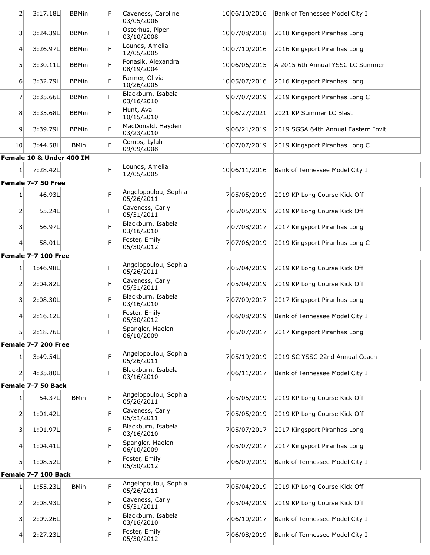| $\overline{2}$          | 3:17.18L                 | <b>BBMin</b> | F | Caveness, Caroline<br>03/05/2006                     | 10 06/10/2016 | Bank of Tennessee Model City I      |
|-------------------------|--------------------------|--------------|---|------------------------------------------------------|---------------|-------------------------------------|
| $\vert$ 3               | 3:24.39L                 | <b>BBMin</b> | F | Osterhus, Piper<br>03/10/2008                        | 10 07/08/2018 | 2018 Kingsport Piranhas Long        |
| 4 <sup>1</sup>          | 3:26.97L                 | <b>BBMin</b> | F | Lounds, Amelia<br>12/05/2005                         | 10 07/10/2016 | 2016 Kingsport Piranhas Long        |
| 5 <sup>1</sup>          | 3:30.11L                 | <b>BBMin</b> | F | Ponasik, Alexandra<br>08/19/2004                     | 10 06/06/2015 | A 2015 6th Annual YSSC LC Summer    |
| 6                       | 3:32.79L                 | <b>BBMin</b> | F | Farmer, Olivia<br>10/26/2005                         | 1005/07/2016  | 2016 Kingsport Piranhas Long        |
| 7                       | 3:35.66L                 | <b>BBMin</b> | F | Blackburn, Isabela<br>03/16/2010                     | 907/07/2019   | 2019 Kingsport Piranhas Long C      |
| 8                       | 3:35.68L                 | <b>BBMin</b> | F | Hunt, Ava<br>10/15/2010                              | 10 06/27/2021 | 2021 KP Summer LC Blast             |
| $\vert 9 \vert$         | 3:39.79L                 | <b>BBMin</b> | F | MacDonald, Hayden<br>03/23/2010                      | 906/21/2019   | 2019 SGSA 64th Annual Eastern Invit |
| 10 <sub>l</sub>         | 3:44.58L                 | <b>BMin</b>  | F | Combs, Lylah<br>09/09/2008                           | 10 07/07/2019 | 2019 Kingsport Piranhas Long C      |
|                         | Female 10 & Under 400 IM |              |   |                                                      |               |                                     |
| 1                       | 7:28.42L                 |              | F | Lounds, Amelia<br>12/05/2005                         | 10 06/11/2016 | Bank of Tennessee Model City I      |
|                         | Female 7-7 50 Free       |              |   |                                                      |               |                                     |
| 1                       | 46.93L                   |              | F | Angelopoulou, Sophia<br>05/26/2011                   | 705/05/2019   | 2019 KP Long Course Kick Off        |
| 2                       | 55.24L                   |              | F | Caveness, Carly<br>05/31/2011                        | 705/05/2019   | 2019 KP Long Course Kick Off        |
| 3                       | 56.97L                   |              | F | Blackburn, Isabela<br>03/16/2010                     | 707/08/2017   | 2017 Kingsport Piranhas Long        |
| 4 <sup>1</sup>          | 58.01L                   |              | F | Foster, Emily<br>05/30/2012                          | 707/06/2019   | 2019 Kingsport Piranhas Long C      |
|                         | Female 7-7 100 Free      |              |   |                                                      |               |                                     |
| $1\vert$                | 1:46.98L                 |              | F | Angelopoulou, Sophia<br>05/26/2011                   | 705/04/2019   | 2019 KP Long Course Kick Off        |
| 2                       | 2:04.82L                 |              | F | Caveness, Carly<br>05/31/2011                        | 705/04/2019   | 2019 KP Long Course Kick Off        |
| 3                       | 2:08.30L                 |              | F | Blackburn, Isabela<br>03/16/2010                     | 707/09/2017   | 2017 Kingsport Piranhas Long        |
| $\vert 4 \vert$         | 2:16.12L                 |              | F | Foster, Emily<br>05/30/2012                          | 706/08/2019   | Bank of Tennessee Model City I      |
| 51                      | 2:18.76L                 |              | F | Spangler, Maelen<br>06/10/2009                       | 705/07/2017   | 2017 Kingsport Piranhas Long        |
|                         | Female 7-7 200 Free      |              |   |                                                      |               |                                     |
| $1\vert$                | 3:49.54L                 |              | F | Angelopoulou, Sophia<br>05/26/2011                   | 705/19/2019   | 2019 SC YSSC 22nd Annual Coach      |
| $\overline{2}$          | 4:35.80L                 |              | F | Blackburn, Isabela<br>03/16/2010                     | 706/11/2017   | Bank of Tennessee Model City I      |
|                         | Female 7-7 50 Back       |              |   |                                                      |               |                                     |
| 1 <sup>1</sup>          | 54.37L                   | <b>BMin</b>  | F | Angelopoulou, Sophia<br>05/26/2011                   | 705/05/2019   | 2019 KP Long Course Kick Off        |
| $\overline{2}$          | 1:01.42L                 |              | F | Caveness, Carly<br>05/31/2011                        | 705/05/2019   | 2019 KP Long Course Kick Off        |
| $\overline{3}$          | 1:01.97L                 |              | F | Blackburn, Isabela<br>03/16/2010<br>Spangler, Maelen | 705/07/2017   | 2017 Kingsport Piranhas Long        |
| $\overline{4}$          | 1:04.41L                 |              | F | 06/10/2009<br>Foster, Emily                          | 705/07/2017   | 2017 Kingsport Piranhas Long        |
| 51                      | 1:08.52L                 |              | F | 05/30/2012                                           | 706/09/2019   | Bank of Tennessee Model City I      |
|                         | Female 7-7 100 Back      |              |   |                                                      |               |                                     |
| 1                       | 1:55.23L                 | <b>BMin</b>  | F | Angelopoulou, Sophia<br>05/26/2011                   | 705/04/2019   | 2019 KP Long Course Kick Off        |
| $\overline{2}$          | 2:08.93L                 |              | F | Caveness, Carly<br>05/31/2011                        | 705/04/2019   | 2019 KP Long Course Kick Off        |
| $\overline{\mathbf{3}}$ | 2:09.26L                 |              | F | Blackburn, Isabela<br>03/16/2010                     | 706/10/2017   | Bank of Tennessee Model City I      |
| 4                       | 2:27.23L                 |              | F | Foster, Emily<br>05/30/2012                          | 706/08/2019   | Bank of Tennessee Model City I      |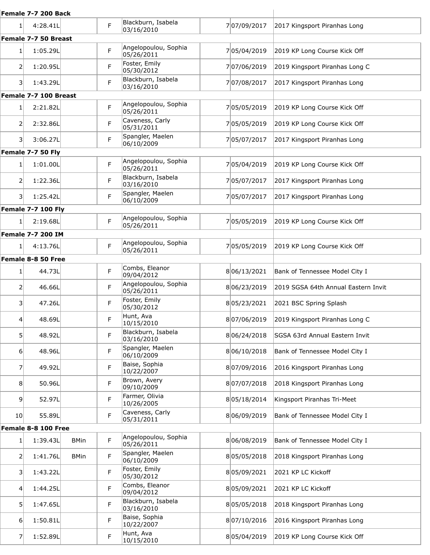|                 | Female 7-7 200 Back       |             |             |                                               |             |                                     |
|-----------------|---------------------------|-------------|-------------|-----------------------------------------------|-------------|-------------------------------------|
| 1               | 4:28.41L                  |             | F           | Blackburn, Isabela<br>03/16/2010              | 707/09/2017 | 2017 Kingsport Piranhas Long        |
|                 | Female 7-7 50 Breast      |             |             |                                               |             |                                     |
| 1 <sup>1</sup>  | 1:05.29L                  |             | F           | Angelopoulou, Sophia<br>05/26/2011            | 705/04/2019 | 2019 KP Long Course Kick Off        |
| 2               | 1:20.95L                  |             | F           | Foster, Emily<br>05/30/2012                   | 707/06/2019 | 2019 Kingsport Piranhas Long C      |
| 31              | 1:43.29L                  |             | F           | Blackburn, Isabela<br>03/16/2010              | 707/08/2017 | 2017 Kingsport Piranhas Long        |
|                 | Female 7-7 100 Breast     |             |             |                                               |             |                                     |
| $1\vert$        | 2:21.82L                  |             | F           | Angelopoulou, Sophia<br>05/26/2011            | 705/05/2019 | 2019 KP Long Course Kick Off        |
| 2               | 2:32.86L                  |             | F           | Caveness, Carly<br>05/31/2011                 | 705/05/2019 | 2019 KP Long Course Kick Off        |
| 31              | 3:06.27L                  |             | F           | Spangler, Maelen<br>06/10/2009                | 705/07/2017 | 2017 Kingsport Piranhas Long        |
|                 | Female 7-7 50 Fly         |             |             |                                               |             |                                     |
| 1               | 1:01.00L                  |             | F           | Angelopoulou, Sophia<br>05/26/2011            | 705/04/2019 | 2019 KP Long Course Kick Off        |
| 2               | 1:22.36L                  |             | F           | Blackburn, Isabela<br>03/16/2010              | 705/07/2017 | 2017 Kingsport Piranhas Long        |
| 31              | 1:25.42L                  |             | F           | Spangler, Maelen<br>06/10/2009                | 705/07/2017 | 2017 Kingsport Piranhas Long        |
|                 | <b>Female 7-7 100 Fly</b> |             |             |                                               |             |                                     |
| 11              | 2:19.68L                  |             | F           | Angelopoulou, Sophia<br>05/26/2011            | 705/05/2019 | 2019 KP Long Course Kick Off        |
|                 | <b>Female 7-7 200 IM</b>  |             |             |                                               |             |                                     |
| 1               | 4:13.76L                  |             | F           | Angelopoulou, Sophia<br>05/26/2011            | 705/05/2019 | 2019 KP Long Course Kick Off        |
|                 | Female 8-8 50 Free        |             |             |                                               |             |                                     |
| $1\vert$        | 44.73L                    |             | F           | Combs, Eleanor<br>09/04/2012                  | 806/13/2021 | Bank of Tennessee Model City I      |
| 2               | 46.66L                    |             | F           | Angelopoulou, Sophia<br>05/26/2011            | 806/23/2019 | 2019 SGSA 64th Annual Eastern Invit |
| 31              | 47.26L                    |             | F           | Foster, Emily<br>05/30/2012                   | 805/23/2021 | 2021 BSC Spring Splash              |
| 4               | 48.69L                    |             | F           | Hunt, Ava<br>10/15/2010                       | 807/06/2019 | 2019 Kingsport Piranhas Long C      |
| 51              | 48.92L                    |             | F           | Blackburn, Isabela<br>03/16/2010              | 806/24/2018 | SGSA 63rd Annual Eastern Invit      |
| $6 \mid$        | 48.96L                    |             | F           | Spangler, Maelen<br>06/10/2009                | 806/10/2018 | Bank of Tennessee Model City I      |
| 71              | 49.92L                    |             | F           | Baise, Sophia<br>10/22/2007                   | 807/09/2016 | 2016 Kingsport Piranhas Long        |
| 8               | 50.96L                    |             | F           | Brown, Avery<br>09/10/2009                    | 807/07/2018 | 2018 Kingsport Piranhas Long        |
| 9               | 52.97L                    |             | F           | Farmer, Olivia<br>10/26/2005                  | 805/18/2014 | Kingsport Piranhas Tri-Meet         |
| 10 <sup>1</sup> | 55.89L                    |             | F           | Caveness, Carly<br>05/31/2011                 | 806/09/2019 | Bank of Tennessee Model City I      |
|                 | Female 8-8 100 Free       |             |             |                                               |             |                                     |
| $1\vert$        | 1:39.43L                  | <b>BMin</b> | $\mathsf F$ | Angelopoulou, Sophia<br>05/26/2011            | 806/08/2019 | Bank of Tennessee Model City I      |
| 2               | 1:41.76L                  | <b>BMin</b> | F           | Spangler, Maelen<br>06/10/2009                | 805/05/2018 | 2018 Kingsport Piranhas Long        |
| 31              | 1:43.22L                  |             | F           | Foster, Emily<br>05/30/2012<br>Combs, Eleanor | 805/09/2021 | 2021 KP LC Kickoff                  |
| 4               | 1:44.25L                  |             | F           | 09/04/2012                                    | 805/09/2021 | 2021 KP LC Kickoff                  |
| 51              | 1:47.65L                  |             | F           | Blackburn, Isabela<br>03/16/2010              | 805/05/2018 | 2018 Kingsport Piranhas Long        |
| 6               | 1:50.81L                  |             | F           | Baise, Sophia<br>10/22/2007                   | 807/10/2016 | 2016 Kingsport Piranhas Long        |
| 7               | 1:52.89L                  |             | F           | Hunt, Ava<br>10/15/2010                       | 805/04/2019 | 2019 KP Long Course Kick Off        |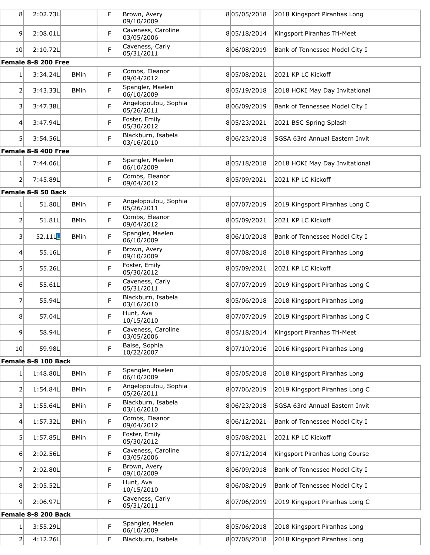| 8                       | 2:02.73L            |             | F | Brown, Avery<br>09/10/2009         | 805/05/2018 | 2018 Kingsport Piranhas Long   |
|-------------------------|---------------------|-------------|---|------------------------------------|-------------|--------------------------------|
| $\vert 9 \vert$         | 2:08.01L            |             | F | Caveness, Caroline<br>03/05/2006   | 805/18/2014 | Kingsport Piranhas Tri-Meet    |
| 10 <sup>1</sup>         | 2:10.72L            |             | F | Caveness, Carly<br>05/31/2011      | 806/08/2019 | Bank of Tennessee Model City I |
|                         | Female 8-8 200 Free |             |   |                                    |             |                                |
| 1                       | 3:34.24L            | <b>BMin</b> | F | Combs, Eleanor<br>09/04/2012       | 805/08/2021 | 2021 KP LC Kickoff             |
| 2                       | 3:43.33L            | <b>BMin</b> | F | Spangler, Maelen<br>06/10/2009     | 805/19/2018 | 2018 HOKI May Day Invitational |
| $\overline{\mathbf{3}}$ | 3:47.38L            |             | F | Angelopoulou, Sophia<br>05/26/2011 | 806/09/2019 | Bank of Tennessee Model City I |
| 4                       | 3:47.94L            |             | F | Foster, Emily<br>05/30/2012        | 805/23/2021 | 2021 BSC Spring Splash         |
| 51                      | 3:54.56L            |             | F | Blackburn, Isabela<br>03/16/2010   | 806/23/2018 | SGSA 63rd Annual Eastern Invit |
|                         | Female 8-8 400 Free |             |   |                                    |             |                                |
| $1\vert$                | 7:44.06L            |             | F | Spangler, Maelen<br>06/10/2009     | 805/18/2018 | 2018 HOKI May Day Invitational |
| $\overline{2}$          | 7:45.89L            |             | F | Combs, Eleanor<br>09/04/2012       | 805/09/2021 | 2021 KP LC Kickoff             |
|                         | Female 8-8 50 Back  |             |   |                                    |             |                                |
| 1 <sup>1</sup>          | 51.80L              | <b>BMin</b> | F | Angelopoulou, Sophia<br>05/26/2011 | 807/07/2019 | 2019 Kingsport Piranhas Long C |
| $\overline{2}$          | 51.81L              | <b>BMin</b> | F | Combs, Eleanor<br>09/04/2012       | 805/09/2021 | 2021 KP LC Kickoff             |
| $\overline{\mathbf{3}}$ | 52.11L              | <b>BMin</b> | F | Spangler, Maelen<br>06/10/2009     | 806/10/2018 | Bank of Tennessee Model City I |
| 4                       | 55.16L              |             | F | Brown, Avery<br>09/10/2009         | 807/08/2018 | 2018 Kingsport Piranhas Long   |
| 5                       | 55.26L              |             | F | Foster, Emily<br>05/30/2012        | 805/09/2021 | 2021 KP LC Kickoff             |
| $6 \mid$                | 55.61L              |             | F | Caveness, Carly<br>05/31/2011      | 807/07/2019 | 2019 Kingsport Piranhas Long C |
| 7                       | 55.94L              |             | F | Blackburn, Isabela<br>03/16/2010   | 805/06/2018 | 2018 Kingsport Piranhas Long   |
| 8                       | 57.04L              |             | F | Hunt, Ava<br>10/15/2010            | 807/07/2019 | 2019 Kingsport Piranhas Long C |
| $\vert$                 | 58.94L              |             | F | Caveness, Caroline<br>03/05/2006   | 805/18/2014 | Kingsport Piranhas Tri-Meet    |
| 10 <sub>l</sub>         | 59.98L              |             | F | Baise, Sophia<br>10/22/2007        | 807/10/2016 | 2016 Kingsport Piranhas Long   |
|                         | Female 8-8 100 Back |             |   |                                    |             |                                |
| 1 <sup>1</sup>          | 1:48.80L            | <b>BMin</b> | F | Spangler, Maelen<br>06/10/2009     | 805/05/2018 | 2018 Kingsport Piranhas Long   |
| $\overline{2}$          | 1:54.84L            | <b>BMin</b> | F | Angelopoulou, Sophia<br>05/26/2011 | 807/06/2019 | 2019 Kingsport Piranhas Long C |
| 3                       | 1:55.64L            | <b>BMin</b> | F | Blackburn, Isabela<br>03/16/2010   | 806/23/2018 | SGSA 63rd Annual Eastern Invit |
| $\overline{4}$          | 1:57.32L            | <b>BMin</b> | F | Combs, Eleanor<br>09/04/2012       | 806/12/2021 | Bank of Tennessee Model City I |
| 5 <sup>1</sup>          | 1:57.85L            | <b>BMin</b> | F | Foster, Emily<br>05/30/2012        | 805/08/2021 | 2021 KP LC Kickoff             |
| 6 <sup>1</sup>          | 2:02.56L            |             | F | Caveness, Caroline<br>03/05/2006   | 807/12/2014 | Kingsport Piranhas Long Course |
| $\overline{7}$          | 2:02.80L            |             | F | Brown, Avery<br>09/10/2009         | 806/09/2018 | Bank of Tennessee Model City I |
| 8                       | 2:05.52L            |             | F | Hunt, Ava<br>10/15/2010            | 806/08/2019 | Bank of Tennessee Model City I |
| $\vert 9 \vert$         | 2:06.97L            |             | F | Caveness, Carly<br>05/31/2011      | 807/06/2019 | 2019 Kingsport Piranhas Long C |
|                         | Female 8-8 200 Back |             |   |                                    |             |                                |
| 1                       | 3:55.29L            |             | F | Spangler, Maelen<br>06/10/2009     | 805/06/2018 | 2018 Kingsport Piranhas Long   |
| 2                       | 4:12.26L            |             | F | Blackburn, Isabela                 | 807/08/2018 | 2018 Kingsport Piranhas Long   |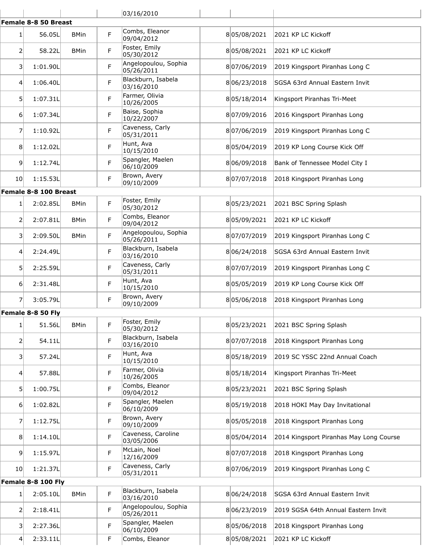|                         |                       |             |    | 03/16/2010                         |             |                                         |
|-------------------------|-----------------------|-------------|----|------------------------------------|-------------|-----------------------------------------|
|                         | Female 8-8 50 Breast  |             |    |                                    |             |                                         |
| $1\vert$                | 56.05L                | <b>BMin</b> | F  | Combs, Eleanor<br>09/04/2012       | 805/08/2021 | 2021 KP LC Kickoff                      |
| 2                       | 58.22L                | <b>BMin</b> | F. | Foster, Emily<br>05/30/2012        | 805/08/2021 | 2021 KP LC Kickoff                      |
| 3                       | 1:01.90L              |             | F. | Angelopoulou, Sophia<br>05/26/2011 | 807/06/2019 | 2019 Kingsport Piranhas Long C          |
| 4                       | 1:06.40L              |             | F  | Blackburn, Isabela<br>03/16/2010   | 806/23/2018 | SGSA 63rd Annual Eastern Invit          |
| 5 <sup>1</sup>          | 1:07.31L              |             | F  | Farmer, Olivia<br>10/26/2005       | 805/18/2014 | Kingsport Piranhas Tri-Meet             |
| 61                      | 1:07.34L              |             | F. | Baise, Sophia<br>10/22/2007        | 807/09/2016 | 2016 Kingsport Piranhas Long            |
| 7                       | 1:10.92L              |             | F  | Caveness, Carly<br>05/31/2011      | 807/06/2019 | 2019 Kingsport Piranhas Long C          |
| 8                       | 1:12.02L              |             | F  | Hunt, Ava<br>10/15/2010            | 805/04/2019 | 2019 KP Long Course Kick Off            |
| 9                       | 1:12.74L              |             | F  | Spangler, Maelen<br>06/10/2009     | 806/09/2018 | Bank of Tennessee Model City I          |
| <b>10</b>               | 1:15.53L              |             | F  | Brown, Avery<br>09/10/2009         | 807/07/2018 | 2018 Kingsport Piranhas Long            |
|                         | Female 8-8 100 Breast |             |    |                                    |             |                                         |
| 1                       | 2:02.85L              | <b>BMin</b> | F  | Foster, Emily<br>05/30/2012        | 805/23/2021 | 2021 BSC Spring Splash                  |
| $\overline{2}$          | 2:07.81L              | <b>BMin</b> | F  | Combs, Eleanor<br>09/04/2012       | 805/09/2021 | 2021 KP LC Kickoff                      |
| $\overline{\mathbf{3}}$ | 2:09.50L              | <b>BMin</b> | F  | Angelopoulou, Sophia<br>05/26/2011 | 807/07/2019 | 2019 Kingsport Piranhas Long C          |
| 4                       | 2:24.49L              |             | F  | Blackburn, Isabela<br>03/16/2010   | 806/24/2018 | SGSA 63rd Annual Eastern Invit          |
| 5                       | 2:25.59L              |             | F  | Caveness, Carly<br>05/31/2011      | 807/07/2019 | 2019 Kingsport Piranhas Long C          |
| $6 \mid$                | 2:31.48L              |             | F  | Hunt, Ava<br>10/15/2010            | 805/05/2019 | 2019 KP Long Course Kick Off            |
| 7                       | 3:05.79L              |             | F  | Brown, Avery<br>09/10/2009         | 805/06/2018 | 2018 Kingsport Piranhas Long            |
|                         | Female 8-8 50 Fly     |             |    |                                    |             |                                         |
| 1 <sup>1</sup>          | 51.56L                | <b>BMin</b> | F  | Foster, Emily<br>05/30/2012        | 805/23/2021 | 2021 BSC Spring Splash                  |
| $\overline{2}$          | 54.11L                |             | F  | Blackburn, Isabela<br>03/16/2010   | 807/07/2018 | 2018 Kingsport Piranhas Long            |
| 3                       | 57.24L                |             | F  | Hunt, Ava<br>10/15/2010            | 805/18/2019 | 2019 SC YSSC 22nd Annual Coach          |
| 4                       | 57.88L                |             | F  | Farmer, Olivia<br>10/26/2005       | 805/18/2014 | Kingsport Piranhas Tri-Meet             |
| 5 <sup>1</sup>          | 1:00.75L              |             | F  | Combs, Eleanor<br>09/04/2012       | 805/23/2021 | 2021 BSC Spring Splash                  |
| 6                       | 1:02.82L              |             | F  | Spangler, Maelen<br>06/10/2009     | 805/19/2018 | 2018 HOKI May Day Invitational          |
| 7                       | 1:12.75L              |             | F  | Brown, Avery<br>09/10/2009         | 805/05/2018 | 2018 Kingsport Piranhas Long            |
| 8                       | 1:14.10L              |             | F  | Caveness, Caroline<br>03/05/2006   | 805/04/2014 | 2014 Kingsport Piranhas May Long Course |
| 9                       | 1:15.97L              |             | F  | McLain, Noel<br>12/16/2009         | 807/07/2018 | 2018 Kingsport Piranhas Long            |
| 10 <sup>1</sup>         | 1:21.37L              |             | F  | Caveness, Carly<br>05/31/2011      | 807/06/2019 | 2019 Kingsport Piranhas Long C          |
|                         | Female 8-8 100 Fly    |             |    |                                    |             |                                         |
| 1                       | 2:05.10L              | <b>BMin</b> | F  | Blackburn, Isabela<br>03/16/2010   | 806/24/2018 | SGSA 63rd Annual Eastern Invit          |
| $\overline{2}$          | 2:18.41L              |             | F  | Angelopoulou, Sophia<br>05/26/2011 | 806/23/2019 | 2019 SGSA 64th Annual Eastern Invit     |
| 3                       | 2:27.36L              |             | F  | Spangler, Maelen<br>06/10/2009     | 805/06/2018 | 2018 Kingsport Piranhas Long            |
| 4                       | 2:33.11L              |             | F  | Combs, Eleanor                     | 805/08/2021 | 2021 KP LC Kickoff                      |
|                         |                       |             |    |                                    |             |                                         |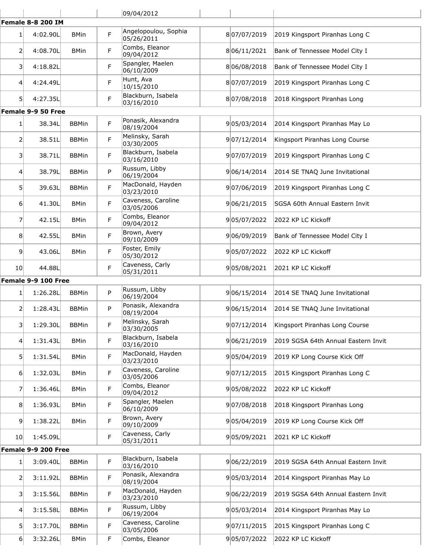|                 |                          |                             |        | 09/04/2012                                         |                            |                                                      |
|-----------------|--------------------------|-----------------------------|--------|----------------------------------------------------|----------------------------|------------------------------------------------------|
|                 | <b>Female 8-8 200 IM</b> |                             |        |                                                    |                            |                                                      |
| $1\vert$        | 4:02.90L                 | <b>BMin</b>                 | F      | Angelopoulou, Sophia<br>05/26/2011                 | 807/07/2019                | 2019 Kingsport Piranhas Long C                       |
| $\overline{2}$  | 4:08.70L                 | <b>BMin</b>                 | F      | Combs, Eleanor<br>09/04/2012                       | 806/11/2021                | Bank of Tennessee Model City I                       |
| 3               | 4:18.82L                 |                             | F      | Spangler, Maelen<br>06/10/2009                     | 806/08/2018                | Bank of Tennessee Model City I                       |
| 4               | 4:24.49L                 |                             | F      | Hunt, Ava<br>10/15/2010                            | 807/07/2019                | 2019 Kingsport Piranhas Long C                       |
| 51              | 4:27.35L                 |                             | F      | Blackburn, Isabela<br>03/16/2010                   | 807/08/2018                | 2018 Kingsport Piranhas Long                         |
|                 | Female 9-9 50 Free       |                             |        |                                                    |                            |                                                      |
| 1 <sup>1</sup>  | 38.34L                   | <b>BBMin</b>                | F      | Ponasik, Alexandra<br>08/19/2004                   | 905/03/2014                | 2014 Kingsport Piranhas May Lo                       |
| 2               | 38.51L                   | <b>BBMin</b>                | F      | Melinsky, Sarah<br>03/30/2005                      | 907/12/2014                | Kingsport Piranhas Long Course                       |
| 31              | 38.71L                   | <b>BBMin</b>                | F      | Blackburn, Isabela<br>03/16/2010                   | 907/07/2019                | 2019 Kingsport Piranhas Long C                       |
| $\vert 4 \vert$ | 38.79L                   | <b>BBMin</b>                | P      | Russum, Libby<br>06/19/2004                        | 906/14/2014                | 2014 SE TNAQ June Invitational                       |
| 51              | 39.63L                   | <b>BBMin</b>                | F      | MacDonald, Hayden<br>03/23/2010                    | 907/06/2019                | 2019 Kingsport Piranhas Long C                       |
| 6 <sup>1</sup>  | 41.30L                   | <b>BMin</b>                 | F      | Caveness, Caroline<br>03/05/2006                   | 906/21/2015                | SGSA 60th Annual Eastern Invit                       |
| 7               | 42.15L                   | <b>BMin</b>                 | F      | Combs, Eleanor<br>09/04/2012                       | 905/07/2022                | 2022 KP LC Kickoff                                   |
| 8               | 42.55L                   | <b>BMin</b>                 | F      | Brown, Avery<br>09/10/2009                         | 906/09/2019                | Bank of Tennessee Model City I                       |
| 9               | 43.06L                   | <b>BMin</b>                 | F      | Foster, Emily<br>05/30/2012                        | 905/07/2022                | 2022 KP LC Kickoff                                   |
| 10 <sub>l</sub> | 44.88L                   |                             | F      | Caveness, Carly<br>05/31/2011                      | 905/08/2021                | 2021 KP LC Kickoff                                   |
|                 | Female 9-9 100 Free      |                             |        |                                                    |                            |                                                      |
|                 |                          |                             |        |                                                    |                            |                                                      |
| 1               | 1:26.28L                 | <b>BBMin</b>                | P      | Russum, Libby<br>06/19/2004                        | 906/15/2014                | 2014 SE TNAQ June Invitational                       |
| 21              | 1:28.43L                 | <b>BBMin</b>                | P      | Ponasik, Alexandra<br>08/19/2004                   | 906/15/2014                | 2014 SE TNAQ June Invitational                       |
| 31              | 1:29.30L                 | <b>BBMin</b>                | F      | Melinsky, Sarah<br>03/30/2005                      | 907/12/2014                | Kingsport Piranhas Long Course                       |
| 4               | 1:31.43L                 | <b>BMin</b>                 | F      | Blackburn, Isabela<br>03/16/2010                   | 906/21/2019                | 2019 SGSA 64th Annual Eastern Invit                  |
| 51              | 1:31.54L                 | <b>BMin</b>                 | F      | MacDonald, Hayden<br>03/23/2010                    | 905/04/2019                | 2019 KP Long Course Kick Off                         |
| 6 <sup>1</sup>  | 1:32.03L                 | <b>BMin</b>                 | F      | Caveness, Caroline<br>03/05/2006                   | 907/12/2015                | 2015 Kingsport Piranhas Long C                       |
| 7               | 1:36.46L                 | <b>BMin</b>                 | F      | Combs, Eleanor<br>09/04/2012                       | 905/08/2022                | 2022 KP LC Kickoff                                   |
| 8 <sup>1</sup>  | 1:36.93L                 | <b>BMin</b>                 | F      | Spangler, Maelen<br>06/10/2009                     | 907/08/2018                | 2018 Kingsport Piranhas Long                         |
| $\overline{9}$  | 1:38.22L                 | <b>BMin</b>                 | F      | Brown, Avery<br>09/10/2009                         | 905/04/2019                | 2019 KP Long Course Kick Off                         |
| 10 <sup>1</sup> | 1:45.09L                 |                             | F      | Caveness, Carly<br>05/31/2011                      | 905/09/2021                | 2021 KP LC Kickoff                                   |
|                 | Female 9-9 200 Free      |                             |        |                                                    |                            |                                                      |
| $1\vert$        | 3:09.40L                 | <b>BBMin</b>                | F      | Blackburn, Isabela<br>03/16/2010                   | 906/22/2019                | 2019 SGSA 64th Annual Eastern Invit                  |
| 21              | 3:11.92L                 | <b>BBMin</b>                | F      | Ponasik, Alexandra<br>08/19/2004                   | 905/03/2014                | 2014 Kingsport Piranhas May Lo                       |
| 31              | 3:15.56L                 | <b>BBMin</b>                | F      | MacDonald, Hayden<br>03/23/2010                    | 906/22/2019                | 2019 SGSA 64th Annual Eastern Invit                  |
| 41              | 3:15.58L                 | <b>BBMin</b>                | F      | Russum, Libby<br>06/19/2004                        | 905/03/2014                | 2014 Kingsport Piranhas May Lo                       |
| 51<br>6         | 3:17.70L<br>3:32.26L     | <b>BBMin</b><br><b>BMin</b> | F<br>F | Caveness, Caroline<br>03/05/2006<br>Combs, Eleanor | 907/11/2015<br>905/07/2022 | 2015 Kingsport Piranhas Long C<br>2022 KP LC Kickoff |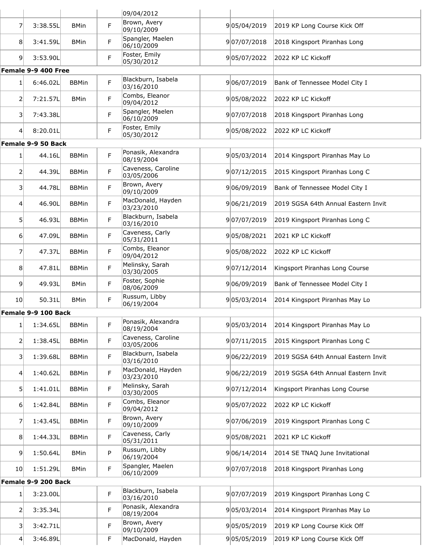|                 |                     |              |             | 09/04/2012                       |             |                                     |
|-----------------|---------------------|--------------|-------------|----------------------------------|-------------|-------------------------------------|
| 7               | 3:38.55L            | <b>BMin</b>  | F           | Brown, Avery<br>09/10/2009       | 905/04/2019 | 2019 KP Long Course Kick Off        |
| 8               | 3:41.59L            | <b>BMin</b>  | F           | Spangler, Maelen<br>06/10/2009   | 907/07/2018 | 2018 Kingsport Piranhas Long        |
| 9               | 3:53.90L            |              | F           | Foster, Emily<br>05/30/2012      | 905/07/2022 | 2022 KP LC Kickoff                  |
|                 | Female 9-9 400 Free |              |             |                                  |             |                                     |
| $1\vert$        | 6:46.02L            | <b>BBMin</b> | F.          | Blackburn, Isabela<br>03/16/2010 | 906/07/2019 | Bank of Tennessee Model City I      |
| 2               | 7:21.57L            | <b>BMin</b>  | F.          | Combs, Eleanor<br>09/04/2012     | 905/08/2022 | 2022 KP LC Kickoff                  |
| 3               | 7:43.38L            |              | F           | Spangler, Maelen<br>06/10/2009   | 907/07/2018 | 2018 Kingsport Piranhas Long        |
| 4               | 8:20.01L            |              | F           | Foster, Emily<br>05/30/2012      | 905/08/2022 | 2022 KP LC Kickoff                  |
|                 | Female 9-9 50 Back  |              |             |                                  |             |                                     |
| 1               | 44.16L              | <b>BBMin</b> | F           | Ponasik, Alexandra<br>08/19/2004 | 905/03/2014 | 2014 Kingsport Piranhas May Lo      |
| 2               | 44.39L              | <b>BBMin</b> | F.          | Caveness, Caroline<br>03/05/2006 | 907/12/2015 | 2015 Kingsport Piranhas Long C      |
| 31              | 44.78L              | <b>BBMin</b> | F           | Brown, Avery<br>09/10/2009       | 906/09/2019 | Bank of Tennessee Model City I      |
| 4               | 46.90L              | <b>BBMin</b> | F           | MacDonald, Hayden<br>03/23/2010  | 906/21/2019 | 2019 SGSA 64th Annual Eastern Invit |
| 5               | 46.93L              | <b>BBMin</b> | F           | Blackburn, Isabela<br>03/16/2010 | 907/07/2019 | 2019 Kingsport Piranhas Long C      |
| 61              | 47.09L              | <b>BBMin</b> | F           | Caveness, Carly<br>05/31/2011    | 905/08/2021 | 2021 KP LC Kickoff                  |
| 7               | 47.37L              | <b>BBMin</b> | F           | Combs, Eleanor<br>09/04/2012     | 905/08/2022 | 2022 KP LC Kickoff                  |
| 8               | 47.81L              | <b>BBMin</b> | F.          | Melinsky, Sarah<br>03/30/2005    | 907/12/2014 | Kingsport Piranhas Long Course      |
| 9               | 49.93L              | <b>BMin</b>  | F           | Foster, Sophie<br>08/06/2009     | 906/09/2019 | Bank of Tennessee Model City I      |
| 10 <sup>1</sup> | 50.31L              | <b>BMin</b>  | F           | Russum, Libby<br>06/19/2004      | 905/03/2014 | 2014 Kingsport Piranhas May Lo      |
|                 | Female 9-9 100 Back |              |             |                                  |             |                                     |
| $1\vert$        | 1:34.65L            | <b>BBMin</b> | F           | Ponasik, Alexandra<br>08/19/2004 | 905/03/2014 | 2014 Kingsport Piranhas May Lo      |
| 2               | 1:38.45L            | <b>BBMin</b> | F           | Caveness, Caroline<br>03/05/2006 | 907/11/2015 | 2015 Kingsport Piranhas Long C      |
| 31              | 1:39.68L            | <b>BBMin</b> | F           | Blackburn, Isabela<br>03/16/2010 | 906/22/2019 | 2019 SGSA 64th Annual Eastern Invit |
| $\vert 4 \vert$ | 1:40.62L            | <b>BBMin</b> | F           | MacDonald, Hayden<br>03/23/2010  | 906/22/2019 | 2019 SGSA 64th Annual Eastern Invit |
| 5               | 1:41.01L            | <b>BBMin</b> | F           | Melinsky, Sarah<br>03/30/2005    | 907/12/2014 | Kingsport Piranhas Long Course      |
| 61              | 1:42.84L            | <b>BBMin</b> | F           | Combs, Eleanor<br>09/04/2012     | 905/07/2022 | 2022 KP LC Kickoff                  |
| 7               | 1:43.45L            | <b>BBMin</b> | F           | Brown, Avery<br>09/10/2009       | 907/06/2019 | 2019 Kingsport Piranhas Long C      |
| 8               | 1:44.33L            | <b>BBMin</b> | F           | Caveness, Carly<br>05/31/2011    | 905/08/2021 | 2021 KP LC Kickoff                  |
| 9               | 1:50.64L            | <b>BMin</b>  | P           | Russum, Libby<br>06/19/2004      | 906/14/2014 | 2014 SE TNAQ June Invitational      |
| 10 <sup>1</sup> | 1:51.29L            | <b>BMin</b>  | $\mathsf F$ | Spangler, Maelen<br>06/10/2009   | 907/07/2018 | 2018 Kingsport Piranhas Long        |
|                 | Female 9-9 200 Back |              |             |                                  |             |                                     |
| 1               | 3:23.00L            |              | F           | Blackburn, Isabela<br>03/16/2010 | 907/07/2019 | 2019 Kingsport Piranhas Long C      |
| 2               | 3:35.34L            |              | F           | Ponasik, Alexandra<br>08/19/2004 | 905/03/2014 | 2014 Kingsport Piranhas May Lo      |
| 31              | 3:42.71L            |              | F           | Brown, Avery<br>09/10/2009       | 905/05/2019 | 2019 KP Long Course Kick Off        |
| 41              | 3:46.89L            |              | F           | MacDonald, Hayden                | 905/05/2019 | 2019 KP Long Course Kick Off        |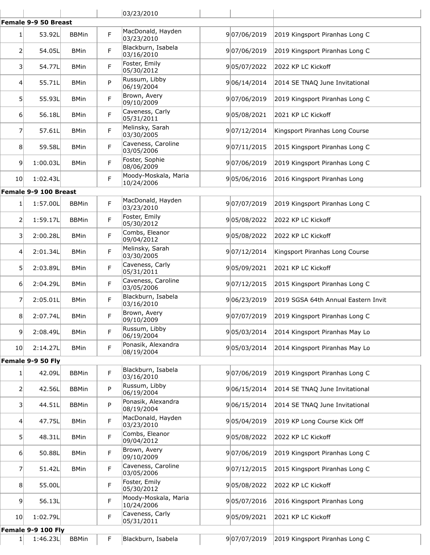|                 |                       |              |    | 03/23/2010                         |             |                                     |
|-----------------|-----------------------|--------------|----|------------------------------------|-------------|-------------------------------------|
|                 | Female 9-9 50 Breast  |              |    |                                    |             |                                     |
| 1               | 53.92L                | <b>BBMin</b> | F. | MacDonald, Hayden<br>03/23/2010    | 907/06/2019 | 2019 Kingsport Piranhas Long C      |
| 2               | 54.05L                | <b>BMin</b>  | F  | Blackburn, Isabela<br>03/16/2010   | 907/06/2019 | 2019 Kingsport Piranhas Long C      |
| 3               | 54.77L                | <b>BMin</b>  | F. | Foster, Emily<br>05/30/2012        | 905/07/2022 | 2022 KP LC Kickoff                  |
| 4               | 55.71L                | <b>BMin</b>  | P  | Russum, Libby<br>06/19/2004        | 906/14/2014 | 2014 SE TNAQ June Invitational      |
| 5               | 55.93L                | <b>BMin</b>  | F. | Brown, Avery<br>09/10/2009         | 907/06/2019 | 2019 Kingsport Piranhas Long C      |
| 6               | 56.18L                | <b>BMin</b>  | F. | Caveness, Carly<br>05/31/2011      | 905/08/2021 | 2021 KP LC Kickoff                  |
| 7               | 57.61L                | <b>BMin</b>  | F  | Melinsky, Sarah<br>03/30/2005      | 907/12/2014 | Kingsport Piranhas Long Course      |
| 8               | 59.58L                | <b>BMin</b>  | F  | Caveness, Caroline<br>03/05/2006   | 907/11/2015 | 2015 Kingsport Piranhas Long C      |
| 9               | 1:00.03L              | <b>BMin</b>  | F  | Foster, Sophie<br>08/06/2009       | 907/06/2019 | 2019 Kingsport Piranhas Long C      |
| 10 <sub>l</sub> | 1:02.43L              |              | F  | Moody-Moskala, Maria<br>10/24/2006 | 905/06/2016 | 2016 Kingsport Piranhas Long        |
|                 | Female 9-9 100 Breast |              |    |                                    |             |                                     |
| 1               | 1:57.00L              | <b>BBMin</b> | F  | MacDonald, Hayden<br>03/23/2010    | 907/07/2019 | 2019 Kingsport Piranhas Long C      |
| 2               | 1:59.17L              | <b>BBMin</b> | F. | Foster, Emily<br>05/30/2012        | 905/08/2022 | 2022 KP LC Kickoff                  |
| 3               | 2:00.28L              | <b>BMin</b>  | F  | Combs, Eleanor<br>09/04/2012       | 905/08/2022 | 2022 KP LC Kickoff                  |
| 41              | 2:01.34L              | <b>BMin</b>  | F. | Melinsky, Sarah<br>03/30/2005      | 907/12/2014 | Kingsport Piranhas Long Course      |
| 5               | 2:03.89L              | <b>BMin</b>  | F  | Caveness, Carly<br>05/31/2011      | 905/09/2021 | 2021 KP LC Kickoff                  |
| $6 \mid$        | 2:04.29L              | <b>BMin</b>  | F. | Caveness, Caroline<br>03/05/2006   | 907/12/2015 | 2015 Kingsport Piranhas Long C      |
| 7               | 2:05.01L              | <b>BMin</b>  | F. | Blackburn, Isabela<br>03/16/2010   | 906/23/2019 | 2019 SGSA 64th Annual Eastern Invit |
| 8               | 2:07.74L              | <b>BMin</b>  | F  | Brown, Avery<br>09/10/2009         | 907/07/2019 | 2019 Kingsport Piranhas Long C      |
| 9               | 2:08.49L              | <b>BMin</b>  | F  | Russum, Libby<br>06/19/2004        | 905/03/2014 | 2014 Kingsport Piranhas May Lo      |
| 10 <sup>1</sup> | 2:14.27L              | <b>BMin</b>  | F  | Ponasik, Alexandra<br>08/19/2004   | 905/03/2014 | 2014 Kingsport Piranhas May Lo      |
|                 | Female 9-9 50 Fly     |              |    |                                    |             |                                     |
| $1\vert$        | 42.09L                | <b>BBMin</b> | F  | Blackburn, Isabela<br>03/16/2010   | 907/06/2019 | 2019 Kingsport Piranhas Long C      |
| 2               | 42.56L                | <b>BBMin</b> | P  | Russum, Libby<br>06/19/2004        | 906/15/2014 | 2014 SE TNAQ June Invitational      |
| 3               | 44.51L                | <b>BBMin</b> | P  | Ponasik, Alexandra<br>08/19/2004   | 906/15/2014 | 2014 SE TNAQ June Invitational      |
| 4               | 47.75L                | <b>BMin</b>  | F  | MacDonald, Hayden<br>03/23/2010    | 905/04/2019 | 2019 KP Long Course Kick Off        |
| 5 <sup>1</sup>  | 48.31L                | <b>BMin</b>  | F  | Combs, Eleanor<br>09/04/2012       | 905/08/2022 | 2022 KP LC Kickoff                  |
| 6               | 50.88L                | <b>BMin</b>  | F  | Brown, Avery<br>09/10/2009         | 907/06/2019 | 2019 Kingsport Piranhas Long C      |
| $\overline{7}$  | 51.42L                | <b>BMin</b>  | F. | Caveness, Caroline<br>03/05/2006   | 907/12/2015 | 2015 Kingsport Piranhas Long C      |
| 8               | 55.00L                |              | F  | Foster, Emily<br>05/30/2012        | 905/08/2022 | 2022 KP LC Kickoff                  |
| 9               | 56.13L                |              | F  | Moody-Moskala, Maria<br>10/24/2006 | 905/07/2016 | 2016 Kingsport Piranhas Long        |
| 10 <sup>1</sup> | 1:02.79L              |              | F  | Caveness, Carly<br>05/31/2011      | 905/09/2021 | 2021 KP LC Kickoff                  |
|                 | Female 9-9 100 Fly    |              |    |                                    |             |                                     |
| 1               | 1:46.23L              | <b>BBMin</b> | F  | Blackburn, Isabela                 | 907/07/2019 | 2019 Kingsport Piranhas Long C      |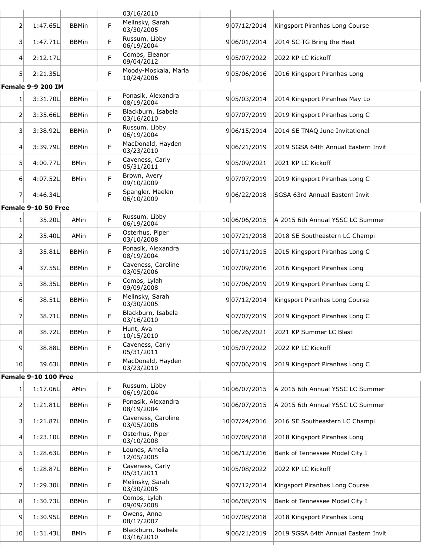|                 |                          |              |   | 03/16/2010                         |               |                                     |
|-----------------|--------------------------|--------------|---|------------------------------------|---------------|-------------------------------------|
| $\overline{2}$  | 1:47.65L                 | <b>BBMin</b> | F | Melinsky, Sarah<br>03/30/2005      | 907/12/2014   | Kingsport Piranhas Long Course      |
| 3               | 1:47.71L                 | <b>BBMin</b> | F | Russum, Libby<br>06/19/2004        | 906/01/2014   | 2014 SC TG Bring the Heat           |
| $\vert 4 \vert$ | 2:12.17L                 |              | F | Combs, Eleanor<br>09/04/2012       | 905/07/2022   | 2022 KP LC Kickoff                  |
| 5 <sup>1</sup>  | 2:21.35L                 |              | F | Moody-Moskala, Maria<br>10/24/2006 | 905/06/2016   | 2016 Kingsport Piranhas Long        |
|                 | <b>Female 9-9 200 IM</b> |              |   |                                    |               |                                     |
| $1\vert$        | 3:31.70L                 | <b>BBMin</b> | F | Ponasik, Alexandra<br>08/19/2004   | 905/03/2014   | 2014 Kingsport Piranhas May Lo      |
| 2               | 3:35.66L                 | <b>BBMin</b> | F | Blackburn, Isabela<br>03/16/2010   | 907/07/2019   | 2019 Kingsport Piranhas Long C      |
| 3               | 3:38.92L                 | <b>BBMin</b> | P | Russum, Libby<br>06/19/2004        | 906/15/2014   | 2014 SE TNAQ June Invitational      |
| 4               | 3:39.79L                 | <b>BBMin</b> | F | MacDonald, Hayden<br>03/23/2010    | 906/21/2019   | 2019 SGSA 64th Annual Eastern Invit |
| 5 <sup>1</sup>  | 4:00.77L                 | <b>BMin</b>  | F | Caveness, Carly<br>05/31/2011      | 905/09/2021   | 2021 KP LC Kickoff                  |
| $6 \mid$        | 4:07.52L                 | <b>BMin</b>  | F | Brown, Avery<br>09/10/2009         | 907/07/2019   | 2019 Kingsport Piranhas Long C      |
| 7               | 4:46.34L                 |              | F | Spangler, Maelen<br>06/10/2009     | 906/22/2018   | SGSA 63rd Annual Eastern Invit      |
|                 | Female 9-10 50 Free      |              |   |                                    |               |                                     |
| 1               | 35.20L                   | AMin         | F | Russum, Libby<br>06/19/2004        | 10 06/06/2015 | A 2015 6th Annual YSSC LC Summer    |
| 2               | 35.40L                   | AMin         | F | Osterhus, Piper<br>03/10/2008      | 10 07/21/2018 | 2018 SE Southeastern LC Champi      |
| 3               | 35.81L                   | <b>BBMin</b> | F | Ponasik, Alexandra<br>08/19/2004   | 10 07/11/2015 | 2015 Kingsport Piranhas Long C      |
| $\vert 4 \vert$ | 37.55L                   | <b>BBMin</b> | F | Caveness, Caroline<br>03/05/2006   | 10 07/09/2016 | 2016 Kingsport Piranhas Long        |
| 5               | 38.35L                   | <b>BBMin</b> | F | Combs, Lylah<br>09/09/2008         | 10 07/06/2019 | 2019 Kingsport Piranhas Long C      |
| 6               | 38.51L                   | <b>BBMin</b> | F | Melinsky, Sarah<br>03/30/2005      | 907/12/2014   | Kingsport Piranhas Long Course      |
| 7               | 38.71L                   | <b>BBMin</b> | F | Blackburn, Isabela<br>03/16/2010   | 907/07/2019   | 2019 Kingsport Piranhas Long C      |
| 8               | 38.72L                   | <b>BBMin</b> | F | Hunt, Ava<br>10/15/2010            | 10 06/26/2021 | 2021 KP Summer LC Blast             |
| $\vert 9 \vert$ | 38.88L                   | <b>BBMin</b> | F | Caveness, Carly<br>05/31/2011      | 1005/07/2022  | 2022 KP LC Kickoff                  |
| 10 <sub>l</sub> | 39.63L                   | <b>BBMin</b> | F | MacDonald, Hayden<br>03/23/2010    | 907/06/2019   | 2019 Kingsport Piranhas Long C      |
|                 | Female 9-10 100 Free     |              |   |                                    |               |                                     |
| 1 <sup>1</sup>  | 1:17.06L                 | AMin         | F | Russum, Libby<br>06/19/2004        | 1006/07/2015  | A 2015 6th Annual YSSC LC Summer    |
| 2               | 1:21.81L                 | <b>BBMin</b> | F | Ponasik, Alexandra<br>08/19/2004   | 10 06/07/2015 | A 2015 6th Annual YSSC LC Summer    |
| 3               | 1:21.87L                 | <b>BBMin</b> | F | Caveness, Caroline<br>03/05/2006   | 10 07/24/2016 | 2016 SE Southeastern LC Champi      |
| 4               | 1:23.10L                 | <b>BBMin</b> | F | Osterhus, Piper<br>03/10/2008      | 10 07/08/2018 | 2018 Kingsport Piranhas Long        |
| 5 <sup>1</sup>  | 1:28.63L                 | <b>BBMin</b> | F | Lounds, Amelia<br>12/05/2005       | 10 06/12/2016 | Bank of Tennessee Model City I      |
| 6 <sup>1</sup>  | 1:28.87L                 | <b>BBMin</b> | F | Caveness, Carly<br>05/31/2011      | 1005/08/2022  | 2022 KP LC Kickoff                  |
| 7               | 1:29.30L                 | <b>BBMin</b> | F | Melinsky, Sarah<br>03/30/2005      | 907/12/2014   | Kingsport Piranhas Long Course      |
| 8               | 1:30.73L                 | <b>BBMin</b> | F | Combs, Lylah<br>09/09/2008         | 10 06/08/2019 | Bank of Tennessee Model City I      |
| $\overline{9}$  | 1:30.95L                 | <b>BBMin</b> | F | Owens, Anna<br>08/17/2007          | 1007/08/2018  | 2018 Kingsport Piranhas Long        |
| 10 <sub>l</sub> | 1:31.43L                 | <b>BMin</b>  | F | Blackburn, Isabela<br>03/16/2010   | 906/21/2019   | 2019 SGSA 64th Annual Eastern Invit |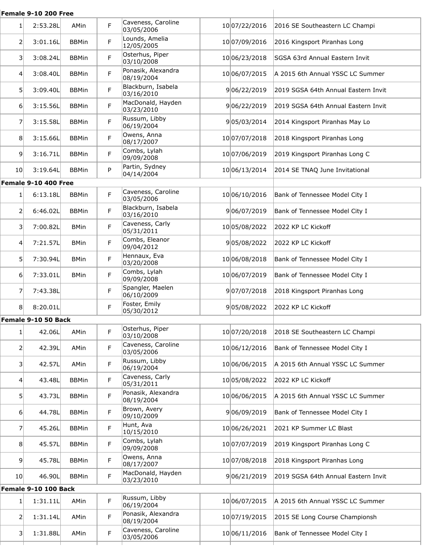|                         | Female 9-10 200 Free |              |   |                                  |               |                                     |
|-------------------------|----------------------|--------------|---|----------------------------------|---------------|-------------------------------------|
| 1 <sup>1</sup>          | 2:53.28L             | AMin         | F | Caveness, Caroline<br>03/05/2006 | 10 07/22/2016 | 2016 SE Southeastern LC Champi      |
| 2                       | 3:01.16L             | <b>BBMin</b> | F | Lounds, Amelia<br>12/05/2005     | 10 07/09/2016 | 2016 Kingsport Piranhas Long        |
| $\overline{\mathbf{3}}$ | 3:08.24L             | <b>BBMin</b> | F | Osterhus, Piper<br>03/10/2008    | 10 06/23/2018 | SGSA 63rd Annual Eastern Invit      |
| 4                       | 3:08.40L             | <b>BBMin</b> | F | Ponasik, Alexandra<br>08/19/2004 | 10 06/07/2015 | A 2015 6th Annual YSSC LC Summer    |
| 5 <sup>1</sup>          | 3:09.40L             | <b>BBMin</b> | F | Blackburn, Isabela<br>03/16/2010 | 906/22/2019   | 2019 SGSA 64th Annual Eastern Invit |
| 6 <sup>1</sup>          | 3:15.56L             | <b>BBMin</b> | F | MacDonald, Hayden<br>03/23/2010  | 906/22/2019   | 2019 SGSA 64th Annual Eastern Invit |
| 7                       | 3:15.58L             | <b>BBMin</b> | F | Russum, Libby<br>06/19/2004      | 905/03/2014   | 2014 Kingsport Piranhas May Lo      |
| 8                       | 3:15.66L             | <b>BBMin</b> | F | Owens, Anna<br>08/17/2007        | 10 07/07/2018 | 2018 Kingsport Piranhas Long        |
| 9                       | 3:16.71L             | <b>BBMin</b> | F | Combs, Lylah<br>09/09/2008       | 10 07/06/2019 | 2019 Kingsport Piranhas Long C      |
| 10                      | 3:19.64L             | <b>BBMin</b> | P | Partin, Sydney<br>04/14/2004     | 10 06/13/2014 | 2014 SE TNAQ June Invitational      |
|                         | Female 9-10 400 Free |              |   |                                  |               |                                     |
| $1\vert$                | 6:13.18L             | <b>BBMin</b> | F | Caveness, Caroline<br>03/05/2006 | 10 06/10/2016 | Bank of Tennessee Model City I      |
| $\overline{2}$          | 6:46.02L             | <b>BBMin</b> | F | Blackburn, Isabela<br>03/16/2010 | 906/07/2019   | Bank of Tennessee Model City I      |
| 3 <sup>1</sup>          | 7:00.82L             | <b>BMin</b>  | F | Caveness, Carly<br>05/31/2011    | 1005/08/2022  | 2022 KP LC Kickoff                  |
| $\overline{4}$          | 7:21.57L             | <b>BMin</b>  | F | Combs, Eleanor<br>09/04/2012     | 905/08/2022   | 2022 KP LC Kickoff                  |
| 5 <sup>1</sup>          | 7:30.94L             | <b>BMin</b>  | F | Hennaux, Eva<br>03/20/2008       | 1006/08/2018  | Bank of Tennessee Model City I      |
| 6 <sup>1</sup>          | 7:33.01L             | <b>BMin</b>  | F | Combs, Lylah<br>09/09/2008       | 1006/07/2019  | Bank of Tennessee Model City I      |
| 7                       | 7:43.38L             |              | F | Spangler, Maelen<br>06/10/2009   | 907/07/2018   | 2018 Kingsport Piranhas Long        |
| 8 <sup>1</sup>          | 8:20.01L             |              | F | Foster, Emily<br>05/30/2012      | 905/08/2022   | 2022 KP LC Kickoff                  |
|                         | Female 9-10 50 Back  |              |   |                                  |               |                                     |
| 1                       | 42.06L               | AMin         | F | Osterhus, Piper<br>03/10/2008    | 10 07/20/2018 | 2018 SE Southeastern LC Champi      |
| 2                       | 42.39L               | AMin         | F | Caveness, Caroline<br>03/05/2006 | 10 06/12/2016 | Bank of Tennessee Model City I      |
| 31                      | 42.57L               | AMin         | F | Russum, Libby<br>06/19/2004      | 10 06/06/2015 | A 2015 6th Annual YSSC LC Summer    |
| 4                       | 43.48L               | <b>BBMin</b> | F | Caveness, Carly<br>05/31/2011    | 1005/08/2022  | 2022 KP LC Kickoff                  |
| 5 <sup>1</sup>          | 43.73L               | <b>BBMin</b> | F | Ponasik, Alexandra<br>08/19/2004 | 10 06/06/2015 | A 2015 6th Annual YSSC LC Summer    |
| $6 \mid$                | 44.78L               | <b>BBMin</b> | F | Brown, Avery<br>09/10/2009       | 906/09/2019   | Bank of Tennessee Model City I      |
| $\overline{7}$          | 45.26L               | <b>BBMin</b> | F | Hunt, Ava<br>10/15/2010          | 10 06/26/2021 | 2021 KP Summer LC Blast             |
| 8 <sup>1</sup>          | 45.57L               | <b>BBMin</b> | F | Combs, Lylah<br>09/09/2008       | 10 07/07/2019 | 2019 Kingsport Piranhas Long C      |
| 9 <sup>1</sup>          | 45.78L               | <b>BBMin</b> | F | Owens, Anna<br>08/17/2007        | 10 07/08/2018 | 2018 Kingsport Piranhas Long        |
| 10 <sub>l</sub>         | 46.90L               | <b>BBMin</b> | F | MacDonald, Hayden<br>03/23/2010  | 906/21/2019   | 2019 SGSA 64th Annual Eastern Invit |
|                         | Female 9-10 100 Back |              |   |                                  |               |                                     |
| 1 <sup>1</sup>          | 1:31.11L             | AMin         | F | Russum, Libby<br>06/19/2004      | 10 06/07/2015 | A 2015 6th Annual YSSC LC Summer    |
| 2                       | 1:31.14L             | AMin         | F | Ponasik, Alexandra<br>08/19/2004 | 10 07/19/2015 | 2015 SE Long Course Championsh      |
| 3                       | 1:31.88L             | AMin         | F | Caveness, Caroline<br>03/05/2006 | 10 06/11/2016 | Bank of Tennessee Model City I      |
|                         |                      |              |   |                                  |               |                                     |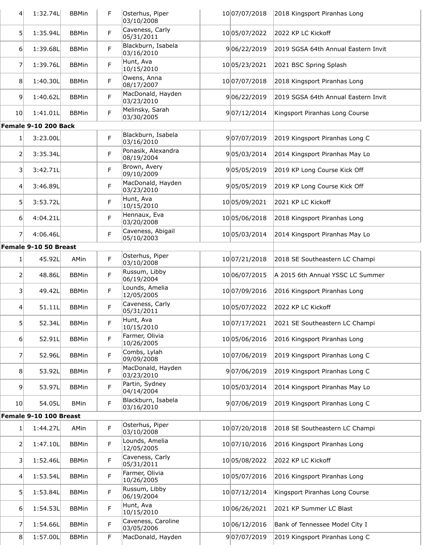| $\overline{4}$          | 1:32.74L               | <b>BBMin</b> | F  | Osterhus, Piper<br>03/10/2008    | 10 07/07/2018 | 2018 Kingsport Piranhas Long                 |
|-------------------------|------------------------|--------------|----|----------------------------------|---------------|----------------------------------------------|
| 5 <sup>1</sup>          | 1:35.94L               | <b>BBMin</b> | F  | Caveness, Carly<br>05/31/2011    | 1005/07/2022  | 2022 KP LC Kickoff                           |
| 6                       | 1:39.68L               | <b>BBMin</b> | F  | Blackburn, Isabela<br>03/16/2010 | 906/22/2019   | 2019 SGSA 64th Annual Eastern Invit          |
| 7                       | 1:39.76L               | <b>BBMin</b> | F  | Hunt, Ava<br>10/15/2010          | 10 05/23/2021 | 2021 BSC Spring Splash                       |
| 8                       | 1:40.30L               | <b>BBMin</b> | F  | Owens, Anna<br>08/17/2007        | 10 07/07/2018 | 2018 Kingsport Piranhas Long                 |
| 9                       | 1:40.62L               | <b>BBMin</b> | F  | MacDonald, Hayden<br>03/23/2010  | 906/22/2019   | 2019 SGSA 64th Annual Eastern Invit          |
| 10 <sup>1</sup>         | 1:41.01L               | <b>BBMin</b> | F  | Melinsky, Sarah<br>03/30/2005    | 907/12/2014   | Kingsport Piranhas Long Course               |
|                         | Female 9-10 200 Back   |              |    |                                  |               |                                              |
| 1                       | 3:23.00L               |              | F  | Blackburn, Isabela<br>03/16/2010 | 907/07/2019   | 2019 Kingsport Piranhas Long C               |
| $\overline{2}$          | 3:35.34L               |              | F  | Ponasik, Alexandra<br>08/19/2004 | 905/03/2014   | 2014 Kingsport Piranhas May Lo               |
| $\overline{\mathbf{3}}$ | 3:42.71L               |              | F  | Brown, Avery<br>09/10/2009       | 905/05/2019   | 2019 KP Long Course Kick Off                 |
| 4                       | 3:46.89L               |              | F  | MacDonald, Hayden<br>03/23/2010  | 905/05/2019   | 2019 KP Long Course Kick Off                 |
| 5                       | 3:53.72L               |              | F  | Hunt, Ava<br>10/15/2010          | 10 05/09/2021 | 2021 KP LC Kickoff                           |
| $6 \mid$                | 4:04.21L               |              | F  | Hennaux, Eva<br>03/20/2008       | 10 05/06/2018 | 2018 Kingsport Piranhas Long                 |
| 7                       | 4:06.46L               |              | F  | Caveness, Abigail<br>05/10/2003  | 10 05/03/2014 | 2014 Kingsport Piranhas May Lo               |
|                         | Female 9-10 50 Breast  |              |    |                                  |               |                                              |
| $\mathbf{1}$            | 45.92L                 | AMin         | F  | Osterhus, Piper<br>03/10/2008    | 10 07/21/2018 | 2018 SE Southeastern LC Champi               |
| 2                       | 48.86L                 | <b>BBMin</b> | F  | Russum, Libby<br>06/19/2004      | 10 06/07/2015 | A 2015 6th Annual YSSC LC Summer             |
| 3                       | 49.42L                 | <b>BBMin</b> | F  | Lounds, Amelia<br>12/05/2005     | 10 07/09/2016 | 2016 Kingsport Piranhas Long                 |
| 4                       | 51.11L                 | <b>BBMin</b> | F  | Caveness, Carly<br>05/31/2011    | 1005/07/2022  | 2022 KP LC Kickoff                           |
| $\mathsf{5}$            | 52.34L                 | <b>BBMin</b> | F  | Hunt, Ava<br>10/15/2010          |               | 10 07/17/2021 2021 SE Southeastern LC Champi |
| $6 \mid$                | 52.91L                 | <b>BBMin</b> | F  | Farmer, Olivia<br>10/26/2005     | 1005/06/2016  | 2016 Kingsport Piranhas Long                 |
| 7                       | 52.96L                 | <b>BBMin</b> | F  | Combs, Lylah<br>09/09/2008       | 1007/06/2019  | 2019 Kingsport Piranhas Long C               |
| 8                       | 53.92L                 | <b>BBMin</b> | F  | MacDonald, Hayden<br>03/23/2010  | 907/06/2019   | 2019 Kingsport Piranhas Long C               |
| 9                       | 53.97L                 | <b>BBMin</b> | F  | Partin, Sydney<br>04/14/2004     | 10 05/03/2014 | 2014 Kingsport Piranhas May Lo               |
| 10 <sup>1</sup>         | 54.05L                 | <b>BMin</b>  | F  | Blackburn, Isabela<br>03/16/2010 | 907/06/2019   | 2019 Kingsport Piranhas Long C               |
|                         | Female 9-10 100 Breast |              |    |                                  |               |                                              |
| 1                       | 1:44.27L               | AMin         | F  | Osterhus, Piper<br>03/10/2008    | 10 07/20/2018 | 2018 SE Southeastern LC Champi               |
| $\mathsf{2}$            | 1:47.10L               | <b>BBMin</b> | F  | Lounds, Amelia<br>12/05/2005     | 10 07/10/2016 | 2016 Kingsport Piranhas Long                 |
| 3                       | 1:52.46L               | <b>BBMin</b> | F  | Caveness, Carly<br>05/31/2011    | 1005/08/2022  | 2022 KP LC Kickoff                           |
| 4                       | 1:53.54L               | <b>BBMin</b> | F  | Farmer, Olivia<br>10/26/2005     | 10 05/07/2016 | 2016 Kingsport Piranhas Long                 |
| 5 <sup>1</sup>          | 1:53.84L               | <b>BBMin</b> | F  | Russum, Libby<br>06/19/2004      | 10 07/12/2014 | Kingsport Piranhas Long Course               |
| $6 \mid$                | 1:54.53L               | <b>BBMin</b> | F  | Hunt, Ava<br>10/15/2010          | 10 06/26/2021 | 2021 KP Summer LC Blast                      |
| 7                       | 1:54.66L               | <b>BBMin</b> | F. | Caveness, Caroline<br>03/05/2006 | 10 06/12/2016 | Bank of Tennessee Model City I               |
| 8                       | 1:57.00L               | <b>BBMin</b> | F  | MacDonald, Hayden                | 907/07/2019   | 2019 Kingsport Piranhas Long C               |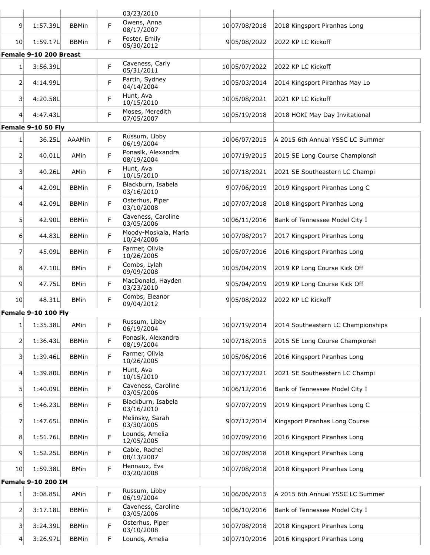|                 |                            |              |   | 03/23/2010                         |               |                                    |
|-----------------|----------------------------|--------------|---|------------------------------------|---------------|------------------------------------|
| 9               | 1:57.39L                   | <b>BBMin</b> | F | Owens, Anna<br>08/17/2007          | 10 07/08/2018 | 2018 Kingsport Piranhas Long       |
| 10 <sup>1</sup> | 1:59.17L                   | <b>BBMin</b> | F | Foster, Emily<br>05/30/2012        | 905/08/2022   | 2022 KP LC Kickoff                 |
|                 | Female 9-10 200 Breast     |              |   |                                    |               |                                    |
| 1               | 3:56.39L                   |              | F | Caveness, Carly<br>05/31/2011      | 1005/07/2022  | 2022 KP LC Kickoff                 |
| $\overline{2}$  | 4:14.99L                   |              | F | Partin, Sydney<br>04/14/2004       | 1005/03/2014  | 2014 Kingsport Piranhas May Lo     |
| $\vert$ 3       | 4:20.58L                   |              | F | Hunt, Ava<br>10/15/2010            | 1005/08/2021  | 2021 KP LC Kickoff                 |
| $\vert 4 \vert$ | 4:47.43L                   |              | F | Moses, Meredith<br>07/05/2007      | 10 05/19/2018 | 2018 HOKI May Day Invitational     |
|                 | Female 9-10 50 Fly         |              |   |                                    |               |                                    |
| $\mathbf{1}$    | 36.25L                     | AAAMin       | F | Russum, Libby<br>06/19/2004        | 10 06/07/2015 | A 2015 6th Annual YSSC LC Summer   |
| 2               | 40.01L                     | AMin         | F | Ponasik, Alexandra<br>08/19/2004   | 10 07/19/2015 | 2015 SE Long Course Championsh     |
| $\vert$ 3       | 40.26L                     | AMin         | F | Hunt, Ava<br>10/15/2010            | 10 07/18/2021 | 2021 SE Southeastern LC Champi     |
| 4 <sup>1</sup>  | 42.09L                     | <b>BBMin</b> | F | Blackburn, Isabela<br>03/16/2010   | 907/06/2019   | 2019 Kingsport Piranhas Long C     |
| $\overline{4}$  | 42.09L                     | <b>BBMin</b> | F | Osterhus, Piper<br>03/10/2008      | 10 07/07/2018 | 2018 Kingsport Piranhas Long       |
| 5               | 42.90L                     | <b>BBMin</b> | F | Caveness, Caroline<br>03/05/2006   | 10 06/11/2016 | Bank of Tennessee Model City I     |
| $6 \mid$        | 44.83L                     | <b>BBMin</b> | F | Moody-Moskala, Maria<br>10/24/2006 | 10 07/08/2017 | 2017 Kingsport Piranhas Long       |
| $\overline{7}$  | 45.09L                     | <b>BBMin</b> | F | Farmer, Olivia<br>10/26/2005       | 10 05/07/2016 | 2016 Kingsport Piranhas Long       |
| 8 <sup>1</sup>  | 47.10L                     | <b>BMin</b>  | F | Combs, Lylah<br>09/09/2008         | 1005/04/2019  | 2019 KP Long Course Kick Off       |
| $\overline{9}$  | 47.75L                     | <b>BMin</b>  | F | MacDonald, Hayden<br>03/23/2010    | 905/04/2019   | 2019 KP Long Course Kick Off       |
| 10 <sup>1</sup> | 48.31L                     | <b>BMin</b>  | F | Combs, Eleanor<br>09/04/2012       | 905/08/2022   | 2022 KP LC Kickoff                 |
|                 | <b>Female 9-10 100 Fly</b> |              |   |                                    |               |                                    |
| 1 <sub>1</sub>  | 1:35.38L                   | AMin         | F | Russum, Libby<br>06/19/2004        | 10 07/19/2014 | 2014 Southeastern LC Championships |
| 2               | 1:36.43L                   | <b>BBMin</b> | F | Ponasik, Alexandra<br>08/19/2004   | 10 07/18/2015 | 2015 SE Long Course Championsh     |
| $\vert$ 3       | 1:39.46L                   | <b>BBMin</b> | F | Farmer, Olivia<br>10/26/2005       | 1005/06/2016  | 2016 Kingsport Piranhas Long       |
| 4               | 1:39.80L                   | <b>BBMin</b> | F | Hunt, Ava<br>10/15/2010            | 10 07/17/2021 | 2021 SE Southeastern LC Champi     |
| $5\overline{)}$ | 1:40.09L                   | <b>BBMin</b> | F | Caveness, Caroline<br>03/05/2006   | 10 06/12/2016 | Bank of Tennessee Model City I     |
| 6               | 1:46.23L                   | <b>BBMin</b> | F | Blackburn, Isabela<br>03/16/2010   | 907/07/2019   | 2019 Kingsport Piranhas Long C     |
| 7               | 1:47.65L                   | <b>BBMin</b> | F | Melinsky, Sarah<br>03/30/2005      | 907/12/2014   | Kingsport Piranhas Long Course     |
| 8               | 1:51.76L                   | <b>BBMin</b> | F | Lounds, Amelia<br>12/05/2005       | 10 07/09/2016 | 2016 Kingsport Piranhas Long       |
| $\vert 9 \vert$ | 1:52.25L                   | <b>BBMin</b> | F | Cable, Rachel<br>08/13/2007        | 10 07/08/2018 | 2018 Kingsport Piranhas Long       |
| 10 <sup>1</sup> | 1:59.38L                   | <b>BMin</b>  | F | Hennaux, Eva<br>03/20/2008         | 10 07/08/2018 | 2018 Kingsport Piranhas Long       |
|                 | <b>Female 9-10 200 IM</b>  |              |   |                                    |               |                                    |
| 1               | 3:08.85L                   | AMin         | F | Russum, Libby<br>06/19/2004        | 10 06/06/2015 | A 2015 6th Annual YSSC LC Summer   |
| 2               | 3:17.18L                   | <b>BBMin</b> | F | Caveness, Caroline<br>03/05/2006   | 10 06/10/2016 | Bank of Tennessee Model City I     |
| $\vert$ 3       | 3:24.39L                   | <b>BBMin</b> | F | Osterhus, Piper<br>03/10/2008      | 10 07/08/2018 | 2018 Kingsport Piranhas Long       |
| 4               | 3:26.97L                   | <b>BBMin</b> | F | Lounds, Amelia                     | 10 07/10/2016 | 2016 Kingsport Piranhas Long       |
|                 |                            |              |   |                                    |               |                                    |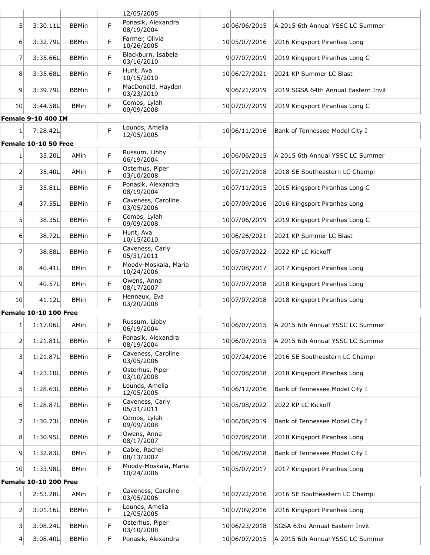|                         |                                          |              |   | 12/05/2005                         |               |                                     |
|-------------------------|------------------------------------------|--------------|---|------------------------------------|---------------|-------------------------------------|
| 5 <sup>1</sup>          | 3:30.11L                                 | <b>BBMin</b> | F | Ponasik, Alexandra<br>08/19/2004   | 10 06/06/2015 | A 2015 6th Annual YSSC LC Summer    |
| 61                      | 3:32.79L                                 | <b>BBMin</b> | F | Farmer, Olivia<br>10/26/2005       | 10 05/07/2016 | 2016 Kingsport Piranhas Long        |
| 7                       | 3:35.66L                                 | <b>BBMin</b> | F | Blackburn, Isabela<br>03/16/2010   | 907/07/2019   | 2019 Kingsport Piranhas Long C      |
| 8                       | 3:35.68L                                 | <b>BBMin</b> | F | Hunt, Ava<br>10/15/2010            | 10 06/27/2021 | 2021 KP Summer LC Blast             |
| 9                       | 3:39.79L                                 | <b>BBMin</b> | F | MacDonald, Hayden<br>03/23/2010    | 906/21/2019   | 2019 SGSA 64th Annual Eastern Invit |
| 10                      | 3:44.58L                                 | <b>BMin</b>  | F | Combs, Lylah<br>09/09/2008         | 10 07/07/2019 | 2019 Kingsport Piranhas Long C      |
|                         | <b>Female 9-10 400 IM</b>                |              |   |                                    |               |                                     |
| 1                       | 7:28.42L                                 |              | F | Lounds, Amelia<br>12/05/2005       | 10 06/11/2016 | Bank of Tennessee Model City I      |
|                         | Female 10-10 50 Free                     |              |   |                                    |               |                                     |
| 1                       | 35.20L                                   | AMin         | F | Russum, Libby<br>06/19/2004        | 10 06/06/2015 | A 2015 6th Annual YSSC LC Summer    |
| $\overline{2}$          | 35.40L                                   | AMin         | F | Osterhus, Piper<br>03/10/2008      | 10 07/21/2018 | 2018 SE Southeastern LC Champi      |
| $\overline{\mathbf{3}}$ | 35.81L                                   | <b>BBMin</b> | F | Ponasik, Alexandra<br>08/19/2004   | 10 07/11/2015 | 2015 Kingsport Piranhas Long C      |
| 4                       | 37.55L                                   | <b>BBMin</b> | F | Caveness, Caroline<br>03/05/2006   | 10 07/09/2016 | 2016 Kingsport Piranhas Long        |
| 5 <sup>1</sup>          | 38.35L                                   | <b>BBMin</b> | F | Combs, Lylah<br>09/09/2008         | 10 07/06/2019 | 2019 Kingsport Piranhas Long C      |
| 6                       | 38.72L                                   | <b>BBMin</b> | F | Hunt, Ava<br>10/15/2010            | 10 06/26/2021 | 2021 KP Summer LC Blast             |
| 7                       | 38.88L                                   | <b>BBMin</b> | F | Caveness, Carly<br>05/31/2011      | 1005/07/2022  | 2022 KP LC Kickoff                  |
| 8                       | 40.41L                                   | <b>BMin</b>  | F | Moody-Moskala, Maria<br>10/24/2006 | 10 07/08/2017 | 2017 Kingsport Piranhas Long        |
| 9                       | 40.57L                                   | <b>BMin</b>  | F | Owens, Anna<br>08/17/2007          | 10 07/07/2018 | 2018 Kingsport Piranhas Long        |
| 10 <sup>1</sup>         | 41.12L                                   | <b>BMin</b>  | F | Hennaux, Eva<br>03/20/2008         | 10 07/07/2018 | 2018 Kingsport Piranhas Long        |
|                         | <b>Female 10-10 100 Free</b>             |              |   |                                    |               |                                     |
| 11                      | 1:17.06L                                 | AMin         | F | Russum, Libby<br>06/19/2004        | 10 06/07/2015 | A 2015 6th Annual YSSC LC Summer    |
| $\overline{2}$          | 1:21.81L                                 | <b>BBMin</b> | F | Ponasik, Alexandra<br>08/19/2004   | 10 06/07/2015 | A 2015 6th Annual YSSC LC Summer    |
| 3 <sup>1</sup>          | 1:21.87L                                 | <b>BBMin</b> | F | Caveness, Caroline<br>03/05/2006   | 10 07/24/2016 | 2016 SE Southeastern LC Champi      |
| $\left 4\right $        | 1:23.10L                                 | <b>BBMin</b> | F | Osterhus, Piper<br>03/10/2008      | 10 07/08/2018 | 2018 Kingsport Piranhas Long        |
| 5                       | 1:28.63L                                 | <b>BBMin</b> | F | Lounds, Amelia<br>12/05/2005       | 10 06/12/2016 | Bank of Tennessee Model City I      |
| 6                       | 1:28.87L                                 | <b>BBMin</b> | F | Caveness, Carly<br>05/31/2011      | 1005/08/2022  | 2022 KP LC Kickoff                  |
| 7                       | 1:30.73L                                 | <b>BBMin</b> | F | Combs, Lylah<br>09/09/2008         | 10 06/08/2019 | Bank of Tennessee Model City I      |
| 8 <sup>°</sup>          | 1:30.95L                                 | <b>BBMin</b> | F | Owens, Anna<br>08/17/2007          | 10 07/08/2018 | 2018 Kingsport Piranhas Long        |
| $\overline{9}$          | 1:32.83L                                 | <b>BMin</b>  | F | Cable, Rachel<br>08/13/2007        | 10 06/09/2018 | Bank of Tennessee Model City I      |
| 10                      | 1:33.98L<br><b>Female 10-10 200 Free</b> | <b>BMin</b>  | F | Moody-Moskala, Maria<br>10/24/2006 | 10 05/07/2017 | 2017 Kingsport Piranhas Long        |
|                         |                                          |              |   |                                    |               |                                     |
| 1                       | 2:53.28L                                 | AMin         | F | Caveness, Caroline<br>03/05/2006   | 10 07/22/2016 | 2016 SE Southeastern LC Champi      |
| 2                       | 3:01.16L                                 | <b>BBMin</b> | F | Lounds, Amelia<br>12/05/2005       | 10 07/09/2016 | 2016 Kingsport Piranhas Long        |
| $\vert$ 3               | 3:08.24L                                 | <b>BBMin</b> | F | Osterhus, Piper<br>03/10/2008      | 10 06/23/2018 | SGSA 63rd Annual Eastern Invit      |
| $\vert 4 \vert$         | 3:08.40L                                 | <b>BBMin</b> | F | Ponasik, Alexandra                 | 10 06/07/2015 | A 2015 6th Annual YSSC LC Summer    |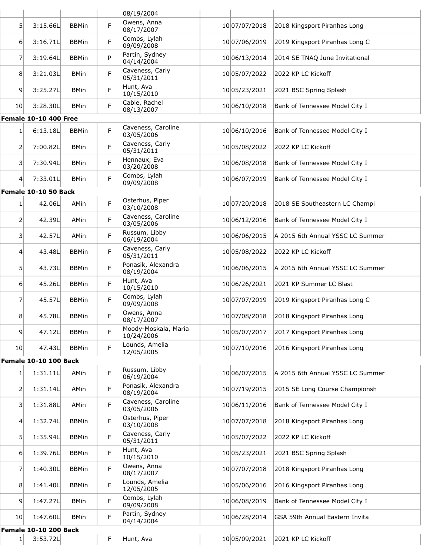|                 |                              |              |   | 08/19/2004                         |               |                                  |
|-----------------|------------------------------|--------------|---|------------------------------------|---------------|----------------------------------|
| 51              | 3:15.66L                     | <b>BBMin</b> | F | Owens, Anna<br>08/17/2007          | 10 07/07/2018 | 2018 Kingsport Piranhas Long     |
| 6 <sup>1</sup>  | 3:16.71L                     | <b>BBMin</b> | F | Combs, Lylah<br>09/09/2008         | 10 07/06/2019 | 2019 Kingsport Piranhas Long C   |
| 7               | 3:19.64L                     | <b>BBMin</b> | P | Partin, Sydney<br>04/14/2004       | 10 06/13/2014 | 2014 SE TNAQ June Invitational   |
| 8               | 3:21.03L                     | <b>BMin</b>  | F | Caveness, Carly<br>05/31/2011      | 1005/07/2022  | 2022 KP LC Kickoff               |
| $\overline{9}$  | 3:25.27L                     | <b>BMin</b>  | F | Hunt, Ava<br>10/15/2010            | 10 05/23/2021 | 2021 BSC Spring Splash           |
| 10              | 3:28.30L                     | <b>BMin</b>  | F | Cable, Rachel<br>08/13/2007        | 10 06/10/2018 | Bank of Tennessee Model City I   |
|                 | <b>Female 10-10 400 Free</b> |              |   |                                    |               |                                  |
| 11              | 6:13.18L                     | <b>BBMin</b> | F | Caveness, Caroline<br>03/05/2006   | 10 06/10/2016 | Bank of Tennessee Model City I   |
| 21              | 7:00.82L                     | <b>BMin</b>  | F | Caveness, Carly<br>05/31/2011      | 1005/08/2022  | 2022 KP LC Kickoff               |
| 31              | 7:30.94L                     | <b>BMin</b>  | F | Hennaux, Eva<br>03/20/2008         | 10 06/08/2018 | Bank of Tennessee Model City I   |
| $\overline{4}$  | 7:33.01L                     | <b>BMin</b>  | F | Combs, Lylah<br>09/09/2008         | 10 06/07/2019 | Bank of Tennessee Model City I   |
|                 | Female 10-10 50 Back         |              |   |                                    |               |                                  |
| $1\vert$        | 42.06L                       | AMin         | F | Osterhus, Piper<br>03/10/2008      | 10 07/20/2018 | 2018 SE Southeastern LC Champi   |
| 2               | 42.39L                       | AMin         | F | Caveness, Caroline<br>03/05/2006   | 10 06/12/2016 | Bank of Tennessee Model City I   |
| 31              | 42.57L                       | AMin         | F | Russum, Libby<br>06/19/2004        | 10 06/06/2015 | A 2015 6th Annual YSSC LC Summer |
| 41              | 43.48L                       | <b>BBMin</b> | F | Caveness, Carly<br>05/31/2011      | 1005/08/2022  | 2022 KP LC Kickoff               |
| 51              | 43.73L                       | <b>BBMin</b> | F | Ponasik, Alexandra<br>08/19/2004   | 10 06/06/2015 | A 2015 6th Annual YSSC LC Summer |
| 6               | 45.26L                       | <b>BBMin</b> | F | Hunt, Ava<br>10/15/2010            | 1006/26/2021  | 2021 KP Summer LC Blast          |
| 7               | 45.57L                       | <b>BBMin</b> | F | Combs, Lylah<br>09/09/2008         | 10 07/07/2019 | 2019 Kingsport Piranhas Long C   |
| 8               | 45.78L                       | <b>BBMin</b> | F | Owens, Anna<br>08/17/2007          | 10 07/08/2018 | 2018 Kingsport Piranhas Long     |
| 9               | 47.12L                       | <b>BBMin</b> | F | Moody-Moskala, Maria<br>10/24/2006 | 10 05/07/2017 | 2017 Kingsport Piranhas Long     |
| 10 <sub>l</sub> | 47.43L                       | <b>BBMin</b> | F | Lounds, Amelia<br>12/05/2005       | 10 07/10/2016 | 2016 Kingsport Piranhas Long     |
|                 | <b>Female 10-10 100 Back</b> |              |   |                                    |               |                                  |
| $1\vert$        | 1:31.11L                     | AMin         | F | Russum, Libby<br>06/19/2004        | 10 06/07/2015 | A 2015 6th Annual YSSC LC Summer |
| $\mathsf{2}$    | 1:31.14L                     | AMin         | F | Ponasik, Alexandra<br>08/19/2004   | 10 07/19/2015 | 2015 SE Long Course Championsh   |
| 31              | 1:31.88L                     | AMin         | F | Caveness, Caroline<br>03/05/2006   | 10 06/11/2016 | Bank of Tennessee Model City I   |
| 4 <sup>1</sup>  | 1:32.74L                     | <b>BBMin</b> | F | Osterhus, Piper<br>03/10/2008      | 10 07/07/2018 | 2018 Kingsport Piranhas Long     |
| 51              | 1:35.94L                     | <b>BBMin</b> | F | Caveness, Carly<br>05/31/2011      | 1005/07/2022  | 2022 KP LC Kickoff               |
| 6               | 1:39.76L                     | <b>BBMin</b> | F | Hunt, Ava<br>10/15/2010            | 10 05/23/2021 | 2021 BSC Spring Splash           |
| 7               | 1:40.30L                     | <b>BBMin</b> | F | Owens, Anna<br>08/17/2007          | 1007/07/2018  | 2018 Kingsport Piranhas Long     |
| 8               | 1:41.40L                     | <b>BBMin</b> | F | Lounds, Amelia<br>12/05/2005       | 10 05/06/2016 | 2016 Kingsport Piranhas Long     |
| 9 <sup>1</sup>  | 1:47.27L                     | <b>BMin</b>  | F | Combs, Lylah<br>09/09/2008         | 10 06/08/2019 | Bank of Tennessee Model City I   |
| 10 <sup>1</sup> | 1:47.60L                     | <b>BMin</b>  | F | Partin, Sydney<br>04/14/2004       | 10 06/28/2014 | GSA 59th Annual Eastern Invita   |
|                 | <b>Female 10-10 200 Back</b> |              |   |                                    |               |                                  |
| $1\vert$        | 3:53.72L                     |              | F | Hunt, Ava                          | 1005/09/2021  | 2021 KP LC Kickoff               |
|                 |                              |              |   |                                    |               |                                  |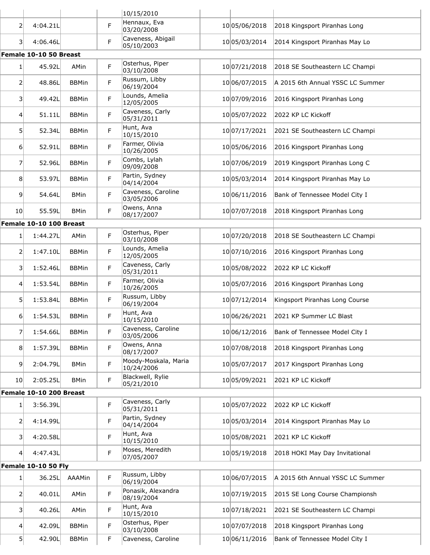|                 |                            |              |   | 10/15/2010                         |               |                                  |
|-----------------|----------------------------|--------------|---|------------------------------------|---------------|----------------------------------|
| 2               | 4:04.21L                   |              | F | Hennaux, Eva<br>03/20/2008         | 10 05/06/2018 | 2018 Kingsport Piranhas Long     |
| 31              | 4:06.46L                   |              | F | Caveness, Abigail<br>05/10/2003    | 10 05/03/2014 | 2014 Kingsport Piranhas May Lo   |
|                 | Female 10-10 50 Breast     |              |   |                                    |               |                                  |
| 1 <sup>1</sup>  | 45.92L                     | AMin         | F | Osterhus, Piper<br>03/10/2008      | 10 07/21/2018 | 2018 SE Southeastern LC Champi   |
| 2               | 48.86L                     | <b>BBMin</b> | F | Russum, Libby<br>06/19/2004        | 10 06/07/2015 | A 2015 6th Annual YSSC LC Summer |
| 31              | 49.42L                     | <b>BBMin</b> | F | Lounds, Amelia<br>12/05/2005       | 10 07/09/2016 | 2016 Kingsport Piranhas Long     |
| 41              | 51.11L                     | <b>BBMin</b> | F | Caveness, Carly<br>05/31/2011      | 10 05/07/2022 | 2022 KP LC Kickoff               |
| 51              | 52.34L                     | <b>BBMin</b> | F | Hunt, Ava<br>10/15/2010            | 10 07/17/2021 | 2021 SE Southeastern LC Champi   |
| 6               | 52.91L                     | <b>BBMin</b> | F | Farmer, Olivia<br>10/26/2005       | 10 05/06/2016 | 2016 Kingsport Piranhas Long     |
| 7               | 52.96L                     | <b>BBMin</b> | F | Combs, Lylah<br>09/09/2008         | 10 07/06/2019 | 2019 Kingsport Piranhas Long C   |
| 8 <sup>1</sup>  | 53.97L                     | <b>BBMin</b> | F | Partin, Sydney<br>04/14/2004       | 10 05/03/2014 | 2014 Kingsport Piranhas May Lo   |
| $\overline{9}$  | 54.64L                     | <b>BMin</b>  | F | Caveness, Caroline<br>03/05/2006   | 10 06/11/2016 | Bank of Tennessee Model City I   |
| 10 <sup>1</sup> | 55.59L                     | <b>BMin</b>  | F | Owens, Anna<br>08/17/2007          | 10 07/07/2018 | 2018 Kingsport Piranhas Long     |
|                 | Female 10-10 100 Breast    |              |   |                                    |               |                                  |
| 1               | 1:44.27L                   | AMin         | F | Osterhus, Piper<br>03/10/2008      | 10 07/20/2018 | 2018 SE Southeastern LC Champi   |
| 2               | 1:47.10L                   | <b>BBMin</b> | F | Lounds, Amelia<br>12/05/2005       | 10 07/10/2016 | 2016 Kingsport Piranhas Long     |
| 31              | 1:52.46L                   | <b>BBMin</b> | F | Caveness, Carly<br>05/31/2011      | 1005/08/2022  | 2022 KP LC Kickoff               |
| 4               | 1:53.54L                   | <b>BBMin</b> | F | Farmer, Olivia<br>10/26/2005       | 10 05/07/2016 | 2016 Kingsport Piranhas Long     |
| 51              | 1:53.84L                   | <b>BBMin</b> | F | Russum, Libby<br>06/19/2004        | 10 07/12/2014 | Kingsport Piranhas Long Course   |
| 6               | 1:54.53L                   | <b>BBMin</b> | F | Hunt, Ava<br>10/15/2010            | 10 06/26/2021 | 2021 KP Summer LC Blast          |
| 7               | 1:54.66L                   | <b>BBMin</b> | F | Caveness, Caroline<br>03/05/2006   | 10 06/12/2016 | Bank of Tennessee Model City I   |
| 8 <sup>°</sup>  | 1:57.39L                   | <b>BBMin</b> | F | Owens, Anna<br>08/17/2007          | 10 07/08/2018 | 2018 Kingsport Piranhas Long     |
| 9 <sup>1</sup>  | 2:04.79L                   | <b>BMin</b>  | F | Moody-Moskala, Maria<br>10/24/2006 | 10 05/07/2017 | 2017 Kingsport Piranhas Long     |
| 10 <sup>1</sup> | 2:05.25L                   | <b>BMin</b>  | F | Blackwell, Rylie<br>05/21/2010     | 1005/09/2021  | 2021 KP LC Kickoff               |
|                 | Female 10-10 200 Breast    |              |   |                                    |               |                                  |
| 1 <sup>1</sup>  | 3:56.39L                   |              | F | Caveness, Carly<br>05/31/2011      | 1005/07/2022  | 2022 KP LC Kickoff               |
| $\overline{2}$  | 4:14.99L                   |              | F | Partin, Sydney<br>04/14/2004       | 1005/03/2014  | 2014 Kingsport Piranhas May Lo   |
| 31              | 4:20.58L                   |              | F | Hunt, Ava<br>10/15/2010            | 1005/08/2021  | 2021 KP LC Kickoff               |
| 4 <sup>1</sup>  | 4:47.43L                   |              | F | Moses, Meredith<br>07/05/2007      | 10 05/19/2018 | 2018 HOKI May Day Invitational   |
|                 | <b>Female 10-10 50 Fly</b> |              |   |                                    |               |                                  |
| 1 <sup>1</sup>  | 36.25L                     | AAAMin       | F | Russum, Libby<br>06/19/2004        | 10 06/07/2015 | A 2015 6th Annual YSSC LC Summer |
| $\overline{2}$  | 40.01L                     | AMin         | F | Ponasik, Alexandra<br>08/19/2004   | 10 07/19/2015 | 2015 SE Long Course Championsh   |
| 31              | 40.26L                     | AMin         | F | Hunt, Ava<br>10/15/2010            | 10 07/18/2021 | 2021 SE Southeastern LC Champi   |
| 4               | 42.09L                     | <b>BBMin</b> | F | Osterhus, Piper<br>03/10/2008      | 10 07/07/2018 | 2018 Kingsport Piranhas Long     |
| 5               | 42.90L                     | <b>BBMin</b> | F | Caveness, Caroline                 | 10 06/11/2016 | Bank of Tennessee Model City I   |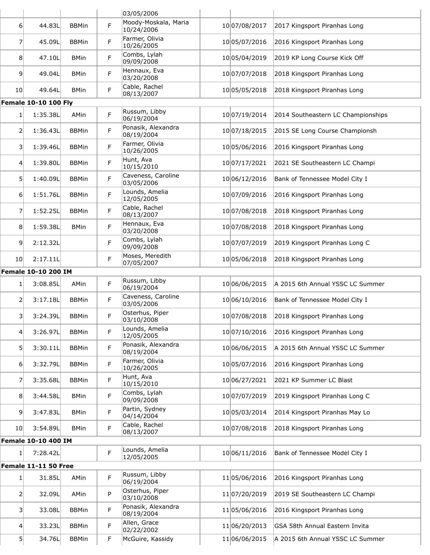|                  |                             |              |   | 03/05/2006                         |               |                                    |
|------------------|-----------------------------|--------------|---|------------------------------------|---------------|------------------------------------|
| 6                | 44.83L                      | <b>BBMin</b> | F | Moody-Moskala, Maria<br>10/24/2006 | 10 07/08/2017 | 2017 Kingsport Piranhas Long       |
| 7                | 45.09L                      | <b>BBMin</b> | F | Farmer, Olivia<br>10/26/2005       | 10 05/07/2016 | 2016 Kingsport Piranhas Long       |
| 8 <sup>1</sup>   | 47.10L                      | <b>BMin</b>  | F | Combs, Lylah<br>09/09/2008         | 10 05/04/2019 | 2019 KP Long Course Kick Off       |
| $\overline{9}$   | 49.04L                      | <b>BMin</b>  | F | Hennaux, Eva<br>03/20/2008         | 10 07/07/2018 | 2018 Kingsport Piranhas Long       |
| 10 <sup>1</sup>  | 49.64L                      | <b>BMin</b>  | F | Cable, Rachel<br>08/13/2007        | 1005/05/2018  | 2018 Kingsport Piranhas Long       |
|                  | <b>Female 10-10 100 Fly</b> |              |   |                                    |               |                                    |
| 1                | 1:35.38L                    | AMin         | F | Russum, Libby<br>06/19/2004        | 10 07/19/2014 | 2014 Southeastern LC Championships |
| 2                | 1:36.43L                    | <b>BBMin</b> | F | Ponasik, Alexandra<br>08/19/2004   | 10 07/18/2015 | 2015 SE Long Course Championsh     |
| $\overline{3}$   | 1:39.46L                    | <b>BBMin</b> | F | Farmer, Olivia<br>10/26/2005       | 10 05/06/2016 | 2016 Kingsport Piranhas Long       |
| 4                | 1:39.80L                    | <b>BBMin</b> | F | Hunt, Ava<br>10/15/2010            | 10 07/17/2021 | 2021 SE Southeastern LC Champi     |
| 5 <sup>1</sup>   | 1:40.09L                    | <b>BBMin</b> | F | Caveness, Caroline<br>03/05/2006   | 10 06/12/2016 | Bank of Tennessee Model City I     |
| 6                | 1:51.76L                    | <b>BBMin</b> | F | Lounds, Amelia<br>12/05/2005       | 10 07/09/2016 | 2016 Kingsport Piranhas Long       |
| 7                | 1:52.25L                    | <b>BBMin</b> | F | Cable, Rachel<br>08/13/2007        | 1007/08/2018  | 2018 Kingsport Piranhas Long       |
| 8                | 1:59.38L                    | <b>BMin</b>  | F | Hennaux, Eva<br>03/20/2008         | 10 07/08/2018 | 2018 Kingsport Piranhas Long       |
| 9 <sup>1</sup>   | 2:12.32L                    |              | F | Combs, Lylah<br>09/09/2008         | 10 07/07/2019 | 2019 Kingsport Piranhas Long C     |
| 10               | 2:17.11L                    |              | F | Moses, Meredith<br>07/05/2007      | 10 05/06/2018 | 2018 Kingsport Piranhas Long       |
|                  | Female 10-10 200 IM         |              |   |                                    |               |                                    |
| 1                | 3:08.85L                    | AMin         | F | Russum, Libby<br>06/19/2004        | 10 06/06/2015 | A 2015 6th Annual YSSC LC Summer   |
| 2                | 3:17.18L                    | <b>BBMin</b> | F | Caveness, Caroline<br>03/05/2006   | 10 06/10/2016 | Bank of Tennessee Model City I     |
| $\overline{3}$   | 3:24.39L                    | <b>BBMin</b> | F | Osterhus, Piper<br>03/10/2008      | 10 07/08/2018 | 2018 Kingsport Piranhas Long       |
| $\left 4\right $ | 3:26.97L                    | <b>BBMin</b> | F | Lounds, Amelia<br>12/05/2005       | 10 07/10/2016 | 2016 Kingsport Piranhas Long       |
| 51               | 3:30.11L                    | <b>BBMin</b> | F | Ponasik, Alexandra<br>08/19/2004   | 10 06/06/2015 | A 2015 6th Annual YSSC LC Summer   |
| 6 <sup>1</sup>   | 3:32.79L                    | <b>BBMin</b> | F | Farmer, Olivia<br>10/26/2005       | 1005/07/2016  | 2016 Kingsport Piranhas Long       |
| 7                | 3:35.68L                    | <b>BBMin</b> | F | Hunt, Ava<br>10/15/2010            | 10 06/27/2021 | 2021 KP Summer LC Blast            |
| 8                | 3:44.58L                    | <b>BMin</b>  | F | Combs, Lylah<br>09/09/2008         | 10 07/07/2019 | 2019 Kingsport Piranhas Long C     |
| 9 <sup>1</sup>   | 3:47.83L                    | <b>BMin</b>  | F | Partin, Sydney<br>04/14/2004       | 10 05/03/2014 | 2014 Kingsport Piranhas May Lo     |
| 10 <sub>l</sub>  | 3:54.89L                    | <b>BMin</b>  | F | Cable, Rachel<br>08/13/2007        | 10 07/08/2018 | 2018 Kingsport Piranhas Long       |
|                  | Female 10-10 400 IM         |              |   |                                    |               |                                    |
| $1\vert$         | 7:28.42L                    |              | F | Lounds, Amelia<br>12/05/2005       | 10 06/11/2016 | Bank of Tennessee Model City I     |
|                  | Female 11-11 50 Free        |              |   |                                    |               |                                    |
| 1 <sup>1</sup>   | 31.85L                      | AMin         | F | Russum, Libby<br>06/19/2004        | 11 05/06/2016 | 2016 Kingsport Piranhas Long       |
| 2                | 32.09L                      | AMin         | P | Osterhus, Piper<br>03/10/2008      | 11 07/20/2019 | 2019 SE Southeastern LC Champi     |
| 3                | 33.08L                      | <b>BBMin</b> | F | Ponasik, Alexandra<br>08/19/2004   | 11 05/06/2016 | 2016 Kingsport Piranhas Long       |
| $\left 4\right $ | 33.23L                      | <b>BBMin</b> | F | Allen, Grace<br>02/22/2002         | 11 06/20/2013 | GSA 58th Annual Eastern Invita     |
| 5 <sup>1</sup>   | 34.76L                      | <b>BBMin</b> | F | McGuire, Kassidy                   | 11 06/06/2015 | A 2015 6th Annual YSSC LC Summer   |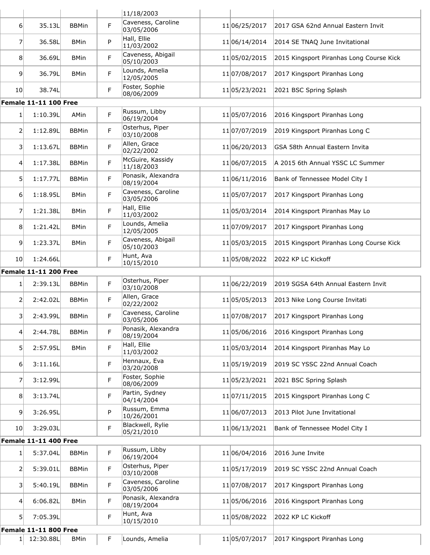|                  |                              |              |   | 11/18/2003                       |               |                                          |
|------------------|------------------------------|--------------|---|----------------------------------|---------------|------------------------------------------|
| 6 <sup>1</sup>   | 35.13L                       | <b>BBMin</b> | F | Caveness, Caroline<br>03/05/2006 | 11 06/25/2017 | 2017 GSA 62nd Annual Eastern Invit       |
| 7                | 36.58L                       | <b>BMin</b>  | P | Hall, Ellie<br>11/03/2002        | 11 06/14/2014 | 2014 SE TNAQ June Invitational           |
| 8                | 36.69L                       | <b>BMin</b>  | F | Caveness, Abigail<br>05/10/2003  | 11 05/02/2015 | 2015 Kingsport Piranhas Long Course Kick |
| $\overline{9}$   | 36.79L                       | <b>BMin</b>  | F | Lounds, Amelia<br>12/05/2005     | 11 07/08/2017 | 2017 Kingsport Piranhas Long             |
| 10 <sup>1</sup>  | 38.74L                       |              | F | Foster, Sophie<br>08/06/2009     | 11 05/23/2021 | 2021 BSC Spring Splash                   |
|                  | <b>Female 11-11 100 Free</b> |              |   |                                  |               |                                          |
| $1\vert$         | 1:10.39L                     | AMin         | F | Russum, Libby<br>06/19/2004      | 11 05/07/2016 | 2016 Kingsport Piranhas Long             |
| 21               | 1:12.89L                     | <b>BBMin</b> | F | Osterhus, Piper<br>03/10/2008    | 11 07/07/2019 | 2019 Kingsport Piranhas Long C           |
| 31               | 1:13.67L                     | <b>BBMin</b> | F | Allen, Grace<br>02/22/2002       | 11 06/20/2013 | GSA 58th Annual Eastern Invita           |
| 4                | 1:17.38L                     | <b>BBMin</b> | F | McGuire, Kassidy<br>11/18/2003   | 11 06/07/2015 | A 2015 6th Annual YSSC LC Summer         |
| 5                | 1:17.77L                     | <b>BBMin</b> | F | Ponasik, Alexandra<br>08/19/2004 | 11 06/11/2016 | Bank of Tennessee Model City I           |
| $6 \mid$         | 1:18.95L                     | <b>BMin</b>  | F | Caveness, Caroline<br>03/05/2006 | 11 05/07/2017 | 2017 Kingsport Piranhas Long             |
| $\overline{7}$   | 1:21.38L                     | <b>BMin</b>  | F | Hall, Ellie<br>11/03/2002        | 11 05/03/2014 | 2014 Kingsport Piranhas May Lo           |
| 8 <sup>1</sup>   | 1:21.42L                     | <b>BMin</b>  | F | Lounds, Amelia<br>12/05/2005     | 11 07/09/2017 | 2017 Kingsport Piranhas Long             |
| $\overline{9}$   | 1:23.37L                     | <b>BMin</b>  | F | Caveness, Abigail<br>05/10/2003  | 11 05/03/2015 | 2015 Kingsport Piranhas Long Course Kick |
| 10               | 1:24.66L                     |              | F | Hunt, Ava<br>10/15/2010          | 11 05/08/2022 | 2022 KP LC Kickoff                       |
|                  | <b>Female 11-11 200 Free</b> |              |   |                                  |               |                                          |
| $1\vert$         | 2:39.13L                     | <b>BBMin</b> | F | Osterhus, Piper<br>03/10/2008    | 11 06/22/2019 | 2019 SGSA 64th Annual Eastern Invit      |
| 2                | 2:42.02L                     | <b>BBMin</b> | F | Allen, Grace<br>02/22/2002       | 11 05/05/2013 | 2013 Nike Long Course Invitati           |
| 31               | 2:43.99L                     | <b>BBMin</b> | F | Caveness, Caroline<br>03/05/2006 | 11 07/08/2017 | 2017 Kingsport Piranhas Long             |
| 41               | 2:44.78L                     | <b>BBMin</b> | F | Ponasik, Alexandra<br>08/19/2004 | 11 05/06/2016 | 2016 Kingsport Piranhas Long             |
| 51               | 2:57.95L                     | <b>BMin</b>  | F | Hall, Ellie<br>11/03/2002        | 11 05/03/2014 | 2014 Kingsport Piranhas May Lo           |
| 6                | 3:11.16L                     |              | F | Hennaux, Eva<br>03/20/2008       | 11 05/19/2019 | 2019 SC YSSC 22nd Annual Coach           |
| $\overline{7}$   | 3:12.99L                     |              | F | Foster, Sophie<br>08/06/2009     | 11 05/23/2021 | 2021 BSC Spring Splash                   |
| 8 <sup>1</sup>   | 3:13.74L                     |              | F | Partin, Sydney<br>04/14/2004     | 11 07/11/2015 | 2015 Kingsport Piranhas Long C           |
| 9 <sup>1</sup>   | 3:26.95L                     |              | P | Russum, Emma<br>10/26/2001       | 11 06/07/2013 | 2013 Pilot June Invitational             |
| 10 <sup>1</sup>  | 3:29.03L                     |              | F | Blackwell, Rylie<br>05/21/2010   | 11 06/13/2021 | Bank of Tennessee Model City I           |
|                  | <b>Female 11-11 400 Free</b> |              |   |                                  |               |                                          |
| $1\vert$         | 5:37.04L                     | <b>BBMin</b> | F | Russum, Libby<br>06/19/2004      | 11 06/04/2016 | 2016 June Invite                         |
| 21               | 5:39.01L                     | <b>BBMin</b> | F | Osterhus, Piper<br>03/10/2008    | 11 05/17/2019 | 2019 SC YSSC 22nd Annual Coach           |
| 31               | 5:40.19L                     | <b>BBMin</b> | F | Caveness, Caroline<br>03/05/2006 | 11 07/08/2017 | 2017 Kingsport Piranhas Long             |
| $\left 4\right $ | 6:06.82L                     | <b>BMin</b>  | F | Ponasik, Alexandra<br>08/19/2004 | 11 05/06/2016 | 2016 Kingsport Piranhas Long             |
| 51               | 7:05.39L                     |              | F | Hunt, Ava<br>10/15/2010          | 11 05/08/2022 | 2022 KP LC Kickoff                       |
|                  | <b>Female 11-11 800 Free</b> |              |   |                                  |               |                                          |
| 1 <sup>1</sup>   | 12:30.88L                    | <b>BMin</b>  | F | Lounds, Amelia                   | 1105/07/2017  | 2017 Kingsport Piranhas Long             |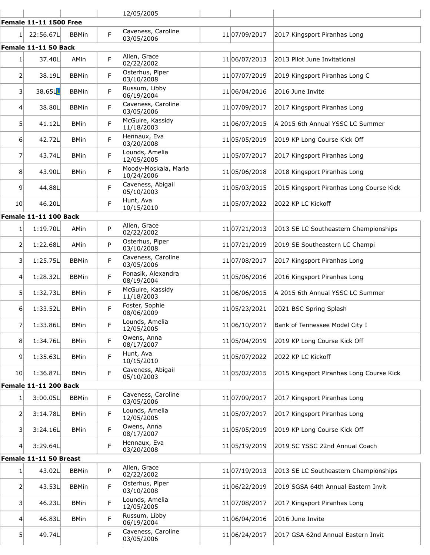|                         |                               |              |   | 12/05/2005                         |               |                                          |
|-------------------------|-------------------------------|--------------|---|------------------------------------|---------------|------------------------------------------|
|                         | <b>Female 11-11 1500 Free</b> |              |   |                                    |               |                                          |
| 1                       | 22:56.67L                     | <b>BBMin</b> | F | Caveness, Caroline<br>03/05/2006   | 11 07/09/2017 | 2017 Kingsport Piranhas Long             |
|                         | Female 11-11 50 Back          |              |   |                                    |               |                                          |
| $1\vert$                | 37.40L                        | AMin         | F | Allen, Grace<br>02/22/2002         | 11 06/07/2013 | 2013 Pilot June Invitational             |
| 2                       | 38.19L                        | <b>BBMin</b> | F | Osterhus, Piper<br>03/10/2008      | 11 07/07/2019 | 2019 Kingsport Piranhas Long C           |
| $\overline{\mathbf{3}}$ | 38.65LL                       | <b>BBMin</b> | F | Russum, Libby<br>06/19/2004        | 11 06/04/2016 | 2016 June Invite                         |
| $\vert 4 \vert$         | 38.80L                        | <b>BBMin</b> | F | Caveness, Caroline<br>03/05/2006   | 11 07/09/2017 | 2017 Kingsport Piranhas Long             |
| 5                       | 41.12L                        | <b>BMin</b>  | F | McGuire, Kassidy<br>11/18/2003     | 11 06/07/2015 | A 2015 6th Annual YSSC LC Summer         |
| $6 \mid$                | 42.72L                        | <b>BMin</b>  | F | Hennaux, Eva<br>03/20/2008         | 11 05/05/2019 | 2019 KP Long Course Kick Off             |
| 7                       | 43.74L                        | <b>BMin</b>  | F | Lounds, Amelia<br>12/05/2005       | 11 05/07/2017 | 2017 Kingsport Piranhas Long             |
| 8                       | 43.90L                        | <b>BMin</b>  | F | Moody-Moskala, Maria<br>10/24/2006 | 11 05/06/2018 | 2018 Kingsport Piranhas Long             |
| $\vert 9 \vert$         | 44.88L                        |              | F | Caveness, Abigail<br>05/10/2003    | 11 05/03/2015 | 2015 Kingsport Piranhas Long Course Kick |
| 10 <sup>1</sup>         | 46.20L                        |              | F | Hunt, Ava<br>10/15/2010            | 11 05/07/2022 | 2022 KP LC Kickoff                       |
|                         | <b>Female 11-11 100 Back</b>  |              |   |                                    |               |                                          |
| 1 <sup>1</sup>          | 1:19.70L                      | AMin         | P | Allen, Grace<br>02/22/2002         | 11 07/21/2013 | 2013 SE LC Southeastern Championships    |
| 2                       | 1:22.68L                      | AMin         | P | Osterhus, Piper<br>03/10/2008      | 11 07/21/2019 | 2019 SE Southeastern LC Champi           |
| 3                       | 1:25.75L                      | <b>BBMin</b> | F | Caveness, Caroline<br>03/05/2006   | 11 07/08/2017 | 2017 Kingsport Piranhas Long             |
| 4                       | 1:28.32L                      | <b>BBMin</b> | F | Ponasik, Alexandra<br>08/19/2004   | 1105/06/2016  | 2016 Kingsport Piranhas Long             |
| 5 <sup>1</sup>          | 1:32.73L                      | <b>BMin</b>  | F | McGuire, Kassidy<br>11/18/2003     | 11 06/06/2015 | A 2015 6th Annual YSSC LC Summer         |
| 6                       | 1:33.52L                      | <b>BMin</b>  | F | Foster, Sophie<br>08/06/2009       | 11 05/23/2021 | 2021 BSC Spring Splash                   |
| 7                       | 1:33.86L                      | <b>BMin</b>  | F | Lounds, Amelia<br>12/05/2005       | 11 06/10/2017 | Bank of Tennessee Model City I           |
| 8                       | 1:34.76L                      | <b>BMin</b>  | F | Owens, Anna<br>08/17/2007          | 11 05/04/2019 | 2019 KP Long Course Kick Off             |
| $\overline{9}$          | 1:35.63L                      | <b>BMin</b>  | F | Hunt, Ava<br>10/15/2010            | 11 05/07/2022 | 2022 KP LC Kickoff                       |
| 10 <sub>l</sub>         | 1:36.87L                      | <b>BMin</b>  | F | Caveness, Abigail<br>05/10/2003    | 11 05/02/2015 | 2015 Kingsport Piranhas Long Course Kick |
|                         | <b>Female 11-11 200 Back</b>  |              |   |                                    |               |                                          |
| $1\vert$                | 3:00.05L                      | <b>BBMin</b> | F | Caveness, Caroline<br>03/05/2006   | 11 07/09/2017 | 2017 Kingsport Piranhas Long             |
| $\overline{2}$          | 3:14.78L                      | <b>BMin</b>  | F | Lounds, Amelia<br>12/05/2005       | 11 05/07/2017 | 2017 Kingsport Piranhas Long             |
| $\overline{\mathbf{3}}$ | 3:24.16L                      | <b>BMin</b>  | F | Owens, Anna<br>08/17/2007          | 11 05/05/2019 | 2019 KP Long Course Kick Off             |
| $\overline{4}$          | 3:29.64L                      |              | F | Hennaux, Eva<br>03/20/2008         | 11 05/19/2019 | 2019 SC YSSC 22nd Annual Coach           |
|                         | Female 11-11 50 Breast        |              |   |                                    |               |                                          |
| $1\vert$                | 43.02L                        | <b>BBMin</b> | P | Allen, Grace<br>02/22/2002         | 11 07/19/2013 | 2013 SE LC Southeastern Championships    |
| 2                       | 43.53L                        | <b>BBMin</b> | F | Osterhus, Piper<br>03/10/2008      | 11 06/22/2019 | 2019 SGSA 64th Annual Eastern Invit      |
| 31                      | 46.23L                        | <b>BMin</b>  | F | Lounds, Amelia<br>12/05/2005       | 11 07/08/2017 | 2017 Kingsport Piranhas Long             |
| 4                       | 46.83L                        | <b>BMin</b>  | F | Russum, Libby<br>06/19/2004        | 11 06/04/2016 | 2016 June Invite                         |
| 5 <sup>1</sup>          | 49.74L                        |              | F | Caveness, Caroline<br>03/05/2006   | 11 06/24/2017 | 2017 GSA 62nd Annual Eastern Invit       |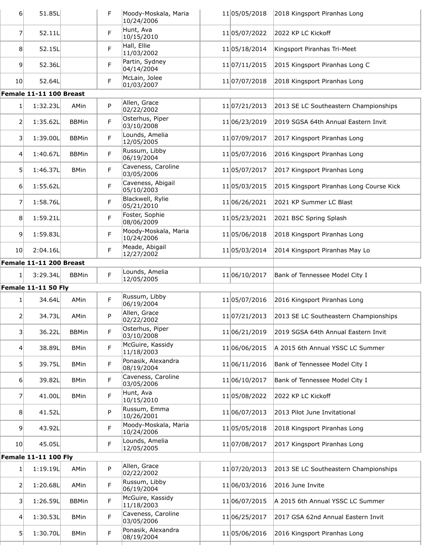| 6 <sup>1</sup>  | 51.85L                      |              | F  | Moody-Moskala, Maria<br>10/24/2006 | 11 05/05/2018 | 2018 Kingsport Piranhas Long             |
|-----------------|-----------------------------|--------------|----|------------------------------------|---------------|------------------------------------------|
| 7               | 52.11L                      |              | F  | Hunt, Ava<br>10/15/2010            | 11 05/07/2022 | 2022 KP LC Kickoff                       |
| 8 <sup>1</sup>  | 52.15L                      |              | F  | Hall, Ellie<br>11/03/2002          | 11 05/18/2014 | Kingsport Piranhas Tri-Meet              |
| $\overline{9}$  | 52.36L                      |              | F  | Partin, Sydney<br>04/14/2004       | 11 07/11/2015 | 2015 Kingsport Piranhas Long C           |
| 10 <sub>l</sub> | 52.64L                      |              | F  | McLain, Jolee<br>01/03/2007        | 11 07/07/2018 | 2018 Kingsport Piranhas Long             |
|                 | Female 11-11 100 Breast     |              |    |                                    |               |                                          |
| 1               | 1:32.23L                    | AMin         | P  | Allen, Grace<br>02/22/2002         | 11 07/21/2013 | 2013 SE LC Southeastern Championships    |
| 2               | 1:35.62L                    | <b>BBMin</b> | F  | Osterhus, Piper<br>03/10/2008      | 11 06/23/2019 | 2019 SGSA 64th Annual Eastern Invit      |
| $\vert$ 3       | 1:39.00L                    | <b>BBMin</b> | F  | Lounds, Amelia<br>12/05/2005       | 11 07/09/2017 | 2017 Kingsport Piranhas Long             |
| 4 <sup>1</sup>  | 1:40.67L                    | <b>BBMin</b> | F  | Russum, Libby<br>06/19/2004        | 11 05/07/2016 | 2016 Kingsport Piranhas Long             |
| 5 <sup>1</sup>  | 1:46.37L                    | <b>BMin</b>  | F  | Caveness, Caroline<br>03/05/2006   | 11 05/07/2017 | 2017 Kingsport Piranhas Long             |
| $6 \mid$        | 1:55.62L                    |              | F  | Caveness, Abigail<br>05/10/2003    | 11 05/03/2015 | 2015 Kingsport Piranhas Long Course Kick |
| 7               | 1:58.76L                    |              | F  | Blackwell, Rylie<br>05/21/2010     | 11 06/26/2021 | 2021 KP Summer LC Blast                  |
| 8               | 1:59.21L                    |              | F  | Foster, Sophie<br>08/06/2009       | 11 05/23/2021 | 2021 BSC Spring Splash                   |
| $\vert 9 \vert$ | 1:59.83L                    |              | F. | Moody-Moskala, Maria<br>10/24/2006 | 11 05/06/2018 | 2018 Kingsport Piranhas Long             |
| 10 <sup>1</sup> | 2:04.16L                    |              | F  | Meade, Abigail<br>12/27/2002       | 11 05/03/2014 | 2014 Kingsport Piranhas May Lo           |
|                 | Female 11-11 200 Breast     |              |    |                                    |               |                                          |
| $\mathbf{1}$    | 3:29.34L                    | <b>BBMin</b> | F  | Lounds, Amelia<br>12/05/2005       | 11 06/10/2017 | Bank of Tennessee Model City I           |
|                 | <b>Female 11-11 50 Fly</b>  |              |    |                                    |               |                                          |
| 1               | 34.64L                      | AMin         | F  | Russum, Libby<br>06/19/2004        | 11 05/07/2016 | 2016 Kingsport Piranhas Long             |
| 2               | 34.73L                      | AMin         | P  | Allen, Grace<br>02/22/2002         | 11 07/21/2013 | 2013 SE LC Southeastern Championships    |
| $\vert$ 3       | 36.22L                      | <b>BBMin</b> | F  | Osterhus, Piper<br>03/10/2008      | 11 06/21/2019 | 2019 SGSA 64th Annual Eastern Invit      |
|                 |                             |              |    | McGuire, Kassidy                   |               |                                          |
| 4               | 38.89L                      | <b>BMin</b>  | F  | 11/18/2003                         | 11 06/06/2015 | A 2015 6th Annual YSSC LC Summer         |
| 5               | 39.75L                      | <b>BMin</b>  | F  | Ponasik, Alexandra<br>08/19/2004   | 11 06/11/2016 | Bank of Tennessee Model City I           |
| $6 \mid$        | 39.82L                      | <b>BMin</b>  | F  | Caveness, Caroline<br>03/05/2006   | 11 06/10/2017 | Bank of Tennessee Model City I           |
| 7               | 41.00L                      | <b>BMin</b>  | F  | Hunt, Ava<br>10/15/2010            | 11 05/08/2022 | 2022 KP LC Kickoff                       |
| 8               | 41.52L                      |              | P  | Russum, Emma<br>10/26/2001         | 11 06/07/2013 | 2013 Pilot June Invitational             |
| $\vert 9 \vert$ | 43.92L                      |              | F  | Moody-Moskala, Maria<br>10/24/2006 | 11 05/05/2018 | 2018 Kingsport Piranhas Long             |
| 10 <sub>l</sub> | 45.05L                      |              | F  | Lounds, Amelia<br>12/05/2005       | 11 07/08/2017 | 2017 Kingsport Piranhas Long             |
|                 | <b>Female 11-11 100 Fly</b> |              |    |                                    |               |                                          |
| $\mathbf{1}$    | 1:19.19L                    | AMin         | P  | Allen, Grace<br>02/22/2002         | 11 07/20/2013 | 2013 SE LC Southeastern Championships    |
| 2               | 1:20.68L                    | AMin         | F  | Russum, Libby<br>06/19/2004        | 11 06/03/2016 | 2016 June Invite                         |
| 3               | 1:26.59L                    | <b>BBMin</b> | F  | McGuire, Kassidy<br>11/18/2003     | 11 06/07/2015 | A 2015 6th Annual YSSC LC Summer         |
| 4               | 1:30.53L                    | <b>BMin</b>  | F  | Caveness, Caroline<br>03/05/2006   | 11 06/25/2017 | 2017 GSA 62nd Annual Eastern Invit       |
| 5 <sup>1</sup>  | 1:30.70L                    | <b>BMin</b>  | F  | Ponasik, Alexandra<br>08/19/2004   | 11 05/06/2016 | 2016 Kingsport Piranhas Long             |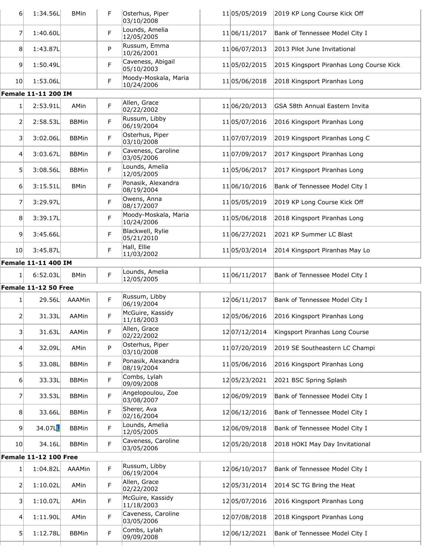| $6 \mid$         | 1:34.56L                   | <b>BMin</b>  | F           | Osterhus, Piper<br>03/10/2008      | 11 05/05/2019 | 2019 KP Long Course Kick Off             |
|------------------|----------------------------|--------------|-------------|------------------------------------|---------------|------------------------------------------|
| 7                | 1:40.60L                   |              | F           | Lounds, Amelia<br>12/05/2005       | 11 06/11/2017 | Bank of Tennessee Model City I           |
| 8 <sup>1</sup>   | 1:43.87L                   |              | P           | Russum, Emma<br>10/26/2001         | 11 06/07/2013 | 2013 Pilot June Invitational             |
| $\vert 9 \vert$  | 1:50.49L                   |              | F           | Caveness, Abigail<br>05/10/2003    | 11 05/02/2015 | 2015 Kingsport Piranhas Long Course Kick |
| 10 <sup>1</sup>  | 1:53.06L                   |              | F           | Moody-Moskala, Maria<br>10/24/2006 | 11 05/06/2018 | 2018 Kingsport Piranhas Long             |
|                  | <b>Female 11-11 200 IM</b> |              |             |                                    |               |                                          |
| 1 <sup>1</sup>   | 2:53.91L                   | AMin         | F           | Allen, Grace<br>02/22/2002         | 11 06/20/2013 | GSA 58th Annual Eastern Invita           |
| 2                | 2:58.53L                   | <b>BBMin</b> | F           | Russum, Libby<br>06/19/2004        | 11 05/07/2016 | 2016 Kingsport Piranhas Long             |
| 31               | 3:02.06L                   | <b>BBMin</b> | F           | Osterhus, Piper<br>03/10/2008      | 11 07/07/2019 | 2019 Kingsport Piranhas Long C           |
| $\left 4\right $ | 3:03.67L                   | <b>BBMin</b> | F           | Caveness, Caroline<br>03/05/2006   | 11 07/09/2017 | 2017 Kingsport Piranhas Long             |
| 51               | 3:08.56L                   | <b>BBMin</b> | F           | Lounds, Amelia<br>12/05/2005       | 11 05/06/2017 | 2017 Kingsport Piranhas Long             |
| $6 \mid$         | 3:15.51L                   | <b>BMin</b>  | F           | Ponasik, Alexandra<br>08/19/2004   | 11 06/10/2016 | Bank of Tennessee Model City I           |
| 7                | 3:29.97L                   |              | F           | Owens, Anna<br>08/17/2007          | 11 05/05/2019 | 2019 KP Long Course Kick Off             |
| 8                | 3:39.17L                   |              | F           | Moody-Moskala, Maria<br>10/24/2006 | 11 05/06/2018 | 2018 Kingsport Piranhas Long             |
| 9 <sup>1</sup>   | 3:45.66L                   |              | F           | Blackwell, Rylie<br>05/21/2010     | 11 06/27/2021 | 2021 KP Summer LC Blast                  |
| 10 <sup>1</sup>  | 3:45.87L                   |              | F           | Hall, Ellie<br>11/03/2002          | 11 05/03/2014 | 2014 Kingsport Piranhas May Lo           |
|                  | <b>Female 11-11 400 IM</b> |              |             |                                    |               |                                          |
|                  | 6:52.03L                   | <b>BMin</b>  | F           | Lounds, Amelia<br>12/05/2005       | 11 06/11/2017 | Bank of Tennessee Model City I           |
|                  | Female 11-12 50 Free       |              |             |                                    |               |                                          |
| 11               | 29.56L                     | AAAMin       | F           | Russum, Libby<br>06/19/2004        | 12 06/11/2017 | Bank of Tennessee Model City I           |
| 2                | 31.33L                     | AAMin        | F           | McGuire, Kassidy<br>11/18/2003     | 12 05/06/2016 | 2016 Kingsport Piranhas Long             |
| 31               | 31.63L                     | AAMin        | F           | Allen, Grace<br>02/22/2002         | 12 07/12/2014 | Kingsport Piranhas Long Course           |
| 41               | 32.09L                     | AMin         | P           | Osterhus, Piper<br>03/10/2008      | 11 07/20/2019 | 2019 SE Southeastern LC Champi           |
| 5                | 33.08L                     | <b>BBMin</b> | F           | Ponasik, Alexandra<br>08/19/2004   | 11 05/06/2016 | 2016 Kingsport Piranhas Long             |
| 6 <sup>1</sup>   | 33.33L                     | <b>BBMin</b> | F           | Combs, Lylah<br>09/09/2008         | 12 05/23/2021 | 2021 BSC Spring Splash                   |
| 7                | 33.53L                     | <b>BBMin</b> | F           | Angelopoulou, Zoe<br>03/08/2007    | 12 06/09/2019 | Bank of Tennessee Model City I           |
| 8 <sup>1</sup>   | 33.66L                     | <b>BBMin</b> | F           | Sherer, Ava<br>02/16/2004          | 12 06/12/2016 | Bank of Tennessee Model City I           |
| 9                | 34.07L                     | <b>BBMin</b> | F           | Lounds, Amelia<br>12/05/2005       | 12 06/09/2018 | Bank of Tennessee Model City I           |
| 10 <sup>1</sup>  | 34.16L                     | <b>BBMin</b> | $\mathsf F$ | Caveness, Caroline<br>03/05/2006   | 12 05/20/2018 | 2018 HOKI May Day Invitational           |
|                  | Female 11-12 100 Free      |              |             |                                    |               |                                          |
| 1 <sup>1</sup>   | 1:04.82L                   | AAAMin       | F           | Russum, Libby<br>06/19/2004        | 12 06/10/2017 | Bank of Tennessee Model City I           |
| 2                | 1:10.02L                   | AMin         | F           | Allen, Grace<br>02/22/2002         | 12 05/31/2014 | 2014 SC TG Bring the Heat                |
| 31               | 1:10.07L                   | AMin         | F           | McGuire, Kassidy<br>11/18/2003     | 12 05/07/2016 | 2016 Kingsport Piranhas Long             |
| 4                | 1:11.90L                   | AMin         | F           | Caveness, Caroline<br>03/05/2006   | 12 07/08/2018 | 2018 Kingsport Piranhas Long             |
| 51               | 1:12.78L                   | <b>BBMin</b> | F           | Combs, Lylah                       | 12 06/12/2021 | Bank of Tennessee Model City I           |
|                  |                            |              |             | 09/09/2008                         |               |                                          |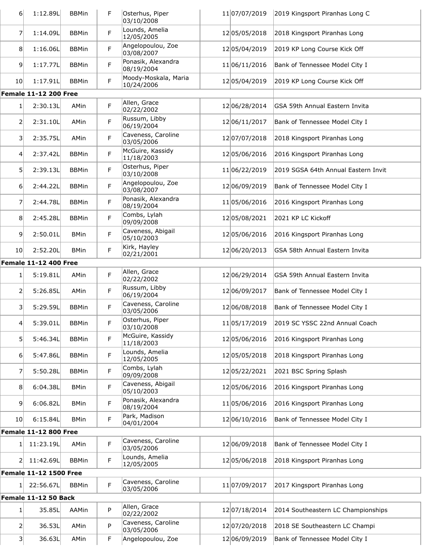| $6 \mid$         | 1:12.89L                      | <b>BBMin</b> | F           | Osterhus, Piper<br>03/10/2008      | 11 07/07/2019     | 2019 Kingsport Piranhas Long C              |
|------------------|-------------------------------|--------------|-------------|------------------------------------|-------------------|---------------------------------------------|
| 7                | 1:14.09L                      | <b>BBMin</b> | F           | Lounds, Amelia<br>12/05/2005       | 12 05/05/2018     | 2018 Kingsport Piranhas Long                |
| 8 <sup>1</sup>   | 1:16.06L                      | <b>BBMin</b> | F           | Angelopoulou, Zoe<br>03/08/2007    | 12 05/04/2019     | 2019 KP Long Course Kick Off                |
| 9                | 1:17.77L                      | <b>BBMin</b> | F           | Ponasik, Alexandra<br>08/19/2004   | 11 06/11/2016     | Bank of Tennessee Model City I              |
| 10               | 1:17.91L                      | <b>BBMin</b> | F           | Moody-Moskala, Maria<br>10/24/2006 | 12 05/04/2019     | 2019 KP Long Course Kick Off                |
|                  | <b>Female 11-12 200 Free</b>  |              |             |                                    |                   |                                             |
| 1                | 2:30.13L                      | AMin         | F           | Allen, Grace<br>02/22/2002         | 12 06/28/2014     | GSA 59th Annual Eastern Invita              |
| $\overline{2}$   | 2:31.10L                      | AMin         | F           | Russum, Libby<br>06/19/2004        | 12 06/11/2017     | Bank of Tennessee Model City I              |
| 3 <sup>1</sup>   | 2:35.75L                      | AMin         | F           | Caveness, Caroline<br>03/05/2006   | 12 07/07/2018     | 2018 Kingsport Piranhas Long                |
| $\left 4\right $ | 2:37.42L                      | <b>BBMin</b> | F           | McGuire, Kassidy<br>11/18/2003     | 12 05/06/2016     | 2016 Kingsport Piranhas Long                |
| 5                | 2:39.13L                      | <b>BBMin</b> | F           | Osterhus, Piper<br>03/10/2008      | 11 06/22/2019     | 2019 SGSA 64th Annual Eastern Invit         |
| 6                | 2:44.22L                      | <b>BBMin</b> | $\mathsf F$ | Angelopoulou, Zoe<br>03/08/2007    | 12 06/09/2019     | Bank of Tennessee Model City I              |
| 7                | 2:44.78L                      | <b>BBMin</b> | F           | Ponasik, Alexandra<br>08/19/2004   | 11 05/06/2016     | 2016 Kingsport Piranhas Long                |
| 8 <sup>1</sup>   | 2:45.28L                      | <b>BBMin</b> | F           | Combs, Lylah<br>09/09/2008         | 12 05/08/2021     | 2021 KP LC Kickoff                          |
| $\vert 9 \vert$  | 2:50.01L                      | <b>BMin</b>  | F           | Caveness, Abigail<br>05/10/2003    | 12 05/06/2016     | 2016 Kingsport Piranhas Long                |
| 10               | 2:52.20L                      | <b>BMin</b>  | F           | Kirk, Hayley<br>02/21/2001         | 12 06/20/2013     | GSA 58th Annual Eastern Invita              |
|                  | <b>Female 11-12 400 Free</b>  |              |             |                                    |                   |                                             |
| 1                | 5:19.81L                      | AMin         | F           | Allen, Grace<br>02/22/2002         | 12 06/29/2014     | GSA 59th Annual Eastern Invita              |
| 2                | 5:26.85L                      | AMin         | F           | Russum, Libby<br>06/19/2004        | 12 06/09/2017     | Bank of Tennessee Model City I              |
| $\vert$ 3        | 5:29.59L                      | <b>BBMin</b> | F           | Caveness, Caroline<br>03/05/2006   | 12 06/08/2018     | Bank of Tennessee Model City I              |
| 41               | 5:39.01L                      | <b>BBMin</b> | F           | Osterhus, Piper<br>03/10/2008      |                   | 1105/17/2019 2019 SC YSSC 22nd Annual Coach |
| 5                | 5:46.34L                      | <b>BBMin</b> | F           | McGuire, Kassidy<br>11/18/2003     | 1205/06/2016      | 2016 Kingsport Piranhas Long                |
| 6                | 5:47.86L                      | <b>BBMin</b> | F           | Lounds, Amelia<br>12/05/2005       | 12 05/05/2018     | 2018 Kingsport Piranhas Long                |
| 7                | 5:50.28L                      | <b>BBMin</b> | $\mathsf F$ | Combs, Lylah<br>09/09/2008         | 12 05 / 22 / 2021 | 2021 BSC Spring Splash                      |
| 8 <sup>2</sup>   | 6:04.38L                      | <b>BMin</b>  | F           | Caveness, Abigail<br>05/10/2003    | 12 05/06/2016     | 2016 Kingsport Piranhas Long                |
| 9                | 6:06.82L                      | <b>BMin</b>  | F           | Ponasik, Alexandra<br>08/19/2004   | 11 05/06/2016     | 2016 Kingsport Piranhas Long                |
| 10               | 6:15.84L                      | <b>BMin</b>  | F           | Park, Madison<br>04/01/2004        | 12 06/10/2016     | Bank of Tennessee Model City I              |
|                  | <b>Female 11-12 800 Free</b>  |              |             |                                    |                   |                                             |
| 1                | 11:23.19L                     | AMin         | F           | Caveness, Caroline<br>03/05/2006   | 12 06/09/2018     | Bank of Tennessee Model City I              |
| 2                | 11:42.69L                     | <b>BBMin</b> | F           | Lounds, Amelia<br>12/05/2005       | 12 05/06/2018     | 2018 Kingsport Piranhas Long                |
|                  | <b>Female 11-12 1500 Free</b> |              |             |                                    |                   |                                             |
| 1                | 22:56.67L                     | <b>BBMin</b> | F           | Caveness, Caroline<br>03/05/2006   | 11 07/09/2017     | 2017 Kingsport Piranhas Long                |
|                  | Female 11-12 50 Back          |              |             |                                    |                   |                                             |
| 1 <sup>1</sup>   | 35.85L                        | AAMin        | P           | Allen, Grace<br>02/22/2002         | 12 07/18/2014     | 2014 Southeastern LC Championships          |
| $\overline{2}$   | 36.53L                        | AMin         | P           | Caveness, Caroline<br>03/05/2006   | 12 07/20/2018     | 2018 SE Southeastern LC Champi              |
| 3                | 36.63L                        | AMin         | F           | Angelopoulou, Zoe                  | 12 06/09/2019     | Bank of Tennessee Model City I              |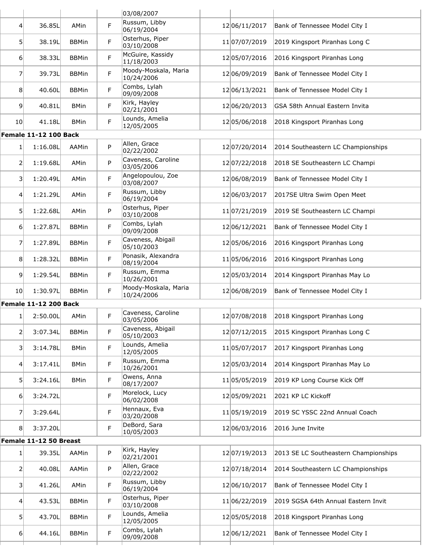|                  |                              |              |    | 03/08/2007                         |               |                                       |
|------------------|------------------------------|--------------|----|------------------------------------|---------------|---------------------------------------|
| 4                | 36.85L                       | AMin         | F  | Russum, Libby<br>06/19/2004        | 12 06/11/2017 | Bank of Tennessee Model City I        |
| 5 <sup>1</sup>   | 38.19L                       | <b>BBMin</b> | F  | Osterhus, Piper<br>03/10/2008      | 11 07/07/2019 | 2019 Kingsport Piranhas Long C        |
| 6                | 38.33L                       | <b>BBMin</b> | F  | McGuire, Kassidy<br>11/18/2003     | 12 05/07/2016 | 2016 Kingsport Piranhas Long          |
| 7                | 39.73L                       | <b>BBMin</b> | F  | Moody-Moskala, Maria<br>10/24/2006 | 12 06/09/2019 | Bank of Tennessee Model City I        |
| 8                | 40.60L                       | <b>BBMin</b> | F  | Combs, Lylah<br>09/09/2008         | 12 06/13/2021 | Bank of Tennessee Model City I        |
| $\overline{9}$   | 40.81L                       | <b>BMin</b>  | F  | Kirk, Hayley<br>02/21/2001         | 12 06/20/2013 | GSA 58th Annual Eastern Invita        |
| 10 <sup>1</sup>  | 41.18L                       | <b>BMin</b>  | F  | Lounds, Amelia<br>12/05/2005       | 12 05/06/2018 | 2018 Kingsport Piranhas Long          |
|                  | <b>Female 11-12 100 Back</b> |              |    |                                    |               |                                       |
| 1                | 1:16.08L                     | AAMin        | P  | Allen, Grace<br>02/22/2002         | 12 07/20/2014 | 2014 Southeastern LC Championships    |
| $\overline{2}$   | 1:19.68L                     | AMin         | P  | Caveness, Caroline<br>03/05/2006   | 12 07/22/2018 | 2018 SE Southeastern LC Champi        |
| $\overline{3}$   | 1:20.49L                     | AMin         | F  | Angelopoulou, Zoe<br>03/08/2007    | 12 06/08/2019 | Bank of Tennessee Model City I        |
| 4                | 1:21.29L                     | AMin         | F  | Russum, Libby<br>06/19/2004        | 12 06/03/2017 | 2017SE Ultra Swim Open Meet           |
| 5                | 1:22.68L                     | AMin         | P  | Osterhus, Piper<br>03/10/2008      | 11 07/21/2019 | 2019 SE Southeastern LC Champi        |
| 6                | 1:27.87L                     | <b>BBMin</b> | F  | Combs, Lylah<br>09/09/2008         | 12 06/12/2021 | Bank of Tennessee Model City I        |
| 7                | 1:27.89L                     | <b>BBMin</b> | F  | Caveness, Abigail<br>05/10/2003    | 12 05/06/2016 | 2016 Kingsport Piranhas Long          |
| 8                | 1:28.32L                     | <b>BBMin</b> | F. | Ponasik, Alexandra<br>08/19/2004   | 11 05/06/2016 | 2016 Kingsport Piranhas Long          |
| 9                | 1:29.54L                     | <b>BBMin</b> | F  | Russum, Emma<br>10/26/2001         | 1205/03/2014  | 2014 Kingsport Piranhas May Lo        |
| 10 <sup>1</sup>  | 1:30.97L                     | <b>BBMin</b> | F  | Moody-Moskala, Maria<br>10/24/2006 | 12 06/08/2019 | Bank of Tennessee Model City I        |
|                  | <b>Female 11-12 200 Back</b> |              |    |                                    |               |                                       |
| 1                | 2:50.00L                     | AMin         | F  | Caveness, Caroline<br>03/05/2006   | 1207/08/2018  | 2018 Kingsport Piranhas Long          |
| $\overline{2}$   | 3:07.34L                     | <b>BBMin</b> | F  | Caveness, Abigail<br>05/10/2003    | 12 07/12/2015 | 2015 Kingsport Piranhas Long C        |
| 3 <sup>1</sup>   | 3:14.78L                     | <b>BMin</b>  | F. | Lounds, Amelia<br>12/05/2005       | 11 05/07/2017 | 2017 Kingsport Piranhas Long          |
| $\left 4\right $ | 3:17.41L                     | <b>BMin</b>  | F  | Russum, Emma<br>10/26/2001         | 1205/03/2014  | 2014 Kingsport Piranhas May Lo        |
| 5                | 3:24.16L                     | <b>BMin</b>  | F. | Owens, Anna<br>08/17/2007          | 1105/05/2019  | 2019 KP Long Course Kick Off          |
| $6 \mid$         | 3:24.72L                     |              | F  | Morelock, Lucy<br>06/02/2008       | 12 05/09/2021 | 2021 KP LC Kickoff                    |
| $\overline{7}$   | 3:29.64L                     |              | F  | Hennaux, Eva<br>03/20/2008         | 1105/19/2019  | 2019 SC YSSC 22nd Annual Coach        |
| 8 <sup>1</sup>   | 3:37.20L                     |              | F  | DeBord, Sara<br>10/05/2003         | 12 06/03/2016 | 2016 June Invite                      |
|                  | Female 11-12 50 Breast       |              |    |                                    |               |                                       |
| $1\vert$         | 39.35L                       | AAMin        | P  | Kirk, Hayley<br>02/21/2001         | 12 07/19/2013 | 2013 SE LC Southeastern Championships |
| $\overline{2}$   | 40.08L                       | AAMin        | P  | Allen, Grace<br>02/22/2002         | 12 07/18/2014 | 2014 Southeastern LC Championships    |
| $\overline{3}$   | 41.26L                       | AMin         | F. | Russum, Libby<br>06/19/2004        | 12 06/10/2017 | Bank of Tennessee Model City I        |
| $\left 4\right $ | 43.53L                       | <b>BBMin</b> | F  | Osterhus, Piper<br>03/10/2008      | 11 06/22/2019 | 2019 SGSA 64th Annual Eastern Invit   |
| 5 <sup>1</sup>   | 43.70L                       | <b>BBMin</b> | F. | Lounds, Amelia<br>12/05/2005       | 12 05/05/2018 | 2018 Kingsport Piranhas Long          |
| 6 <sup>1</sup>   | 44.16L                       | <b>BBMin</b> | F. | Combs, Lylah<br>09/09/2008         | 12 06/12/2021 | Bank of Tennessee Model City I        |
|                  |                              |              |    |                                    |               |                                       |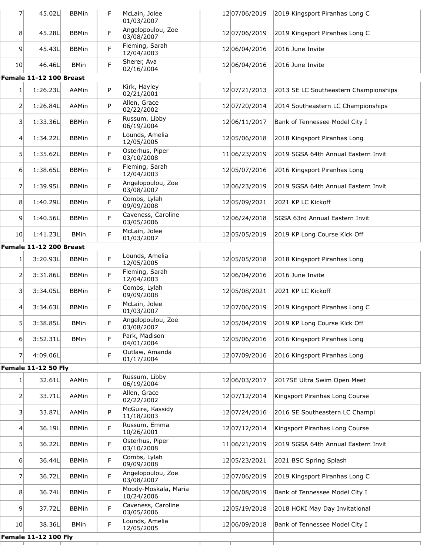| $\overline{7}$   | 45.02L                      | <b>BBMin</b> | F  | McLain, Jolee<br>01/03/2007        | 12 07/06/2019     | 2019 Kingsport Piranhas Long C        |
|------------------|-----------------------------|--------------|----|------------------------------------|-------------------|---------------------------------------|
| 8                | 45.28L                      | <b>BBMin</b> | F  | Angelopoulou, Zoe<br>03/08/2007    | 12 07/06/2019     | 2019 Kingsport Piranhas Long C        |
| $\overline{9}$   | 45.43L                      | <b>BBMin</b> | F  | Fleming, Sarah<br>12/04/2003       | 12 06/04/2016     | 2016 June Invite                      |
| 10               | 46.46L                      | <b>BMin</b>  | F  | Sherer, Ava<br>02/16/2004          | 12 06/04/2016     | 2016 June Invite                      |
|                  | Female 11-12 100 Breast     |              |    |                                    |                   |                                       |
| 1                | 1:26.23L                    | AAMin        | P  | Kirk, Hayley<br>02/21/2001         | 12 07/21/2013     | 2013 SE LC Southeastern Championships |
| 2                | 1:26.84L                    | AAMin        | P  | Allen, Grace<br>02/22/2002         | 12 07/20/2014     | 2014 Southeastern LC Championships    |
| 3                | 1:33.36L                    | <b>BBMin</b> | F  | Russum, Libby<br>06/19/2004        | 12 06/11/2017     | Bank of Tennessee Model City I        |
| $\left 4\right $ | 1:34.22L                    | <b>BBMin</b> | F  | Lounds, Amelia<br>12/05/2005       | 12 05/06/2018     | 2018 Kingsport Piranhas Long          |
| 5 <sup>1</sup>   | 1:35.62L                    | <b>BBMin</b> | F  | Osterhus, Piper<br>03/10/2008      | 11 06/23/2019     | 2019 SGSA 64th Annual Eastern Invit   |
| $6 \mid$         | 1:38.65L                    | <b>BBMin</b> | F  | Fleming, Sarah<br>12/04/2003       | 12 05/07/2016     | 2016 Kingsport Piranhas Long          |
| 7                | 1:39.95L                    | <b>BBMin</b> | F  | Angelopoulou, Zoe<br>03/08/2007    | 12 06/23/2019     | 2019 SGSA 64th Annual Eastern Invit   |
| 8                | 1:40.29L                    | <b>BBMin</b> | F  | Combs, Lylah<br>09/09/2008         | 12 05/09/2021     | 2021 KP LC Kickoff                    |
| 9                | 1:40.56L                    | <b>BBMin</b> | F  | Caveness, Caroline<br>03/05/2006   | 12 06/24/2018     | SGSA 63rd Annual Eastern Invit        |
| 10 <sup>1</sup>  | 1:41.23L                    | <b>BMin</b>  | F  | McLain, Jolee<br>01/03/2007        | 12 05/05/2019     | 2019 KP Long Course Kick Off          |
|                  | Female 11-12 200 Breast     |              |    |                                    |                   |                                       |
| $\mathbf{1}$     | 3:20.93L                    | <b>BBMin</b> | F. | Lounds, Amelia<br>12/05/2005       | 12 05/05/2018     | 2018 Kingsport Piranhas Long          |
| 2                | 3:31.86L                    | <b>BBMin</b> | F  | Fleming, Sarah<br>12/04/2003       | 12 06/04/2016     | 2016 June Invite                      |
| 3                | 3:34.05L                    | <b>BBMin</b> | F  | Combs, Lylah<br>09/09/2008         | 1205/08/2021      | 2021 KP LC Kickoff                    |
| $\overline{4}$   | 3:34.63L                    | <b>BBMin</b> | F  | McLain, Jolee<br>01/03/2007        | 12 07/06/2019     | 2019 Kingsport Piranhas Long C        |
| 5 <sup>2</sup>   | 3:38.85L                    | <b>BMin</b>  | F  | Angelopoulou, Zoe<br>03/08/2007    | 1205/04/2019      | 2019 KP Long Course Kick Off          |
| 6 <sup>1</sup>   | 3:52.31L                    | <b>BMin</b>  | F. | Park, Madison<br>04/01/2004        | 1205/06/2016      | 2016 Kingsport Piranhas Long          |
| $\overline{7}$   | 4:09.06L                    |              | F  | Outlaw, Amanda<br>01/17/2004       | 12 07/09/2016     | 2016 Kingsport Piranhas Long          |
|                  | <b>Female 11-12 50 Fly</b>  |              |    |                                    |                   |                                       |
| $\mathbf{1}$     | 32.61L                      | AAMin        | F  | Russum, Libby<br>06/19/2004        | 12 06/03/2017     | 2017SE Ultra Swim Open Meet           |
| $\overline{2}$   | 33.71L                      | AAMin        | F  | Allen, Grace<br>02/22/2002         | 12 07/12/2014     | Kingsport Piranhas Long Course        |
| $\overline{3}$   | 33.87L                      | AAMin        | P  | McGuire, Kassidy<br>11/18/2003     | 12 07/24/2016     | 2016 SE Southeastern LC Champi        |
| $\vert 4 \vert$  | 36.19L                      | <b>BBMin</b> | F  | Russum, Emma<br>10/26/2001         | 12 07/12/2014     | Kingsport Piranhas Long Course        |
| 5 <sup>1</sup>   | 36.22L                      | <b>BBMin</b> | F  | Osterhus, Piper<br>03/10/2008      | 11 06/21/2019     | 2019 SGSA 64th Annual Eastern Invit   |
| $6 \mid$         | 36.44L                      | <b>BBMin</b> | F. | Combs, Lylah<br>09/09/2008         | 12 05 / 23 / 2021 | 2021 BSC Spring Splash                |
| 7                | 36.72L                      | <b>BBMin</b> | F  | Angelopoulou, Zoe<br>03/08/2007    | 12 07/06/2019     | 2019 Kingsport Piranhas Long C        |
| 8                | 36.74L                      | <b>BBMin</b> | F  | Moody-Moskala, Maria<br>10/24/2006 | 12 06/08/2019     | Bank of Tennessee Model City I        |
| $\overline{9}$   | 37.72L                      | <b>BBMin</b> | F. | Caveness, Caroline<br>03/05/2006   | 12 05 / 19 / 2018 | 2018 HOKI May Day Invitational        |
| 10 <sup>1</sup>  | 38.36L                      | <b>BMin</b>  | F  | Lounds, Amelia<br>12/05/2005       | 12 06/09/2018     | Bank of Tennessee Model City I        |
|                  | <b>Female 11-12 100 Fly</b> |              |    |                                    |                   |                                       |
|                  |                             |              |    |                                    |                   |                                       |
|                  |                             |              |    |                                    |                   |                                       |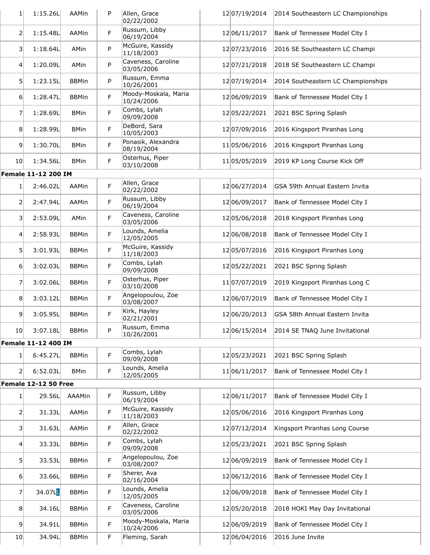| 1               | 1:15.26L                   | AAMin        | P | Allen, Grace<br>02/22/2002         | 12 07/19/2014     | 2014 Southeastern LC Championships |
|-----------------|----------------------------|--------------|---|------------------------------------|-------------------|------------------------------------|
| $\overline{2}$  | 1:15.48L                   | <b>AAMin</b> | F | Russum, Libby<br>06/19/2004        | 12 06/11/2017     | Bank of Tennessee Model City I     |
| 3               | 1:18.64L                   | AMin         | P | McGuire, Kassidy<br>11/18/2003     | 12 07/23/2016     | 2016 SE Southeastern LC Champi     |
| $\overline{4}$  | 1:20.09L                   | AMin         | P | Caveness, Caroline<br>03/05/2006   | 12 07/21/2018     | 2018 SE Southeastern LC Champi     |
| 5               | 1:23.15L                   | <b>BBMin</b> | P | Russum, Emma<br>10/26/2001         | 12 07/19/2014     | 2014 Southeastern LC Championships |
| 6               | 1:28.47L                   | <b>BBMin</b> | F | Moody-Moskala, Maria<br>10/24/2006 | 12 06/09/2019     | Bank of Tennessee Model City I     |
| $\overline{7}$  | 1:28.69L                   | <b>BMin</b>  | F | Combs, Lylah<br>09/09/2008         | 12 05 / 22 / 2021 | 2021 BSC Spring Splash             |
| 8 <sup>1</sup>  | 1:28.99L                   | <b>BMin</b>  | F | DeBord, Sara<br>10/05/2003         | 12 07/09/2016     | 2016 Kingsport Piranhas Long       |
| 9               | 1:30.70L                   | <b>BMin</b>  | F | Ponasik, Alexandra<br>08/19/2004   | 11 05/06/2016     | 2016 Kingsport Piranhas Long       |
| 10 <sup>1</sup> | 1:34.56L                   | <b>BMin</b>  | F | Osterhus, Piper<br>03/10/2008      | 11 05/05/2019     | 2019 KP Long Course Kick Off       |
|                 | <b>Female 11-12 200 IM</b> |              |   |                                    |                   |                                    |
| 1               | 2:46.02L                   | AAMin        | F | Allen, Grace<br>02/22/2002         | 12 06/27/2014     | GSA 59th Annual Eastern Invita     |
| 2               | 2:47.94L                   | AAMin        | F | Russum, Libby<br>06/19/2004        | 12 06/09/2017     | Bank of Tennessee Model City I     |
| 3               | 2:53.09L                   | AMin         | F | Caveness, Caroline<br>03/05/2006   | 12 05/06/2018     | 2018 Kingsport Piranhas Long       |
| $\overline{4}$  | 2:58.93L                   | <b>BBMin</b> | F | Lounds, Amelia<br>12/05/2005       | 12 06/08/2018     | Bank of Tennessee Model City I     |
| 5 <sup>1</sup>  | 3:01.93L                   | <b>BBMin</b> | F | McGuire, Kassidy<br>11/18/2003     | 12 05/07/2016     | 2016 Kingsport Piranhas Long       |
| $6 \mid$        | 3:02.03L                   | <b>BBMin</b> | F | Combs, Lylah<br>09/09/2008         | 12 05/22/2021     | 2021 BSC Spring Splash             |
| 7               | 3:02.06L                   | <b>BBMin</b> | F | Osterhus, Piper<br>03/10/2008      | 11 07/07/2019     | 2019 Kingsport Piranhas Long C     |
| 8               | 3:03.12L                   | <b>BBMin</b> | F | Angelopoulou, Zoe<br>03/08/2007    | 12 06/07/2019     | Bank of Tennessee Model City I     |
| 9               | 3:05.95L                   | <b>BBMin</b> | F | Kirk, Hayley<br>02/21/2001         | 12 06/20/2013     | GSA 58th Annual Eastern Invita     |
| 10 <sup>1</sup> | 3:07.18L                   | <b>BBMin</b> | P | Russum, Emma<br>10/26/2001         | 12 06/15/2014     | 2014 SE TNAQ June Invitational     |
|                 | <b>Female 11-12 400 IM</b> |              |   |                                    |                   |                                    |
| 1               | 6:45.27L                   | <b>BBMin</b> | F | Combs, Lylah<br>09/09/2008         | 1205/23/2021      | 2021 BSC Spring Splash             |
| $\overline{2}$  | 6:52.03L                   | <b>BMin</b>  | F | Lounds, Amelia<br>12/05/2005       | 11 06/11/2017     | Bank of Tennessee Model City I     |
|                 | Female 12-12 50 Free       |              |   |                                    |                   |                                    |
| 1               | 29.56L                     | AAAMin       | F | Russum, Libby<br>06/19/2004        | 12 06/11/2017     | Bank of Tennessee Model City I     |
| 2               | 31.33L                     | AAMin        | F | McGuire, Kassidy<br>11/18/2003     | 12 05/06/2016     | 2016 Kingsport Piranhas Long       |
| 3               | 31.63L                     | AAMin        | F | Allen, Grace<br>02/22/2002         | 12 07/12/2014     | Kingsport Piranhas Long Course     |
| $\vert 4 \vert$ | 33.33L                     | <b>BBMin</b> | F | Combs, Lylah<br>09/09/2008         | 12 05 / 23 / 2021 | 2021 BSC Spring Splash             |
| 5 <sup>1</sup>  | 33.53L                     | <b>BBMin</b> | F | Angelopoulou, Zoe<br>03/08/2007    | 12 06/09/2019     | Bank of Tennessee Model City I     |
| 6               | 33.66L                     | <b>BBMin</b> | F | Sherer, Ava<br>02/16/2004          | 12 06/12/2016     | Bank of Tennessee Model City I     |
| $\overline{7}$  | 34.07L                     | <b>BBMin</b> | F | Lounds, Amelia<br>12/05/2005       | 12 06/09/2018     | Bank of Tennessee Model City I     |
| 8 <sup>1</sup>  | 34.16L                     | <b>BBMin</b> | F | Caveness, Caroline<br>03/05/2006   | 12 05/20/2018     | 2018 HOKI May Day Invitational     |
| 9               | 34.91L                     | <b>BBMin</b> | F | Moody-Moskala, Maria<br>10/24/2006 | 12 06/09/2019     | Bank of Tennessee Model City I     |
| 10              | 34.94L                     | <b>BBMin</b> | F | Fleming, Sarah                     | 1206/04/2016      | 2016 June Invite                   |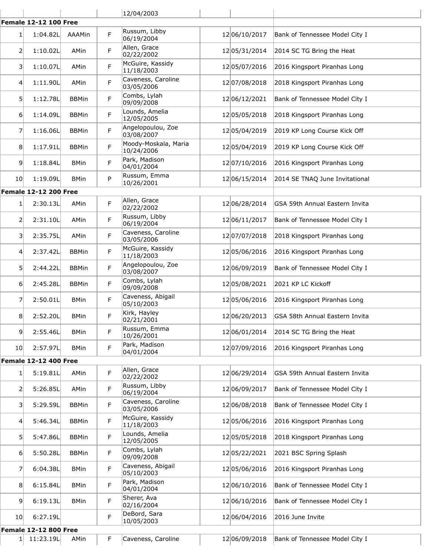|                  |                              |              |   | 12/04/2003                         |                   |                                |
|------------------|------------------------------|--------------|---|------------------------------------|-------------------|--------------------------------|
|                  | <b>Female 12-12 100 Free</b> |              |   |                                    |                   |                                |
| 1                | 1:04.82L                     | AAAMin       | F | Russum, Libby<br>06/19/2004        | 12 06/10/2017     | Bank of Tennessee Model City I |
| 2                | 1:10.02L                     | AMin         | F | Allen, Grace<br>02/22/2002         | 12 05 / 31 / 2014 | 2014 SC TG Bring the Heat      |
| $\vert$ 3        | 1:10.07L                     | AMin         | F | McGuire, Kassidy<br>11/18/2003     | 12 05/07/2016     | 2016 Kingsport Piranhas Long   |
| $\vert 4 \vert$  | 1:11.90L                     | AMin         | F | Caveness, Caroline<br>03/05/2006   | 12 07/08/2018     | 2018 Kingsport Piranhas Long   |
| 5 <sup>1</sup>   | 1:12.78L                     | <b>BBMin</b> | F | Combs, Lylah<br>09/09/2008         | 12 06/12/2021     | Bank of Tennessee Model City I |
| $6 \mid$         | 1:14.09L                     | <b>BBMin</b> | F | Lounds, Amelia<br>12/05/2005       | 12 05/05/2018     | 2018 Kingsport Piranhas Long   |
| 7                | 1:16.06L                     | <b>BBMin</b> | F | Angelopoulou, Zoe<br>03/08/2007    | 12 05/04/2019     | 2019 KP Long Course Kick Off   |
| 8                | 1:17.91L                     | <b>BBMin</b> | F | Moody-Moskala, Maria<br>10/24/2006 | 12 05/04/2019     | 2019 KP Long Course Kick Off   |
| $\overline{9}$   | 1:18.84L                     | <b>BMin</b>  | F | Park, Madison<br>04/01/2004        | 12 07/10/2016     | 2016 Kingsport Piranhas Long   |
| 10 <sup>1</sup>  | 1:19.09L                     | <b>BMin</b>  | P | Russum, Emma<br>10/26/2001         | 12 06/15/2014     | 2014 SE TNAQ June Invitational |
|                  | <b>Female 12-12 200 Free</b> |              |   |                                    |                   |                                |
| 1                | 2:30.13L                     | AMin         | F | Allen, Grace<br>02/22/2002         | 12 06/28/2014     | GSA 59th Annual Eastern Invita |
| 2                | 2:31.10L                     | AMin         | F | Russum, Libby<br>06/19/2004        | 12 06/11/2017     | Bank of Tennessee Model City I |
| $\overline{3}$   | 2:35.75L                     | AMin         | F | Caveness, Caroline<br>03/05/2006   | 12 07/07/2018     | 2018 Kingsport Piranhas Long   |
| $\left 4\right $ | 2:37.42L                     | <b>BBMin</b> | F | McGuire, Kassidy<br>11/18/2003     | 12 05/06/2016     | 2016 Kingsport Piranhas Long   |
| 5 <sup>1</sup>   | 2:44.22L                     | <b>BBMin</b> | F | Angelopoulou, Zoe<br>03/08/2007    | 12 06/09/2019     | Bank of Tennessee Model City I |
| $6 \mid$         | 2:45.28L                     | <b>BBMin</b> | F | Combs, Lylah<br>09/09/2008         | 1205/08/2021      | 2021 KP LC Kickoff             |
| 7                | 2:50.01L                     | <b>BMin</b>  | F | Caveness, Abigail<br>05/10/2003    | 12 05/06/2016     | 2016 Kingsport Piranhas Long   |
| 8                | 2:52.20L                     | <b>BMin</b>  | F | Kirk, Hayley<br>02/21/2001         | 12 06/20/2013     | GSA 58th Annual Eastern Invita |
| $\overline{9}$   | 2:55.46L                     | <b>BMin</b>  | F | Russum, Emma<br>10/26/2001         | 12 06/01/2014     | 2014 SC TG Bring the Heat      |
| 10 <sup>1</sup>  | 2:57.97L                     | <b>BMin</b>  | F | Park, Madison<br>04/01/2004        | 12 07/09/2016     | 2016 Kingsport Piranhas Long   |
|                  | <b>Female 12-12 400 Free</b> |              |   |                                    |                   |                                |
| $\mathbf{1}$     | 5:19.81L                     | AMin         | F | Allen, Grace<br>02/22/2002         | 12 06/29/2014     | GSA 59th Annual Eastern Invita |
| 2                | 5:26.85L                     | AMin         | F | Russum, Libby<br>06/19/2004        | 12 06/09/2017     | Bank of Tennessee Model City I |
| 3                | 5:29.59L                     | <b>BBMin</b> | F | Caveness, Caroline<br>03/05/2006   | 12 06/08/2018     | Bank of Tennessee Model City I |
| $\left 4\right $ | 5:46.34L                     | <b>BBMin</b> | F | McGuire, Kassidy<br>11/18/2003     | 12 05/06/2016     | 2016 Kingsport Piranhas Long   |
| 5 <sup>1</sup>   | 5:47.86L                     | <b>BBMin</b> | F | Lounds, Amelia<br>12/05/2005       | 12 05/05/2018     | 2018 Kingsport Piranhas Long   |
| 6 <sup>1</sup>   | 5:50.28L                     | <b>BBMin</b> | F | Combs, Lylah<br>09/09/2008         | 12 05/22/2021     | 2021 BSC Spring Splash         |
| $\overline{7}$   | 6:04.38L                     | <b>BMin</b>  | F | Caveness, Abigail<br>05/10/2003    | 12 05/06/2016     | 2016 Kingsport Piranhas Long   |
| 8                | 6:15.84L                     | <b>BMin</b>  | F | Park, Madison<br>04/01/2004        | 12 06/10/2016     | Bank of Tennessee Model City I |
| $\overline{9}$   | 6:19.13L                     | <b>BMin</b>  | F | Sherer, Ava<br>02/16/2004          | 12 06/10/2016     | Bank of Tennessee Model City I |
| 10 <sup>1</sup>  | 6:27.19L                     |              | F | DeBord, Sara<br>10/05/2003         | 12 06/04/2016     | 2016 June Invite               |
|                  | <b>Female 12-12 800 Free</b> |              |   |                                    |                   |                                |
| $1\vert$         | 11:23.19L                    | AMin         | F | Caveness, Caroline                 | 1206/09/2018      | Bank of Tennessee Model City I |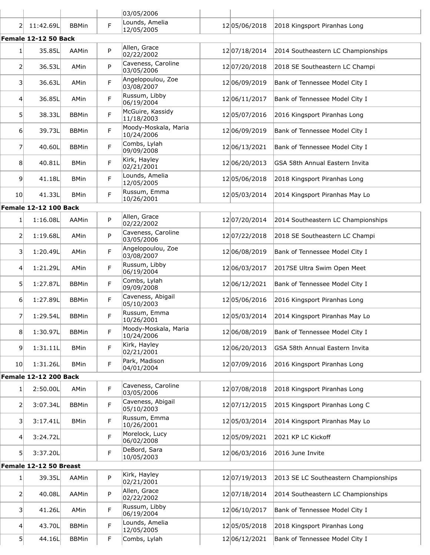|                   |                              |              |   | 03/05/2006                                         |                   |                                       |
|-------------------|------------------------------|--------------|---|----------------------------------------------------|-------------------|---------------------------------------|
| 2                 | 11:42.69L                    | <b>BBMin</b> | F | Lounds, Amelia<br>12/05/2005                       | 12 05/06/2018     | 2018 Kingsport Piranhas Long          |
|                   | Female 12-12 50 Back         |              |   |                                                    |                   |                                       |
| 1                 | 35.85L                       | AAMin        | P | Allen, Grace<br>02/22/2002                         | 12 07/18/2014     | 2014 Southeastern LC Championships    |
| 2                 | 36.53L                       | AMin         | P | Caveness, Caroline<br>03/05/2006                   | 12 07/20/2018     | 2018 SE Southeastern LC Champi        |
| 3 <sup>1</sup>    | 36.63L                       | AMin         | F | Angelopoulou, Zoe<br>03/08/2007                    | 12 06/09/2019     | Bank of Tennessee Model City I        |
| $\left 4\right $  | 36.85L                       | AMin         | F | Russum, Libby<br>06/19/2004                        | 12 06/11/2017     | Bank of Tennessee Model City I        |
| 51                | 38.33L                       | <b>BBMin</b> | F | McGuire, Kassidy<br>11/18/2003                     | 12 05/07/2016     | 2016 Kingsport Piranhas Long          |
| 6                 | 39.73L                       | <b>BBMin</b> | F | Moody-Moskala, Maria<br>10/24/2006                 | 12 06/09/2019     | Bank of Tennessee Model City I        |
| 7                 | 40.60L                       | <b>BBMin</b> | F | Combs, Lylah<br>09/09/2008                         | 12 06/13/2021     | Bank of Tennessee Model City I        |
| 8                 | 40.81L                       | <b>BMin</b>  | F | Kirk, Hayley<br>02/21/2001                         | 12 06/20/2013     | GSA 58th Annual Eastern Invita        |
| $\overline{9}$    | 41.18L                       | <b>BMin</b>  | F | Lounds, Amelia<br>12/05/2005                       | 12 05/06/2018     | 2018 Kingsport Piranhas Long          |
| 10 <sup>1</sup>   | 41.33L                       | <b>BMin</b>  | F | Russum, Emma<br>10/26/2001                         | 12 05 / 03 / 2014 | 2014 Kingsport Piranhas May Lo        |
|                   | <b>Female 12-12 100 Back</b> |              |   |                                                    |                   |                                       |
| 1                 | 1:16.08L                     | AAMin        | P | Allen, Grace<br>02/22/2002                         | 12 07/20/2014     | 2014 Southeastern LC Championships    |
| 2                 | 1:19.68L                     | AMin         | P | Caveness, Caroline<br>03/05/2006                   | 12 07/22/2018     | 2018 SE Southeastern LC Champi        |
| $\lvert 3 \rvert$ | 1:20.49L                     | AMin         | F | Angelopoulou, Zoe<br>03/08/2007                    | 12 06/08/2019     | Bank of Tennessee Model City I        |
| 4                 | 1:21.29L                     | AMin         | F | Russum, Libby<br>06/19/2004                        | 12 06/03/2017     | 2017SE Ultra Swim Open Meet           |
| 5 <sup>1</sup>    | 1:27.87L                     | <b>BBMin</b> | F | Combs, Lylah<br>09/09/2008                         | 12 06/12/2021     | Bank of Tennessee Model City I        |
| 6                 | 1:27.89L                     | <b>BBMin</b> | F | Caveness, Abigail<br>05/10/2003                    | 12 05/06/2016     | 2016 Kingsport Piranhas Long          |
| 7                 | 1:29.54L                     | <b>BBMin</b> | F | Russum, Emma<br>10/26/2001<br>Moody-Moskala, Maria | 12 05/03/2014     | 2014 Kingsport Piranhas May Lo        |
| 8                 | 1:30.97L                     | <b>BBMin</b> | F | 10/24/2006<br>Kirk, Hayley                         | 12 06/08/2019     | Bank of Tennessee Model City I        |
| 9 <sup>1</sup>    | 1:31.11L                     | <b>BMin</b>  | F | 02/21/2001<br>Park, Madison                        | 12 06/20/2013     | GSA 58th Annual Eastern Invita        |
| 10 <sub>l</sub>   | 1:31.26L                     | <b>BMin</b>  | F | 04/01/2004                                         | 12 07/09/2016     | 2016 Kingsport Piranhas Long          |
|                   | <b>Female 12-12 200 Back</b> |              |   |                                                    |                   |                                       |
| 1 <sup>1</sup>    | 2:50.00L                     | AMin         | F | Caveness, Caroline<br>03/05/2006                   | 12 07/08/2018     | 2018 Kingsport Piranhas Long          |
| 2                 | 3:07.34L                     | <b>BBMin</b> | F | Caveness, Abigail<br>05/10/2003                    | 12 07/12/2015     | 2015 Kingsport Piranhas Long C        |
| 3                 | 3:17.41L                     | <b>BMin</b>  | F | Russum, Emma<br>10/26/2001                         | 12 05/03/2014     | 2014 Kingsport Piranhas May Lo        |
| $\vert 4 \vert$   | 3:24.72L                     |              | F | Morelock, Lucy<br>06/02/2008                       | 12 05/09/2021     | 2021 KP LC Kickoff                    |
| 51                | 3:37.20L                     |              | F | DeBord, Sara<br>10/05/2003                         | 12 06/03/2016     | 2016 June Invite                      |
|                   | Female 12-12 50 Breast       |              |   |                                                    |                   |                                       |
| $1\vert$          | 39.35L                       | AAMin        | P | Kirk, Hayley<br>02/21/2001                         | 12 07/19/2013     | 2013 SE LC Southeastern Championships |
| $\overline{2}$    | 40.08L                       | AAMin        | P | Allen, Grace<br>02/22/2002                         | 12 07/18/2014     | 2014 Southeastern LC Championships    |
| 3 <sup>1</sup>    | 41.26L                       | AMin         | F | Russum, Libby<br>06/19/2004                        | 12 06/10/2017     | Bank of Tennessee Model City I        |
| $\left 4\right $  | 43.70L                       | <b>BBMin</b> | F | Lounds, Amelia<br>12/05/2005                       | 12 05/05/2018     | 2018 Kingsport Piranhas Long          |
| 51                | 44.16L                       | <b>BBMin</b> | F | Combs, Lylah                                       | 12 06/12/2021     | Bank of Tennessee Model City I        |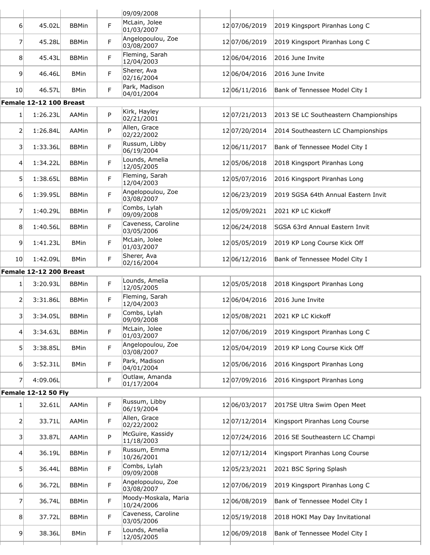|                 |                            |              |    | 09/09/2008                         |                   |                                       |
|-----------------|----------------------------|--------------|----|------------------------------------|-------------------|---------------------------------------|
| 6               | 45.02L                     | <b>BBMin</b> | F  | McLain, Jolee<br>01/03/2007        | 12 07/06/2019     | 2019 Kingsport Piranhas Long C        |
| 7               | 45.28L                     | <b>BBMin</b> | F. | Angelopoulou, Zoe<br>03/08/2007    | 12 07/06/2019     | 2019 Kingsport Piranhas Long C        |
| 8               | 45.43L                     | <b>BBMin</b> | F. | Fleming, Sarah<br>12/04/2003       | 12 06/04/2016     | 2016 June Invite                      |
| 9               | 46.46L                     | <b>BMin</b>  | F  | Sherer, Ava<br>02/16/2004          | 12 06/04/2016     | 2016 June Invite                      |
| 10 <sup>1</sup> | 46.57L                     | <b>BMin</b>  | F  | Park, Madison<br>04/01/2004        | 12 06/11/2016     | Bank of Tennessee Model City I        |
|                 | Female 12-12 100 Breast    |              |    |                                    |                   |                                       |
| 1               | 1:26.23L                   | <b>AAMin</b> | P  | Kirk, Hayley<br>02/21/2001         | 12 07/21/2013     | 2013 SE LC Southeastern Championships |
| 2               | 1:26.84L                   | AAMin        | P  | Allen, Grace<br>02/22/2002         | 12 07/20/2014     | 2014 Southeastern LC Championships    |
| 3               | 1:33.36L                   | <b>BBMin</b> | F  | Russum, Libby<br>06/19/2004        | 12 06/11/2017     | Bank of Tennessee Model City I        |
| $\vert 4 \vert$ | 1:34.22L                   | <b>BBMin</b> | F  | Lounds, Amelia<br>12/05/2005       | 12 05/06/2018     | 2018 Kingsport Piranhas Long          |
| 5               | 1:38.65L                   | <b>BBMin</b> | F. | Fleming, Sarah<br>12/04/2003       | 12 05/07/2016     | 2016 Kingsport Piranhas Long          |
| 6               | 1:39.95L                   | <b>BBMin</b> | F  | Angelopoulou, Zoe<br>03/08/2007    | 12 06/23/2019     | 2019 SGSA 64th Annual Eastern Invit   |
| 7               | 1:40.29L                   | <b>BBMin</b> | F  | Combs, Lylah<br>09/09/2008         | 1205/09/2021      | 2021 KP LC Kickoff                    |
| 8 <sup>1</sup>  | 1:40.56L                   | <b>BBMin</b> | F  | Caveness, Caroline<br>03/05/2006   | 12 06/24/2018     | SGSA 63rd Annual Eastern Invit        |
| $\vert 9 \vert$ | 1:41.23L                   | <b>BMin</b>  | F  | McLain, Jolee<br>01/03/2007        | 12 05/05/2019     | 2019 KP Long Course Kick Off          |
| 10 <sup>1</sup> | 1:42.09L                   | <b>BMin</b>  | F. | Sherer, Ava<br>02/16/2004          | 12 06/12/2016     | Bank of Tennessee Model City I        |
|                 | Female 12-12 200 Breast    |              |    |                                    |                   |                                       |
| 1               | 3:20.93L                   | <b>BBMin</b> | F  | Lounds, Amelia<br>12/05/2005       | 12 05/05/2018     | 2018 Kingsport Piranhas Long          |
| 2               | 3:31.86L                   | <b>BBMin</b> | F. | Fleming, Sarah<br>12/04/2003       | 12 06/04/2016     | 2016 June Invite                      |
| 3               | 3:34.05L                   | <b>BBMin</b> | F  | Combs, Lylah<br>09/09/2008         | 12 05/08/2021     | 2021 KP LC Kickoff                    |
| 4               | 3:34.63L                   | <b>BBMin</b> | F. | McLain, Jolee<br>01/03/2007        | 1207/06/2019      | 2019 Kingsport Piranhas Long C        |
| 5 <sup>1</sup>  | 3:38.85L                   | <b>BMin</b>  | F  | Angelopoulou, Zoe<br>03/08/2007    | 12 05/04/2019     | 2019 KP Long Course Kick Off          |
| 6               | 3:52.31L                   | <b>BMin</b>  | F  | Park, Madison<br>04/01/2004        | 12 05/06/2016     | 2016 Kingsport Piranhas Long          |
| 7               | 4:09.06L                   |              | F  | Outlaw, Amanda<br>01/17/2004       | 12 07/09/2016     | 2016 Kingsport Piranhas Long          |
|                 | <b>Female 12-12 50 Fly</b> |              |    |                                    |                   |                                       |
| 1               | 32.61L                     | AAMin        | F  | Russum, Libby<br>06/19/2004        | 12 06/03/2017     | 2017SE Ultra Swim Open Meet           |
| $\mathsf{2}$    | 33.71L                     | AAMin        | F  | Allen, Grace<br>02/22/2002         | 12 07/12/2014     | Kingsport Piranhas Long Course        |
| 3               | 33.87L                     | AAMin        | P  | McGuire, Kassidy<br>11/18/2003     | 12 07/24/2016     | 2016 SE Southeastern LC Champi        |
| $\vert 4 \vert$ | 36.19L                     | <b>BBMin</b> | F  | Russum, Emma<br>10/26/2001         | 12 07/12/2014     | Kingsport Piranhas Long Course        |
| 5 <sup>1</sup>  | 36.44L                     | <b>BBMin</b> | F  | Combs, Lylah<br>09/09/2008         | 12 05 / 23 / 2021 | 2021 BSC Spring Splash                |
| 6               | 36.72L                     | <b>BBMin</b> | F  | Angelopoulou, Zoe<br>03/08/2007    | 12 07/06/2019     | 2019 Kingsport Piranhas Long C        |
| 7               | 36.74L                     | <b>BBMin</b> | F  | Moody-Moskala, Maria<br>10/24/2006 | 12 06/08/2019     | Bank of Tennessee Model City I        |
| 8 <sup>1</sup>  | 37.72L                     | <b>BBMin</b> | F  | Caveness, Caroline<br>03/05/2006   | 12 05/19/2018     | 2018 HOKI May Day Invitational        |
|                 |                            |              |    | Lounds, Amelia                     | 12 06/09/2018     | Bank of Tennessee Model City I        |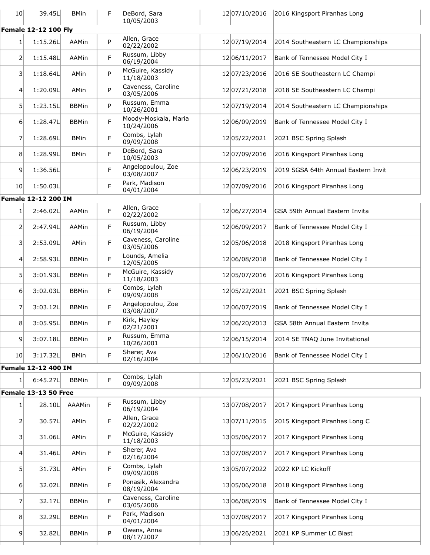| 10 <sup>1</sup> | 39.45L                      | <b>BMin</b>  | F  | DeBord, Sara<br>10/05/2003         | 12 07/10/2016     | 2016 Kingsport Piranhas Long        |
|-----------------|-----------------------------|--------------|----|------------------------------------|-------------------|-------------------------------------|
|                 | <b>Female 12-12 100 Fly</b> |              |    |                                    |                   |                                     |
| 1               | 1:15.26L                    | AAMin        | P  | Allen, Grace<br>02/22/2002         | 12 07/19/2014     | 2014 Southeastern LC Championships  |
| $\overline{2}$  | 1:15.48L                    | AAMin        | F  | Russum, Libby<br>06/19/2004        | 12 06/11/2017     | Bank of Tennessee Model City I      |
| $\vert$ 3       | 1:18.64L                    | AMin         | P  | McGuire, Kassidy<br>11/18/2003     | 12 07/23/2016     | 2016 SE Southeastern LC Champi      |
| $\overline{4}$  | 1:20.09L                    | AMin         | P  | Caveness, Caroline<br>03/05/2006   | 12 07/21/2018     | 2018 SE Southeastern LC Champi      |
| 5               | 1:23.15L                    | <b>BBMin</b> | P  | Russum, Emma<br>10/26/2001         | 12 07/19/2014     | 2014 Southeastern LC Championships  |
| 6               | 1:28.47L                    | <b>BBMin</b> | F  | Moody-Moskala, Maria<br>10/24/2006 | 12 06/09/2019     | Bank of Tennessee Model City I      |
| 7               | 1:28.69L                    | <b>BMin</b>  | F  | Combs, Lylah<br>09/09/2008         | 12 05 / 22 / 2021 | 2021 BSC Spring Splash              |
| 8               | 1:28.99L                    | <b>BMin</b>  | F  | DeBord, Sara<br>10/05/2003         | 12 07/09/2016     | 2016 Kingsport Piranhas Long        |
| $\overline{9}$  | 1:36.56L                    |              | F. | Angelopoulou, Zoe<br>03/08/2007    | 12 06/23/2019     | 2019 SGSA 64th Annual Eastern Invit |
| 10 <sup>1</sup> | 1:50.03L                    |              | F  | Park, Madison<br>04/01/2004        | 12 07/09/2016     | 2016 Kingsport Piranhas Long        |
|                 | Female 12-12 200 IM         |              |    |                                    |                   |                                     |
| 1               | 2:46.02L                    | AAMin        | F  | Allen, Grace<br>02/22/2002         | 12 06/27/2014     | GSA 59th Annual Eastern Invita      |
| 2               | 2:47.94L                    | AAMin        | F  | Russum, Libby<br>06/19/2004        | 12 06/09/2017     | Bank of Tennessee Model City I      |
| $\overline{3}$  | 2:53.09L                    | AMin         | F  | Caveness, Caroline<br>03/05/2006   | 12 05/06/2018     | 2018 Kingsport Piranhas Long        |
| $\vert 4 \vert$ | 2:58.93L                    | <b>BBMin</b> | F  | Lounds, Amelia<br>12/05/2005       | 12 06/08/2018     | Bank of Tennessee Model City I      |
| 5               | 3:01.93L                    | <b>BBMin</b> | F. | McGuire, Kassidy<br>11/18/2003     | 12 05/07/2016     | 2016 Kingsport Piranhas Long        |
| 6               | 3:02.03L                    | <b>BBMin</b> | F  | Combs, Lylah<br>09/09/2008         | 1205/22/2021      | 2021 BSC Spring Splash              |
| 7               | 3:03.12L                    | <b>BBMin</b> | F  | Angelopoulou, Zoe<br>03/08/2007    | 12 06/07/2019     | Bank of Tennessee Model City I      |
| 8 <sup>°</sup>  | 3:05.95L                    | <b>BBMin</b> | F  | Kirk, Hayley<br>02/21/2001         | 12 06/20/2013     | GSA 58th Annual Eastern Invita      |
| $\overline{9}$  | 3:07.18L                    | <b>BBMin</b> | P  | Russum, Emma<br>10/26/2001         | 12 06/15/2014     | 2014 SE TNAQ June Invitational      |
| 10 <sup>1</sup> | 3:17.32L                    | <b>BMin</b>  | F  | Sherer, Ava<br>02/16/2004          | 12 06/10/2016     | Bank of Tennessee Model City I      |
|                 | Female 12-12 400 IM         |              |    |                                    |                   |                                     |
| 1               | 6:45.27L                    | <b>BBMin</b> | F  | Combs, Lylah<br>09/09/2008         | 12 05/23/2021     | 2021 BSC Spring Splash              |
|                 | <b>Female 13-13 50 Free</b> |              |    |                                    |                   |                                     |
| 1               | 28.10L                      | AAAMin       | F  | Russum, Libby<br>06/19/2004        | 1307/08/2017      | 2017 Kingsport Piranhas Long        |
| $\overline{2}$  | 30.57L                      | AMin         | F  | Allen, Grace<br>02/22/2002         | 13 07/11/2015     | 2015 Kingsport Piranhas Long C      |
| $\vert 3 \vert$ | 31.06L                      | AMin         | F  | McGuire, Kassidy<br>11/18/2003     | 13 05/06/2017     | 2017 Kingsport Piranhas Long        |
| 4               | 31.46L                      | AMin         | F  | Sherer, Ava<br>02/16/2004          | 1307/08/2017      | 2017 Kingsport Piranhas Long        |
| 5 <sup>2</sup>  | 31.73L                      | AMin         | F  | Combs, Lylah<br>09/09/2008         | 1305/07/2022      | 2022 KP LC Kickoff                  |
| $6 \mid$        | 32.02L                      | <b>BBMin</b> | F. | Ponasik, Alexandra<br>08/19/2004   | 13 05/06/2018     | 2018 Kingsport Piranhas Long        |
| 7               | 32.17L                      | <b>BBMin</b> | F  | Caveness, Caroline<br>03/05/2006   | 13 06/08/2019     | Bank of Tennessee Model City I      |
| 8               | 32.29L                      | <b>BBMin</b> | F  | Park, Madison<br>04/01/2004        | 1307/08/2017      | 2017 Kingsport Piranhas Long        |
| 9               | 32.82L                      | <b>BBMin</b> | P  | Owens, Anna<br>08/17/2007          | 1306/26/2021      | 2021 KP Summer LC Blast             |
|                 |                             |              |    |                                    |                   |                                     |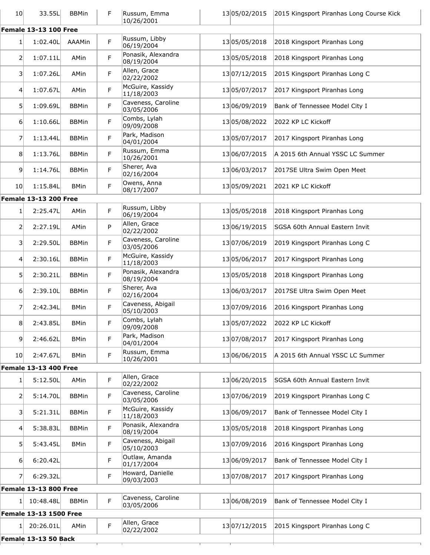| 10 <sup>1</sup> | 33.55L                                   | <b>BBMin</b> | F | Russum, Emma<br>10/26/2001                           | 1305/02/2015  | 2015 Kingsport Piranhas Long Course Kick |
|-----------------|------------------------------------------|--------------|---|------------------------------------------------------|---------------|------------------------------------------|
|                 | <b>Female 13-13 100 Free</b>             |              |   |                                                      |               |                                          |
| 1               | 1:02.40L                                 | AAAMin       | F | Russum, Libby<br>06/19/2004                          | 1305/05/2018  | 2018 Kingsport Piranhas Long             |
| 2               | 1:07.11L                                 | AMin         | F | Ponasik, Alexandra<br>08/19/2004                     | 1305/05/2018  | 2018 Kingsport Piranhas Long             |
| 3               | 1:07.26L                                 | AMin         | F | Allen, Grace<br>02/22/2002                           | 13 07/12/2015 | 2015 Kingsport Piranhas Long C           |
| 4               | 1:07.67L                                 | AMin         | F | McGuire, Kassidy<br>11/18/2003                       | 1305/07/2017  | 2017 Kingsport Piranhas Long             |
| 5               | 1:09.69L                                 | <b>BBMin</b> | F | Caveness, Caroline<br>03/05/2006                     | 1306/09/2019  | Bank of Tennessee Model City I           |
| 6               | 1:10.66L                                 | <b>BBMin</b> | F | Combs, Lylah<br>09/09/2008                           | 1305/08/2022  | 2022 KP LC Kickoff                       |
| 7               | 1:13.44L                                 | <b>BBMin</b> | F | Park, Madison<br>04/01/2004                          | 1305/07/2017  | 2017 Kingsport Piranhas Long             |
| 8               | 1:13.76L                                 | <b>BBMin</b> | F | Russum, Emma<br>10/26/2001                           | 1306/07/2015  | A 2015 6th Annual YSSC LC Summer         |
| 9               | 1:14.76L                                 | <b>BBMin</b> | F | Sherer, Ava<br>02/16/2004                            | 1306/03/2017  | 2017SE Ultra Swim Open Meet              |
| 10 <sub>l</sub> | 1:15.84L                                 | <b>BMin</b>  | F | Owens, Anna<br>08/17/2007                            | 1305/09/2021  | 2021 KP LC Kickoff                       |
|                 | <b>Female 13-13 200 Free</b>             |              |   |                                                      |               |                                          |
| 1               | 2:25.47L                                 | AMin         | F | Russum, Libby<br>06/19/2004                          | 1305/05/2018  | 2018 Kingsport Piranhas Long             |
| 2               | 2:27.19L                                 | AMin         | P | Allen, Grace<br>02/22/2002                           | 13 06/19/2015 | SGSA 60th Annual Eastern Invit           |
| 3               | 2:29.50L                                 | <b>BBMin</b> | F | Caveness, Caroline<br>03/05/2006                     | 1307/06/2019  | 2019 Kingsport Piranhas Long C           |
| $\overline{4}$  | 2:30.16L                                 | <b>BBMin</b> | F | McGuire, Kassidy<br>11/18/2003                       | 1305/06/2017  | 2017 Kingsport Piranhas Long             |
| 5               | 2:30.21L                                 | <b>BBMin</b> | F | Ponasik, Alexandra<br>08/19/2004                     | 1305/05/2018  | 2018 Kingsport Piranhas Long             |
| 6               | 2:39.10L                                 | <b>BBMin</b> | F | Sherer, Ava<br>02/16/2004                            | 1306/03/2017  | 2017SE Ultra Swim Open Meet              |
| 7               | 2:42.34L                                 | <b>BMin</b>  | F | Caveness, Abigail<br>05/10/2003                      | 1307/09/2016  | 2016 Kingsport Piranhas Long             |
| 8               | 2:43.85L                                 | <b>BMin</b>  | F | Combs, Lylah<br>09/09/2008                           | 1305/07/2022  | 2022 KP LC Kickoff                       |
| 9               | 2:46.62L                                 | <b>BMin</b>  | F | Park, Madison<br>04/01/2004                          | 1307/08/2017  | 2017 Kingsport Piranhas Long             |
| 10 <sup>1</sup> | 2:47.67L                                 | <b>BMin</b>  | F | Russum, Emma<br>10/26/2001                           | 1306/06/2015  | A 2015 6th Annual YSSC LC Summer         |
|                 | <b>Female 13-13 400 Free</b>             |              |   |                                                      |               |                                          |
| 1               | 5:12.50L                                 | AMin         | F | Allen, Grace<br>02/22/2002                           | 1306/20/2015  | SGSA 60th Annual Eastern Invit           |
| 2               | 5:14.70L                                 | <b>BBMin</b> | F | Caveness, Caroline<br>03/05/2006<br>McGuire, Kassidy | 1307/06/2019  | 2019 Kingsport Piranhas Long C           |
| 3               | 5:21.31L                                 | <b>BBMin</b> | F | 11/18/2003<br>Ponasik, Alexandra                     | 1306/09/2017  | Bank of Tennessee Model City I           |
| 4               | 5:38.83L                                 | <b>BBMin</b> | F | 08/19/2004<br>Caveness, Abigail                      | 1305/05/2018  | 2018 Kingsport Piranhas Long             |
| 5 <sup>1</sup>  | 5:43.45L                                 | <b>BMin</b>  | F | 05/10/2003<br>Outlaw, Amanda                         | 1307/09/2016  | 2016 Kingsport Piranhas Long             |
| 6               | 6:20.42L                                 |              | F | 01/17/2004<br>Howard, Danielle                       | 1306/09/2017  | Bank of Tennessee Model City I           |
| 7               | 6:29.32L<br><b>Female 13-13 800 Free</b> |              | F | 09/03/2003                                           | 1307/08/2017  | 2017 Kingsport Piranhas Long             |
|                 |                                          |              |   |                                                      |               |                                          |
| 1               | 10:48.48L                                | <b>BBMin</b> | F | Caveness, Caroline<br>03/05/2006                     | 13 06/08/2019 | Bank of Tennessee Model City I           |
|                 | <b>Female 13-13 1500 Free</b>            |              |   |                                                      |               |                                          |
| 1               | 20:26.01L                                | AMin         | F | Allen, Grace<br>02/22/2002                           | 13 07/12/2015 | 2015 Kingsport Piranhas Long C           |
|                 | Female 13-13 50 Back                     |              |   |                                                      |               |                                          |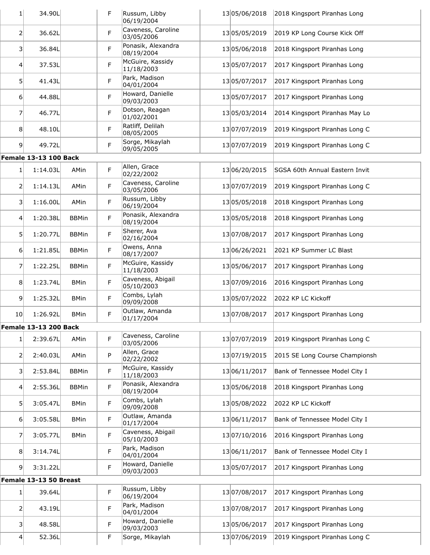| 1                 | 34.90L                       |              | F | Russum, Libby<br>06/19/2004      | 1305/06/2018  | 2018 Kingsport Piranhas Long   |
|-------------------|------------------------------|--------------|---|----------------------------------|---------------|--------------------------------|
| 2                 | 36.62L                       |              | F | Caveness, Caroline<br>03/05/2006 | 1305/05/2019  | 2019 KP Long Course Kick Off   |
| $\overline{3}$    | 36.84L                       |              | F | Ponasik, Alexandra<br>08/19/2004 | 1305/06/2018  | 2018 Kingsport Piranhas Long   |
| $\left 4\right $  | 37.53L                       |              | F | McGuire, Kassidy<br>11/18/2003   | 1305/07/2017  | 2017 Kingsport Piranhas Long   |
| 5                 | 41.43L                       |              | F | Park, Madison<br>04/01/2004      | 1305/07/2017  | 2017 Kingsport Piranhas Long   |
| 6                 | 44.88L                       |              | F | Howard, Danielle<br>09/03/2003   | 1305/07/2017  | 2017 Kingsport Piranhas Long   |
| 7                 | 46.77L                       |              | F | Dotson, Reagan<br>01/02/2001     | 1305/03/2014  | 2014 Kingsport Piranhas May Lo |
| 8 <sup>1</sup>    | 48.10L                       |              | F | Ratliff, Delilah<br>08/05/2005   | 13 07/07/2019 | 2019 Kingsport Piranhas Long C |
| $\overline{9}$    | 49.72L                       |              | F | Sorge, Mikaylah<br>09/05/2005    | 13 07/07/2019 | 2019 Kingsport Piranhas Long C |
|                   | <b>Female 13-13 100 Back</b> |              |   |                                  |               |                                |
| 1                 | 1:14.03L                     | AMin         | F | Allen, Grace<br>02/22/2002       | 1306/20/2015  | SGSA 60th Annual Eastern Invit |
| 2                 | 1:14.13L                     | AMin         | F | Caveness, Caroline<br>03/05/2006 | 13 07/07/2019 | 2019 Kingsport Piranhas Long C |
| 3                 | 1:16.00L                     | AMin         | F | Russum, Libby<br>06/19/2004      | 1305/05/2018  | 2018 Kingsport Piranhas Long   |
| 41                | 1:20.38L                     | <b>BBMin</b> | F | Ponasik, Alexandra<br>08/19/2004 | 1305/05/2018  | 2018 Kingsport Piranhas Long   |
| 5 <sup>1</sup>    | 1:20.77L                     | <b>BBMin</b> | F | Sherer, Ava<br>02/16/2004        | 1307/08/2017  | 2017 Kingsport Piranhas Long   |
| 6 <sup>1</sup>    | 1:21.85L                     | <b>BBMin</b> | F | Owens, Anna<br>08/17/2007        | 13 06/26/2021 | 2021 KP Summer LC Blast        |
| 7                 | 1:22.25L                     | <b>BBMin</b> | F | McGuire, Kassidy<br>11/18/2003   | 1305/06/2017  | 2017 Kingsport Piranhas Long   |
| 8                 | 1:23.74L                     | <b>BMin</b>  | F | Caveness, Abigail<br>05/10/2003  | 1307/09/2016  | 2016 Kingsport Piranhas Long   |
| $\overline{9}$    | 1:25.32L                     | <b>BMin</b>  | F | Combs, Lylah<br>09/09/2008       | 1305/07/2022  | 2022 KP LC Kickoff             |
| 10 <sup>1</sup>   | 1:26.92L                     | <b>BMin</b>  | F | Outlaw, Amanda<br>01/17/2004     | 1307/08/2017  | 2017 Kingsport Piranhas Long   |
|                   | <b>Female 13-13 200 Back</b> |              |   |                                  |               |                                |
| 1 <sup>1</sup>    | 2:39.67L                     | AMin         | F | Caveness, Caroline<br>03/05/2006 | 1307/07/2019  | 2019 Kingsport Piranhas Long C |
| $\overline{2}$    | 2:40.03L                     | AMin         | P | Allen, Grace<br>02/22/2002       | 13 07/19/2015 | 2015 SE Long Course Championsh |
| 3                 | 2:53.84L                     | <b>BBMin</b> | F | McGuire, Kassidy<br>11/18/2003   | 13 06/11/2017 | Bank of Tennessee Model City I |
| $\left 4\right $  | 2:55.36L                     | <b>BBMin</b> | F | Ponasik, Alexandra<br>08/19/2004 | 1305/06/2018  | 2018 Kingsport Piranhas Long   |
| 5 <sup>2</sup>    | 3:05.47L                     | <b>BMin</b>  | F | Combs, Lylah<br>09/09/2008       | 1305/08/2022  | 2022 KP LC Kickoff             |
| 6 <sup>1</sup>    | 3:05.58L                     | <b>BMin</b>  | F | Outlaw, Amanda<br>01/17/2004     | 13 06/11/2017 | Bank of Tennessee Model City I |
| $\overline{7}$    | 3:05.77L                     | <b>BMin</b>  | F | Caveness, Abigail<br>05/10/2003  | 13 07/10/2016 | 2016 Kingsport Piranhas Long   |
| 8                 | 3:14.74L                     |              | F | Park, Madison<br>04/01/2004      | 13 06/11/2017 | Bank of Tennessee Model City I |
| $\overline{9}$    | 3:31.22L                     |              | F | Howard, Danielle<br>09/03/2003   | 1305/07/2017  | 2017 Kingsport Piranhas Long   |
|                   | Female 13-13 50 Breast       |              |   |                                  |               |                                |
| 1                 | 39.64L                       |              | F | Russum, Libby<br>06/19/2004      | 1307/08/2017  | 2017 Kingsport Piranhas Long   |
| $\overline{2}$    | 43.19L                       |              | F | Park, Madison<br>04/01/2004      | 1307/08/2017  | 2017 Kingsport Piranhas Long   |
| $\lvert 3 \rvert$ | 48.58L                       |              | F | Howard, Danielle<br>09/03/2003   | 1305/06/2017  | 2017 Kingsport Piranhas Long   |
| 4 <sup>1</sup>    | 52.36L                       |              | F | Sorge, Mikaylah                  | 1307/06/2019  | 2019 Kingsport Piranhas Long C |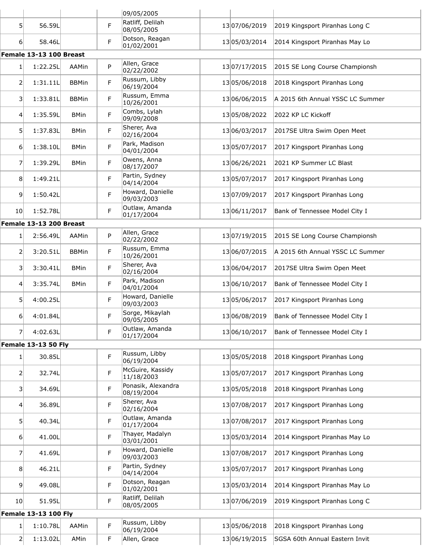|                   |                                       |              |   | 09/05/2005                                       |               |                                  |
|-------------------|---------------------------------------|--------------|---|--------------------------------------------------|---------------|----------------------------------|
| 5 <sup>1</sup>    | 56.59L                                |              | F | Ratliff, Delilah<br>08/05/2005                   | 13 07/06/2019 | 2019 Kingsport Piranhas Long C   |
| $6 \mid$          | 58.46L                                |              | F | Dotson, Reagan<br>01/02/2001                     | 1305/03/2014  | 2014 Kingsport Piranhas May Lo   |
|                   | Female 13-13 100 Breast               |              |   |                                                  |               |                                  |
| 1                 | 1:22.25L                              | AAMin        | P | Allen, Grace<br>02/22/2002                       | 13 07/17/2015 | 2015 SE Long Course Championsh   |
| $\overline{2}$    | 1:31.11L                              | <b>BBMin</b> | F | Russum, Libby<br>06/19/2004                      | 1305/06/2018  | 2018 Kingsport Piranhas Long     |
| 3 <sup>1</sup>    | 1:33.81L                              | <b>BBMin</b> | F | Russum, Emma<br>10/26/2001                       | 1306/06/2015  | A 2015 6th Annual YSSC LC Summer |
| 4                 | 1:35.59L                              | <b>BMin</b>  | F | Combs, Lylah<br>09/09/2008                       | 1305/08/2022  | 2022 KP LC Kickoff               |
| 5                 | 1:37.83L                              | <b>BMin</b>  | F | Sherer, Ava<br>02/16/2004                        | 13 06/03/2017 | 2017SE Ultra Swim Open Meet      |
| 6                 | 1:38.10L                              | <b>BMin</b>  | F | Park, Madison<br>04/01/2004                      | 1305/07/2017  | 2017 Kingsport Piranhas Long     |
| $\overline{7}$    | 1:39.29L                              | <b>BMin</b>  | F | Owens, Anna<br>08/17/2007                        | 13 06/26/2021 | 2021 KP Summer LC Blast          |
| 8 <sup>1</sup>    | 1:49.21L                              |              | F | Partin, Sydney<br>04/14/2004                     | 1305/07/2017  | 2017 Kingsport Piranhas Long     |
| 9                 | 1:50.42L                              |              | F | Howard, Danielle<br>09/03/2003                   | 1307/09/2017  | 2017 Kingsport Piranhas Long     |
| 10                | 1:52.78L                              |              | F | Outlaw, Amanda<br>01/17/2004                     | 13 06/11/2017 | Bank of Tennessee Model City I   |
|                   | Female 13-13 200 Breast               |              |   |                                                  |               |                                  |
| 1                 | 2:56.49L                              | AAMin        | P | Allen, Grace<br>02/22/2002                       | 13 07/19/2015 | 2015 SE Long Course Championsh   |
| 2                 | 3:20.51L                              | <b>BBMin</b> | F | Russum, Emma<br>10/26/2001                       | 13 06/07/2015 | A 2015 6th Annual YSSC LC Summer |
| 3 <sup>1</sup>    | 3:30.41L                              | <b>BMin</b>  | F | Sherer, Ava<br>02/16/2004                        | 1306/04/2017  | 2017SE Ultra Swim Open Meet      |
| $\left 4\right $  | 3:35.74L                              | <b>BMin</b>  | F | Park, Madison<br>04/01/2004                      | 13 06/10/2017 | Bank of Tennessee Model City I   |
| 5 <sup>1</sup>    | 4:00.25L                              |              | F | Howard, Danielle<br>09/03/2003                   | 1305/06/2017  | 2017 Kingsport Piranhas Long     |
| 6                 | 4:01.84L                              |              | F | Sorge, Mikaylah<br>09/05/2005                    | 1306/08/2019  | Bank of Tennessee Model City I   |
| $\overline{7}$    | 4:02.63L                              |              | F | Outlaw, Amanda<br>01/17/2004                     | 13 06/10/2017 | Bank of Tennessee Model City I   |
|                   | <b>Female 13-13 50 Fly</b>            |              |   |                                                  |               |                                  |
| 1 <sup>1</sup>    | 30.85L                                |              | F | Russum, Libby<br>06/19/2004                      | 1305/05/2018  | 2018 Kingsport Piranhas Long     |
| $\overline{2}$    | 32.74L                                |              | F | McGuire, Kassidy<br>11/18/2003                   | 1305/07/2017  | 2017 Kingsport Piranhas Long     |
| $\lvert 3 \rvert$ | 34.69L                                |              | F | Ponasik, Alexandra<br>08/19/2004                 | 1305/05/2018  | 2018 Kingsport Piranhas Long     |
| $\overline{4}$    | 36.89L                                |              | F | Sherer, Ava<br>02/16/2004                        | 1307/08/2017  | 2017 Kingsport Piranhas Long     |
| 5 <sup>1</sup>    | 40.34L                                |              | F | Outlaw, Amanda<br>01/17/2004                     | 1307/08/2017  | 2017 Kingsport Piranhas Long     |
| 6 <sup>1</sup>    | 41.00L                                |              | F | Thayer, Madalyn<br>03/01/2001                    | 1305/03/2014  | 2014 Kingsport Piranhas May Lo   |
| 7 <sup>1</sup>    | 41.69L                                |              | F | Howard, Danielle<br>09/03/2003<br>Partin, Sydney | 1307/08/2017  | 2017 Kingsport Piranhas Long     |
| 8 <sup>2</sup>    | 46.21L                                |              | F | 04/14/2004<br>Dotson, Reagan                     | 1305/07/2017  | 2017 Kingsport Piranhas Long     |
| 9 <sup>1</sup>    | 49.08L                                |              | F | 01/02/2001<br>Ratliff, Delilah                   | 1305/03/2014  | 2014 Kingsport Piranhas May Lo   |
| 10 <sup>1</sup>   | 51.95L<br><b>Female 13-13 100 Fly</b> |              | F | 08/05/2005                                       | 1307/06/2019  | 2019 Kingsport Piranhas Long C   |
|                   |                                       |              |   |                                                  |               |                                  |
| 1                 | 1:10.78L                              | AAMin        | F | Russum, Libby<br>06/19/2004                      | 1305/06/2018  | 2018 Kingsport Piranhas Long     |
| $\overline{2}$    | 1:13.02L                              | AMin         | F | Allen, Grace                                     | 13 06/19/2015 | SGSA 60th Annual Eastern Invit   |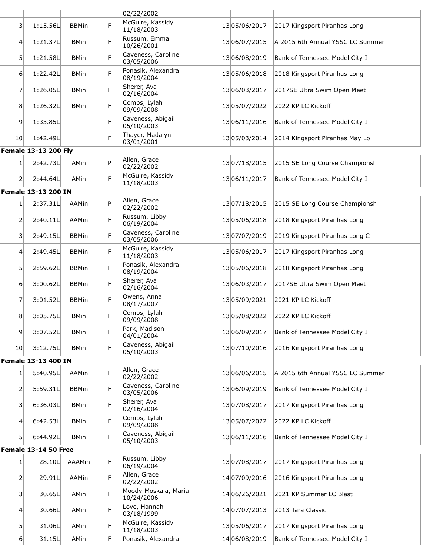| McGuire, Kassidy<br>F<br>3<br>1:15.56L<br><b>BBMin</b><br>1305/06/2017<br>2017 Kingsport Piranhas Long<br>11/18/2003<br>Russum, Emma<br>F<br>1:21.37L<br>13 06/07/2015<br>A 2015 6th Annual YSSC LC Summer<br><b>BMin</b><br>$\vert 4 \vert$<br>10/26/2001<br>Caveness, Caroline<br>F<br>5 <sup>1</sup><br>1:21.58L<br>1306/08/2019<br>Bank of Tennessee Model City I<br><b>BMin</b><br>03/05/2006<br>Ponasik, Alexandra<br>F.<br>1:22.42L<br>1305/06/2018<br>2018 Kingsport Piranhas Long<br>$6 \mid$<br><b>BMin</b><br>08/19/2004<br>Sherer, Ava<br>F<br>7<br>1:26.05L<br>1306/03/2017<br>2017SE Ultra Swim Open Meet<br><b>BMin</b><br>02/16/2004<br>Combs, Lylah<br>F<br>8<br>1:26.32L<br>1305/07/2022<br>2022 KP LC Kickoff<br><b>BMin</b><br>09/09/2008<br>Caveness, Abigail<br>F<br>9<br>1:33.85L<br>Bank of Tennessee Model City I<br>13 06/11/2016<br>05/10/2003<br>Thayer, Madalyn<br>F<br>1:42.49L<br>2014 Kingsport Piranhas May Lo<br>10 <sup>1</sup><br>13 05 / 03 / 2014<br>03/01/2001<br><b>Female 13-13 200 Fly</b><br>Allen, Grace<br>P<br>2:42.73L<br>AMin<br>13 07/18/2015<br>2015 SE Long Course Championsh<br>1<br>02/22/2002<br>McGuire, Kassidy<br>F<br>$\overline{2}$<br>2:44.64L<br>13 06/11/2017<br>Bank of Tennessee Model City I<br>AMin<br>11/18/2003<br><b>Female 13-13 200 IM</b><br>Allen, Grace<br>P<br>2:37.31L<br>AAMin<br>13 07/18/2015<br>2015 SE Long Course Championsh<br>1<br>02/22/2002<br>Russum, Libby<br>F.<br>2<br>2:40.11L<br>AAMin<br>2018 Kingsport Piranhas Long<br>13 05/06/2018<br>06/19/2004<br>Caveness, Caroline<br>F<br>$\overline{3}$<br>2:49.15L<br><b>BBMin</b><br>1307/07/2019<br>2019 Kingsport Piranhas Long C<br>03/05/2006<br>McGuire, Kassidy<br>F<br>2:49.45L<br>1305/06/2017<br>2017 Kingsport Piranhas Long<br><b>BBMin</b><br> 4 <br>11/18/2003<br>Ponasik, Alexandra<br>F.<br>5 <sup>1</sup><br>2:59.62L<br><b>BBMin</b><br>1305/06/2018<br>2018 Kingsport Piranhas Long<br>08/19/2004<br>Sherer, Ava<br>F.<br>$6 \mid$<br>3:00.62L<br><b>BBMin</b><br>1306/03/2017<br>2017SE Ultra Swim Open Meet<br>02/16/2004<br>Owens, Anna<br>F<br>7<br>3:01.52L<br><b>BBMin</b><br>1305/09/2021<br>2021 KP LC Kickoff<br>08/17/2007<br>Combs, Lylah<br>F<br>8<br>3:05.75L<br>1305/08/2022<br>2022 KP LC Kickoff<br><b>BMin</b><br>09/09/2008<br>Park, Madison<br>F<br>$\overline{9}$<br>3:07.52L<br>1306/09/2017<br>Bank of Tennessee Model City I<br><b>BMin</b><br>04/01/2004<br>Caveness, Abigail<br>F<br>3:12.75L<br><b>BMin</b><br>1307/10/2016<br>2016 Kingsport Piranhas Long<br>10 <sup>1</sup><br>05/10/2003<br>Female 13-13 400 IM<br>Allen, Grace<br>F.<br>5:40.95L<br>AAMin<br>1306/06/2015<br>A 2015 6th Annual YSSC LC Summer<br>1 <sup>1</sup><br>02/22/2002<br>Caveness, Caroline<br>F<br>$\overline{2}$<br>5:59.31L<br><b>BBMin</b><br>1306/09/2019<br>Bank of Tennessee Model City I<br>03/05/2006<br>Sherer, Ava<br>F.<br>3<br>6:36.03L<br><b>BMin</b><br>1307/08/2017<br>2017 Kingsport Piranhas Long<br>02/16/2004<br>Combs, Lylah<br>F<br>6:42.53L<br>1305/07/2022<br>2022 KP LC Kickoff<br><b>BMin</b><br>4<br>09/09/2008<br>Caveness, Abigail<br>F<br>51<br>6:44.92L<br><b>BMin</b><br>13 06/11/2016<br>Bank of Tennessee Model City I<br>05/10/2003<br>Female 13-14 50 Free<br>Russum, Libby<br>F<br>28.10L<br>AAAMin<br>1307/08/2017<br>2017 Kingsport Piranhas Long<br>1<br>06/19/2004<br>Allen, Grace<br>F<br>$\overline{2}$<br>29.91L<br>AAMin<br>14 07/09/2016<br>2016 Kingsport Piranhas Long<br>02/22/2002<br>Moody-Moskala, Maria<br>F<br>$\vert$ 3<br>30.65L<br>14 06/26/2021<br>2021 KP Summer LC Blast<br>AMin<br>10/24/2006<br>Love, Hannah<br>F<br>30.66L<br>14 07/07/2013<br>2013 Tara Classic<br>$\left 4\right $<br>AMin<br>03/18/1999<br>McGuire, Kassidy<br>F<br>5<br>31.06L<br>1305/06/2017<br>2017 Kingsport Piranhas Long<br>AMin<br>11/18/2003<br>$6 \mid$<br>Ponasik, Alexandra<br>14 06/08/2019<br>31.15L<br>F<br>Bank of Tennessee Model City I<br>AMin |  |  | 02/22/2002 |  |  |
|-----------------------------------------------------------------------------------------------------------------------------------------------------------------------------------------------------------------------------------------------------------------------------------------------------------------------------------------------------------------------------------------------------------------------------------------------------------------------------------------------------------------------------------------------------------------------------------------------------------------------------------------------------------------------------------------------------------------------------------------------------------------------------------------------------------------------------------------------------------------------------------------------------------------------------------------------------------------------------------------------------------------------------------------------------------------------------------------------------------------------------------------------------------------------------------------------------------------------------------------------------------------------------------------------------------------------------------------------------------------------------------------------------------------------------------------------------------------------------------------------------------------------------------------------------------------------------------------------------------------------------------------------------------------------------------------------------------------------------------------------------------------------------------------------------------------------------------------------------------------------------------------------------------------------------------------------------------------------------------------------------------------------------------------------------------------------------------------------------------------------------------------------------------------------------------------------------------------------------------------------------------------------------------------------------------------------------------------------------------------------------------------------------------------------------------------------------------------------------------------------------------------------------------------------------------------------------------------------------------------------------------------------------------------------------------------------------------------------------------------------------------------------------------------------------------------------------------------------------------------------------------------------------------------------------------------------------------------------------------------------------------------------------------------------------------------------------------------------------------------------------------------------------------------------------------------------------------------------------------------------------------------------------------------------------------------------------------------------------------------------------------------------------------------------------------------------------------------------------------------------------------------------------------------------------------------------------------------------------------------------------------------------------------------------------------------------------------------------------------------------------------------------------------------------------------------------------------------------------------------------------------------------------------------------------------------------------------------------|--|--|------------|--|--|
|                                                                                                                                                                                                                                                                                                                                                                                                                                                                                                                                                                                                                                                                                                                                                                                                                                                                                                                                                                                                                                                                                                                                                                                                                                                                                                                                                                                                                                                                                                                                                                                                                                                                                                                                                                                                                                                                                                                                                                                                                                                                                                                                                                                                                                                                                                                                                                                                                                                                                                                                                                                                                                                                                                                                                                                                                                                                                                                                                                                                                                                                                                                                                                                                                                                                                                                                                                                                                                                                                                                                                                                                                                                                                                                                                                                                                                                                                                                                                                       |  |  |            |  |  |
|                                                                                                                                                                                                                                                                                                                                                                                                                                                                                                                                                                                                                                                                                                                                                                                                                                                                                                                                                                                                                                                                                                                                                                                                                                                                                                                                                                                                                                                                                                                                                                                                                                                                                                                                                                                                                                                                                                                                                                                                                                                                                                                                                                                                                                                                                                                                                                                                                                                                                                                                                                                                                                                                                                                                                                                                                                                                                                                                                                                                                                                                                                                                                                                                                                                                                                                                                                                                                                                                                                                                                                                                                                                                                                                                                                                                                                                                                                                                                                       |  |  |            |  |  |
|                                                                                                                                                                                                                                                                                                                                                                                                                                                                                                                                                                                                                                                                                                                                                                                                                                                                                                                                                                                                                                                                                                                                                                                                                                                                                                                                                                                                                                                                                                                                                                                                                                                                                                                                                                                                                                                                                                                                                                                                                                                                                                                                                                                                                                                                                                                                                                                                                                                                                                                                                                                                                                                                                                                                                                                                                                                                                                                                                                                                                                                                                                                                                                                                                                                                                                                                                                                                                                                                                                                                                                                                                                                                                                                                                                                                                                                                                                                                                                       |  |  |            |  |  |
|                                                                                                                                                                                                                                                                                                                                                                                                                                                                                                                                                                                                                                                                                                                                                                                                                                                                                                                                                                                                                                                                                                                                                                                                                                                                                                                                                                                                                                                                                                                                                                                                                                                                                                                                                                                                                                                                                                                                                                                                                                                                                                                                                                                                                                                                                                                                                                                                                                                                                                                                                                                                                                                                                                                                                                                                                                                                                                                                                                                                                                                                                                                                                                                                                                                                                                                                                                                                                                                                                                                                                                                                                                                                                                                                                                                                                                                                                                                                                                       |  |  |            |  |  |
|                                                                                                                                                                                                                                                                                                                                                                                                                                                                                                                                                                                                                                                                                                                                                                                                                                                                                                                                                                                                                                                                                                                                                                                                                                                                                                                                                                                                                                                                                                                                                                                                                                                                                                                                                                                                                                                                                                                                                                                                                                                                                                                                                                                                                                                                                                                                                                                                                                                                                                                                                                                                                                                                                                                                                                                                                                                                                                                                                                                                                                                                                                                                                                                                                                                                                                                                                                                                                                                                                                                                                                                                                                                                                                                                                                                                                                                                                                                                                                       |  |  |            |  |  |
|                                                                                                                                                                                                                                                                                                                                                                                                                                                                                                                                                                                                                                                                                                                                                                                                                                                                                                                                                                                                                                                                                                                                                                                                                                                                                                                                                                                                                                                                                                                                                                                                                                                                                                                                                                                                                                                                                                                                                                                                                                                                                                                                                                                                                                                                                                                                                                                                                                                                                                                                                                                                                                                                                                                                                                                                                                                                                                                                                                                                                                                                                                                                                                                                                                                                                                                                                                                                                                                                                                                                                                                                                                                                                                                                                                                                                                                                                                                                                                       |  |  |            |  |  |
|                                                                                                                                                                                                                                                                                                                                                                                                                                                                                                                                                                                                                                                                                                                                                                                                                                                                                                                                                                                                                                                                                                                                                                                                                                                                                                                                                                                                                                                                                                                                                                                                                                                                                                                                                                                                                                                                                                                                                                                                                                                                                                                                                                                                                                                                                                                                                                                                                                                                                                                                                                                                                                                                                                                                                                                                                                                                                                                                                                                                                                                                                                                                                                                                                                                                                                                                                                                                                                                                                                                                                                                                                                                                                                                                                                                                                                                                                                                                                                       |  |  |            |  |  |
|                                                                                                                                                                                                                                                                                                                                                                                                                                                                                                                                                                                                                                                                                                                                                                                                                                                                                                                                                                                                                                                                                                                                                                                                                                                                                                                                                                                                                                                                                                                                                                                                                                                                                                                                                                                                                                                                                                                                                                                                                                                                                                                                                                                                                                                                                                                                                                                                                                                                                                                                                                                                                                                                                                                                                                                                                                                                                                                                                                                                                                                                                                                                                                                                                                                                                                                                                                                                                                                                                                                                                                                                                                                                                                                                                                                                                                                                                                                                                                       |  |  |            |  |  |
|                                                                                                                                                                                                                                                                                                                                                                                                                                                                                                                                                                                                                                                                                                                                                                                                                                                                                                                                                                                                                                                                                                                                                                                                                                                                                                                                                                                                                                                                                                                                                                                                                                                                                                                                                                                                                                                                                                                                                                                                                                                                                                                                                                                                                                                                                                                                                                                                                                                                                                                                                                                                                                                                                                                                                                                                                                                                                                                                                                                                                                                                                                                                                                                                                                                                                                                                                                                                                                                                                                                                                                                                                                                                                                                                                                                                                                                                                                                                                                       |  |  |            |  |  |
|                                                                                                                                                                                                                                                                                                                                                                                                                                                                                                                                                                                                                                                                                                                                                                                                                                                                                                                                                                                                                                                                                                                                                                                                                                                                                                                                                                                                                                                                                                                                                                                                                                                                                                                                                                                                                                                                                                                                                                                                                                                                                                                                                                                                                                                                                                                                                                                                                                                                                                                                                                                                                                                                                                                                                                                                                                                                                                                                                                                                                                                                                                                                                                                                                                                                                                                                                                                                                                                                                                                                                                                                                                                                                                                                                                                                                                                                                                                                                                       |  |  |            |  |  |
|                                                                                                                                                                                                                                                                                                                                                                                                                                                                                                                                                                                                                                                                                                                                                                                                                                                                                                                                                                                                                                                                                                                                                                                                                                                                                                                                                                                                                                                                                                                                                                                                                                                                                                                                                                                                                                                                                                                                                                                                                                                                                                                                                                                                                                                                                                                                                                                                                                                                                                                                                                                                                                                                                                                                                                                                                                                                                                                                                                                                                                                                                                                                                                                                                                                                                                                                                                                                                                                                                                                                                                                                                                                                                                                                                                                                                                                                                                                                                                       |  |  |            |  |  |
|                                                                                                                                                                                                                                                                                                                                                                                                                                                                                                                                                                                                                                                                                                                                                                                                                                                                                                                                                                                                                                                                                                                                                                                                                                                                                                                                                                                                                                                                                                                                                                                                                                                                                                                                                                                                                                                                                                                                                                                                                                                                                                                                                                                                                                                                                                                                                                                                                                                                                                                                                                                                                                                                                                                                                                                                                                                                                                                                                                                                                                                                                                                                                                                                                                                                                                                                                                                                                                                                                                                                                                                                                                                                                                                                                                                                                                                                                                                                                                       |  |  |            |  |  |
|                                                                                                                                                                                                                                                                                                                                                                                                                                                                                                                                                                                                                                                                                                                                                                                                                                                                                                                                                                                                                                                                                                                                                                                                                                                                                                                                                                                                                                                                                                                                                                                                                                                                                                                                                                                                                                                                                                                                                                                                                                                                                                                                                                                                                                                                                                                                                                                                                                                                                                                                                                                                                                                                                                                                                                                                                                                                                                                                                                                                                                                                                                                                                                                                                                                                                                                                                                                                                                                                                                                                                                                                                                                                                                                                                                                                                                                                                                                                                                       |  |  |            |  |  |
|                                                                                                                                                                                                                                                                                                                                                                                                                                                                                                                                                                                                                                                                                                                                                                                                                                                                                                                                                                                                                                                                                                                                                                                                                                                                                                                                                                                                                                                                                                                                                                                                                                                                                                                                                                                                                                                                                                                                                                                                                                                                                                                                                                                                                                                                                                                                                                                                                                                                                                                                                                                                                                                                                                                                                                                                                                                                                                                                                                                                                                                                                                                                                                                                                                                                                                                                                                                                                                                                                                                                                                                                                                                                                                                                                                                                                                                                                                                                                                       |  |  |            |  |  |
|                                                                                                                                                                                                                                                                                                                                                                                                                                                                                                                                                                                                                                                                                                                                                                                                                                                                                                                                                                                                                                                                                                                                                                                                                                                                                                                                                                                                                                                                                                                                                                                                                                                                                                                                                                                                                                                                                                                                                                                                                                                                                                                                                                                                                                                                                                                                                                                                                                                                                                                                                                                                                                                                                                                                                                                                                                                                                                                                                                                                                                                                                                                                                                                                                                                                                                                                                                                                                                                                                                                                                                                                                                                                                                                                                                                                                                                                                                                                                                       |  |  |            |  |  |
|                                                                                                                                                                                                                                                                                                                                                                                                                                                                                                                                                                                                                                                                                                                                                                                                                                                                                                                                                                                                                                                                                                                                                                                                                                                                                                                                                                                                                                                                                                                                                                                                                                                                                                                                                                                                                                                                                                                                                                                                                                                                                                                                                                                                                                                                                                                                                                                                                                                                                                                                                                                                                                                                                                                                                                                                                                                                                                                                                                                                                                                                                                                                                                                                                                                                                                                                                                                                                                                                                                                                                                                                                                                                                                                                                                                                                                                                                                                                                                       |  |  |            |  |  |
|                                                                                                                                                                                                                                                                                                                                                                                                                                                                                                                                                                                                                                                                                                                                                                                                                                                                                                                                                                                                                                                                                                                                                                                                                                                                                                                                                                                                                                                                                                                                                                                                                                                                                                                                                                                                                                                                                                                                                                                                                                                                                                                                                                                                                                                                                                                                                                                                                                                                                                                                                                                                                                                                                                                                                                                                                                                                                                                                                                                                                                                                                                                                                                                                                                                                                                                                                                                                                                                                                                                                                                                                                                                                                                                                                                                                                                                                                                                                                                       |  |  |            |  |  |
|                                                                                                                                                                                                                                                                                                                                                                                                                                                                                                                                                                                                                                                                                                                                                                                                                                                                                                                                                                                                                                                                                                                                                                                                                                                                                                                                                                                                                                                                                                                                                                                                                                                                                                                                                                                                                                                                                                                                                                                                                                                                                                                                                                                                                                                                                                                                                                                                                                                                                                                                                                                                                                                                                                                                                                                                                                                                                                                                                                                                                                                                                                                                                                                                                                                                                                                                                                                                                                                                                                                                                                                                                                                                                                                                                                                                                                                                                                                                                                       |  |  |            |  |  |
|                                                                                                                                                                                                                                                                                                                                                                                                                                                                                                                                                                                                                                                                                                                                                                                                                                                                                                                                                                                                                                                                                                                                                                                                                                                                                                                                                                                                                                                                                                                                                                                                                                                                                                                                                                                                                                                                                                                                                                                                                                                                                                                                                                                                                                                                                                                                                                                                                                                                                                                                                                                                                                                                                                                                                                                                                                                                                                                                                                                                                                                                                                                                                                                                                                                                                                                                                                                                                                                                                                                                                                                                                                                                                                                                                                                                                                                                                                                                                                       |  |  |            |  |  |
|                                                                                                                                                                                                                                                                                                                                                                                                                                                                                                                                                                                                                                                                                                                                                                                                                                                                                                                                                                                                                                                                                                                                                                                                                                                                                                                                                                                                                                                                                                                                                                                                                                                                                                                                                                                                                                                                                                                                                                                                                                                                                                                                                                                                                                                                                                                                                                                                                                                                                                                                                                                                                                                                                                                                                                                                                                                                                                                                                                                                                                                                                                                                                                                                                                                                                                                                                                                                                                                                                                                                                                                                                                                                                                                                                                                                                                                                                                                                                                       |  |  |            |  |  |
|                                                                                                                                                                                                                                                                                                                                                                                                                                                                                                                                                                                                                                                                                                                                                                                                                                                                                                                                                                                                                                                                                                                                                                                                                                                                                                                                                                                                                                                                                                                                                                                                                                                                                                                                                                                                                                                                                                                                                                                                                                                                                                                                                                                                                                                                                                                                                                                                                                                                                                                                                                                                                                                                                                                                                                                                                                                                                                                                                                                                                                                                                                                                                                                                                                                                                                                                                                                                                                                                                                                                                                                                                                                                                                                                                                                                                                                                                                                                                                       |  |  |            |  |  |
|                                                                                                                                                                                                                                                                                                                                                                                                                                                                                                                                                                                                                                                                                                                                                                                                                                                                                                                                                                                                                                                                                                                                                                                                                                                                                                                                                                                                                                                                                                                                                                                                                                                                                                                                                                                                                                                                                                                                                                                                                                                                                                                                                                                                                                                                                                                                                                                                                                                                                                                                                                                                                                                                                                                                                                                                                                                                                                                                                                                                                                                                                                                                                                                                                                                                                                                                                                                                                                                                                                                                                                                                                                                                                                                                                                                                                                                                                                                                                                       |  |  |            |  |  |
|                                                                                                                                                                                                                                                                                                                                                                                                                                                                                                                                                                                                                                                                                                                                                                                                                                                                                                                                                                                                                                                                                                                                                                                                                                                                                                                                                                                                                                                                                                                                                                                                                                                                                                                                                                                                                                                                                                                                                                                                                                                                                                                                                                                                                                                                                                                                                                                                                                                                                                                                                                                                                                                                                                                                                                                                                                                                                                                                                                                                                                                                                                                                                                                                                                                                                                                                                                                                                                                                                                                                                                                                                                                                                                                                                                                                                                                                                                                                                                       |  |  |            |  |  |
|                                                                                                                                                                                                                                                                                                                                                                                                                                                                                                                                                                                                                                                                                                                                                                                                                                                                                                                                                                                                                                                                                                                                                                                                                                                                                                                                                                                                                                                                                                                                                                                                                                                                                                                                                                                                                                                                                                                                                                                                                                                                                                                                                                                                                                                                                                                                                                                                                                                                                                                                                                                                                                                                                                                                                                                                                                                                                                                                                                                                                                                                                                                                                                                                                                                                                                                                                                                                                                                                                                                                                                                                                                                                                                                                                                                                                                                                                                                                                                       |  |  |            |  |  |
|                                                                                                                                                                                                                                                                                                                                                                                                                                                                                                                                                                                                                                                                                                                                                                                                                                                                                                                                                                                                                                                                                                                                                                                                                                                                                                                                                                                                                                                                                                                                                                                                                                                                                                                                                                                                                                                                                                                                                                                                                                                                                                                                                                                                                                                                                                                                                                                                                                                                                                                                                                                                                                                                                                                                                                                                                                                                                                                                                                                                                                                                                                                                                                                                                                                                                                                                                                                                                                                                                                                                                                                                                                                                                                                                                                                                                                                                                                                                                                       |  |  |            |  |  |
|                                                                                                                                                                                                                                                                                                                                                                                                                                                                                                                                                                                                                                                                                                                                                                                                                                                                                                                                                                                                                                                                                                                                                                                                                                                                                                                                                                                                                                                                                                                                                                                                                                                                                                                                                                                                                                                                                                                                                                                                                                                                                                                                                                                                                                                                                                                                                                                                                                                                                                                                                                                                                                                                                                                                                                                                                                                                                                                                                                                                                                                                                                                                                                                                                                                                                                                                                                                                                                                                                                                                                                                                                                                                                                                                                                                                                                                                                                                                                                       |  |  |            |  |  |
|                                                                                                                                                                                                                                                                                                                                                                                                                                                                                                                                                                                                                                                                                                                                                                                                                                                                                                                                                                                                                                                                                                                                                                                                                                                                                                                                                                                                                                                                                                                                                                                                                                                                                                                                                                                                                                                                                                                                                                                                                                                                                                                                                                                                                                                                                                                                                                                                                                                                                                                                                                                                                                                                                                                                                                                                                                                                                                                                                                                                                                                                                                                                                                                                                                                                                                                                                                                                                                                                                                                                                                                                                                                                                                                                                                                                                                                                                                                                                                       |  |  |            |  |  |
|                                                                                                                                                                                                                                                                                                                                                                                                                                                                                                                                                                                                                                                                                                                                                                                                                                                                                                                                                                                                                                                                                                                                                                                                                                                                                                                                                                                                                                                                                                                                                                                                                                                                                                                                                                                                                                                                                                                                                                                                                                                                                                                                                                                                                                                                                                                                                                                                                                                                                                                                                                                                                                                                                                                                                                                                                                                                                                                                                                                                                                                                                                                                                                                                                                                                                                                                                                                                                                                                                                                                                                                                                                                                                                                                                                                                                                                                                                                                                                       |  |  |            |  |  |
|                                                                                                                                                                                                                                                                                                                                                                                                                                                                                                                                                                                                                                                                                                                                                                                                                                                                                                                                                                                                                                                                                                                                                                                                                                                                                                                                                                                                                                                                                                                                                                                                                                                                                                                                                                                                                                                                                                                                                                                                                                                                                                                                                                                                                                                                                                                                                                                                                                                                                                                                                                                                                                                                                                                                                                                                                                                                                                                                                                                                                                                                                                                                                                                                                                                                                                                                                                                                                                                                                                                                                                                                                                                                                                                                                                                                                                                                                                                                                                       |  |  |            |  |  |
|                                                                                                                                                                                                                                                                                                                                                                                                                                                                                                                                                                                                                                                                                                                                                                                                                                                                                                                                                                                                                                                                                                                                                                                                                                                                                                                                                                                                                                                                                                                                                                                                                                                                                                                                                                                                                                                                                                                                                                                                                                                                                                                                                                                                                                                                                                                                                                                                                                                                                                                                                                                                                                                                                                                                                                                                                                                                                                                                                                                                                                                                                                                                                                                                                                                                                                                                                                                                                                                                                                                                                                                                                                                                                                                                                                                                                                                                                                                                                                       |  |  |            |  |  |
|                                                                                                                                                                                                                                                                                                                                                                                                                                                                                                                                                                                                                                                                                                                                                                                                                                                                                                                                                                                                                                                                                                                                                                                                                                                                                                                                                                                                                                                                                                                                                                                                                                                                                                                                                                                                                                                                                                                                                                                                                                                                                                                                                                                                                                                                                                                                                                                                                                                                                                                                                                                                                                                                                                                                                                                                                                                                                                                                                                                                                                                                                                                                                                                                                                                                                                                                                                                                                                                                                                                                                                                                                                                                                                                                                                                                                                                                                                                                                                       |  |  |            |  |  |
|                                                                                                                                                                                                                                                                                                                                                                                                                                                                                                                                                                                                                                                                                                                                                                                                                                                                                                                                                                                                                                                                                                                                                                                                                                                                                                                                                                                                                                                                                                                                                                                                                                                                                                                                                                                                                                                                                                                                                                                                                                                                                                                                                                                                                                                                                                                                                                                                                                                                                                                                                                                                                                                                                                                                                                                                                                                                                                                                                                                                                                                                                                                                                                                                                                                                                                                                                                                                                                                                                                                                                                                                                                                                                                                                                                                                                                                                                                                                                                       |  |  |            |  |  |
|                                                                                                                                                                                                                                                                                                                                                                                                                                                                                                                                                                                                                                                                                                                                                                                                                                                                                                                                                                                                                                                                                                                                                                                                                                                                                                                                                                                                                                                                                                                                                                                                                                                                                                                                                                                                                                                                                                                                                                                                                                                                                                                                                                                                                                                                                                                                                                                                                                                                                                                                                                                                                                                                                                                                                                                                                                                                                                                                                                                                                                                                                                                                                                                                                                                                                                                                                                                                                                                                                                                                                                                                                                                                                                                                                                                                                                                                                                                                                                       |  |  |            |  |  |
|                                                                                                                                                                                                                                                                                                                                                                                                                                                                                                                                                                                                                                                                                                                                                                                                                                                                                                                                                                                                                                                                                                                                                                                                                                                                                                                                                                                                                                                                                                                                                                                                                                                                                                                                                                                                                                                                                                                                                                                                                                                                                                                                                                                                                                                                                                                                                                                                                                                                                                                                                                                                                                                                                                                                                                                                                                                                                                                                                                                                                                                                                                                                                                                                                                                                                                                                                                                                                                                                                                                                                                                                                                                                                                                                                                                                                                                                                                                                                                       |  |  |            |  |  |
|                                                                                                                                                                                                                                                                                                                                                                                                                                                                                                                                                                                                                                                                                                                                                                                                                                                                                                                                                                                                                                                                                                                                                                                                                                                                                                                                                                                                                                                                                                                                                                                                                                                                                                                                                                                                                                                                                                                                                                                                                                                                                                                                                                                                                                                                                                                                                                                                                                                                                                                                                                                                                                                                                                                                                                                                                                                                                                                                                                                                                                                                                                                                                                                                                                                                                                                                                                                                                                                                                                                                                                                                                                                                                                                                                                                                                                                                                                                                                                       |  |  |            |  |  |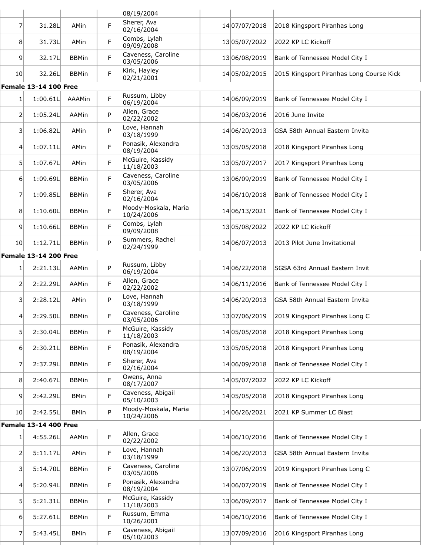|                  |                              |              |    | 08/19/2004                         |               |                                          |
|------------------|------------------------------|--------------|----|------------------------------------|---------------|------------------------------------------|
| 7                | 31.28L                       | AMin         | F  | Sherer, Ava<br>02/16/2004          | 14 07/07/2018 | 2018 Kingsport Piranhas Long             |
| 8                | 31.73L                       | AMin         | F  | Combs, Lylah<br>09/09/2008         | 13 05/07/2022 | 2022 KP LC Kickoff                       |
| $\overline{9}$   | 32.17L                       | <b>BBMin</b> | F  | Caveness, Caroline<br>03/05/2006   | 1306/08/2019  | Bank of Tennessee Model City I           |
| 10 <sup>1</sup>  | 32.26L                       | <b>BBMin</b> | F  | Kirk, Hayley<br>02/21/2001         | 14 05/02/2015 | 2015 Kingsport Piranhas Long Course Kick |
|                  | <b>Female 13-14 100 Free</b> |              |    |                                    |               |                                          |
| 1                | 1:00.61L                     | AAAMin       | F. | Russum, Libby<br>06/19/2004        | 14 06/09/2019 | Bank of Tennessee Model City I           |
| 2                | 1:05.24L                     | AAMin        | P  | Allen, Grace<br>02/22/2002         | 14 06/03/2016 | 2016 June Invite                         |
| 3                | 1:06.82L                     | AMin         | P  | Love, Hannah<br>03/18/1999         | 14 06/20/2013 | GSA 58th Annual Eastern Invita           |
| $\left 4\right $ | 1:07.11L                     | AMin         | F  | Ponasik, Alexandra<br>08/19/2004   | 1305/05/2018  | 2018 Kingsport Piranhas Long             |
| 5 <sup>1</sup>   | 1:07.67L                     | AMin         | F  | McGuire, Kassidy<br>11/18/2003     | 13 05/07/2017 | 2017 Kingsport Piranhas Long             |
| $6 \mid$         | 1:09.69L                     | <b>BBMin</b> | F  | Caveness, Caroline<br>03/05/2006   | 1306/09/2019  | Bank of Tennessee Model City I           |
| 7                | 1:09.85L                     | <b>BBMin</b> | F  | Sherer, Ava<br>02/16/2004          | 14 06/10/2018 | Bank of Tennessee Model City I           |
| 8                | 1:10.60L                     | <b>BBMin</b> | F  | Moody-Moskala, Maria<br>10/24/2006 | 14 06/13/2021 | Bank of Tennessee Model City I           |
| 9                | 1:10.66L                     | <b>BBMin</b> | F  | Combs, Lylah<br>09/09/2008         | 1305/08/2022  | 2022 KP LC Kickoff                       |
| 10 <sup>1</sup>  | 1:12.71L                     | <b>BBMin</b> | P  | Summers, Rachel<br>02/24/1999      | 14 06/07/2013 | 2013 Pilot June Invitational             |
|                  | <b>Female 13-14 200 Free</b> |              |    |                                    |               |                                          |
| 1                | 2:21.13L                     | AAMin        | P  | Russum, Libby<br>06/19/2004        | 14 06/22/2018 | SGSA 63rd Annual Eastern Invit           |
| 2                | 2:22.29L                     | AAMin        | F. | Allen, Grace<br>02/22/2002         | 14 06/11/2016 | Bank of Tennessee Model City I           |
| 3                | 2:28.12L                     | AMin         | P  | Love, Hannah<br>03/18/1999         | 14 06/20/2013 | GSA 58th Annual Eastern Invita           |
| 4                | 2:29.50L                     | <b>BBMin</b> | F  | Caveness, Caroline<br>03/05/2006   | 1307/06/2019  | 2019 Kingsport Piranhas Long C           |
| 5 <sup>1</sup>   | 2:30.04L                     | <b>BBMin</b> | F  | McGuire, Kassidy<br>11/18/2003     | 14 05/05/2018 | 2018 Kingsport Piranhas Long             |
| $6 \mid$         | 2:30.21L                     | <b>BBMin</b> | F. | Ponasik, Alexandra<br>08/19/2004   | 1305/05/2018  | 2018 Kingsport Piranhas Long             |
| $\overline{7}$   | 2:37.29L                     | <b>BBMin</b> | F  | Sherer, Ava<br>02/16/2004          | 14 06/09/2018 | Bank of Tennessee Model City I           |
| 8                | 2:40.67L                     | <b>BBMin</b> | F  | Owens, Anna<br>08/17/2007          | 14 05/07/2022 | 2022 KP LC Kickoff                       |
| $\overline{9}$   | 2:42.29L                     | <b>BMin</b>  | F  | Caveness, Abigail<br>05/10/2003    | 14 05/05/2018 | 2018 Kingsport Piranhas Long             |
| 10 <sup>1</sup>  | 2:42.55L                     | <b>BMin</b>  | P  | Moody-Moskala, Maria<br>10/24/2006 | 14 06/26/2021 | 2021 KP Summer LC Blast                  |
|                  | <b>Female 13-14 400 Free</b> |              |    |                                    |               |                                          |
| 1                | 4:55.26L                     | AAMin        | F. | Allen, Grace<br>02/22/2002         | 14 06/10/2016 | Bank of Tennessee Model City I           |
| $\overline{2}$   | 5:11.17L                     | AMin         | F  | Love, Hannah<br>03/18/1999         | 14 06/20/2013 | GSA 58th Annual Eastern Invita           |
| $\vert$ 3        | 5:14.70L                     | <b>BBMin</b> | F  | Caveness, Caroline<br>03/05/2006   | 1307/06/2019  | 2019 Kingsport Piranhas Long C           |
| 4                | 5:20.94L                     | <b>BBMin</b> | F. | Ponasik, Alexandra<br>08/19/2004   | 14 06/07/2019 | Bank of Tennessee Model City I           |
| 5                | 5:21.31L                     | <b>BBMin</b> | F  | McGuire, Kassidy<br>11/18/2003     | 1306/09/2017  | Bank of Tennessee Model City I           |
| 6                | 5:27.61L                     | <b>BBMin</b> | F  | Russum, Emma<br>10/26/2001         | 14 06/10/2016 | Bank of Tennessee Model City I           |
| 7                | 5:43.45L                     | <b>BMin</b>  | F. | Caveness, Abigail<br>05/10/2003    | 1307/09/2016  | 2016 Kingsport Piranhas Long             |
|                  |                              |              |    |                                    |               |                                          |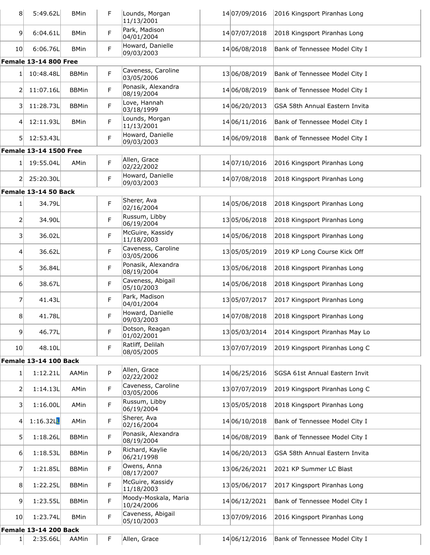| 8 <sup>1</sup>    | 5:49.62L                                 | <b>BMin</b>  | F | Lounds, Morgan<br>11/13/2001                      | 14 07/09/2016 | 2016 Kingsport Piranhas Long   |
|-------------------|------------------------------------------|--------------|---|---------------------------------------------------|---------------|--------------------------------|
| $\overline{9}$    | 6:04.61L                                 | <b>BMin</b>  | F | Park, Madison<br>04/01/2004                       | 14 07/07/2018 | 2018 Kingsport Piranhas Long   |
| 10 <sub>l</sub>   | 6:06.76L                                 | <b>BMin</b>  | F | Howard, Danielle<br>09/03/2003                    | 14 06/08/2018 | Bank of Tennessee Model City I |
|                   | <b>Female 13-14 800 Free</b>             |              |   |                                                   |               |                                |
| $1\vert$          | 10:48.48L                                | <b>BBMin</b> | F | Caveness, Caroline<br>03/05/2006                  | 1306/08/2019  | Bank of Tennessee Model City I |
| 2                 | 11:07.16L                                | <b>BBMin</b> | F | Ponasik, Alexandra<br>08/19/2004                  | 14 06/08/2019 | Bank of Tennessee Model City I |
| 3                 | 11:28.73L                                | <b>BBMin</b> | F | Love, Hannah<br>03/18/1999                        | 14 06/20/2013 | GSA 58th Annual Eastern Invita |
| $\vert 4 \vert$   | 12:11.93L                                | <b>BMin</b>  | F | Lounds, Morgan<br>11/13/2001                      | 14 06/11/2016 | Bank of Tennessee Model City I |
| 51                | 12:53.43L                                |              | F | Howard, Danielle<br>09/03/2003                    | 14 06/09/2018 | Bank of Tennessee Model City I |
|                   | <b>Female 13-14 1500 Free</b>            |              |   |                                                   |               |                                |
| $1\vert$          | 19:55.04L                                | AMin         | F | Allen, Grace<br>02/22/2002                        | 14 07/10/2016 | 2016 Kingsport Piranhas Long   |
| 2                 | 25:20.30L                                |              | F | Howard, Danielle<br>09/03/2003                    | 14 07/08/2018 | 2018 Kingsport Piranhas Long   |
|                   | Female 13-14 50 Back                     |              |   |                                                   |               |                                |
| $1\vert$          | 34.79L                                   |              | F | Sherer, Ava<br>02/16/2004                         | 14 05/06/2018 | 2018 Kingsport Piranhas Long   |
| 2                 | 34.90L                                   |              | F | Russum, Libby<br>06/19/2004                       | 1305/06/2018  | 2018 Kingsport Piranhas Long   |
| $\lvert 3 \rvert$ | 36.02L                                   |              | F | McGuire, Kassidy<br>11/18/2003                    | 14 05/06/2018 | 2018 Kingsport Piranhas Long   |
| $\vert 4 \vert$   | 36.62L                                   |              | F | Caveness, Caroline<br>03/05/2006                  | 1305/05/2019  | 2019 KP Long Course Kick Off   |
| 51                | 36.84L                                   |              | F | Ponasik, Alexandra<br>08/19/2004                  | 1305/06/2018  | 2018 Kingsport Piranhas Long   |
| 6                 | 38.67L                                   |              | F | Caveness, Abigail<br>05/10/2003                   | 14 05/06/2018 | 2018 Kingsport Piranhas Long   |
| 7                 | 41.43L                                   |              | F | Park, Madison<br>04/01/2004                       | 1305/07/2017  | 2017 Kingsport Piranhas Long   |
| 8                 | 41.78L                                   |              | F | Howard, Danielle<br>09/03/2003                    | 14 07/08/2018 | 2018 Kingsport Piranhas Long   |
| 9 <sup>1</sup>    | 46.77L                                   |              | F | Dotson, Reagan<br>01/02/2001                      | 1305/03/2014  | 2014 Kingsport Piranhas May Lo |
| 10 <sub>l</sub>   | 48.10L<br><b>Female 13-14 100 Back</b>   |              | F | Ratliff, Delilah<br>08/05/2005                    | 1307/07/2019  | 2019 Kingsport Piranhas Long C |
|                   |                                          |              |   |                                                   |               |                                |
| $1\vert$          | 1:12.21L                                 | AAMin        | P | Allen, Grace<br>02/22/2002                        | 14 06/25/2016 | SGSA 61st Annual Eastern Invit |
| $\overline{2}$    | 1:14.13L                                 | AMin         | F | Caveness, Caroline<br>03/05/2006<br>Russum, Libby | 1307/07/2019  | 2019 Kingsport Piranhas Long C |
| 3                 | 1:16.00L                                 | AMin         | F | 06/19/2004<br>Sherer, Ava                         | 1305/05/2018  | 2018 Kingsport Piranhas Long   |
| 4                 | 1:16.32L                                 | AMin         | F | 02/16/2004<br>Ponasik, Alexandra                  | 14 06/10/2018 | Bank of Tennessee Model City I |
| 5 <sup>1</sup>    | 1:18.26L                                 | <b>BBMin</b> | F | 08/19/2004                                        | 14 06/08/2019 | Bank of Tennessee Model City I |
| $6 \mid$          | 1:18.53L                                 | <b>BBMin</b> | P | Richard, Kaylie<br>06/21/1998<br>Owens, Anna      | 14 06/20/2013 | GSA 58th Annual Eastern Invita |
| 7                 | 1:21.85L                                 | <b>BBMin</b> | F | 08/17/2007<br>McGuire, Kassidy                    | 1306/26/2021  | 2021 KP Summer LC Blast        |
| 8                 | 1:22.25L                                 | <b>BBMin</b> | F | 11/18/2003<br>Moody-Moskala, Maria                | 1305/06/2017  | 2017 Kingsport Piranhas Long   |
| 9                 | 1:23.55L                                 | <b>BBMin</b> | F | 10/24/2006<br>Caveness, Abigail                   | 14 06/12/2021 | Bank of Tennessee Model City I |
| 10 <sub>l</sub>   | 1:23.74L<br><b>Female 13-14 200 Back</b> | <b>BMin</b>  | F | 05/10/2003                                        | 1307/09/2016  | 2016 Kingsport Piranhas Long   |
|                   |                                          |              |   |                                                   |               |                                |
| 1                 | 2:35.66L                                 | AAMin        | F | Allen, Grace                                      | 14 06/12/2016 | Bank of Tennessee Model City I |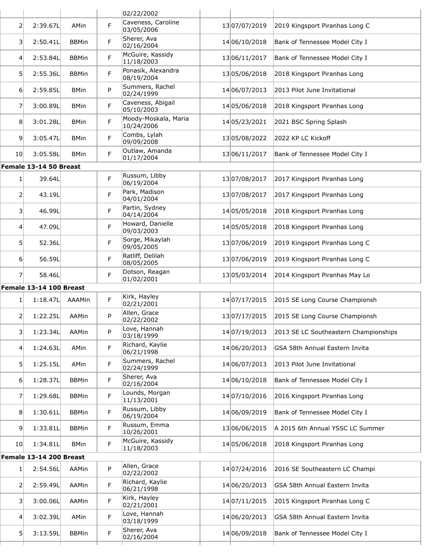|                 |                         |              |             | 02/22/2002                         |                   |                                       |
|-----------------|-------------------------|--------------|-------------|------------------------------------|-------------------|---------------------------------------|
| 2               | 2:39.67L                | <b>AMin</b>  | F           | Caveness, Caroline<br>03/05/2006   | 1307/07/2019      | 2019 Kingsport Piranhas Long C        |
| 3               | 2:50.41L                | <b>BBMin</b> | F           | Sherer, Ava<br>02/16/2004          | 14 06/10/2018     | Bank of Tennessee Model City I        |
| $\overline{4}$  | 2:53.84L                | <b>BBMin</b> | F.          | McGuire, Kassidy<br>11/18/2003     | 13 06/11/2017     | Bank of Tennessee Model City I        |
| 5 <sup>1</sup>  | 2:55.36L                | <b>BBMin</b> | F           | Ponasik, Alexandra<br>08/19/2004   | 1305/06/2018      | 2018 Kingsport Piranhas Long          |
| 6               | 2:59.85L                | <b>BMin</b>  | P           | Summers, Rachel<br>02/24/1999      | 14 06/07/2013     | 2013 Pilot June Invitational          |
| 7               | 3:00.89L                | <b>BMin</b>  | F.          | Caveness, Abigail<br>05/10/2003    | 14 05/06/2018     | 2018 Kingsport Piranhas Long          |
| 8               | 3:01.28L                | <b>BMin</b>  | F           | Moody-Moskala, Maria<br>10/24/2006 | 14 05 / 23 / 2021 | 2021 BSC Spring Splash                |
| $\overline{9}$  | 3:05.47L                | <b>BMin</b>  | F.          | Combs, Lylah<br>09/09/2008         | 1305/08/2022      | 2022 KP LC Kickoff                    |
| 10 <sup>1</sup> | 3:05.58L                | <b>BMin</b>  | F           | Outlaw, Amanda<br>01/17/2004       | 13 06/11/2017     | Bank of Tennessee Model City I        |
|                 | Female 13-14 50 Breast  |              |             |                                    |                   |                                       |
| $1\vert$        | 39.64L                  |              | F.          | Russum, Libby<br>06/19/2004        | 1307/08/2017      | 2017 Kingsport Piranhas Long          |
| 2               | 43.19L                  |              | F           | Park, Madison<br>04/01/2004        | 1307/08/2017      | 2017 Kingsport Piranhas Long          |
| 3               | 46.99L                  |              | F           | Partin, Sydney<br>04/14/2004       | 14 05/05/2018     | 2018 Kingsport Piranhas Long          |
| 4               | 47.09L                  |              | F           | Howard, Danielle<br>09/03/2003     | 14 05/05/2018     | 2018 Kingsport Piranhas Long          |
| 5               | 52.36L                  |              | F.          | Sorge, Mikaylah<br>09/05/2005      | 1307/06/2019      | 2019 Kingsport Piranhas Long C        |
| $6 \mid$        | 56.59L                  |              | F           | Ratliff, Delilah<br>08/05/2005     | 1307/06/2019      | 2019 Kingsport Piranhas Long C        |
| $\overline{7}$  | 58.46L                  |              | F           | Dotson, Reagan<br>01/02/2001       | 1305/03/2014      | 2014 Kingsport Piranhas May Lo        |
|                 | Female 13-14 100 Breast |              |             |                                    |                   |                                       |
| 1               | 1:18.47L                | AAAMin       | F           | Kirk, Hayley<br>02/21/2001         | 14 07/17/2015     | 2015 SE Long Course Championsh        |
| 2               | 1:22.25L                | AAMin        | P           | Allen, Grace<br>02/22/2002         | 13 07/17/2015     | 2015 SE Long Course Championsh        |
| 3               | 1:23.34L                | AAMin        | P           | Love, Hannah<br>03/18/1999         | 14 07/19/2013     | 2013 SE LC Southeastern Championships |
| $\vert 4 \vert$ | 1:24.63L                | AMin         | $\mathsf F$ | Richard, Kaylie<br>06/21/1998      | 14 06/20/2013     | GSA 58th Annual Eastern Invita        |
| 5               | 1:25.15L                | AMin         | F.          | Summers, Rachel<br>02/24/1999      | 14 06/07/2013     | 2013 Pilot June Invitational          |
| 6               | 1:28.37L                | <b>BBMin</b> | F           | Sherer, Ava<br>02/16/2004          | 14 06/10/2018     | Bank of Tennessee Model City I        |
| 7               | 1:29.68L                | <b>BBMin</b> | F.          | Lounds, Morgan<br>11/13/2001       | 14 07/10/2016     | 2016 Kingsport Piranhas Long          |
| 8               | 1:30.61L                | <b>BBMin</b> | F           | Russum, Libby<br>06/19/2004        | 14 06/09/2019     | Bank of Tennessee Model City I        |
| $\vert 9 \vert$ | 1:33.81L                | <b>BBMin</b> | F.          | Russum, Emma<br>10/26/2001         | 1306/06/2015      | A 2015 6th Annual YSSC LC Summer      |
| 10 <sup>1</sup> | 1:34.81L                | <b>BMin</b>  | F           | McGuire, Kassidy<br>11/18/2003     | 14 05/06/2018     | 2018 Kingsport Piranhas Long          |
|                 | Female 13-14 200 Breast |              |             |                                    |                   |                                       |
| 1               | 2:54.56L                | AAMin        | P           | Allen, Grace<br>02/22/2002         | 14 07/24/2016     | 2016 SE Southeastern LC Champi        |
| $\overline{2}$  | 2:59.49L                | AAMin        | F           | Richard, Kaylie<br>06/21/1998      | 14 06/20/2013     | GSA 58th Annual Eastern Invita        |
| 3               | 3:00.06L                | AAMin        | F           | Kirk, Hayley<br>02/21/2001         | 14 07/11/2015     | 2015 Kingsport Piranhas Long C        |
| $\overline{4}$  | 3:02.39L                | AMin         | F.          | Love, Hannah<br>03/18/1999         | 14 06/20/2013     | GSA 58th Annual Eastern Invita        |
| 5               | 3:13.59L                | <b>BBMin</b> | $\mathsf F$ | Sherer, Ava<br>02/16/2004          | 14 06/09/2018     | Bank of Tennessee Model City I        |
|                 |                         |              |             |                                    |                   |                                       |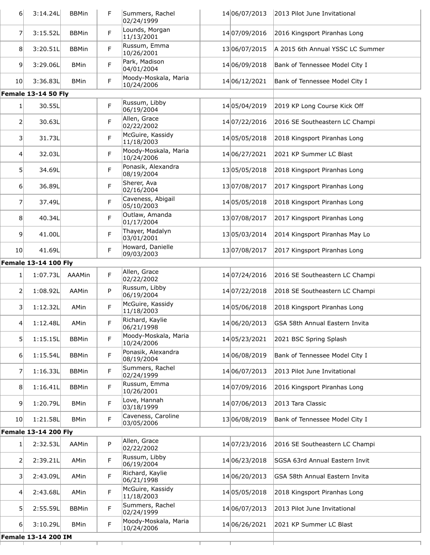| 6 <sup>1</sup>  | 3:14.24L                    | <b>BBMin</b> | F.          | Summers, Rachel<br>02/24/1999      | 14 06/07/2013     | 2013 Pilot June Invitational     |
|-----------------|-----------------------------|--------------|-------------|------------------------------------|-------------------|----------------------------------|
| 7               | 3:15.52L                    | <b>BBMin</b> | F           | Lounds, Morgan<br>11/13/2001       | 14 07/09/2016     | 2016 Kingsport Piranhas Long     |
| 8 <sup>1</sup>  | 3:20.51L                    | <b>BBMin</b> | F           | Russum, Emma<br>10/26/2001         | 1306/07/2015      | A 2015 6th Annual YSSC LC Summer |
| $\overline{9}$  | 3:29.06L                    | <b>BMin</b>  | F           | Park, Madison<br>04/01/2004        | 14 06/09/2018     | Bank of Tennessee Model City I   |
| 10 <sup>1</sup> | 3:36.83L                    | <b>BMin</b>  | F           | Moody-Moskala, Maria<br>10/24/2006 | 14 06/12/2021     | Bank of Tennessee Model City I   |
|                 | <b>Female 13-14 50 Fly</b>  |              |             |                                    |                   |                                  |
| $\mathbf{1}$    | 30.55L                      |              | F           | Russum, Libby<br>06/19/2004        | 14 05/04/2019     | 2019 KP Long Course Kick Off     |
| 2               | 30.63L                      |              | F           | Allen, Grace<br>02/22/2002         | 14 07/22/2016     | 2016 SE Southeastern LC Champi   |
| $\vert$ 3       | 31.73L                      |              | F           | McGuire, Kassidy<br>11/18/2003     | 14 05 / 05 / 2018 | 2018 Kingsport Piranhas Long     |
| $\vert 4 \vert$ | 32.03L                      |              | F           | Moody-Moskala, Maria<br>10/24/2006 | 14 06/27/2021     | 2021 KP Summer LC Blast          |
| 5               | 34.69L                      |              | F           | Ponasik, Alexandra<br>08/19/2004   | 1305/05/2018      | 2018 Kingsport Piranhas Long     |
| $6 \mid$        | 36.89L                      |              | F           | Sherer, Ava<br>02/16/2004          | 13 07/08/2017     | 2017 Kingsport Piranhas Long     |
| 7               | 37.49L                      |              | F           | Caveness, Abigail<br>05/10/2003    | 14 05/05/2018     | 2018 Kingsport Piranhas Long     |
| 8               | 40.34L                      |              | F           | Outlaw, Amanda<br>01/17/2004       | 1307/08/2017      | 2017 Kingsport Piranhas Long     |
| 9               | 41.00L                      |              | F           | Thayer, Madalyn<br>03/01/2001      | 1305/03/2014      | 2014 Kingsport Piranhas May Lo   |
| 10 <sup>1</sup> | 41.69L                      |              | F           | Howard, Danielle<br>09/03/2003     | 1307/08/2017      | 2017 Kingsport Piranhas Long     |
|                 | <b>Female 13-14 100 Fly</b> |              |             |                                    |                   |                                  |
| 1               | 1:07.73L                    | AAAMin       | F           | Allen, Grace<br>02/22/2002         | 14 07/24/2016     | 2016 SE Southeastern LC Champi   |
| 2               | 1:08.92L                    | AAMin        | P           | Russum, Libby<br>06/19/2004        | 14 07/22/2018     | 2018 SE Southeastern LC Champi   |
| $\vert$ 3       | 1:12.32L                    | AMin         | F           | McGuire, Kassidy<br>11/18/2003     | 14 05/06/2018     | 2018 Kingsport Piranhas Long     |
| 4               | 1:12.48L                    | AMin         | $\mathsf F$ | Richard, Kaylie<br>06/21/1998      | 14 06/20/2013     | GSA 58th Annual Eastern Invita   |
| 51              | 1:15.15L                    | <b>BBMin</b> | F           | Moody-Moskala, Maria<br>10/24/2006 | 14 05/23/2021     | 2021 BSC Spring Splash           |
| $6 \mid$        | 1:15.54L                    | <b>BBMin</b> | F           | Ponasik, Alexandra<br>08/19/2004   | 14 06/08/2019     | Bank of Tennessee Model City I   |
| 7               | 1:16.33L                    | <b>BBMin</b> | F           | Summers, Rachel<br>02/24/1999      | 14 06/07/2013     | 2013 Pilot June Invitational     |
| 8               | 1:16.41L                    | <b>BBMin</b> | F           | Russum, Emma<br>10/26/2001         | 14 07/09/2016     | 2016 Kingsport Piranhas Long     |
| $\overline{9}$  | 1:20.79L                    | <b>BMin</b>  | F           | Love, Hannah<br>03/18/1999         | 14 07/06/2013     | 2013 Tara Classic                |
| 10 <sub>l</sub> | 1:21.58L                    | <b>BMin</b>  | F           | Caveness, Caroline<br>03/05/2006   | 1306/08/2019      | Bank of Tennessee Model City I   |
|                 | <b>Female 13-14 200 Fly</b> |              |             |                                    |                   |                                  |
| $\mathbf{1}$    | 2:32.53L                    | AAMin        | P           | Allen, Grace<br>02/22/2002         | 14 07/23/2016     | 2016 SE Southeastern LC Champi   |
| 2               | 2:39.21L                    | AMin         | F           | Russum, Libby<br>06/19/2004        | 14 06/23/2018     | SGSA 63rd Annual Eastern Invit   |
| 3               | 2:43.09L                    | AMin         | F           | Richard, Kaylie<br>06/21/1998      | 14 06/20/2013     | GSA 58th Annual Eastern Invita   |
| $\vert 4 \vert$ | 2:43.68L                    | AMin         | F           | McGuire, Kassidy<br>11/18/2003     | 14 05/05/2018     | 2018 Kingsport Piranhas Long     |
| $\mathsf{5}$    | 2:55.59L                    | <b>BBMin</b> | F           | Summers, Rachel<br>02/24/1999      | 14 06/07/2013     | 2013 Pilot June Invitational     |
| 6 <sup>1</sup>  | 3:10.29L                    | <b>BMin</b>  | F           | Moody-Moskala, Maria<br>10/24/2006 | 14 06/26/2021     | 2021 KP Summer LC Blast          |
|                 | Female 13-14 200 IM         |              |             |                                    |                   |                                  |
|                 |                             |              |             |                                    |                   |                                  |
|                 |                             |              |             |                                    |                   |                                  |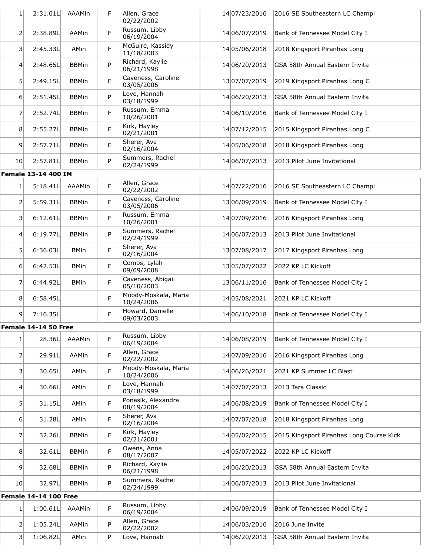| 1               | 2:31.01L                     | AAAMin       | F | Allen, Grace<br>02/22/2002         | 14 07/23/2016 | 2016 SE Southeastern LC Champi           |
|-----------------|------------------------------|--------------|---|------------------------------------|---------------|------------------------------------------|
| 2               | 2:38.89L                     | AAMin        | F | Russum, Libby<br>06/19/2004        | 14 06/07/2019 | Bank of Tennessee Model City I           |
| 3               | 2:45.33L                     | AMin         | F | McGuire, Kassidy<br>11/18/2003     | 14 05/06/2018 | 2018 Kingsport Piranhas Long             |
| 4               | 2:48.65L                     | <b>BBMin</b> | P | Richard, Kaylie<br>06/21/1998      | 14 06/20/2013 | GSA 58th Annual Eastern Invita           |
| 5               | 2:49.15L                     | <b>BBMin</b> | F | Caveness, Caroline<br>03/05/2006   | 13 07/07/2019 | 2019 Kingsport Piranhas Long C           |
| 6               | 2:51.45L                     | <b>BBMin</b> | P | Love, Hannah<br>03/18/1999         | 14 06/20/2013 | GSA 58th Annual Eastern Invita           |
| 7               | 2:52.74L                     | <b>BBMin</b> | F | Russum, Emma<br>10/26/2001         | 14 06/10/2016 | Bank of Tennessee Model City I           |
| 8               | 2:55.27L                     | <b>BBMin</b> | F | Kirk, Hayley<br>02/21/2001         | 14 07/12/2015 | 2015 Kingsport Piranhas Long C           |
| $\overline{9}$  | 2:57.71L                     | <b>BBMin</b> | F | Sherer, Ava<br>02/16/2004          | 14 05/06/2018 | 2018 Kingsport Piranhas Long             |
| 10 <sub>l</sub> | 2:57.81L                     | <b>BBMin</b> | P | Summers, Rachel<br>02/24/1999      | 14 06/07/2013 | 2013 Pilot June Invitational             |
|                 | Female 13-14 400 IM          |              |   |                                    |               |                                          |
| 1               | 5:18.41L                     | AAAMin       | F | Allen, Grace<br>02/22/2002         | 14 07/22/2016 | 2016 SE Southeastern LC Champi           |
| 2               | 5:59.31L                     | <b>BBMin</b> | F | Caveness, Caroline<br>03/05/2006   | 13 06/09/2019 | Bank of Tennessee Model City I           |
| 3               | 6:12.61L                     | <b>BBMin</b> | F | Russum, Emma<br>10/26/2001         | 14 07/09/2016 | 2016 Kingsport Piranhas Long             |
| $\vert 4 \vert$ | 6:19.77L                     | <b>BBMin</b> | P | Summers, Rachel<br>02/24/1999      | 14 06/07/2013 | 2013 Pilot June Invitational             |
| 5               | 6:36.03L                     | <b>BMin</b>  | F | Sherer, Ava<br>02/16/2004          | 1307/08/2017  | 2017 Kingsport Piranhas Long             |
| 6               | 6:42.53L                     | <b>BMin</b>  | F | Combs, Lylah<br>09/09/2008         | 1305/07/2022  | 2022 KP LC Kickoff                       |
| 7               | 6:44.92L                     | <b>BMin</b>  | F | Caveness, Abigail<br>05/10/2003    | 13 06/11/2016 | Bank of Tennessee Model City I           |
| 8               | 6:58.45L                     |              | F | Moody-Moskala, Maria<br>10/24/2006 | 14 05/08/2021 | 2021 KP LC Kickoff                       |
| 9               | 7:16.35L                     |              | F | Howard, Danielle<br>09/03/2003     | 14 06/10/2018 | Bank of Tennessee Model City I           |
|                 | Female 14-14 50 Free         |              |   |                                    |               |                                          |
| $\mathbf{1}$    | 28.36L                       | AAAMin       | F | Russum, Libby<br>06/19/2004        | 14 06/08/2019 | Bank of Tennessee Model City I           |
| $\mathsf{2}$    | 29.91L                       | AAMin        | F | Allen, Grace<br>02/22/2002         | 14 07/09/2016 | 2016 Kingsport Piranhas Long             |
| 3               | 30.65L                       | AMin         | F | Moody-Moskala, Maria<br>10/24/2006 | 14 06/26/2021 | 2021 KP Summer LC Blast                  |
| $\overline{4}$  | 30.66L                       | AMin         | F | Love, Hannah<br>03/18/1999         | 14 07/07/2013 | 2013 Tara Classic                        |
| 5               | 31.15L                       | AMin         | F | Ponasik, Alexandra<br>08/19/2004   | 14 06/08/2019 | Bank of Tennessee Model City I           |
| $6 \mid$        | 31.28L                       | AMin         | F | Sherer, Ava<br>02/16/2004          | 14 07/07/2018 | 2018 Kingsport Piranhas Long             |
| 7               | 32.26L                       | <b>BBMin</b> | F | Kirk, Hayley<br>02/21/2001         | 14 05/02/2015 | 2015 Kingsport Piranhas Long Course Kick |
| 8               | 32.61L                       | <b>BBMin</b> | F | Owens, Anna<br>08/17/2007          | 14 05/07/2022 | 2022 KP LC Kickoff                       |
| 9               | 32.68L                       | <b>BBMin</b> | P | Richard, Kaylie<br>06/21/1998      | 14 06/20/2013 | GSA 58th Annual Eastern Invita           |
| 10 <sup>1</sup> | 32.97L                       | <b>BBMin</b> | P | Summers, Rachel<br>02/24/1999      | 14 06/07/2013 | 2013 Pilot June Invitational             |
|                 | <b>Female 14-14 100 Free</b> |              |   |                                    |               |                                          |
| $\mathbf{1}$    | 1:00.61L                     | AAAMin       | F | Russum, Libby<br>06/19/2004        | 14 06/09/2019 | Bank of Tennessee Model City I           |
| $\overline{2}$  | 1:05.24L                     | AAMin        | P | Allen, Grace<br>02/22/2002         | 14 06/03/2016 | 2016 June Invite                         |
| 3               | 1:06.82L                     | AMin         | P | Love, Hannah                       | 14 06/20/2013 | GSA 58th Annual Eastern Invita           |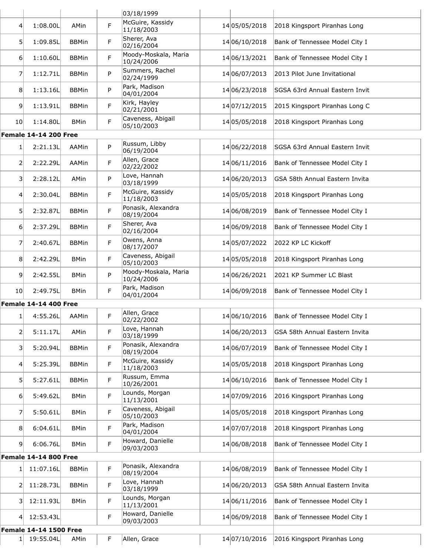|                  |                               |              |   | 03/18/1999                         |               |                                |
|------------------|-------------------------------|--------------|---|------------------------------------|---------------|--------------------------------|
| 41               | 1:08.00L                      | AMin         | F | McGuire, Kassidy<br>11/18/2003     | 14 05/05/2018 | 2018 Kingsport Piranhas Long   |
| 5 <sup>1</sup>   | 1:09.85L                      | <b>BBMin</b> | F | Sherer, Ava<br>02/16/2004          | 14 06/10/2018 | Bank of Tennessee Model City I |
| 6 <sup>1</sup>   | 1:10.60L                      | <b>BBMin</b> | F | Moody-Moskala, Maria<br>10/24/2006 | 14 06/13/2021 | Bank of Tennessee Model City I |
| 7                | 1:12.71L                      | <b>BBMin</b> | P | Summers, Rachel<br>02/24/1999      | 14 06/07/2013 | 2013 Pilot June Invitational   |
| 8                | 1:13.16L                      | <b>BBMin</b> | P | Park, Madison<br>04/01/2004        | 14 06/23/2018 | SGSA 63rd Annual Eastern Invit |
| 9 <sup>1</sup>   | 1:13.91L                      | <b>BBMin</b> | F | Kirk, Hayley<br>02/21/2001         | 14 07/12/2015 | 2015 Kingsport Piranhas Long C |
| 10 <sup>1</sup>  | 1:14.80L                      | <b>BMin</b>  | F | Caveness, Abigail<br>05/10/2003    | 14 05/05/2018 | 2018 Kingsport Piranhas Long   |
|                  | <b>Female 14-14 200 Free</b>  |              |   |                                    |               |                                |
| 1 <sup>1</sup>   | 2:21.13L                      | AAMin        | P | Russum, Libby<br>06/19/2004        | 14 06/22/2018 | SGSA 63rd Annual Eastern Invit |
| $\overline{2}$   | 2:22.29L                      | AAMin        | F | Allen, Grace<br>02/22/2002         | 14 06/11/2016 | Bank of Tennessee Model City I |
| 31               | 2:28.12L                      | AMin         | P | Love, Hannah<br>03/18/1999         | 14 06/20/2013 | GSA 58th Annual Eastern Invita |
| $\left 4\right $ | 2:30.04L                      | <b>BBMin</b> | F | McGuire, Kassidy<br>11/18/2003     | 14 05/05/2018 | 2018 Kingsport Piranhas Long   |
| 51               | 2:32.87L                      | <b>BBMin</b> | F | Ponasik, Alexandra<br>08/19/2004   | 14 06/08/2019 | Bank of Tennessee Model City I |
| 6 <sup>1</sup>   | 2:37.29L                      | <b>BBMin</b> | F | Sherer, Ava<br>02/16/2004          | 14 06/09/2018 | Bank of Tennessee Model City I |
| $\overline{7}$   | 2:40.67L                      | <b>BBMin</b> | F | Owens, Anna<br>08/17/2007          | 14 05/07/2022 | 2022 KP LC Kickoff             |
| 8                | 2:42.29L                      | <b>BMin</b>  | F | Caveness, Abigail<br>05/10/2003    | 14 05/05/2018 | 2018 Kingsport Piranhas Long   |
| $\overline{9}$   | 2:42.55L                      | <b>BMin</b>  | P | Moody-Moskala, Maria<br>10/24/2006 | 14 06/26/2021 | 2021 KP Summer LC Blast        |
| 10               | 2:49.75L                      | <b>BMin</b>  | F | Park, Madison<br>04/01/2004        | 14 06/09/2018 | Bank of Tennessee Model City I |
|                  | <b>Female 14-14 400 Free</b>  |              |   |                                    |               |                                |
| 1                | 4:55.26L                      | AAMin        | F | Allen, Grace<br>02/22/2002         | 14 06/10/2016 | Bank of Tennessee Model City I |
| $\overline{2}$   | 5:11.17L                      | AMin         | F | Love, Hannah<br>03/18/1999         | 14 06/20/2013 | GSA 58th Annual Eastern Invita |
| 31               | 5:20.94L                      | <b>BBMin</b> | F | Ponasik, Alexandra<br>08/19/2004   | 14 06/07/2019 | Bank of Tennessee Model City I |
| $\overline{4}$   | 5:25.39L                      | <b>BBMin</b> | F | McGuire, Kassidy<br>11/18/2003     | 14 05/05/2018 | 2018 Kingsport Piranhas Long   |
| 51               | 5:27.61L                      | <b>BBMin</b> | F | Russum, Emma<br>10/26/2001         | 14 06/10/2016 | Bank of Tennessee Model City I |
| 6 <sup>1</sup>   | 5:49.62L                      | <b>BMin</b>  | F | Lounds, Morgan<br>11/13/2001       | 14 07/09/2016 | 2016 Kingsport Piranhas Long   |
| 7                | 5:50.61L                      | <b>BMin</b>  | F | Caveness, Abigail<br>05/10/2003    | 14 05/05/2018 | 2018 Kingsport Piranhas Long   |
| 8 <sup>1</sup>   | 6:04.61L                      | <b>BMin</b>  | F | Park, Madison<br>04/01/2004        | 14 07/07/2018 | 2018 Kingsport Piranhas Long   |
| 9 <sup>1</sup>   | 6:06.76L                      | <b>BMin</b>  | F | Howard, Danielle<br>09/03/2003     | 14 06/08/2018 | Bank of Tennessee Model City I |
|                  | <b>Female 14-14 800 Free</b>  |              |   |                                    |               |                                |
| 1                | 11:07.16L                     | <b>BBMin</b> | F | Ponasik, Alexandra<br>08/19/2004   | 14 06/08/2019 | Bank of Tennessee Model City I |
| 2                | 11:28.73L                     | <b>BBMin</b> | F | Love, Hannah<br>03/18/1999         | 14 06/20/2013 | GSA 58th Annual Eastern Invita |
| 3                | 12:11.93L                     | <b>BMin</b>  | F | Lounds, Morgan<br>11/13/2001       | 14 06/11/2016 | Bank of Tennessee Model City I |
| 41               | 12:53.43L                     |              | F | Howard, Danielle<br>09/03/2003     | 14 06/09/2018 | Bank of Tennessee Model City I |
|                  | <b>Female 14-14 1500 Free</b> |              |   |                                    |               |                                |
| 1 <sup>1</sup>   | 19:55.04L                     | AMin         | F | Allen, Grace                       | 14 07/10/2016 | 2016 Kingsport Piranhas Long   |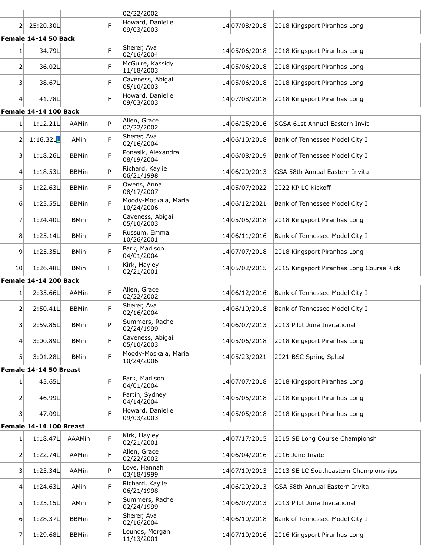|                 |                         |              |             | 02/22/2002                         |               |                                          |
|-----------------|-------------------------|--------------|-------------|------------------------------------|---------------|------------------------------------------|
| 2               | 25:20.30L               |              | F           | Howard, Danielle<br>09/03/2003     | 14 07/08/2018 | 2018 Kingsport Piranhas Long             |
|                 | Female 14-14 50 Back    |              |             |                                    |               |                                          |
| $1\vert$        | 34.79L                  |              | F           | Sherer, Ava<br>02/16/2004          | 14 05/06/2018 | 2018 Kingsport Piranhas Long             |
| $\mathsf{2}$    | 36.02L                  |              | F           | McGuire, Kassidy<br>11/18/2003     | 14 05/06/2018 | 2018 Kingsport Piranhas Long             |
| 31              | 38.67L                  |              | F           | Caveness, Abigail<br>05/10/2003    | 14 05/06/2018 | 2018 Kingsport Piranhas Long             |
| 4               | 41.78L                  |              | F           | Howard, Danielle<br>09/03/2003     | 14 07/08/2018 | 2018 Kingsport Piranhas Long             |
|                 | Female 14-14 100 Back   |              |             |                                    |               |                                          |
| $1\vert$        | 1:12.21L                | AAMin        | P           | Allen, Grace<br>02/22/2002         | 14 06/25/2016 | SGSA 61st Annual Eastern Invit           |
| 2               | 1:16.32L                | AMin         | F           | Sherer, Ava<br>02/16/2004          | 14 06/10/2018 | Bank of Tennessee Model City I           |
| 31              | 1:18.26L                | <b>BBMin</b> | F           | Ponasik, Alexandra<br>08/19/2004   | 14 06/08/2019 | Bank of Tennessee Model City I           |
| 4               | 1:18.53L                | <b>BBMin</b> | P           | Richard, Kaylie<br>06/21/1998      | 14 06/20/2013 | GSA 58th Annual Eastern Invita           |
| 51              | 1:22.63L                | <b>BBMin</b> | F           | Owens, Anna<br>08/17/2007          | 14 05/07/2022 | 2022 KP LC Kickoff                       |
| $6 \mid$        | 1:23.55L                | <b>BBMin</b> | F           | Moody-Moskala, Maria<br>10/24/2006 | 14 06/12/2021 | Bank of Tennessee Model City I           |
| 7               | 1:24.40L                | <b>BMin</b>  | F           | Caveness, Abigail<br>05/10/2003    | 14 05/05/2018 | 2018 Kingsport Piranhas Long             |
| 8               | 1:25.14L                | <b>BMin</b>  | F           | Russum, Emma<br>10/26/2001         | 14 06/11/2016 | Bank of Tennessee Model City I           |
| 9               | 1:25.35L                | <b>BMin</b>  | F           | Park, Madison<br>04/01/2004        | 14 07/07/2018 | 2018 Kingsport Piranhas Long             |
| 10 <sup>1</sup> | 1:26.48L                | <b>BMin</b>  | F           | Kirk, Hayley<br>02/21/2001         | 14 05/02/2015 | 2015 Kingsport Piranhas Long Course Kick |
|                 | Female 14-14 200 Back   |              |             |                                    |               |                                          |
| $1\vert$        | 2:35.66L                | AAMin        | F           | Allen, Grace<br>02/22/2002         | 14 06/12/2016 | Bank of Tennessee Model City I           |
| 2               | 2:50.41L                | <b>BBMin</b> | F           | Sherer, Ava<br>02/16/2004          | 14 06/10/2018 | Bank of Tennessee Model City I           |
| 31              | 2:59.85L                | <b>BMin</b>  | P           | Summers, Rachel<br>02/24/1999      | 14 06/07/2013 | 2013 Pilot June Invitational             |
| 4               | 3:00.89L                | <b>BMin</b>  | F           | Caveness, Abigail<br>05/10/2003    | 14 05/06/2018 | 2018 Kingsport Piranhas Long             |
| 51              | 3:01.28L                | <b>BMin</b>  | F           | Moody-Moskala, Maria<br>10/24/2006 | 14 05/23/2021 | 2021 BSC Spring Splash                   |
|                 | Female 14-14 50 Breast  |              |             |                                    |               |                                          |
| $1\vert$        | 43.65L                  |              | F           | Park, Madison<br>04/01/2004        | 14 07/07/2018 | 2018 Kingsport Piranhas Long             |
| 2               | 46.99L                  |              | $\mathsf F$ | Partin, Sydney<br>04/14/2004       | 14 05/05/2018 | 2018 Kingsport Piranhas Long             |
| 3               | 47.09L                  |              | F           | Howard, Danielle<br>09/03/2003     | 14 05/05/2018 | 2018 Kingsport Piranhas Long             |
|                 | Female 14-14 100 Breast |              |             |                                    |               |                                          |
| $1\vert$        | 1:18.47L                | AAAMin       | F           | Kirk, Hayley<br>02/21/2001         | 14 07/17/2015 | 2015 SE Long Course Championsh           |
| 2               | 1:22.74L                | AAMin        | F           | Allen, Grace<br>02/22/2002         | 14 06/04/2016 | 2016 June Invite                         |
| 31              | 1:23.34L                | AAMin        | P           | Love, Hannah<br>03/18/1999         | 14 07/19/2013 | 2013 SE LC Southeastern Championships    |
| 4               | 1:24.63L                | AMin         | $\mathsf F$ | Richard, Kaylie<br>06/21/1998      | 14 06/20/2013 | GSA 58th Annual Eastern Invita           |
| 5               | 1:25.15L                | AMin         | F           | Summers, Rachel<br>02/24/1999      | 14 06/07/2013 | 2013 Pilot June Invitational             |
| 6               | 1:28.37L                | <b>BBMin</b> | F           | Sherer, Ava<br>02/16/2004          | 14 06/10/2018 | Bank of Tennessee Model City I           |
| 71              | 1:29.68L                | <b>BBMin</b> | F           | Lounds, Morgan<br>11/13/2001       | 14 07/10/2016 | 2016 Kingsport Piranhas Long             |
|                 |                         |              |             |                                    |               |                                          |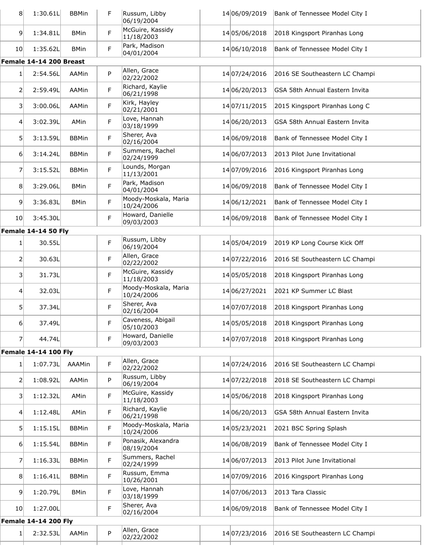| 8                | 1:30.61L                    | <b>BBMin</b> | F | Russum, Libby<br>06/19/2004        | 14 06/09/2019 | Bank of Tennessee Model City I |
|------------------|-----------------------------|--------------|---|------------------------------------|---------------|--------------------------------|
| $\overline{9}$   | 1:34.81L                    | <b>BMin</b>  | F | McGuire, Kassidy<br>11/18/2003     | 14 05/06/2018 | 2018 Kingsport Piranhas Long   |
| 10 <sub>l</sub>  | 1:35.62L                    | <b>BMin</b>  | F | Park, Madison<br>04/01/2004        | 14 06/10/2018 | Bank of Tennessee Model City I |
|                  | Female 14-14 200 Breast     |              |   |                                    |               |                                |
| 1 <sup>1</sup>   | 2:54.56L                    | AAMin        | P | Allen, Grace<br>02/22/2002         | 14 07/24/2016 | 2016 SE Southeastern LC Champi |
| 2                | 2:59.49L                    | AAMin        | F | Richard, Kaylie<br>06/21/1998      | 14 06/20/2013 | GSA 58th Annual Eastern Invita |
| 3                | 3:00.06L                    | AAMin        | F | Kirk, Hayley<br>02/21/2001         | 14 07/11/2015 | 2015 Kingsport Piranhas Long C |
| $\overline{4}$   | 3:02.39L                    | AMin         | F | Love, Hannah<br>03/18/1999         | 14 06/20/2013 | GSA 58th Annual Eastern Invita |
| 5 <sup>1</sup>   | 3:13.59L                    | <b>BBMin</b> | F | Sherer, Ava<br>02/16/2004          | 14 06/09/2018 | Bank of Tennessee Model City I |
| 6 <sup>1</sup>   | 3:14.24L                    | <b>BBMin</b> | F | Summers, Rachel<br>02/24/1999      | 14 06/07/2013 | 2013 Pilot June Invitational   |
| 7                | 3:15.52L                    | <b>BBMin</b> | F | Lounds, Morgan<br>11/13/2001       | 14 07/09/2016 | 2016 Kingsport Piranhas Long   |
| 8                | 3:29.06L                    | <b>BMin</b>  | F | Park, Madison<br>04/01/2004        | 14 06/09/2018 | Bank of Tennessee Model City I |
| $\overline{9}$   | 3:36.83L                    | <b>BMin</b>  | F | Moody-Moskala, Maria<br>10/24/2006 | 14 06/12/2021 | Bank of Tennessee Model City I |
| 10 <sup>1</sup>  | 3:45.30L                    |              | F | Howard, Danielle<br>09/03/2003     | 14 06/09/2018 | Bank of Tennessee Model City I |
|                  | <b>Female 14-14 50 Fly</b>  |              |   |                                    |               |                                |
| $1\vert$         | 30.55L                      |              | F | Russum, Libby<br>06/19/2004        | 14 05/04/2019 | 2019 KP Long Course Kick Off   |
| 2                | 30.63L                      |              | F | Allen, Grace<br>02/22/2002         | 14 07/22/2016 | 2016 SE Southeastern LC Champi |
| $\overline{3}$   | 31.73L                      |              | F | McGuire, Kassidy<br>11/18/2003     | 14 05/05/2018 | 2018 Kingsport Piranhas Long   |
| 4                | 32.03L                      |              | F | Moody-Moskala, Maria<br>10/24/2006 | 14 06/27/2021 | 2021 KP Summer LC Blast        |
| 5                | 37.34L                      |              | F | Sherer, Ava<br>02/16/2004          | 14 07/07/2018 | 2018 Kingsport Piranhas Long   |
| $6 \mid$         | 37.49L                      |              | F | Caveness, Abigail<br>05/10/2003    | 14 05/05/2018 | 2018 Kingsport Piranhas Long   |
| $\overline{7}$   | 44.74L                      |              | F | Howard, Danielle<br>09/03/2003     | 14 07/07/2018 | 2018 Kingsport Piranhas Long   |
|                  | <b>Female 14-14 100 Fly</b> |              |   |                                    |               |                                |
| $1\vert$         | 1:07.73L                    | AAAMin       | F | Allen, Grace<br>02/22/2002         | 14 07/24/2016 | 2016 SE Southeastern LC Champi |
| 2                | 1:08.92L                    | AAMin        | P | Russum, Libby<br>06/19/2004        | 14 07/22/2018 | 2018 SE Southeastern LC Champi |
| 3                | 1:12.32L                    | AMin         | F | McGuire, Kassidy<br>11/18/2003     | 14 05/06/2018 | 2018 Kingsport Piranhas Long   |
| $\left 4\right $ | 1:12.48L                    | AMin         | F | Richard, Kaylie<br>06/21/1998      | 14 06/20/2013 | GSA 58th Annual Eastern Invita |
| 5 <sup>1</sup>   | 1:15.15L                    | <b>BBMin</b> | F | Moody-Moskala, Maria<br>10/24/2006 | 14 05/23/2021 | 2021 BSC Spring Splash         |
| $6 \mid$         | 1:15.54L                    | <b>BBMin</b> | F | Ponasik, Alexandra<br>08/19/2004   | 14 06/08/2019 | Bank of Tennessee Model City I |
| 7                | 1:16.33L                    | <b>BBMin</b> | F | Summers, Rachel<br>02/24/1999      | 14 06/07/2013 | 2013 Pilot June Invitational   |
| 8                | 1:16.41L                    | <b>BBMin</b> | F | Russum, Emma<br>10/26/2001         | 14 07/09/2016 | 2016 Kingsport Piranhas Long   |
| $\overline{9}$   | 1:20.79L                    | <b>BMin</b>  | F | Love, Hannah<br>03/18/1999         | 14 07/06/2013 | 2013 Tara Classic              |
| 10 <sup>1</sup>  | 1:27.00L                    |              | F | Sherer, Ava<br>02/16/2004          | 14 06/09/2018 | Bank of Tennessee Model City I |
|                  | <b>Female 14-14 200 Fly</b> |              |   |                                    |               |                                |
| 1 <sup>1</sup>   | 2:32.53L                    | AAMin        | P | Allen, Grace<br>02/22/2002         | 14 07/23/2016 | 2016 SE Southeastern LC Champi |
|                  |                             |              |   |                                    |               |                                |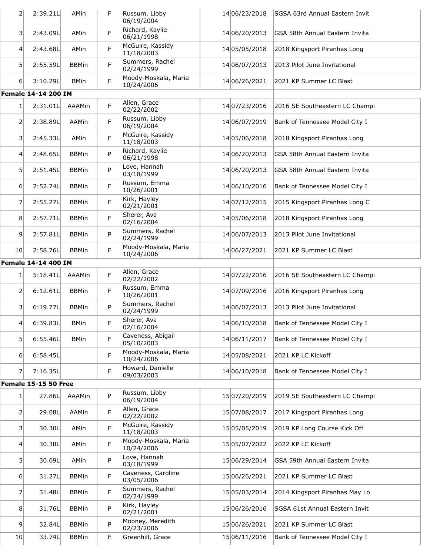| $\overline{2}$   | 2:39.21L                    | AMin          | F           | Russum, Libby<br>06/19/2004        | 14 06/23/2018 | SGSA 63rd Annual Eastern Invit               |
|------------------|-----------------------------|---------------|-------------|------------------------------------|---------------|----------------------------------------------|
| 31               | 2:43.09L                    | AMin          | F           | Richard, Kaylie<br>06/21/1998      | 14 06/20/2013 | GSA 58th Annual Eastern Invita               |
| $\left 4\right $ | 2:43.68L                    | AMin          | F           | McGuire, Kassidy<br>11/18/2003     | 14 05/05/2018 | 2018 Kingsport Piranhas Long                 |
| 5 <sup>1</sup>   | 2:55.59L                    | <b>BBMin</b>  | F           | Summers, Rachel<br>02/24/1999      | 14 06/07/2013 | 2013 Pilot June Invitational                 |
| 6                | 3:10.29L                    | <b>BMin</b>   | F           | Moody-Moskala, Maria<br>10/24/2006 | 14 06/26/2021 | 2021 KP Summer LC Blast                      |
|                  | <b>Female 14-14 200 IM</b>  |               |             |                                    |               |                                              |
| 1 <sup>1</sup>   | 2:31.01L                    | <b>AAAMin</b> | F           | Allen, Grace<br>02/22/2002         | 14 07/23/2016 | 2016 SE Southeastern LC Champi               |
| 2                | 2:38.89L                    | AAMin         | F           | Russum, Libby<br>06/19/2004        | 14 06/07/2019 | Bank of Tennessee Model City I               |
| 31               | 2:45.33L                    | AMin          | F           | McGuire, Kassidy<br>11/18/2003     | 14 05/06/2018 | 2018 Kingsport Piranhas Long                 |
| $\vert 4 \vert$  | 2:48.65L                    | <b>BBMin</b>  | P           | Richard, Kaylie<br>06/21/1998      | 14 06/20/2013 | GSA 58th Annual Eastern Invita               |
| 5 <sup>1</sup>   | 2:51.45L                    | <b>BBMin</b>  | P           | Love, Hannah<br>03/18/1999         | 14 06/20/2013 | GSA 58th Annual Eastern Invita               |
| 6                | 2:52.74L                    | <b>BBMin</b>  | F           | Russum, Emma<br>10/26/2001         | 14 06/10/2016 | Bank of Tennessee Model City I               |
| 7                | 2:55.27L                    | <b>BBMin</b>  | F           | Kirk, Hayley<br>02/21/2001         | 14 07/12/2015 | 2015 Kingsport Piranhas Long C               |
| 8 <sup>1</sup>   | 2:57.71L                    | <b>BBMin</b>  | F           | Sherer, Ava<br>02/16/2004          | 14 05/06/2018 | 2018 Kingsport Piranhas Long                 |
| 9 <sup>1</sup>   | 2:57.81L                    | <b>BBMin</b>  | P           | Summers, Rachel<br>02/24/1999      | 14 06/07/2013 | 2013 Pilot June Invitational                 |
| 10 <sup>1</sup>  | 2:58.76L                    | <b>BBMin</b>  | F           | Moody-Moskala, Maria<br>10/24/2006 | 14 06/27/2021 | 2021 KP Summer LC Blast                      |
|                  | Female 14-14 400 IM         |               |             |                                    |               |                                              |
| 1 <sup>1</sup>   | 5:18.41L                    | <b>AAAMin</b> | F           | Allen, Grace<br>02/22/2002         | 14 07/22/2016 | 2016 SE Southeastern LC Champi               |
| 2                | 6:12.61L                    | <b>BBMin</b>  | F           | Russum, Emma<br>10/26/2001         | 14 07/09/2016 | 2016 Kingsport Piranhas Long                 |
| $\vert$ 3        | 6:19.77L                    | <b>BBMin</b>  | P           | Summers, Rachel<br>02/24/1999      | 14 06/07/2013 | 2013 Pilot June Invitational                 |
| 41               | 6:39.83L                    | <b>BMin</b>   | $\mathsf F$ | Sherer, Ava<br>02/16/2004          |               | 14 06/10/2018 Bank of Tennessee Model City I |
| 51               | 6:55.46L                    | <b>BMin</b>   | F           | Caveness, Abigail<br>05/10/2003    | 14 06/11/2017 | Bank of Tennessee Model City I               |
| $6 \mid$         | 6:58.45L                    |               | F           | Moody-Moskala, Maria<br>10/24/2006 | 14 05/08/2021 | 2021 KP LC Kickoff                           |
| $\overline{7}$   | 7:16.35L                    |               | F           | Howard, Danielle<br>09/03/2003     | 14 06/10/2018 | Bank of Tennessee Model City I               |
|                  | <b>Female 15-15 50 Free</b> |               |             |                                    |               |                                              |
| 1 <sup>1</sup>   | 27.86L                      | AAAMin        | P           | Russum, Libby<br>06/19/2004        | 15 07/20/2019 | 2019 SE Southeastern LC Champi               |
| $\overline{2}$   | 29.08L                      | AAMin         | F           | Allen, Grace<br>02/22/2002         | 15 07/08/2017 | 2017 Kingsport Piranhas Long                 |
| 31               | 30.30L                      | AMin          | F           | McGuire, Kassidy<br>11/18/2003     | 15 05/05/2019 | 2019 KP Long Course Kick Off                 |
| $\left 4\right $ | 30.38L                      | AMin          | F           | Moody-Moskala, Maria<br>10/24/2006 | 15 05/07/2022 | 2022 KP LC Kickoff                           |
| 5 <sup>1</sup>   | 30.69L                      | AMin          | P           | Love, Hannah<br>03/18/1999         | 15 06/29/2014 | GSA 59th Annual Eastern Invita               |
| $6 \mid$         | 31.27L                      | <b>BBMin</b>  | F           | Caveness, Caroline<br>03/05/2006   | 15 06/26/2021 | 2021 KP Summer LC Blast                      |
| $\overline{7}$   | 31.48L                      | <b>BBMin</b>  | F           | Summers, Rachel<br>02/24/1999      | 15 05/03/2014 | 2014 Kingsport Piranhas May Lo               |
| 8 <sup>1</sup>   | 31.76L                      | <b>BBMin</b>  | P           | Kirk, Hayley<br>02/21/2001         | 15 06/26/2016 | SGSA 61st Annual Eastern Invit               |
| 9 <sup>1</sup>   | 32.84L                      | <b>BBMin</b>  | P           | Mooney, Meredith<br>02/23/2006     | 15 06/26/2021 | 2021 KP Summer LC Blast                      |
| 10               | 33.74L                      | <b>BBMin</b>  | F           | Greenhill, Grace                   | 15 06/11/2016 | Bank of Tennessee Model City I               |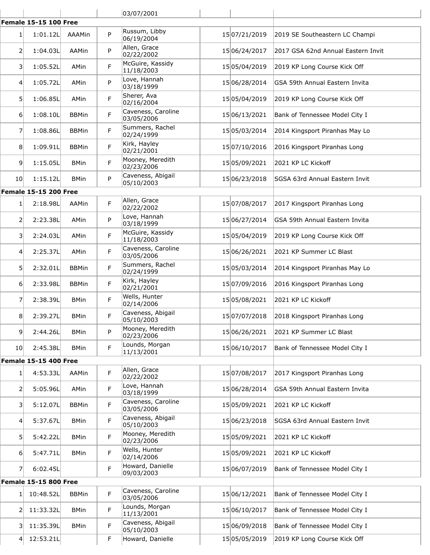|                 |                              |              |    | 03/07/2001                       |               |                                       |
|-----------------|------------------------------|--------------|----|----------------------------------|---------------|---------------------------------------|
|                 | <b>Female 15-15 100 Free</b> |              |    |                                  |               |                                       |
| 1               | 1:01.12L                     | AAAMin       | P  | Russum, Libby<br>06/19/2004      | 15 07/21/2019 | 2019 SE Southeastern LC Champi        |
| 2               | 1:04.03L                     | AAMin        | P  | Allen, Grace<br>02/22/2002       | 15 06/24/2017 | 2017 GSA 62nd Annual Eastern Invit    |
| 3               | 1:05.52L                     | AMin         | F  | McGuire, Kassidy<br>11/18/2003   | 15 05/04/2019 | 2019 KP Long Course Kick Off          |
| 4               | 1:05.72L                     | AMin         | P  | Love, Hannah<br>03/18/1999       | 15 06/28/2014 | GSA 59th Annual Eastern Invita        |
| 5 <sup>1</sup>  | 1:06.85L                     | AMin         | F  | Sherer, Ava<br>02/16/2004        | 15 05/04/2019 | 2019 KP Long Course Kick Off          |
| $6 \mid$        | 1:08.10L                     | <b>BBMin</b> | F  | Caveness, Caroline<br>03/05/2006 | 15 06/13/2021 | Bank of Tennessee Model City I        |
| 7               | 1:08.86L                     | <b>BBMin</b> | F. | Summers, Rachel<br>02/24/1999    | 15 05/03/2014 | 2014 Kingsport Piranhas May Lo        |
| 8               | 1:09.91L                     | <b>BBMin</b> | F  | Kirk, Hayley<br>02/21/2001       | 15 07/10/2016 | 2016 Kingsport Piranhas Long          |
| 9               | 1:15.05L                     | <b>BMin</b>  | F  | Mooney, Meredith<br>02/23/2006   | 15 05/09/2021 | 2021 KP LC Kickoff                    |
| 10 <sub>l</sub> | 1:15.12L                     | <b>BMin</b>  | P  | Caveness, Abigail<br>05/10/2003  | 15 06/23/2018 | <b>SGSA 63rd Annual Eastern Invit</b> |
|                 | <b>Female 15-15 200 Free</b> |              |    |                                  |               |                                       |
| $1\vert$        | 2:18.98L                     | AAMin        | F. | Allen, Grace<br>02/22/2002       | 1507/08/2017  | 2017 Kingsport Piranhas Long          |
| $\overline{2}$  | 2:23.38L                     | AMin         | P  | Love, Hannah<br>03/18/1999       | 15 06/27/2014 | GSA 59th Annual Eastern Invita        |
| 3               | 2:24.03L                     | AMin         | F  | McGuire, Kassidy<br>11/18/2003   | 15 05/04/2019 | 2019 KP Long Course Kick Off          |
| 4               | 2:25.37L                     | AMin         | F  | Caveness, Caroline<br>03/05/2006 | 15 06/26/2021 | 2021 KP Summer LC Blast               |
| 5 <sup>1</sup>  | 2:32.01L                     | <b>BBMin</b> | F  | Summers, Rachel<br>02/24/1999    | 15 05/03/2014 | 2014 Kingsport Piranhas May Lo        |
| $6 \mid$        | 2:33.98L                     | <b>BBMin</b> | F  | Kirk, Hayley<br>02/21/2001       | 15 07/09/2016 | 2016 Kingsport Piranhas Long          |
| 7               | 2:38.39L                     | <b>BMin</b>  | F. | Wells, Hunter<br>02/14/2006      | 1505/08/2021  | 2021 KP LC Kickoff                    |
| 8 <sup>1</sup>  | 2:39.27L                     | <b>BMin</b>  | F  | Caveness, Abigail<br>05/10/2003  | 1507/07/2018  | 2018 Kingsport Piranhas Long          |
| 9               | 2:44.26L                     | <b>BMin</b>  | P  | Mooney, Meredith<br>02/23/2006   | 15 06/26/2021 | 2021 KP Summer LC Blast               |
| 10 <sup>1</sup> | 2:45.38L                     | <b>BMin</b>  | F  | Lounds, Morgan<br>11/13/2001     | 15 06/10/2017 | Bank of Tennessee Model City I        |
|                 | <b>Female 15-15 400 Free</b> |              |    |                                  |               |                                       |
| 1               | 4:53.33L                     | AAMin        | F  | Allen, Grace<br>02/22/2002       | 15 07/08/2017 | 2017 Kingsport Piranhas Long          |
| 2               | 5:05.96L                     | AMin         | F  | Love, Hannah<br>03/18/1999       | 15 06/28/2014 | GSA 59th Annual Eastern Invita        |
| $\overline{3}$  | 5:12.07L                     | <b>BBMin</b> | F  | Caveness, Caroline<br>03/05/2006 | 15 05/09/2021 | 2021 KP LC Kickoff                    |
| 4               | 5:37.67L                     | <b>BMin</b>  | F  | Caveness, Abigail<br>05/10/2003  | 15 06/23/2018 | SGSA 63rd Annual Eastern Invit        |
| 5               | 5:42.22L                     | <b>BMin</b>  | F. | Mooney, Meredith<br>02/23/2006   | 15 05/09/2021 | 2021 KP LC Kickoff                    |
| 6               | 5:47.71L                     | <b>BMin</b>  | F  | Wells, Hunter<br>02/14/2006      | 15 05/09/2021 | 2021 KP LC Kickoff                    |
| $\overline{7}$  | 6:02.45L                     |              | F  | Howard, Danielle<br>09/03/2003   | 15 06/07/2019 | Bank of Tennessee Model City I        |
|                 | <b>Female 15-15 800 Free</b> |              |    |                                  |               |                                       |
| $1\vert$        | 10:48.52L                    | <b>BBMin</b> | F. | Caveness, Caroline<br>03/05/2006 | 15 06/12/2021 | Bank of Tennessee Model City I        |
| 2               | 11:33.32L                    | <b>BMin</b>  | F  | Lounds, Morgan<br>11/13/2001     | 15 06/10/2017 | Bank of Tennessee Model City I        |
| 3               | 11:35.39L                    | <b>BMin</b>  | F  | Caveness, Abigail<br>05/10/2003  | 15 06/09/2018 | Bank of Tennessee Model City I        |
| 4               | 12:53.21L                    |              | F  | Howard, Danielle                 | 15 05/05/2019 | 2019 KP Long Course Kick Off          |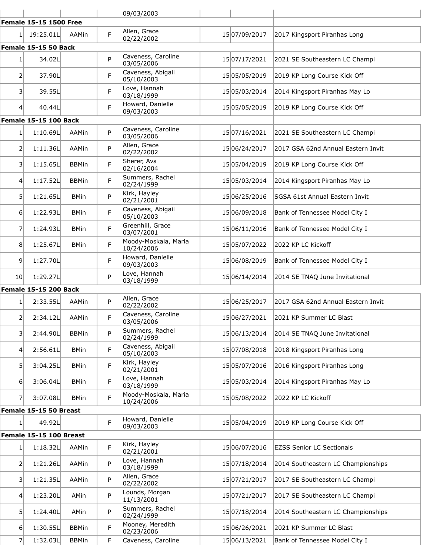|                         |                               |              |    | 09/03/2003                         |               |                                    |
|-------------------------|-------------------------------|--------------|----|------------------------------------|---------------|------------------------------------|
|                         | <b>Female 15-15 1500 Free</b> |              |    |                                    |               |                                    |
| 1 <sup>1</sup>          | 19:25.01L                     | AAMin        | F  | Allen, Grace<br>02/22/2002         | 15 07/09/2017 | 2017 Kingsport Piranhas Long       |
|                         | Female 15-15 50 Back          |              |    |                                    |               |                                    |
| 1                       | 34.02L                        |              | P  | Caveness, Caroline<br>03/05/2006   | 15 07/17/2021 | 2021 SE Southeastern LC Champi     |
| $\overline{2}$          | 37.90L                        |              | F  | Caveness, Abigail<br>05/10/2003    | 15 05/05/2019 | 2019 KP Long Course Kick Off       |
| 3                       | 39.55L                        |              | F  | Love, Hannah<br>03/18/1999         | 1505/03/2014  | 2014 Kingsport Piranhas May Lo     |
| $\vert 4 \vert$         | 40.44L                        |              | F  | Howard, Danielle<br>09/03/2003     | 15 05/05/2019 | 2019 KP Long Course Kick Off       |
|                         | Female 15-15 100 Back         |              |    |                                    |               |                                    |
| $1\vert$                | 1:10.69L                      | AAMin        | P  | Caveness, Caroline<br>03/05/2006   | 15 07/16/2021 | 2021 SE Southeastern LC Champi     |
| $\overline{2}$          | 1:11.36L                      | AAMin        | P  | Allen, Grace<br>02/22/2002         | 15 06/24/2017 | 2017 GSA 62nd Annual Eastern Invit |
| $\overline{\mathbf{3}}$ | 1:15.65L                      | <b>BBMin</b> | F  | Sherer, Ava<br>02/16/2004          | 15 05/04/2019 | 2019 KP Long Course Kick Off       |
| $\overline{4}$          | 1:17.52L                      | <b>BBMin</b> | F. | Summers, Rachel<br>02/24/1999      | 15 05/03/2014 | 2014 Kingsport Piranhas May Lo     |
| 5                       | 1:21.65L                      | <b>BMin</b>  | P  | Kirk, Hayley<br>02/21/2001         | 15 06/25/2016 | SGSA 61st Annual Eastern Invit     |
| 61                      | 1:22.93L                      | <b>BMin</b>  | F  | Caveness, Abigail<br>05/10/2003    | 15 06/09/2018 | Bank of Tennessee Model City I     |
| $\overline{7}$          | 1:24.93L                      | <b>BMin</b>  | F  | Greenhill, Grace<br>03/07/2001     | 15 06/11/2016 | Bank of Tennessee Model City I     |
| 8                       | 1:25.67L                      | <b>BMin</b>  | F  | Moody-Moskala, Maria<br>10/24/2006 | 15 05/07/2022 | 2022 KP LC Kickoff                 |
| $\overline{9}$          | 1:27.70L                      |              | F  | Howard, Danielle<br>09/03/2003     | 15 06/08/2019 | Bank of Tennessee Model City I     |
| 10 <sub>l</sub>         | 1:29.27L                      |              | P  | Love, Hannah<br>03/18/1999         | 15 06/14/2014 | 2014 SE TNAQ June Invitational     |
|                         | <b>Female 15-15 200 Back</b>  |              |    |                                    |               |                                    |
| 1                       | 2:33.55L                      | AAMin        | P  | Allen, Grace<br>02/22/2002         | 15 06/25/2017 | 2017 GSA 62nd Annual Eastern Invit |
| $\mathsf{2}$            | 2:34.12L                      | AAMin        | F  | Caveness, Caroline<br>03/05/2006   | 15 06/27/2021 | 2021 KP Summer LC Blast            |
| 31                      | 2:44.90L                      | <b>BBMin</b> | P  | Summers, Rachel<br>02/24/1999      | 15 06/13/2014 | 2014 SE TNAQ June Invitational     |
| 4                       | 2:56.61L                      | <b>BMin</b>  | F  | Caveness, Abigail<br>05/10/2003    | 15 07/08/2018 | 2018 Kingsport Piranhas Long       |
| 5                       | 3:04.25L                      | <b>BMin</b>  | F  | Kirk, Hayley<br>02/21/2001         | 1505/07/2016  | 2016 Kingsport Piranhas Long       |
| 61                      | 3:06.04L                      | <b>BMin</b>  | F  | Love, Hannah<br>03/18/1999         | 15 05/03/2014 | 2014 Kingsport Piranhas May Lo     |
| 71                      | 3:07.08L                      | <b>BMin</b>  | F  | Moody-Moskala, Maria<br>10/24/2006 | 1505/08/2022  | 2022 KP LC Kickoff                 |
|                         | Female 15-15 50 Breast        |              |    |                                    |               |                                    |
| 1 <sup>1</sup>          | 49.92L                        |              | F  | Howard, Danielle<br>09/03/2003     | 15 05/04/2019 | 2019 KP Long Course Kick Off       |
|                         | Female 15-15 100 Breast       |              |    |                                    |               |                                    |
| $1\vert$                | 1:18.32L                      | AAMin        | F  | Kirk, Hayley<br>02/21/2001         | 15 06/07/2016 | <b>EZSS Senior LC Sectionals</b>   |
| $\overline{2}$          | 1:21.26L                      | AAMin        | P  | Love, Hannah<br>03/18/1999         | 15 07/18/2014 | 2014 Southeastern LC Championships |
| 3                       | 1:21.35L                      | AAMin        | P  | Allen, Grace<br>02/22/2002         | 15 07/21/2017 | 2017 SE Southeastern LC Champi     |
| 4                       | 1:23.20L                      | AMin         | P  | Lounds, Morgan<br>11/13/2001       | 15 07/21/2017 | 2017 SE Southeastern LC Champi     |
| 5                       | 1:24.40L                      | AMin         | P  | Summers, Rachel<br>02/24/1999      | 15 07/18/2014 | 2014 Southeastern LC Championships |
| 61                      | 1:30.55L                      | <b>BBMin</b> | F  | Mooney, Meredith<br>02/23/2006     | 15 06/26/2021 | 2021 KP Summer LC Blast            |
| 7                       | 1:32.03L                      | <b>BBMin</b> | F  | Caveness, Caroline                 | 15 06/13/2021 | Bank of Tennessee Model City I     |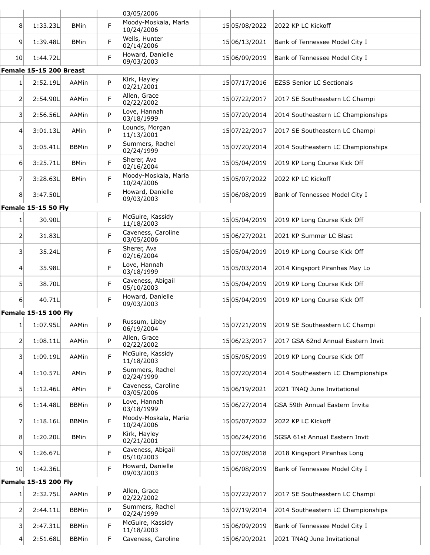|                  |                             |              |   | 03/05/2006                         |               |                                    |
|------------------|-----------------------------|--------------|---|------------------------------------|---------------|------------------------------------|
| 8 <sup>1</sup>   | 1:33.23L                    | <b>BMin</b>  | F | Moody-Moskala, Maria<br>10/24/2006 | 15 05/08/2022 | 2022 KP LC Kickoff                 |
| 9                | 1:39.48L                    | <b>BMin</b>  | F | Wells, Hunter<br>02/14/2006        | 15 06/13/2021 | Bank of Tennessee Model City I     |
| 10               | 1:44.72L                    |              | F | Howard, Danielle<br>09/03/2003     | 15 06/09/2019 | Bank of Tennessee Model City I     |
|                  | Female 15-15 200 Breast     |              |   |                                    |               |                                    |
| 1                | 2:52.19L                    | AAMin        | P | Kirk, Hayley<br>02/21/2001         | 15 07/17/2016 | <b>EZSS Senior LC Sectionals</b>   |
| $\overline{2}$   | 2:54.90L                    | AAMin        | F | Allen, Grace<br>02/22/2002         | 15 07/22/2017 | 2017 SE Southeastern LC Champi     |
| 31               | 2:56.56L                    | AAMin        | P | Love, Hannah<br>03/18/1999         | 15 07/20/2014 | 2014 Southeastern LC Championships |
| $\vert 4 \vert$  | 3:01.13L                    | AMin         | P | Lounds, Morgan<br>11/13/2001       | 15 07/22/2017 | 2017 SE Southeastern LC Champi     |
| 51               | 3:05.41L                    | <b>BBMin</b> | P | Summers, Rachel<br>02/24/1999      | 15 07/20/2014 | 2014 Southeastern LC Championships |
| $6 \mid$         | 3:25.71L                    | <b>BMin</b>  | F | Sherer, Ava<br>02/16/2004          | 15 05/04/2019 | 2019 KP Long Course Kick Off       |
| $\overline{7}$   | 3:28.63L                    | <b>BMin</b>  | F | Moody-Moskala, Maria<br>10/24/2006 | 15 05/07/2022 | 2022 KP LC Kickoff                 |
| 8 <sup>1</sup>   | 3:47.50L                    |              | F | Howard, Danielle<br>09/03/2003     | 15 06/08/2019 | Bank of Tennessee Model City I     |
|                  | Female 15-15 50 Fly         |              |   |                                    |               |                                    |
| 1 <sup>1</sup>   | 30.90L                      |              | F | McGuire, Kassidy<br>11/18/2003     | 15 05/04/2019 | 2019 KP Long Course Kick Off       |
| 2                | 31.83L                      |              | F | Caveness, Caroline<br>03/05/2006   | 15 06/27/2021 | 2021 KP Summer LC Blast            |
| 31               | 35.24L                      |              | F | Sherer, Ava<br>02/16/2004          | 15 05/04/2019 | 2019 KP Long Course Kick Off       |
| $\vert 4 \vert$  | 35.98L                      |              | F | Love, Hannah<br>03/18/1999         | 15 05/03/2014 | 2014 Kingsport Piranhas May Lo     |
| 51               | 38.70L                      |              | F | Caveness, Abigail<br>05/10/2003    | 15 05/04/2019 | 2019 KP Long Course Kick Off       |
| 6 <sup>1</sup>   | 40.71L                      |              | F | Howard, Danielle<br>09/03/2003     | 15 05/04/2019 | 2019 KP Long Course Kick Off       |
|                  | <b>Female 15-15 100 Fly</b> |              |   |                                    |               |                                    |
| $1\vert$         | 1:07.95L                    | AAMin        | P | Russum, Libby<br>06/19/2004        | 15 07/21/2019 | 2019 SE Southeastern LC Champi     |
| 2                | 1:08.11L                    | AAMin        | P | Allen, Grace<br>02/22/2002         | 15 06/23/2017 | 2017 GSA 62nd Annual Eastern Invit |
| 31               | 1:09.19L                    | AAMin        | F | McGuire, Kassidy<br>11/18/2003     | 15 05/05/2019 | 2019 KP Long Course Kick Off       |
| $\left 4\right $ | 1:10.57L                    | AMin         | P | Summers, Rachel<br>02/24/1999      | 15 07/20/2014 | 2014 Southeastern LC Championships |
| 5                | 1:12.46L                    | AMin         | F | Caveness, Caroline<br>03/05/2006   | 15 06/19/2021 | 2021 TNAQ June Invitational        |
| $6 \mid$         | 1:14.48L                    | <b>BBMin</b> | P | Love, Hannah<br>03/18/1999         | 15 06/27/2014 | GSA 59th Annual Eastern Invita     |
| 7                | 1:18.16L                    | <b>BBMin</b> | F | Moody-Moskala, Maria<br>10/24/2006 | 1505/07/2022  | 2022 KP LC Kickoff                 |
| 8                | 1:20.20L                    | <b>BMin</b>  | P | Kirk, Hayley<br>02/21/2001         | 15 06/24/2016 | SGSA 61st Annual Eastern Invit     |
| 9 <sup>1</sup>   | 1:26.67L                    |              | F | Caveness, Abigail<br>05/10/2003    | 1507/08/2018  | 2018 Kingsport Piranhas Long       |
| 10 <sup>1</sup>  | 1:42.36L                    |              | F | Howard, Danielle<br>09/03/2003     | 15 06/08/2019 | Bank of Tennessee Model City I     |
|                  | <b>Female 15-15 200 Fly</b> |              |   |                                    |               |                                    |
| 1 <sup>1</sup>   | 2:32.75L                    | AAMin        | P | Allen, Grace<br>02/22/2002         | 15 07/22/2017 | 2017 SE Southeastern LC Champi     |
| 2                | 2:44.11L                    | <b>BBMin</b> | P | Summers, Rachel<br>02/24/1999      | 15 07/19/2014 | 2014 Southeastern LC Championships |
| 31               | 2:47.31L                    | <b>BBMin</b> | F | McGuire, Kassidy<br>11/18/2003     | 15 06/09/2019 | Bank of Tennessee Model City I     |
| 4                | 2:51.68L                    | <b>BBMin</b> | F | Caveness, Caroline                 | 15 06/20/2021 | 2021 TNAQ June Invitational        |
|                  |                             |              |   |                                    |               |                                    |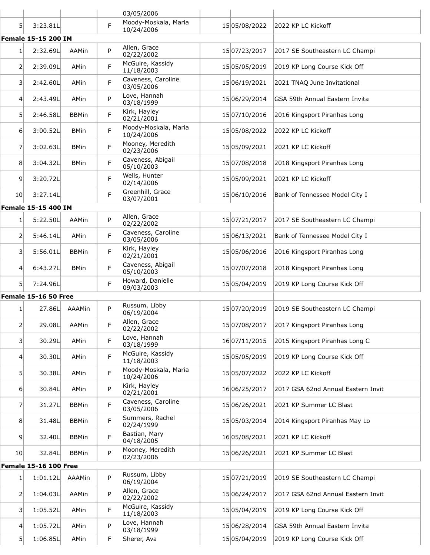|                 |                              |               |   | 03/05/2006                         |               |                                    |
|-----------------|------------------------------|---------------|---|------------------------------------|---------------|------------------------------------|
| 51              | 3:23.81L                     |               | F | Moody-Moskala, Maria<br>10/24/2006 | 15 05/08/2022 | 2022 KP LC Kickoff                 |
|                 | <b>Female 15-15 200 IM</b>   |               |   |                                    |               |                                    |
| $1\vert$        | 2:32.69L                     | AAMin         | P | Allen, Grace<br>02/22/2002         | 15 07/23/2017 | 2017 SE Southeastern LC Champi     |
| 2               | 2:39.09L                     | AMin          | F | McGuire, Kassidy<br>11/18/2003     | 1505/05/2019  | 2019 KP Long Course Kick Off       |
| 31              | 2:42.60L                     | AMin          | F | Caveness, Caroline<br>03/05/2006   | 15 06/19/2021 | 2021 TNAQ June Invitational        |
| $\overline{4}$  | 2:43.49L                     | AMin          | P | Love, Hannah<br>03/18/1999         | 15 06/29/2014 | GSA 59th Annual Eastern Invita     |
| 51              | 2:46.58L                     | <b>BBMin</b>  | F | Kirk, Hayley<br>02/21/2001         | 15 07/10/2016 | 2016 Kingsport Piranhas Long       |
| $6 \mid$        | 3:00.52L                     | <b>BMin</b>   | F | Moody-Moskala, Maria<br>10/24/2006 | 15 05/08/2022 | 2022 KP LC Kickoff                 |
| 7               | 3:02.63L                     | <b>BMin</b>   | F | Mooney, Meredith<br>02/23/2006     | 15 05/09/2021 | 2021 KP LC Kickoff                 |
| 8               | 3:04.32L                     | <b>BMin</b>   | F | Caveness, Abigail<br>05/10/2003    | 1507/08/2018  | 2018 Kingsport Piranhas Long       |
| 9               | 3:20.72L                     |               | F | Wells, Hunter<br>02/14/2006        | 15 05/09/2021 | 2021 KP LC Kickoff                 |
| 10 <sup>1</sup> | 3:27.14L                     |               | F | Greenhill, Grace<br>03/07/2001     | 15 06/10/2016 | Bank of Tennessee Model City I     |
|                 | <b>Female 15-15 400 IM</b>   |               |   |                                    |               |                                    |
| $1\vert$        | 5:22.50L                     | AAMin         | P | Allen, Grace<br>02/22/2002         | 15 07/21/2017 | 2017 SE Southeastern LC Champi     |
| 2               | 5:46.14L                     | AMin          | F | Caveness, Caroline<br>03/05/2006   | 15 06/13/2021 | Bank of Tennessee Model City I     |
| 3               | 5:56.01L                     | <b>BBMin</b>  | F | Kirk, Hayley<br>02/21/2001         | 15 05/06/2016 | 2016 Kingsport Piranhas Long       |
| 4               | 6:43.27L                     | <b>BMin</b>   | F | Caveness, Abigail<br>05/10/2003    | 1507/07/2018  | 2018 Kingsport Piranhas Long       |
| 51              | 7:24.96L                     |               | F | Howard, Danielle<br>09/03/2003     | 15 05/04/2019 | 2019 KP Long Course Kick Off       |
|                 | Female 15-16 50 Free         |               |   |                                    |               |                                    |
| 1               | 27.86L                       | <b>AAAMin</b> | P | Russum, Libby<br>06/19/2004        | 15 07/20/2019 | 2019 SE Southeastern LC Champi     |
| $\overline{2}$  | 29.08L                       | AAMin         | F | Allen, Grace<br>02/22/2002         | 1507/08/2017  | 2017 Kingsport Piranhas Long       |
| 31              | 30.29L                       | AMin          | F | Love, Hannah<br>03/18/1999         | 16 07/11/2015 | 2015 Kingsport Piranhas Long C     |
| $\overline{4}$  | 30.30L                       | AMin          | F | McGuire, Kassidy<br>11/18/2003     | 15 05/05/2019 | 2019 KP Long Course Kick Off       |
| 51              | 30.38L                       | AMin          | F | Moody-Moskala, Maria<br>10/24/2006 | 1505/07/2022  | 2022 KP LC Kickoff                 |
| $6 \mid$        | 30.84L                       | AMin          | P | Kirk, Hayley<br>02/21/2001         | 16 06/25/2017 | 2017 GSA 62nd Annual Eastern Invit |
| 7               | 31.27L                       | <b>BBMin</b>  | F | Caveness, Caroline<br>03/05/2006   | 15 06/26/2021 | 2021 KP Summer LC Blast            |
| 8               | 31.48L                       | <b>BBMin</b>  | F | Summers, Rachel<br>02/24/1999      | 15 05/03/2014 | 2014 Kingsport Piranhas May Lo     |
| 9               | 32.40L                       | <b>BBMin</b>  | F | Bastian, Mary<br>04/18/2005        | 16 05/08/2021 | 2021 KP LC Kickoff                 |
| 10 <sup>1</sup> | 32.84L                       | <b>BBMin</b>  | P | Mooney, Meredith<br>02/23/2006     | 15 06/26/2021 | 2021 KP Summer LC Blast            |
|                 | <b>Female 15-16 100 Free</b> |               |   |                                    |               |                                    |
| 1               | 1:01.12L                     | AAAMin        | P | Russum, Libby<br>06/19/2004        | 15 07/21/2019 | 2019 SE Southeastern LC Champi     |
| $\mathsf{2}$    | 1:04.03L                     | AAMin         | P | Allen, Grace<br>02/22/2002         | 15 06/24/2017 | 2017 GSA 62nd Annual Eastern Invit |
| 31              | 1:05.52L                     | AMin          | F | McGuire, Kassidy<br>11/18/2003     | 15 05/04/2019 | 2019 KP Long Course Kick Off       |
| 4               | 1:05.72L                     | AMin          | P | Love, Hannah<br>03/18/1999         | 15 06/28/2014 | GSA 59th Annual Eastern Invita     |
| 5               | 1:06.85L                     | AMin          | F | Sherer, Ava                        | 15 05/04/2019 | 2019 KP Long Course Kick Off       |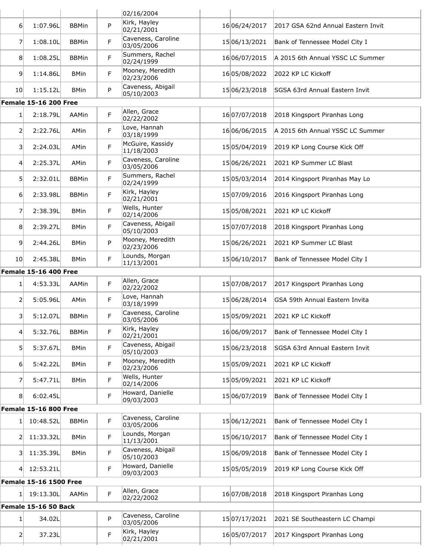|                   |                               |              |   | 02/16/2004                       |               |                                    |
|-------------------|-------------------------------|--------------|---|----------------------------------|---------------|------------------------------------|
| $6 \mid$          | 1:07.96L                      | <b>BBMin</b> | P | Kirk, Hayley<br>02/21/2001       | 16 06/24/2017 | 2017 GSA 62nd Annual Eastern Invit |
| $\overline{7}$    | 1:08.10L                      | <b>BBMin</b> | F | Caveness, Caroline<br>03/05/2006 | 15 06/13/2021 | Bank of Tennessee Model City I     |
| 8 <sup>1</sup>    | 1:08.25L                      | <b>BBMin</b> | F | Summers, Rachel<br>02/24/1999    | 16 06/07/2015 | A 2015 6th Annual YSSC LC Summer   |
| 9                 | 1:14.86L                      | <b>BMin</b>  | F | Mooney, Meredith<br>02/23/2006   | 1605/08/2022  | 2022 KP LC Kickoff                 |
| 10 <sup>1</sup>   | 1:15.12L                      | <b>BMin</b>  | P | Caveness, Abigail<br>05/10/2003  | 15 06/23/2018 | SGSA 63rd Annual Eastern Invit     |
|                   | <b>Female 15-16 200 Free</b>  |              |   |                                  |               |                                    |
| 1                 | 2:18.79L                      | AAMin        | F | Allen, Grace<br>02/22/2002       | 16 07/07/2018 | 2018 Kingsport Piranhas Long       |
| $\overline{2}$    | 2:22.76L                      | AMin         | F | Love, Hannah<br>03/18/1999       | 16 06/06/2015 | A 2015 6th Annual YSSC LC Summer   |
| $\vert$ 3         | 2:24.03L                      | AMin         | F | McGuire, Kassidy<br>11/18/2003   | 15 05/04/2019 | 2019 KP Long Course Kick Off       |
| 4                 | 2:25.37L                      | AMin         | F | Caveness, Caroline<br>03/05/2006 | 15 06/26/2021 | 2021 KP Summer LC Blast            |
| 51                | 2:32.01L                      | <b>BBMin</b> | F | Summers, Rachel<br>02/24/1999    | 1505/03/2014  | 2014 Kingsport Piranhas May Lo     |
| $6 \mid$          | 2:33.98L                      | <b>BBMin</b> | F | Kirk, Hayley<br>02/21/2001       | 15 07/09/2016 | 2016 Kingsport Piranhas Long       |
| 7                 | 2:38.39L                      | <b>BMin</b>  | F | Wells, Hunter<br>02/14/2006      | 1505/08/2021  | 2021 KP LC Kickoff                 |
| 8                 | 2:39.27L                      | <b>BMin</b>  | F | Caveness, Abigail<br>05/10/2003  | 15 07/07/2018 | 2018 Kingsport Piranhas Long       |
| 9 <sup>1</sup>    | 2:44.26L                      | <b>BMin</b>  | P | Mooney, Meredith<br>02/23/2006   | 15 06/26/2021 | 2021 KP Summer LC Blast            |
| 10 <sup>1</sup>   | 2:45.38L                      | <b>BMin</b>  | F | Lounds, Morgan<br>11/13/2001     | 15 06/10/2017 | Bank of Tennessee Model City I     |
|                   | <b>Female 15-16 400 Free</b>  |              |   |                                  |               |                                    |
| 1                 | 4:53.33L                      | AAMin        | F | Allen, Grace<br>02/22/2002       | 15 07/08/2017 | 2017 Kingsport Piranhas Long       |
| $\overline{2}$    | 5:05.96L                      | AMin         | F | Love, Hannah<br>03/18/1999       | 15 06/28/2014 | GSA 59th Annual Eastern Invita     |
| $\vert$ 3         | 5:12.07L                      | <b>BBMin</b> | F | Caveness, Caroline<br>03/05/2006 | 15 05/09/2021 | 2021 KP LC Kickoff                 |
| $\vert 4 \vert$   | 5:32.76L                      | <b>BBMin</b> | F | Kirk, Hayley<br>02/21/2001       | 16 06/09/2017 | Bank of Tennessee Model City I     |
| 51                | 5:37.67L                      | <b>BMin</b>  | F | Caveness, Abigail<br>05/10/2003  | 15 06/23/2018 | SGSA 63rd Annual Eastern Invit     |
| $6 \mid$          | 5:42.22L                      | <b>BMin</b>  | F | Mooney, Meredith<br>02/23/2006   | 15 05/09/2021 | 2021 KP LC Kickoff                 |
| 7                 | 5:47.71L                      | <b>BMin</b>  | F | Wells, Hunter<br>02/14/2006      | 15 05/09/2021 | 2021 KP LC Kickoff                 |
| 8                 | 6:02.45L                      |              | F | Howard, Danielle<br>09/03/2003   | 1506/07/2019  | Bank of Tennessee Model City I     |
|                   | <b>Female 15-16 800 Free</b>  |              |   |                                  |               |                                    |
| 1                 | 10:48.52L                     | <b>BBMin</b> | F | Caveness, Caroline<br>03/05/2006 | 15 06/12/2021 | Bank of Tennessee Model City I     |
| $\overline{2}$    | 11:33.32L                     | <b>BMin</b>  | F | Lounds, Morgan<br>11/13/2001     | 15 06/10/2017 | Bank of Tennessee Model City I     |
| $\lvert 3 \rvert$ | 11:35.39L                     | <b>BMin</b>  | F | Caveness, Abigail<br>05/10/2003  | 15 06/09/2018 | Bank of Tennessee Model City I     |
| 4                 | 12:53.21L                     |              | F | Howard, Danielle<br>09/03/2003   | 15 05/05/2019 | 2019 KP Long Course Kick Off       |
|                   | <b>Female 15-16 1500 Free</b> |              |   |                                  |               |                                    |
| 1                 | 19:13.30L                     | AAMin        | F | Allen, Grace<br>02/22/2002       | 16 07/08/2018 | 2018 Kingsport Piranhas Long       |
|                   | Female 15-16 50 Back          |              |   |                                  |               |                                    |
| 1                 | 34.02L                        |              | P | Caveness, Caroline<br>03/05/2006 | 15 07/17/2021 | 2021 SE Southeastern LC Champi     |
| $\overline{2}$    | 37.23L                        |              | F | Kirk, Hayley<br>02/21/2001       | 16 05/07/2017 | 2017 Kingsport Piranhas Long       |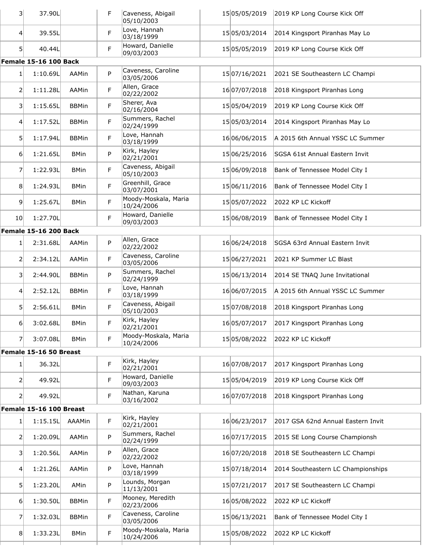| 31             | 37.90L                       |              | F | Caveness, Abigail<br>05/10/2003            | 15 05/05/2019 | 2019 KP Long Course Kick Off          |
|----------------|------------------------------|--------------|---|--------------------------------------------|---------------|---------------------------------------|
| 4              | 39.55L                       |              | F | Love, Hannah<br>03/18/1999                 | 15 05/03/2014 | 2014 Kingsport Piranhas May Lo        |
| 5 <sup>1</sup> | 40.44L                       |              | F | Howard, Danielle<br>09/03/2003             | 15 05/05/2019 | 2019 KP Long Course Kick Off          |
|                | <b>Female 15-16 100 Back</b> |              |   |                                            |               |                                       |
| $1\vert$       | 1:10.69L                     | AAMin        | P | Caveness, Caroline<br>03/05/2006           | 15 07/16/2021 | 2021 SE Southeastern LC Champi        |
| 2              | 1:11.28L                     | AAMin        | F | Allen, Grace<br>02/22/2002                 | 16 07/07/2018 | 2018 Kingsport Piranhas Long          |
| 3              | 1:15.65L                     | <b>BBMin</b> | F | Sherer, Ava<br>02/16/2004                  | 15 05/04/2019 | 2019 KP Long Course Kick Off          |
| $\overline{4}$ | 1:17.52L                     | <b>BBMin</b> | F | Summers, Rachel<br>02/24/1999              | 15 05/03/2014 | 2014 Kingsport Piranhas May Lo        |
| 5 <sup>1</sup> | 1:17.94L                     | <b>BBMin</b> | F | Love, Hannah<br>03/18/1999                 | 16 06/06/2015 | A 2015 6th Annual YSSC LC Summer      |
| 6 <sup>1</sup> | 1:21.65L                     | <b>BMin</b>  | P | Kirk, Hayley<br>02/21/2001                 | 15 06/25/2016 | <b>SGSA 61st Annual Eastern Invit</b> |
| 7              | 1:22.93L                     | <b>BMin</b>  | F | Caveness, Abigail<br>05/10/2003            | 15 06/09/2018 | Bank of Tennessee Model City I        |
| 8              | 1:24.93L                     | <b>BMin</b>  | F | Greenhill, Grace<br>03/07/2001             | 15 06/11/2016 | Bank of Tennessee Model City I        |
| 9              | 1:25.67L                     | <b>BMin</b>  | F | Moody-Moskala, Maria<br>10/24/2006         | 15 05/07/2022 | 2022 KP LC Kickoff                    |
| 10             | 1:27.70L                     |              | F | Howard, Danielle<br>09/03/2003             | 15 06/08/2019 | Bank of Tennessee Model City I        |
|                | <b>Female 15-16 200 Back</b> |              |   |                                            |               |                                       |
| 1              | 2:31.68L                     | AAMin        | P | Allen, Grace<br>02/22/2002                 | 16 06/24/2018 | SGSA 63rd Annual Eastern Invit        |
| 2              | 2:34.12L                     | AAMin        | F | Caveness, Caroline<br>03/05/2006           | 15 06/27/2021 | 2021 KP Summer LC Blast               |
| 31             | 2:44.90L                     | <b>BBMin</b> | P | Summers, Rachel<br>02/24/1999              | 15 06/13/2014 | 2014 SE TNAQ June Invitational        |
| 4              | 2:52.12L                     | <b>BBMin</b> | F | Love, Hannah<br>03/18/1999                 | 16 06/07/2015 | A 2015 6th Annual YSSC LC Summer      |
| 5              | 2:56.61L                     | <b>BMin</b>  | F | Caveness, Abigail<br>05/10/2003            | 1507/08/2018  | 2018 Kingsport Piranhas Long          |
| $6 \mid$       | 3:02.68L                     | <b>BMin</b>  | F | Kirk, Hayley<br>02/21/2001                 | 1605/07/2017  | 2017 Kingsport Piranhas Long          |
| $\overline{7}$ | 3:07.08L                     | <b>BMin</b>  | F | Moody-Moskala, Maria<br>10/24/2006         | 15 05/08/2022 | 2022 KP LC Kickoff                    |
|                | Female 15-16 50 Breast       |              |   |                                            |               |                                       |
| 1 <sup>1</sup> | 36.32L                       |              | F | Kirk, Hayley<br>02/21/2001                 | 16 07/08/2017 | 2017 Kingsport Piranhas Long          |
| 2              | 49.92L                       |              | F | Howard, Danielle<br>09/03/2003             | 15 05/04/2019 | 2019 KP Long Course Kick Off          |
| $\overline{2}$ | 49.92L                       |              | F | Nathan, Karuna<br>03/16/2002               | 16 07/07/2018 | 2018 Kingsport Piranhas Long          |
|                | Female 15-16 100 Breast      |              |   |                                            |               |                                       |
| 1              | 1:15.15L                     | AAAMin       | F | Kirk, Hayley<br>02/21/2001                 | 16 06/23/2017 | 2017 GSA 62nd Annual Eastern Invit    |
| 2              | 1:20.09L                     | AAMin        | P | Summers, Rachel<br>02/24/1999              | 16 07/17/2015 | 2015 SE Long Course Championsh        |
| 3 <sup>1</sup> | 1:20.56L                     | AAMin        | P | Allen, Grace<br>02/22/2002<br>Love, Hannah | 16 07/20/2018 | 2018 SE Southeastern LC Champi        |
| 4 <sup>1</sup> | 1:21.26L                     | AAMin        | P | 03/18/1999<br>Lounds, Morgan               | 15 07/18/2014 | 2014 Southeastern LC Championships    |
| 51             | 1:23.20L                     | AMin         | P | 11/13/2001<br>Mooney, Meredith             | 15 07/21/2017 | 2017 SE Southeastern LC Champi        |
| 6              | 1:30.50L                     | <b>BBMin</b> | F | 02/23/2006<br>Caveness, Caroline           | 16 05/08/2022 | 2022 KP LC Kickoff                    |
| 7              | 1:32.03L                     | <b>BBMin</b> | F | 03/05/2006<br>Moody-Moskala, Maria         | 15 06/13/2021 | Bank of Tennessee Model City I        |
| 8 <sup>1</sup> | 1:33.23L                     | <b>BMin</b>  | F | 10/24/2006                                 | 15 05/08/2022 | 2022 KP LC Kickoff                    |
|                |                              |              |   |                                            |               |                                       |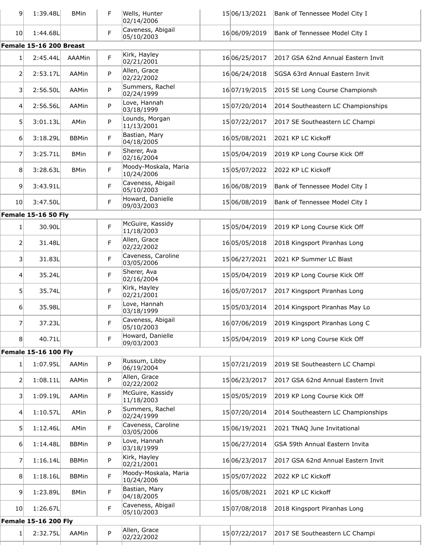| $\overline{9}$  | 1:39.48L                    | <b>BMin</b>  | F. | Wells, Hunter<br>02/14/2006        | 15 06/13/2021 | Bank of Tennessee Model City I     |
|-----------------|-----------------------------|--------------|----|------------------------------------|---------------|------------------------------------|
| 10 <sup>1</sup> | 1:44.68L                    |              | F  | Caveness, Abigail<br>05/10/2003    | 16 06/09/2019 | Bank of Tennessee Model City I     |
|                 | Female 15-16 200 Breast     |              |    |                                    |               |                                    |
| 1               | 2:45.44L                    | AAAMin       | F  | Kirk, Hayley<br>02/21/2001         | 16 06/25/2017 | 2017 GSA 62nd Annual Eastern Invit |
| 2               | 2:53.17L                    | AAMin        | P  | Allen, Grace<br>02/22/2002         | 16 06/24/2018 | SGSA 63rd Annual Eastern Invit     |
| $\vert$ 3       | 2:56.50L                    | AAMin        | P  | Summers, Rachel<br>02/24/1999      | 16 07/19/2015 | 2015 SE Long Course Championsh     |
| 4               | 2:56.56L                    | AAMin        | P  | Love, Hannah<br>03/18/1999         | 15 07/20/2014 | 2014 Southeastern LC Championships |
| 5               | 3:01.13L                    | AMin         | P  | Lounds, Morgan<br>11/13/2001       | 15 07/22/2017 | 2017 SE Southeastern LC Champi     |
| $6 \mid$        | 3:18.29L                    | <b>BBMin</b> | F  | Bastian, Mary<br>04/18/2005        | 1605/08/2021  | 2021 KP LC Kickoff                 |
| 7               | 3:25.71L                    | <b>BMin</b>  | F  | Sherer, Ava<br>02/16/2004          | 15 05/04/2019 | 2019 KP Long Course Kick Off       |
| 8 <sup>1</sup>  | 3:28.63L                    | <b>BMin</b>  | F  | Moody-Moskala, Maria<br>10/24/2006 | 15 05/07/2022 | 2022 KP LC Kickoff                 |
| 9               | 3:43.91L                    |              | F  | Caveness, Abigail<br>05/10/2003    | 16 06/08/2019 | Bank of Tennessee Model City I     |
| 10 <sup>1</sup> | 3:47.50L                    |              | F  | Howard, Danielle<br>09/03/2003     | 1506/08/2019  | Bank of Tennessee Model City I     |
|                 | <b>Female 15-16 50 Fly</b>  |              |    |                                    |               |                                    |
| 1               | 30.90L                      |              | F  | McGuire, Kassidy<br>11/18/2003     | 15 05/04/2019 | 2019 KP Long Course Kick Off       |
| 2               | 31.48L                      |              | F  | Allen, Grace<br>02/22/2002         | 16 05/05/2018 | 2018 Kingsport Piranhas Long       |
| $\vert$ 3       | 31.83L                      |              | F  | Caveness, Caroline<br>03/05/2006   | 15 06/27/2021 | 2021 KP Summer LC Blast            |
| $\overline{4}$  | 35.24L                      |              | F  | Sherer, Ava<br>02/16/2004          | 15 05/04/2019 | 2019 KP Long Course Kick Off       |
| 5               | 35.74L                      |              | F  | Kirk, Hayley<br>02/21/2001         | 16 05/07/2017 | 2017 Kingsport Piranhas Long       |
| $6 \mid$        | 35.98L                      |              | F  | Love, Hannah<br>03/18/1999         | 15 05/03/2014 | 2014 Kingsport Piranhas May Lo     |
| 7               | 37.23L                      |              | F  | Caveness, Abigail<br>05/10/2003    | 16 07/06/2019 | 2019 Kingsport Piranhas Long C     |
| 8 <sup>1</sup>  | 40.71L                      |              | F  | Howard, Danielle<br>09/03/2003     | 15 05/04/2019 | 2019 KP Long Course Kick Off       |
|                 | <b>Female 15-16 100 Fly</b> |              |    |                                    |               |                                    |
| 1               | 1:07.95L                    | AAMin        | P  | Russum, Libby<br>06/19/2004        | 15 07/21/2019 | 2019 SE Southeastern LC Champi     |
| 2               | 1:08.11L                    | AAMin        | P  | Allen, Grace<br>02/22/2002         | 15 06/23/2017 | 2017 GSA 62nd Annual Eastern Invit |
| 3               | 1:09.19L                    | AAMin        | F  | McGuire, Kassidy<br>11/18/2003     | 15 05/05/2019 | 2019 KP Long Course Kick Off       |
| 4               | 1:10.57L                    | AMin         | P  | Summers, Rachel<br>02/24/1999      | 15 07/20/2014 | 2014 Southeastern LC Championships |
| $\mathsf{5}$    | 1:12.46L                    | AMin         | F  | Caveness, Caroline<br>03/05/2006   | 15 06/19/2021 | 2021 TNAQ June Invitational        |
| 6 <sup>1</sup>  | 1:14.48L                    | <b>BBMin</b> | P  | Love, Hannah<br>03/18/1999         | 15 06/27/2014 | GSA 59th Annual Eastern Invita     |
| 7               | 1:16.14L                    | <b>BBMin</b> | P  | Kirk, Hayley<br>02/21/2001         | 16 06/23/2017 | 2017 GSA 62nd Annual Eastern Invit |
| 8               | 1:18.16L                    | <b>BBMin</b> | F  | Moody-Moskala, Maria<br>10/24/2006 | 15 05/07/2022 | 2022 KP LC Kickoff                 |
| $\overline{9}$  | 1:23.89L                    | <b>BMin</b>  | F  | Bastian, Mary<br>04/18/2005        | 16 05/08/2021 | 2021 KP LC Kickoff                 |
| 10 <sub>l</sub> | 1:26.67L                    |              | F  | Caveness, Abigail<br>05/10/2003    | 15 07/08/2018 | 2018 Kingsport Piranhas Long       |
|                 | <b>Female 15-16 200 Fly</b> |              |    |                                    |               |                                    |
| 1               | 2:32.75L                    | AAMin        | P  | Allen, Grace<br>02/22/2002         | 15 07/22/2017 | 2017 SE Southeastern LC Champi     |
|                 |                             |              |    |                                    |               |                                    |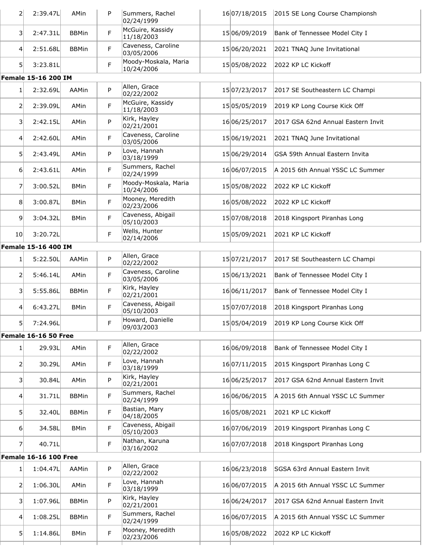| $\overline{2}$    | 2:39.47L                     | AMin         | P  | Summers, Rachel<br>02/24/1999      | 16 07/18/2015 | 2015 SE Long Course Championsh     |
|-------------------|------------------------------|--------------|----|------------------------------------|---------------|------------------------------------|
| $\lvert 3 \rvert$ | 2:47.31L                     | <b>BBMin</b> | F  | McGuire, Kassidy<br>11/18/2003     | 15 06/09/2019 | Bank of Tennessee Model City I     |
| $\left 4\right $  | 2:51.68L                     | <b>BBMin</b> | F. | Caveness, Caroline<br>03/05/2006   | 15 06/20/2021 | 2021 TNAQ June Invitational        |
| 5 <sup>1</sup>    | 3:23.81L                     |              | F  | Moody-Moskala, Maria<br>10/24/2006 | 15 05/08/2022 | 2022 KP LC Kickoff                 |
|                   | Female 15-16 200 IM          |              |    |                                    |               |                                    |
| 1                 | 2:32.69L                     | AAMin        | P  | Allen, Grace<br>02/22/2002         | 15 07/23/2017 | 2017 SE Southeastern LC Champi     |
| 2                 | 2:39.09L                     | AMin         | F  | McGuire, Kassidy<br>11/18/2003     | 15 05/05/2019 | 2019 KP Long Course Kick Off       |
| 3                 | 2:42.15L                     | AMin         | P  | Kirk, Hayley<br>02/21/2001         | 16 06/25/2017 | 2017 GSA 62nd Annual Eastern Invit |
| $\left 4\right $  | 2:42.60L                     | AMin         | F  | Caveness, Caroline<br>03/05/2006   | 15 06/19/2021 | 2021 TNAQ June Invitational        |
| 5 <sup>1</sup>    | 2:43.49L                     | AMin         | P  | Love, Hannah<br>03/18/1999         | 15 06/29/2014 | GSA 59th Annual Eastern Invita     |
| $6 \mid$          | 2:43.61L                     | AMin         | F. | Summers, Rachel<br>02/24/1999      | 16 06/07/2015 | A 2015 6th Annual YSSC LC Summer   |
| 7                 | 3:00.52L                     | <b>BMin</b>  | F  | Moody-Moskala, Maria<br>10/24/2006 | 15 05/08/2022 | 2022 KP LC Kickoff                 |
| 8                 | 3:00.87L                     | <b>BMin</b>  | F  | Mooney, Meredith<br>02/23/2006     | 16 05/08/2022 | 2022 KP LC Kickoff                 |
| 9                 | 3:04.32L                     | <b>BMin</b>  | F  | Caveness, Abigail<br>05/10/2003    | 15 07/08/2018 | 2018 Kingsport Piranhas Long       |
| 10 <sup>1</sup>   | 3:20.72L                     |              | F  | Wells, Hunter<br>02/14/2006        | 15 05/09/2021 | 2021 KP LC Kickoff                 |
|                   | <b>Female 15-16 400 IM</b>   |              |    |                                    |               |                                    |
| 1 <sup>1</sup>    | 5:22.50L                     | AAMin        | P  | Allen, Grace<br>02/22/2002         | 15 07/21/2017 | 2017 SE Southeastern LC Champi     |
| 2                 | 5:46.14L                     | AMin         | F  | Caveness, Caroline<br>03/05/2006   | 15 06/13/2021 | Bank of Tennessee Model City I     |
| 3                 | 5:55.86L                     | <b>BBMin</b> | F  | Kirk, Hayley<br>02/21/2001         | 16 06/11/2017 | Bank of Tennessee Model City I     |
| $\overline{4}$    | 6:43.27L                     | <b>BMin</b>  | F  | Caveness, Abigail<br>05/10/2003    | 15 07/07/2018 | 2018 Kingsport Piranhas Long       |
| 5 <sup>1</sup>    | 7:24.96L                     |              | F  | Howard, Danielle<br>09/03/2003     | 15 05/04/2019 | 2019 KP Long Course Kick Off       |
|                   | Female 16-16 50 Free         |              |    |                                    |               |                                    |
| 1 <sup>1</sup>    | 29.93L                       | AMin         | F. | Allen, Grace<br>02/22/2002         | 16 06/09/2018 | Bank of Tennessee Model City I     |
| $\overline{2}$    | 30.29L                       | AMin         | F  | Love, Hannah<br>03/18/1999         | 16 07/11/2015 | 2015 Kingsport Piranhas Long C     |
| $\overline{3}$    | 30.84L                       | AMin         | P  | Kirk, Hayley<br>02/21/2001         | 16 06/25/2017 | 2017 GSA 62nd Annual Eastern Invit |
| 4                 | 31.71L                       | <b>BBMin</b> | F  | Summers, Rachel<br>02/24/1999      | 16 06/06/2015 | A 2015 6th Annual YSSC LC Summer   |
| 5 <sup>1</sup>    | 32.40L                       | <b>BBMin</b> | F  | Bastian, Mary<br>04/18/2005        | 1605/08/2021  | 2021 KP LC Kickoff                 |
| $6 \mid$          | 34.58L                       | <b>BMin</b>  | F  | Caveness, Abigail<br>05/10/2003    | 16 07/06/2019 | 2019 Kingsport Piranhas Long C     |
| $\overline{7}$    | 40.71L                       |              | F  | Nathan, Karuna<br>03/16/2002       | 16 07/07/2018 | 2018 Kingsport Piranhas Long       |
|                   | <b>Female 16-16 100 Free</b> |              |    |                                    |               |                                    |
| 1                 | 1:04.47L                     | AAMin        | P  | Allen, Grace<br>02/22/2002         | 16 06/23/2018 | SGSA 63rd Annual Eastern Invit     |
| $\overline{2}$    | 1:06.30L                     | AMin         | F. | Love, Hannah<br>03/18/1999         | 16 06/07/2015 | A 2015 6th Annual YSSC LC Summer   |
| 3                 | 1:07.96L                     | <b>BBMin</b> | P  | Kirk, Hayley<br>02/21/2001         | 16 06/24/2017 | 2017 GSA 62nd Annual Eastern Invit |
| $\left 4\right $  | 1:08.25L                     | <b>BBMin</b> | F  | Summers, Rachel<br>02/24/1999      | 16 06/07/2015 | A 2015 6th Annual YSSC LC Summer   |
| 5 <sup>1</sup>    | 1:14.86L                     | <b>BMin</b>  | F  | Mooney, Meredith<br>02/23/2006     | 1605/08/2022  | 2022 KP LC Kickoff                 |
|                   |                              |              |    |                                    |               |                                    |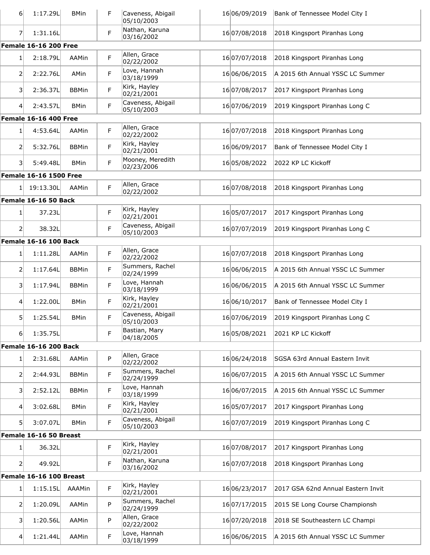| 6 <sup>1</sup>    | 1:17.29L                           | <b>BMin</b>  | F  | Caveness, Abigail<br>05/10/2003 | 16 06/09/2019 | Bank of Tennessee Model City I     |
|-------------------|------------------------------------|--------------|----|---------------------------------|---------------|------------------------------------|
| 7 <sup>1</sup>    | 1:31.16L                           |              | F  | Nathan, Karuna<br>03/16/2002    | 16 07/08/2018 | 2018 Kingsport Piranhas Long       |
|                   | <b>Female 16-16 200 Free</b>       |              |    |                                 |               |                                    |
| 1                 | 2:18.79L                           | AAMin        | F  | Allen, Grace<br>02/22/2002      | 16 07/07/2018 | 2018 Kingsport Piranhas Long       |
| $\overline{2}$    | 2:22.76L                           | AMin         | F  | Love, Hannah<br>03/18/1999      | 16 06/06/2015 | A 2015 6th Annual YSSC LC Summer   |
| 3                 | 2:36.37L                           | <b>BBMin</b> | F  | Kirk, Hayley<br>02/21/2001      | 16 07/08/2017 | 2017 Kingsport Piranhas Long       |
| $\left 4\right $  | 2:43.57L                           | <b>BMin</b>  | F  | Caveness, Abigail<br>05/10/2003 | 16 07/06/2019 | 2019 Kingsport Piranhas Long C     |
|                   | <b>Female 16-16 400 Free</b>       |              |    |                                 |               |                                    |
| $\mathbf{1}$      | 4:53.64L                           | AAMin        | F  | Allen, Grace<br>02/22/2002      | 1607/07/2018  | 2018 Kingsport Piranhas Long       |
| 2                 | 5:32.76L                           | <b>BBMin</b> | F  | Kirk, Hayley<br>02/21/2001      | 16 06/09/2017 | Bank of Tennessee Model City I     |
| 31                | 5:49.48L                           | <b>BMin</b>  | F  | Mooney, Meredith<br>02/23/2006  | 16 05/08/2022 | 2022 KP LC Kickoff                 |
|                   | <b>Female 16-16 1500 Free</b>      |              |    |                                 |               |                                    |
| 11                | 19:13.30L                          | AAMin        | F  | Allen, Grace<br>02/22/2002      | 16 07/08/2018 | 2018 Kingsport Piranhas Long       |
|                   | Female 16-16 50 Back               |              |    |                                 |               |                                    |
| $1\vert$          | 37.23L                             |              | F  | Kirk, Hayley<br>02/21/2001      | 16 05/07/2017 | 2017 Kingsport Piranhas Long       |
| $\overline{2}$    | 38.32L                             |              | F  | Caveness, Abigail<br>05/10/2003 | 16 07/07/2019 | 2019 Kingsport Piranhas Long C     |
|                   | Female 16-16 100 Back              |              |    |                                 |               |                                    |
| 1                 | 1:11.28L                           | AAMin        | F  | Allen, Grace<br>02/22/2002      | 16 07/07/2018 | 2018 Kingsport Piranhas Long       |
| $\overline{2}$    | 1:17.64L                           | <b>BBMin</b> | F  | Summers, Rachel<br>02/24/1999   | 16 06/06/2015 | A 2015 6th Annual YSSC LC Summer   |
| 3                 | 1:17.94L                           | <b>BBMin</b> | F  | Love, Hannah<br>03/18/1999      | 16 06/06/2015 | A 2015 6th Annual YSSC LC Summer   |
| $\left 4\right $  | 1:22.00L                           | <b>BMin</b>  | F  | Kirk, Hayley<br>02/21/2001      | 16 06/10/2017 | Bank of Tennessee Model City I     |
| 5 <sup>1</sup>    | 1:25.54L                           | <b>BMin</b>  | F  | Caveness, Abigail<br>05/10/2003 | 16 07/06/2019 | 2019 Kingsport Piranhas Long C     |
| 61                | 1:35.75L                           |              | F  | Bastian, Mary<br>04/18/2005     | 16 05/08/2021 | 2021 KP LC Kickoff                 |
|                   | <b>Female 16-16 200 Back</b>       |              |    |                                 |               |                                    |
| $1\vert$          | 2:31.68L                           | AAMin        | P  | Allen, Grace<br>02/22/2002      | 16 06/24/2018 | SGSA 63rd Annual Eastern Invit     |
| $\overline{2}$    | 2:44.93L                           | <b>BBMin</b> | F  | Summers, Rachel<br>02/24/1999   | 16 06/07/2015 | A 2015 6th Annual YSSC LC Summer   |
| 3                 | 2:52.12L                           | <b>BBMin</b> | F  | Love, Hannah<br>03/18/1999      | 16 06/07/2015 | A 2015 6th Annual YSSC LC Summer   |
| 41                | 3:02.68L                           | <b>BMin</b>  | F. | Kirk, Hayley<br>02/21/2001      | 16 05/07/2017 | 2017 Kingsport Piranhas Long       |
| 51                | 3:07.07L<br>Female 16-16 50 Breast | <b>BMin</b>  | F  | Caveness, Abigail<br>05/10/2003 | 16 07/07/2019 | 2019 Kingsport Piranhas Long C     |
|                   |                                    |              |    |                                 |               |                                    |
| 1 <sup>1</sup>    | 36.32L                             |              | F  | Kirk, Hayley<br>02/21/2001      | 1607/08/2017  | 2017 Kingsport Piranhas Long       |
| $\overline{2}$    | 49.92L<br>Female 16-16 100 Breast  |              | F  | Nathan, Karuna<br>03/16/2002    | 16 07/07/2018 | 2018 Kingsport Piranhas Long       |
|                   |                                    |              |    |                                 |               |                                    |
| 1                 | 1:15.15L                           | AAAMin       | F  | Kirk, Hayley<br>02/21/2001      | 16 06/23/2017 | 2017 GSA 62nd Annual Eastern Invit |
| $\overline{2}$    | 1:20.09L                           | AAMin        | P  | Summers, Rachel<br>02/24/1999   | 16 07/17/2015 | 2015 SE Long Course Championsh     |
| $\lvert 3 \rvert$ | 1:20.56L                           | AAMin        | P  | Allen, Grace<br>02/22/2002      | 16 07/20/2018 | 2018 SE Southeastern LC Champi     |
| 4 <sup>1</sup>    | 1:21.44L                           | AAMin        | F  | Love, Hannah<br>03/18/1999      | 16 06/06/2015 | A 2015 6th Annual YSSC LC Summer   |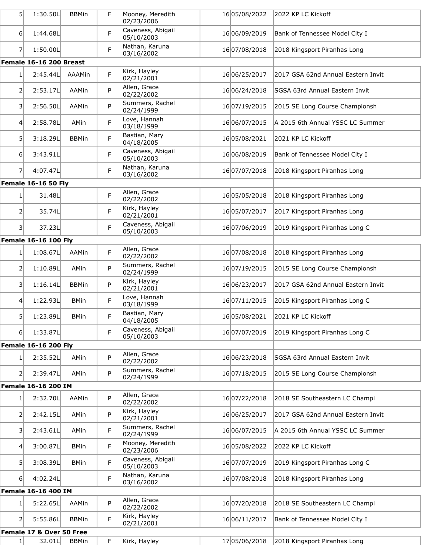| 5 <sup>1</sup> | 1:30.50L                    | <b>BBMin</b> | F | Mooney, Meredith<br>02/23/2006  | 1605/08/2022  | 2022 KP LC Kickoff                 |
|----------------|-----------------------------|--------------|---|---------------------------------|---------------|------------------------------------|
| $6 \mid$       | 1:44.68L                    |              | F | Caveness, Abigail<br>05/10/2003 | 16 06/09/2019 | Bank of Tennessee Model City I     |
| 7              | 1:50.00L                    |              | F | Nathan, Karuna<br>03/16/2002    | 16 07/08/2018 | 2018 Kingsport Piranhas Long       |
|                | Female 16-16 200 Breast     |              |   |                                 |               |                                    |
| $1\vert$       | 2:45.44L                    | AAAMin       | F | Kirk, Hayley<br>02/21/2001      | 16 06/25/2017 | 2017 GSA 62nd Annual Eastern Invit |
| 2              | 2:53.17L                    | AAMin        | P | Allen, Grace<br>02/22/2002      | 16 06/24/2018 | SGSA 63rd Annual Eastern Invit     |
| $\vert$ 3      | 2:56.50L                    | AAMin        | P | Summers, Rachel<br>02/24/1999   | 16 07/19/2015 | 2015 SE Long Course Championsh     |
| 4 <sup>1</sup> | 2:58.78L                    | AMin         | F | Love, Hannah<br>03/18/1999      | 16 06/07/2015 | A 2015 6th Annual YSSC LC Summer   |
| 5 <sup>1</sup> | 3:18.29L                    | <b>BBMin</b> | F | Bastian, Mary<br>04/18/2005     | 16 05/08/2021 | 2021 KP LC Kickoff                 |
| 6              | 3:43.91L                    |              | F | Caveness, Abigail<br>05/10/2003 | 16 06/08/2019 | Bank of Tennessee Model City I     |
| 7              | 4:07.47L                    |              | F | Nathan, Karuna<br>03/16/2002    | 16 07/07/2018 | 2018 Kingsport Piranhas Long       |
|                | <b>Female 16-16 50 Fly</b>  |              |   |                                 |               |                                    |
| 1              | 31.48L                      |              | F | Allen, Grace<br>02/22/2002      | 1605/05/2018  | 2018 Kingsport Piranhas Long       |
| 2              | 35.74L                      |              | F | Kirk, Hayley<br>02/21/2001      | 1605/07/2017  | 2017 Kingsport Piranhas Long       |
| 31             | 37.23L                      |              | F | Caveness, Abigail<br>05/10/2003 | 16 07/06/2019 | 2019 Kingsport Piranhas Long C     |
|                | <b>Female 16-16 100 Fly</b> |              |   |                                 |               |                                    |
| $1\vert$       | 1:08.67L                    | AAMin        | F | Allen, Grace<br>02/22/2002      | 16 07/08/2018 | 2018 Kingsport Piranhas Long       |
| 2              | 1:10.89L                    | AMin         | P | Summers, Rachel<br>02/24/1999   | 16 07/19/2015 | 2015 SE Long Course Championsh     |
| 3              | 1:16.14L                    | <b>BBMin</b> | P | Kirk, Hayley<br>02/21/2001      | 16 06/23/2017 | 2017 GSA 62nd Annual Eastern Invit |
| 4              | 1:22.93L                    | <b>BMin</b>  | F | Love, Hannah<br>03/18/1999      | 16 07/11/2015 | 2015 Kingsport Piranhas Long C     |
| 5              | 1:23.89L                    | <b>BMin</b>  | F | Bastian, Mary<br>04/18/2005     | 1605/08/2021  | 2021 KP LC Kickoff                 |
| 6 <sup>1</sup> | 1:33.87L                    |              | F | Caveness, Abigail<br>05/10/2003 | 16 07/07/2019 | 2019 Kingsport Piranhas Long C     |
|                | <b>Female 16-16 200 Fly</b> |              |   |                                 |               |                                    |
| 1 <sup>1</sup> | 2:35.52L                    | AMin         | P | Allen, Grace<br>02/22/2002      | 16 06/23/2018 | SGSA 63rd Annual Eastern Invit     |
| $\overline{2}$ | 2:39.47L                    | AMin         | P | Summers, Rachel<br>02/24/1999   | 16 07/18/2015 | 2015 SE Long Course Championsh     |
|                | Female 16-16 200 IM         |              |   |                                 |               |                                    |
| $1\vert$       | 2:32.70L                    | AAMin        | P | Allen, Grace<br>02/22/2002      | 16 07/22/2018 | 2018 SE Southeastern LC Champi     |
| 2              | 2:42.15L                    | AMin         | P | Kirk, Hayley<br>02/21/2001      | 16 06/25/2017 | 2017 GSA 62nd Annual Eastern Invit |
| $\vert$ 3      | 2:43.61L                    | AMin         | F | Summers, Rachel<br>02/24/1999   | 16 06/07/2015 | A 2015 6th Annual YSSC LC Summer   |
| 4 <sup>1</sup> | 3:00.87L                    | <b>BMin</b>  | F | Mooney, Meredith<br>02/23/2006  | 1605/08/2022  | 2022 KP LC Kickoff                 |
| 5 <sup>1</sup> | 3:08.39L                    | <b>BMin</b>  | F | Caveness, Abigail<br>05/10/2003 | 16 07/07/2019 | 2019 Kingsport Piranhas Long C     |
| 6              | 4:02.24L                    |              | F | Nathan, Karuna<br>03/16/2002    | 16 07/08/2018 | 2018 Kingsport Piranhas Long       |
|                | Female 16-16 400 IM         |              |   |                                 |               |                                    |
| 1              | 5:22.65L                    | AAMin        | P | Allen, Grace<br>02/22/2002      | 16 07/20/2018 | 2018 SE Southeastern LC Champi     |
| $\overline{2}$ | 5:55.86L                    | <b>BBMin</b> | F | Kirk, Hayley<br>02/21/2001      | 16 06/11/2017 | Bank of Tennessee Model City I     |
|                | Female 17 & Over 50 Free    |              |   |                                 |               |                                    |
| $1\vert$       | 32.01L                      | <b>BBMin</b> | F | Kirk, Hayley                    | 1705/06/2018  | 2018 Kingsport Piranhas Long       |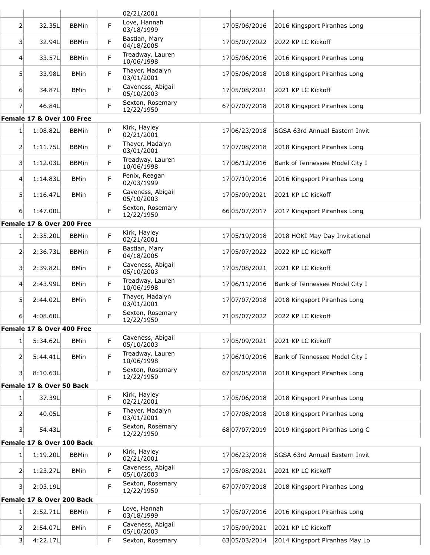|                 |                           |              |   | 02/21/2001                      |               |                                |
|-----------------|---------------------------|--------------|---|---------------------------------|---------------|--------------------------------|
| 2               | 32.35L                    | <b>BBMin</b> | F | Love, Hannah<br>03/18/1999      | 17 05/06/2016 | 2016 Kingsport Piranhas Long   |
| $\overline{3}$  | 32.94L                    | <b>BBMin</b> | F | Bastian, Mary<br>04/18/2005     | 17 05/07/2022 | 2022 KP LC Kickoff             |
| $\vert 4 \vert$ | 33.57L                    | <b>BBMin</b> | F | Treadway, Lauren<br>10/06/1998  | 17 05/06/2016 | 2016 Kingsport Piranhas Long   |
| 5 <sup>1</sup>  | 33.98L                    | <b>BMin</b>  | F | Thayer, Madalyn<br>03/01/2001   | 17 05/06/2018 | 2018 Kingsport Piranhas Long   |
| 6               | 34.87L                    | <b>BMin</b>  | F | Caveness, Abigail<br>05/10/2003 | 17 05/08/2021 | 2021 KP LC Kickoff             |
| $\overline{7}$  | 46.84L                    |              | F | Sexton, Rosemary<br>12/22/1950  | 67 07/07/2018 | 2018 Kingsport Piranhas Long   |
|                 | Female 17 & Over 100 Free |              |   |                                 |               |                                |
| $\mathbf{1}$    | 1:08.82L                  | <b>BBMin</b> | P | Kirk, Hayley<br>02/21/2001      | 17 06/23/2018 | SGSA 63rd Annual Eastern Invit |
| $\overline{2}$  | 1:11.75L                  | <b>BBMin</b> | F | Thayer, Madalyn<br>03/01/2001   | 17 07/08/2018 | 2018 Kingsport Piranhas Long   |
| $\vert$ 3       | 1:12.03L                  | <b>BBMin</b> | F | Treadway, Lauren<br>10/06/1998  | 17 06/12/2016 | Bank of Tennessee Model City I |
| 4               | 1:14.83L                  | <b>BMin</b>  | F | Penix, Reagan<br>02/03/1999     | 17 07/10/2016 | 2016 Kingsport Piranhas Long   |
| 5               | 1:16.47L                  | <b>BMin</b>  | F | Caveness, Abigail<br>05/10/2003 | 17 05/09/2021 | 2021 KP LC Kickoff             |
| 6               | 1:47.00L                  |              | F | Sexton, Rosemary<br>12/22/1950  | 66 05/07/2017 | 2017 Kingsport Piranhas Long   |
|                 | Female 17 & Over 200 Free |              |   |                                 |               |                                |
| 1               | 2:35.20L                  | <b>BBMin</b> | F | Kirk, Hayley<br>02/21/2001      | 17 05/19/2018 | 2018 HOKI May Day Invitational |
| 2               | 2:36.73L                  | <b>BBMin</b> | F | Bastian, Mary<br>04/18/2005     | 17 05/07/2022 | 2022 KP LC Kickoff             |
| 3 <sup>1</sup>  | 2:39.82L                  | <b>BMin</b>  | F | Caveness, Abigail<br>05/10/2003 | 17 05/08/2021 | 2021 KP LC Kickoff             |
| $\overline{4}$  | 2:43.99L                  | <b>BMin</b>  | F | Treadway, Lauren<br>10/06/1998  | 17 06/11/2016 | Bank of Tennessee Model City I |
| 5               | 2:44.02L                  | <b>BMin</b>  | F | Thayer, Madalyn<br>03/01/2001   | 17 07/07/2018 | 2018 Kingsport Piranhas Long   |
| 6               | 4:08.60L                  |              | F | Sexton, Rosemary<br>12/22/1950  | 7105/07/2022  | 2022 KP LC Kickoff             |
|                 | Female 17 & Over 400 Free |              |   |                                 |               |                                |
| 1               | 5:34.62L                  | <b>BMin</b>  | F | Caveness, Abigail<br>05/10/2003 | 17 05/09/2021 | 2021 KP LC Kickoff             |
| $\overline{2}$  | 5:44.41L                  | <b>BMin</b>  | F | Treadway, Lauren<br>10/06/1998  | 17 06/10/2016 | Bank of Tennessee Model City I |
| 3 <sup>1</sup>  | 8:10.63L                  |              | F | Sexton, Rosemary<br>12/22/1950  | 6705/05/2018  | 2018 Kingsport Piranhas Long   |
|                 | Female 17 & Over 50 Back  |              |   |                                 |               |                                |
| 1 <sup>1</sup>  | 37.39L                    |              | F | Kirk, Hayley<br>02/21/2001      | 17 05/06/2018 | 2018 Kingsport Piranhas Long   |
| 2               | 40.05L                    |              | F | Thayer, Madalyn<br>03/01/2001   | 17 07/08/2018 | 2018 Kingsport Piranhas Long   |
| $\vert$ 3       | 54.43L                    |              | F | Sexton, Rosemary<br>12/22/1950  | 68 07/07/2019 | 2019 Kingsport Piranhas Long C |
|                 | Female 17 & Over 100 Back |              |   |                                 |               |                                |
| 1               | 1:19.20L                  | <b>BBMin</b> | P | Kirk, Hayley<br>02/21/2001      | 17 06/23/2018 | SGSA 63rd Annual Eastern Invit |
| $\overline{2}$  | 1:23.27L                  | <b>BMin</b>  | F | Caveness, Abigail<br>05/10/2003 | 17 05/08/2021 | 2021 KP LC Kickoff             |
| 3 <sup>1</sup>  | 2:03.19L                  |              | F | Sexton, Rosemary<br>12/22/1950  | 67 07/07/2018 | 2018 Kingsport Piranhas Long   |
|                 | Female 17 & Over 200 Back |              |   |                                 |               |                                |
| 1 <sup>1</sup>  | 2:52.71L                  | <b>BBMin</b> | F | Love, Hannah<br>03/18/1999      | 17 05/07/2016 | 2016 Kingsport Piranhas Long   |
| $\overline{2}$  | 2:54.07L                  | <b>BMin</b>  | F | Caveness, Abigail<br>05/10/2003 | 17 05/09/2021 | 2021 KP LC Kickoff             |
| 3 <sup>1</sup>  | 4:22.17L                  |              | F | Sexton, Rosemary                | 6305/03/2014  | 2014 Kingsport Piranhas May Lo |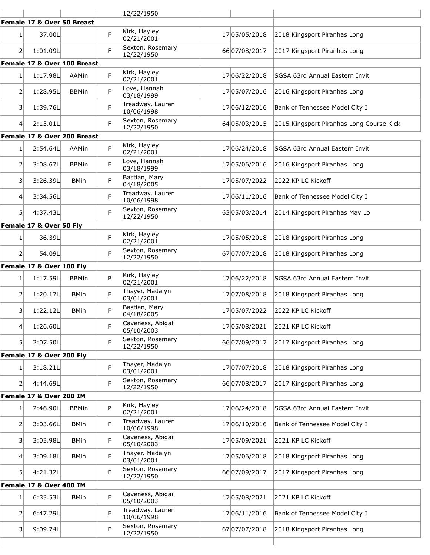|                  |                             |              |   | 12/22/1950                      |               |                                          |
|------------------|-----------------------------|--------------|---|---------------------------------|---------------|------------------------------------------|
|                  | Female 17 & Over 50 Breast  |              |   |                                 |               |                                          |
| 1 <sup>1</sup>   | 37.00L                      |              | F | Kirk, Hayley<br>02/21/2001      | 17 05/05/2018 | 2018 Kingsport Piranhas Long             |
| 2                | 1:01.09L                    |              | F | Sexton, Rosemary<br>12/22/1950  | 66 07/08/2017 | 2017 Kingsport Piranhas Long             |
|                  | Female 17 & Over 100 Breast |              |   |                                 |               |                                          |
| $1\vert$         | 1:17.98L                    | <b>AAMin</b> | F | Kirk, Hayley<br>02/21/2001      | 17 06/22/2018 | SGSA 63rd Annual Eastern Invit           |
| 2                | 1:28.95L                    | <b>BBMin</b> | F | Love, Hannah<br>03/18/1999      | 17 05/07/2016 | 2016 Kingsport Piranhas Long             |
| 31               | 1:39.76L                    |              | F | Treadway, Lauren<br>10/06/1998  | 17 06/12/2016 | Bank of Tennessee Model City I           |
| 4 <sup>1</sup>   | 2:13.01L                    |              | F | Sexton, Rosemary<br>12/22/1950  | 64 05/03/2015 | 2015 Kingsport Piranhas Long Course Kick |
|                  | Female 17 & Over 200 Breast |              |   |                                 |               |                                          |
| 1 <sup>1</sup>   | 2:54.64L                    | <b>AAMin</b> | F | Kirk, Hayley<br>02/21/2001      | 17 06/24/2018 | <b>SGSA 63rd Annual Eastern Invit</b>    |
| 2                | 3:08.67L                    | <b>BBMin</b> | F | Love, Hannah<br>03/18/1999      | 17 05/06/2016 | 2016 Kingsport Piranhas Long             |
| 31               | 3:26.39L                    | <b>BMin</b>  | F | Bastian, Mary<br>04/18/2005     | 17 05/07/2022 | 2022 KP LC Kickoff                       |
| $\vert 4 \vert$  | 3:34.56L                    |              | F | Treadway, Lauren<br>10/06/1998  | 17 06/11/2016 | Bank of Tennessee Model City I           |
| 51               | 4:37.43L                    |              | F | Sexton, Rosemary<br>12/22/1950  | 63 05/03/2014 | 2014 Kingsport Piranhas May Lo           |
|                  | Female 17 & Over 50 Fly     |              |   |                                 |               |                                          |
| 1 <sup>1</sup>   | 36.39L                      |              | F | Kirk, Hayley<br>02/21/2001      | 17 05/05/2018 | 2018 Kingsport Piranhas Long             |
| $\overline{2}$   | 54.09L                      |              | F | Sexton, Rosemary<br>12/22/1950  | 67 07/07/2018 | 2018 Kingsport Piranhas Long             |
|                  | Female 17 & Over 100 Fly    |              |   |                                 |               |                                          |
| 1 <sup>1</sup>   | 1:17.59L                    | <b>BBMin</b> | P | Kirk, Hayley<br>02/21/2001      | 17 06/22/2018 | SGSA 63rd Annual Eastern Invit           |
| $\overline{2}$   | 1:20.17L                    | <b>BMin</b>  | F | Thayer, Madalyn<br>03/01/2001   | 17 07/08/2018 | 2018 Kingsport Piranhas Long             |
| 3                | 1:22.12L                    | <b>BMin</b>  | F | Bastian, Mary<br>04/18/2005     | 1705/07/2022  | 2022 KP LC Kickoff                       |
| 41               | 1:26.60L                    |              | F | Caveness, Abigail<br>05/10/2003 | 1705/08/2021  | 2021 KP LC Kickoff                       |
| 51               | 2:07.50L                    |              | F | Sexton, Rosemary<br>12/22/1950  | 66 07/09/2017 | 2017 Kingsport Piranhas Long             |
|                  | Female 17 & Over 200 Fly    |              |   |                                 |               |                                          |
| 1 <sup>1</sup>   | 3:18.21L                    |              | F | Thayer, Madalyn<br>03/01/2001   | 17 07/07/2018 | 2018 Kingsport Piranhas Long             |
| 21               | 4:44.69L                    |              | F | Sexton, Rosemary<br>12/22/1950  | 66 07/08/2017 | 2017 Kingsport Piranhas Long             |
|                  | Female 17 & Over 200 IM     |              |   |                                 |               |                                          |
| 1 <sup>1</sup>   | 2:46.90L                    | <b>BBMin</b> | P | Kirk, Hayley<br>02/21/2001      | 17 06/24/2018 | SGSA 63rd Annual Eastern Invit           |
| $\overline{2}$   | 3:03.66L                    | <b>BMin</b>  | F | Treadway, Lauren<br>10/06/1998  | 17 06/10/2016 | Bank of Tennessee Model City I           |
| 31               | 3:03.98L                    | <b>BMin</b>  | F | Caveness, Abigail<br>05/10/2003 | 17 05/09/2021 | 2021 KP LC Kickoff                       |
| $\left 4\right $ | 3:09.18L                    | <b>BMin</b>  | F | Thayer, Madalyn<br>03/01/2001   | 17 05/06/2018 | 2018 Kingsport Piranhas Long             |
| 51               | 4:21.32L                    |              | F | Sexton, Rosemary<br>12/22/1950  | 66 07/09/2017 | 2017 Kingsport Piranhas Long             |
|                  | Female 17 & Over 400 IM     |              |   |                                 |               |                                          |
| 1 <sup>1</sup>   | 6:33.53L                    | <b>BMin</b>  | F | Caveness, Abigail<br>05/10/2003 | 17 05/08/2021 | 2021 KP LC Kickoff                       |
| 21               | 6:47.29L                    |              | F | Treadway, Lauren<br>10/06/1998  | 17 06/11/2016 | Bank of Tennessee Model City I           |
| 31               | 9:09.74L                    |              | F | Sexton, Rosemary<br>12/22/1950  | 67 07/07/2018 | 2018 Kingsport Piranhas Long             |
|                  |                             |              |   |                                 |               |                                          |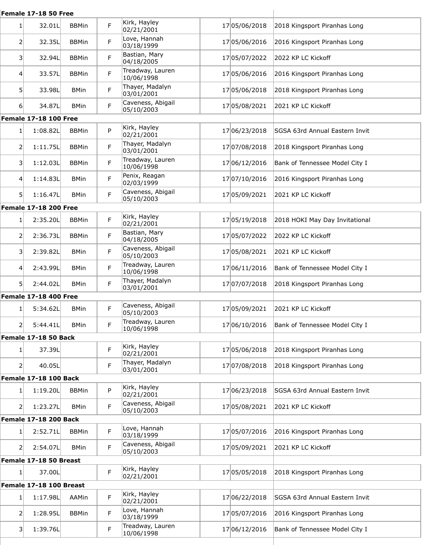| Female 17-18 50 Free |                              |              |             |                                 |  |               |                                              |
|----------------------|------------------------------|--------------|-------------|---------------------------------|--|---------------|----------------------------------------------|
| 1 <sup>1</sup>       | 32.01L                       | <b>BBMin</b> | F           | Kirk, Hayley<br>02/21/2001      |  | 17 05/06/2018 | 2018 Kingsport Piranhas Long                 |
| 2                    | 32.35L                       | <b>BBMin</b> | F           | Love, Hannah<br>03/18/1999      |  | 17 05/06/2016 | 2016 Kingsport Piranhas Long                 |
| 3                    | 32.94L                       | <b>BBMin</b> | F           | Bastian, Mary<br>04/18/2005     |  | 17 05/07/2022 | 2022 KP LC Kickoff                           |
| 4                    | 33.57L                       | <b>BBMin</b> | F           | Treadway, Lauren<br>10/06/1998  |  | 17 05/06/2016 | 2016 Kingsport Piranhas Long                 |
| 51                   | 33.98L                       | <b>BMin</b>  | F           | Thayer, Madalyn<br>03/01/2001   |  | 17 05/06/2018 | 2018 Kingsport Piranhas Long                 |
| 6 <sup>1</sup>       | 34.87L                       | <b>BMin</b>  | F           | Caveness, Abigail<br>05/10/2003 |  | 17 05/08/2021 | 2021 KP LC Kickoff                           |
|                      | <b>Female 17-18 100 Free</b> |              |             |                                 |  |               |                                              |
| $1\vert$             | 1:08.82L                     | <b>BBMin</b> | P           | Kirk, Hayley<br>02/21/2001      |  | 17 06/23/2018 | SGSA 63rd Annual Eastern Invit               |
| 2                    | 1:11.75L                     | <b>BBMin</b> | F           | Thayer, Madalyn<br>03/01/2001   |  | 17 07/08/2018 | 2018 Kingsport Piranhas Long                 |
| 3                    | 1:12.03L                     | <b>BBMin</b> | F           | Treadway, Lauren<br>10/06/1998  |  | 17 06/12/2016 | Bank of Tennessee Model City I               |
| 4                    | 1:14.83L                     | <b>BMin</b>  | F           | Penix, Reagan<br>02/03/1999     |  | 17 07/10/2016 | 2016 Kingsport Piranhas Long                 |
| 51                   | 1:16.47L                     | <b>BMin</b>  | F           | Caveness, Abigail<br>05/10/2003 |  | 17 05/09/2021 | 2021 KP LC Kickoff                           |
|                      | Female 17-18 200 Free        |              |             |                                 |  |               |                                              |
| 1 <sup>1</sup>       | 2:35.20L                     | <b>BBMin</b> | F.          | Kirk, Hayley<br>02/21/2001      |  | 17 05/19/2018 | 2018 HOKI May Day Invitational               |
| 2                    | 2:36.73L                     | <b>BBMin</b> | F           | Bastian, Mary<br>04/18/2005     |  | 17 05/07/2022 | 2022 KP LC Kickoff                           |
| 3                    | 2:39.82L                     | <b>BMin</b>  | F           | Caveness, Abigail<br>05/10/2003 |  | 17 05/08/2021 | 2021 KP LC Kickoff                           |
| 4                    | 2:43.99L                     | <b>BMin</b>  | F           | Treadway, Lauren<br>10/06/1998  |  | 17 06/11/2016 | Bank of Tennessee Model City I               |
| 51                   | 2:44.02L                     | <b>BMin</b>  | F           | Thayer, Madalyn<br>03/01/2001   |  | 17 07/07/2018 | 2018 Kingsport Piranhas Long                 |
|                      | Female 17-18 400 Free        |              |             |                                 |  |               |                                              |
| 1                    | 5:34.62L                     | <b>BMin</b>  | F           | Caveness, Abigail<br>05/10/2003 |  | 17 05/09/2021 | 2021 KP LC Kickoff                           |
| 2                    | 5:44.41L                     | <b>BMin</b>  | $\mathsf F$ | Treadway, Lauren<br>10/06/1998  |  |               | 17 06/10/2016 Bank of Tennessee Model City I |
|                      | Female 17-18 50 Back         |              |             |                                 |  |               |                                              |
| $1\vert$             | 37.39L                       |              | F           | Kirk, Hayley<br>02/21/2001      |  | 17 05/06/2018 | 2018 Kingsport Piranhas Long                 |
| 21                   | 40.05L                       |              | F           | Thayer, Madalyn<br>03/01/2001   |  | 17 07/08/2018 | 2018 Kingsport Piranhas Long                 |
|                      | <b>Female 17-18 100 Back</b> |              |             |                                 |  |               |                                              |
| 1                    | 1:19.20L                     | <b>BBMin</b> | P           | Kirk, Hayley<br>02/21/2001      |  | 17 06/23/2018 | SGSA 63rd Annual Eastern Invit               |
| 21                   | 1:23.27L                     | <b>BMin</b>  | F           | Caveness, Abigail<br>05/10/2003 |  | 17 05/08/2021 | 2021 KP LC Kickoff                           |
|                      | <b>Female 17-18 200 Back</b> |              |             |                                 |  |               |                                              |
| 11                   | 2:52.71L                     | <b>BBMin</b> | F           | Love, Hannah<br>03/18/1999      |  | 17 05/07/2016 | 2016 Kingsport Piranhas Long                 |
| 2                    | 2:54.07L                     | <b>BMin</b>  | F           | Caveness, Abigail<br>05/10/2003 |  | 17 05/09/2021 | 2021 KP LC Kickoff                           |
|                      | Female 17-18 50 Breast       |              |             |                                 |  |               |                                              |
| 1 <sup>1</sup>       | 37.00L                       |              | F           | Kirk, Hayley<br>02/21/2001      |  | 17 05/05/2018 | 2018 Kingsport Piranhas Long                 |
|                      | Female 17-18 100 Breast      |              |             |                                 |  |               |                                              |
| $1\vert$             | 1:17.98L                     | AAMin        | F.          | Kirk, Hayley<br>02/21/2001      |  | 17 06/22/2018 | SGSA 63rd Annual Eastern Invit               |
| 2                    | 1:28.95L                     | <b>BBMin</b> | F           | Love, Hannah<br>03/18/1999      |  | 17 05/07/2016 | 2016 Kingsport Piranhas Long                 |
| 31                   | 1:39.76L                     |              | F           | Treadway, Lauren<br>10/06/1998  |  | 17 06/12/2016 | Bank of Tennessee Model City I               |
|                      |                              |              |             |                                 |  |               |                                              |